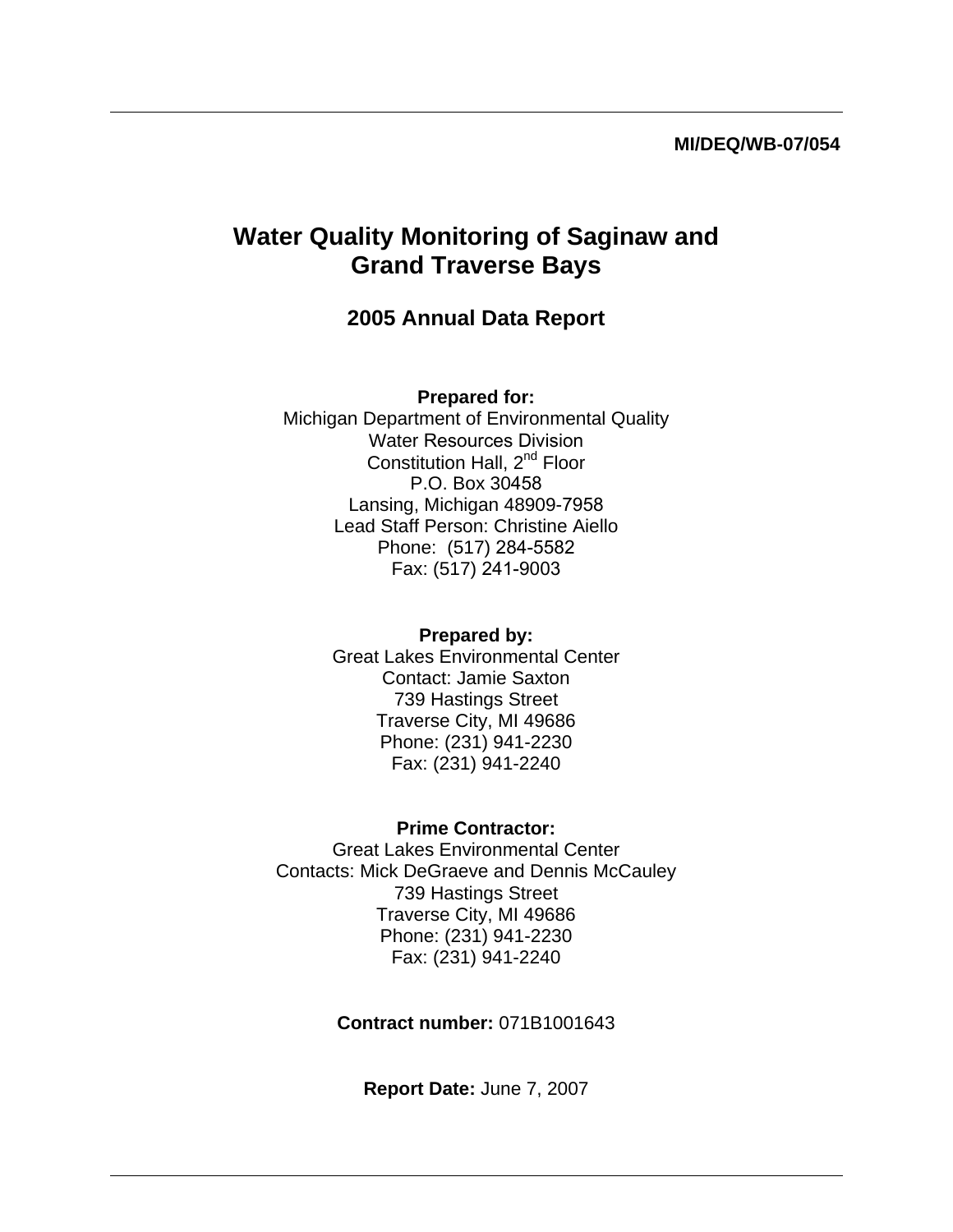#### **MI/DEQ/WB-07/054**

# **Water Quality Monitoring of Saginaw and Grand Traverse Bays**

## **2005 Annual Data Report**

#### **Prepared for:**

Michigan Department of Environmental Quality Water Resources Division Constitution Hall, 2<sup>nd</sup> Floor P.O. Box 30458 Lansing, Michigan 48909-7958 Lead Staff Person: Christine Aiello Phone: (517) 284-5582 Fax: (517) 241-9003

### **Prepared by:**

Great Lakes Environmental Center Contact: Jamie Saxton 739 Hastings Street Traverse City, MI 49686 Phone: (231) 941-2230 Fax: (231) 941-2240

#### **Prime Contractor:**

Great Lakes Environmental Center Contacts: Mick DeGraeve and Dennis McCauley 739 Hastings Street Traverse City, MI 49686 Phone: (231) 941-2230 Fax: (231) 941-2240

### **Contract number:** 071B1001643

**Report Date:** June 7, 2007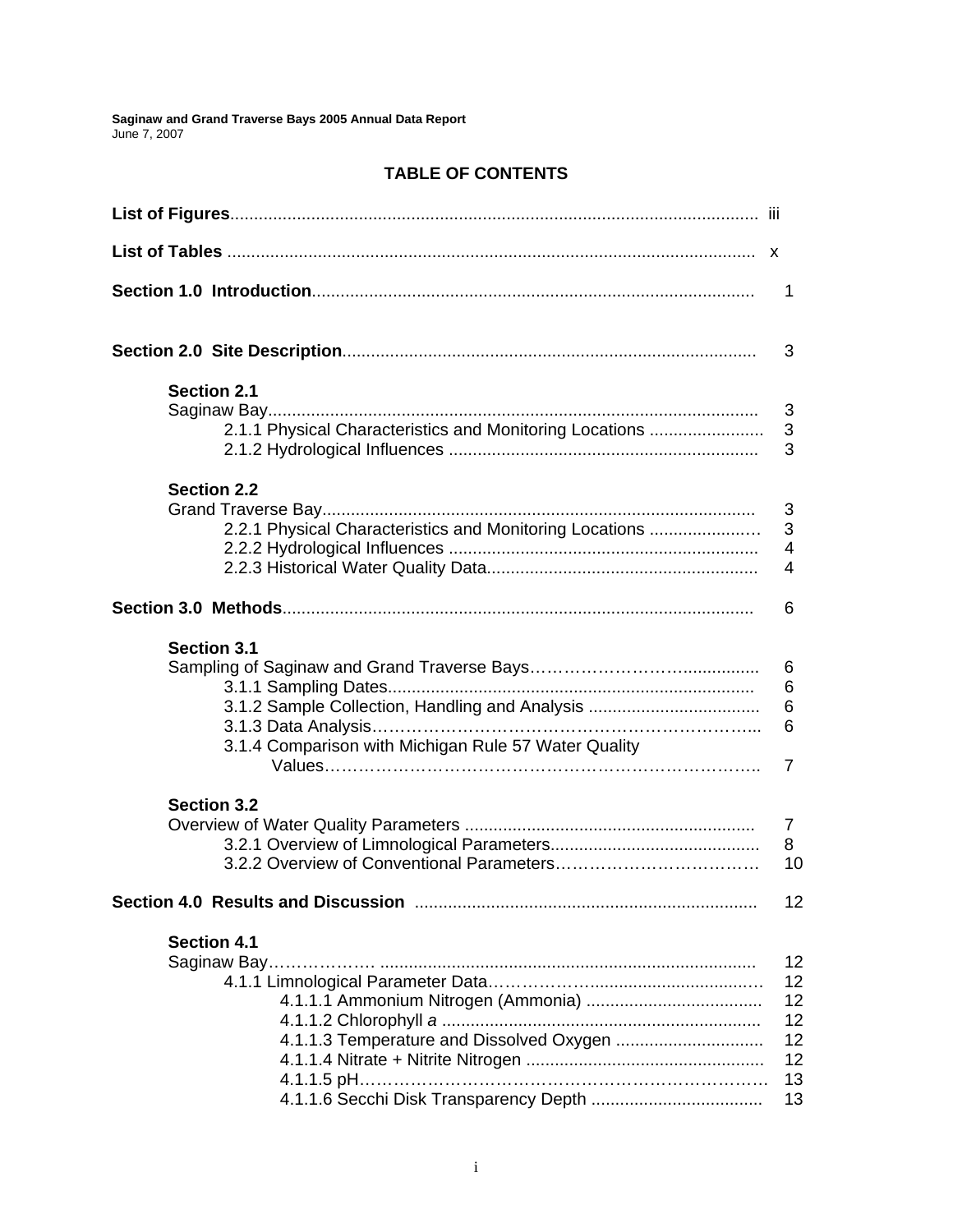### **TABLE OF CONTENTS**

|                                                         | 1               |
|---------------------------------------------------------|-----------------|
|                                                         | 3               |
| <b>Section 2.1</b>                                      |                 |
|                                                         | 3               |
| 2.1.1 Physical Characteristics and Monitoring Locations | 3               |
|                                                         | 3               |
| <b>Section 2.2</b>                                      |                 |
|                                                         | 3               |
| 2.2.1 Physical Characteristics and Monitoring Locations | 3               |
|                                                         | 4               |
|                                                         | 4               |
|                                                         | 6               |
| <b>Section 3.1</b>                                      |                 |
|                                                         | 6               |
|                                                         | 6               |
| 3.1.2 Sample Collection, Handling and Analysis          | 6               |
|                                                         | 6               |
| 3.1.4 Comparison with Michigan Rule 57 Water Quality    |                 |
|                                                         | 7               |
| <b>Section 3.2</b>                                      |                 |
|                                                         | 7               |
|                                                         | 8               |
|                                                         | 10              |
|                                                         | 12 <sub>2</sub> |
| <b>Section 4.1</b>                                      |                 |
|                                                         | 12 <sub>2</sub> |
|                                                         | 12 <sub>2</sub> |
|                                                         | 12 <sub>2</sub> |
|                                                         | 12 <sub>2</sub> |
|                                                         | 12              |
|                                                         | 12              |
|                                                         | 13              |
|                                                         | 13              |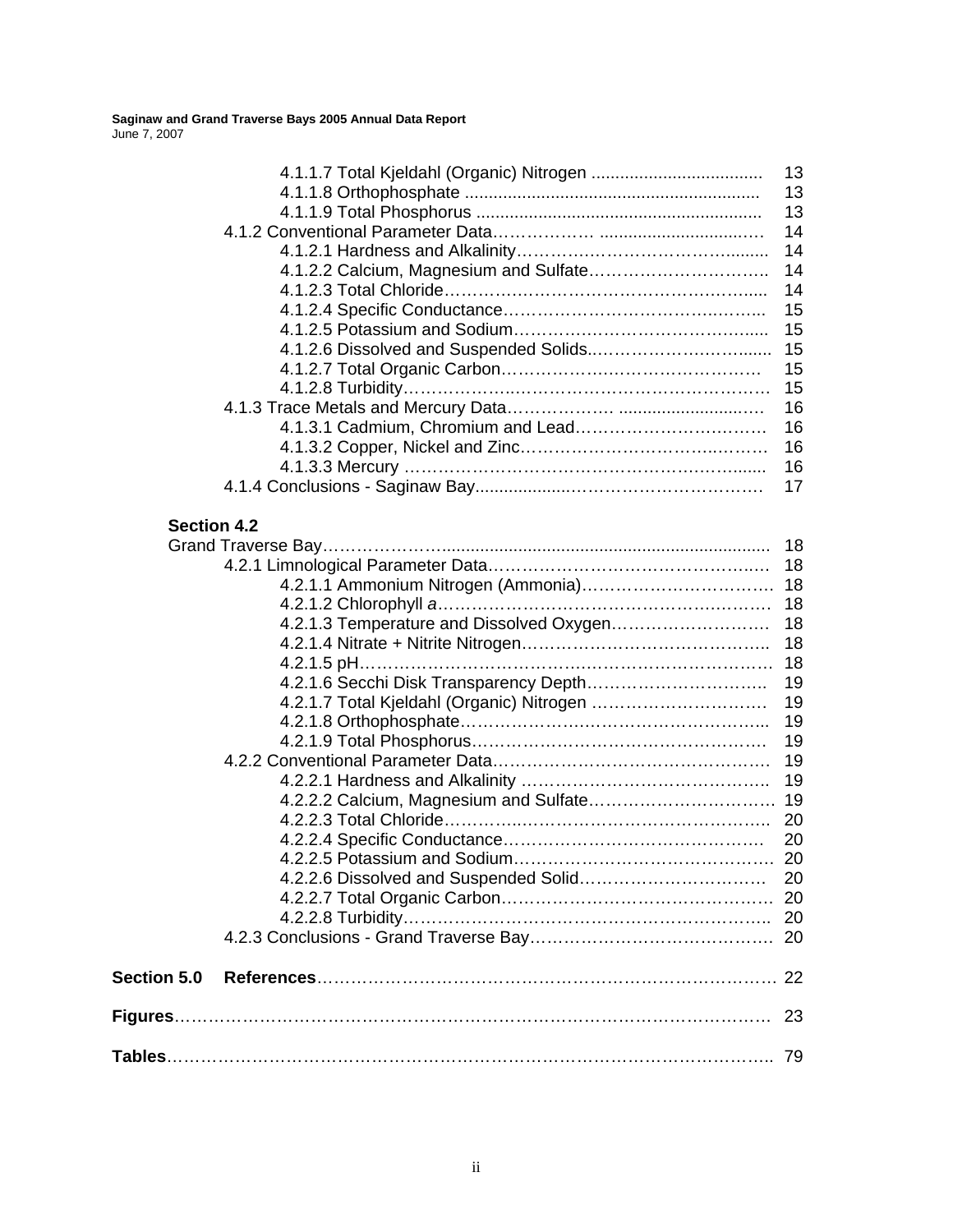|                    |                                          | 13 |
|--------------------|------------------------------------------|----|
|                    |                                          | 13 |
|                    |                                          | 13 |
|                    |                                          | 14 |
|                    |                                          | 14 |
|                    |                                          | 14 |
|                    |                                          | 14 |
|                    |                                          | 15 |
|                    |                                          | 15 |
|                    |                                          | 15 |
|                    |                                          | 15 |
|                    |                                          | 15 |
|                    |                                          | 16 |
|                    |                                          | 16 |
|                    |                                          | 16 |
|                    |                                          | 16 |
|                    |                                          | 17 |
|                    |                                          |    |
| <b>Section 4.2</b> |                                          |    |
|                    |                                          | 18 |
|                    |                                          | 18 |
|                    |                                          |    |
|                    |                                          |    |
|                    | 4.2.1.3 Temperature and Dissolved Oxygen | 18 |
|                    |                                          | 18 |
|                    |                                          |    |
|                    |                                          | 19 |
|                    |                                          | 19 |
|                    |                                          | 19 |
|                    |                                          |    |
|                    |                                          | 19 |
|                    |                                          | 19 |
|                    |                                          | 19 |
|                    |                                          |    |
|                    |                                          | 20 |
|                    |                                          | 20 |
|                    |                                          | 20 |
|                    |                                          |    |
|                    |                                          |    |
|                    |                                          |    |
|                    |                                          |    |
| Section 5.0        |                                          |    |
|                    |                                          |    |
|                    |                                          |    |
|                    |                                          |    |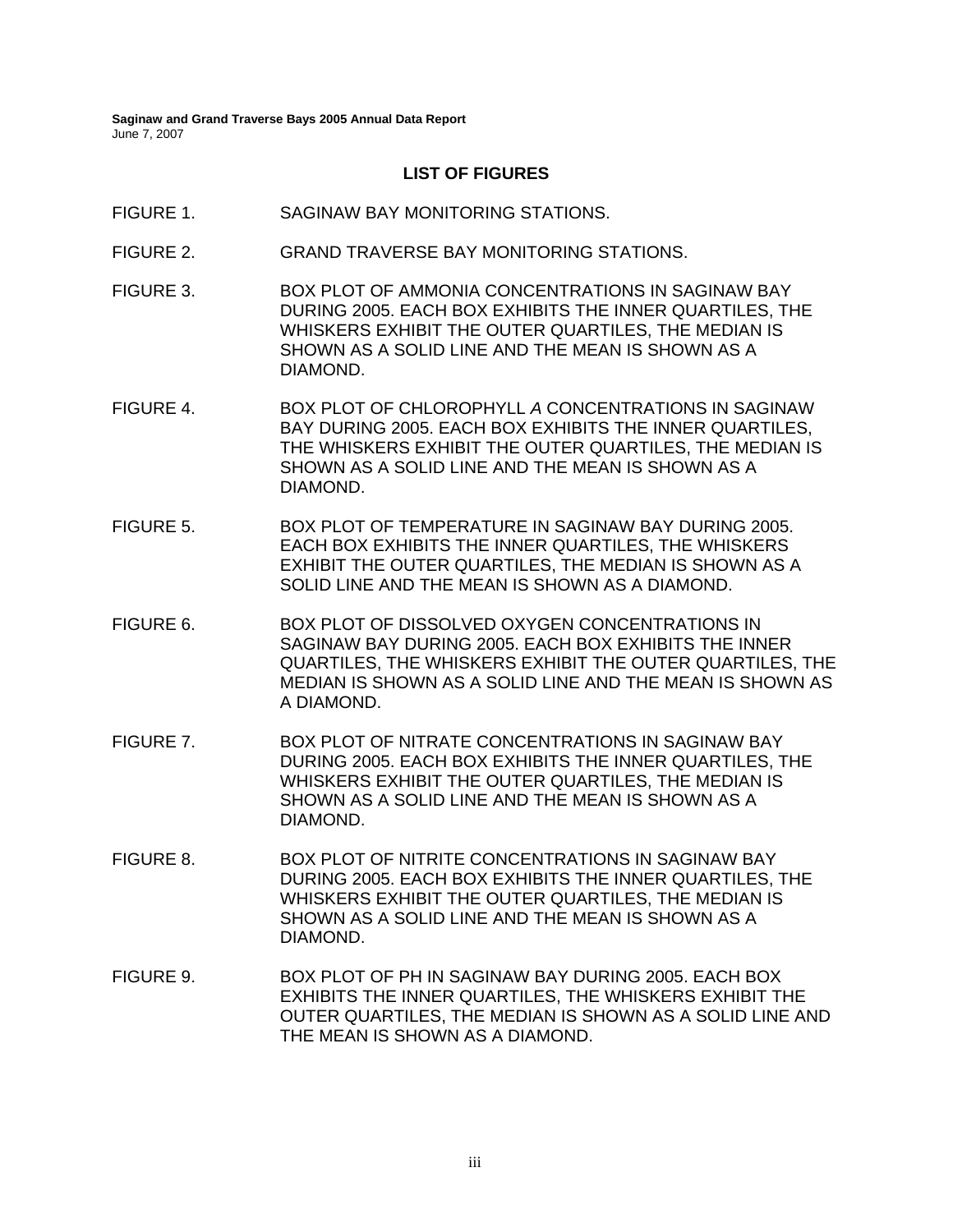#### **LIST OF FIGURES**

- FIGURE 1. SAGINAW BAY MONITORING STATIONS.
- FIGURE 2. GRAND TRAVERSE BAY MONITORING STATIONS.
- FIGURE 3. BOX PLOT OF AMMONIA CONCENTRATIONS IN SAGINAW BAY DURING 2005. EACH BOX EXHIBITS THE INNER QUARTILES, THE WHISKERS EXHIBIT THE OUTER QUARTILES, THE MEDIAN IS SHOWN AS A SOLID LINE AND THE MEAN IS SHOWN AS A DIAMOND.
- FIGURE 4. BOX PLOT OF CHLOROPHYLL *A* CONCENTRATIONS IN SAGINAW BAY DURING 2005. EACH BOX EXHIBITS THE INNER QUARTILES, THE WHISKERS EXHIBIT THE OUTER QUARTILES, THE MEDIAN IS SHOWN AS A SOLID LINE AND THE MEAN IS SHOWN AS A DIAMOND.
- FIGURE 5. BOX PLOT OF TEMPERATURE IN SAGINAW BAY DURING 2005. EACH BOX EXHIBITS THE INNER QUARTILES, THE WHISKERS EXHIBIT THE OUTER QUARTILES, THE MEDIAN IS SHOWN AS A SOLID LINE AND THE MEAN IS SHOWN AS A DIAMOND.
- FIGURE 6. BOX PLOT OF DISSOLVED OXYGEN CONCENTRATIONS IN SAGINAW BAY DURING 2005. EACH BOX EXHIBITS THE INNER QUARTILES, THE WHISKERS EXHIBIT THE OUTER QUARTILES, THE MEDIAN IS SHOWN AS A SOLID LINE AND THE MEAN IS SHOWN AS A DIAMOND.
- FIGURE 7. BOX PLOT OF NITRATE CONCENTRATIONS IN SAGINAW BAY DURING 2005. EACH BOX EXHIBITS THE INNER QUARTILES, THE WHISKERS EXHIBIT THE OUTER QUARTILES, THE MEDIAN IS SHOWN AS A SOLID LINE AND THE MEAN IS SHOWN AS A DIAMOND.
- FIGURE 8. BOX PLOT OF NITRITE CONCENTRATIONS IN SAGINAW BAY DURING 2005. EACH BOX EXHIBITS THE INNER QUARTILES, THE WHISKERS EXHIBIT THE OUTER QUARTILES, THE MEDIAN IS SHOWN AS A SOLID LINE AND THE MEAN IS SHOWN AS A DIAMOND.
- FIGURE 9. BOX PLOT OF PH IN SAGINAW BAY DURING 2005. EACH BOX EXHIBITS THE INNER QUARTILES, THE WHISKERS EXHIBIT THE OUTER QUARTILES, THE MEDIAN IS SHOWN AS A SOLID LINE AND THE MEAN IS SHOWN AS A DIAMOND.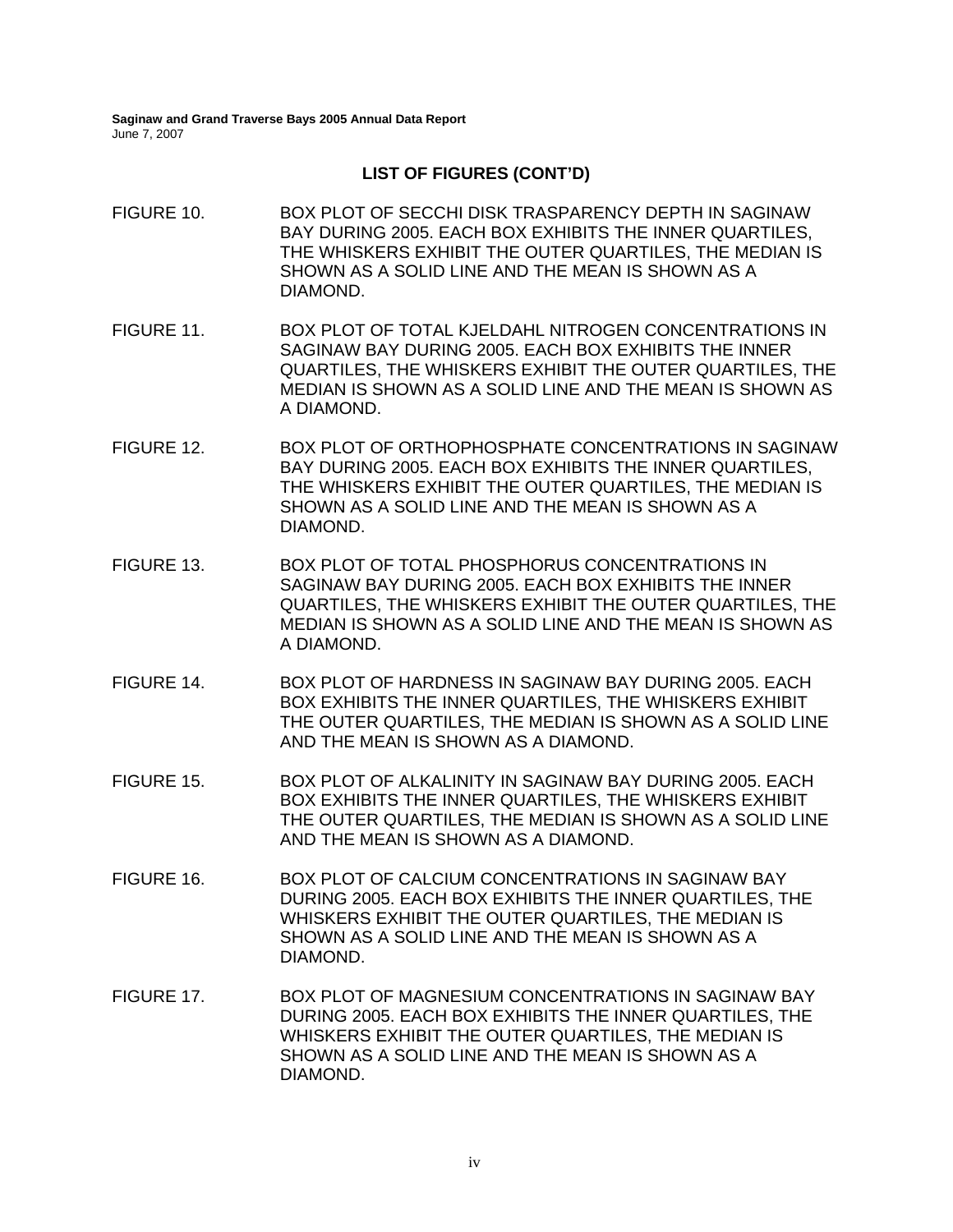- FIGURE 10. BOX PLOT OF SECCHI DISK TRASPARENCY DEPTH IN SAGINAW BAY DURING 2005. EACH BOX EXHIBITS THE INNER QUARTILES, THE WHISKERS EXHIBIT THE OUTER QUARTILES, THE MEDIAN IS SHOWN AS A SOLID LINE AND THE MEAN IS SHOWN AS A DIAMOND.
- FIGURE 11. BOX PLOT OF TOTAL KJELDAHL NITROGEN CONCENTRATIONS IN SAGINAW BAY DURING 2005. EACH BOX EXHIBITS THE INNER QUARTILES, THE WHISKERS EXHIBIT THE OUTER QUARTILES, THE MEDIAN IS SHOWN AS A SOLID LINE AND THE MEAN IS SHOWN AS A DIAMOND.
- FIGURE 12. BOX PLOT OF ORTHOPHOSPHATE CONCENTRATIONS IN SAGINAW BAY DURING 2005. EACH BOX EXHIBITS THE INNER QUARTILES, THE WHISKERS EXHIBIT THE OUTER QUARTILES, THE MEDIAN IS SHOWN AS A SOLID LINE AND THE MEAN IS SHOWN AS A DIAMOND.
- FIGURE 13. BOX PLOT OF TOTAL PHOSPHORUS CONCENTRATIONS IN SAGINAW BAY DURING 2005. EACH BOX EXHIBITS THE INNER QUARTILES, THE WHISKERS EXHIBIT THE OUTER QUARTILES, THE MEDIAN IS SHOWN AS A SOLID LINE AND THE MEAN IS SHOWN AS A DIAMOND.
- FIGURE 14. BOX PLOT OF HARDNESS IN SAGINAW BAY DURING 2005. EACH BOX EXHIBITS THE INNER QUARTILES, THE WHISKERS EXHIBIT THE OUTER QUARTILES, THE MEDIAN IS SHOWN AS A SOLID LINE AND THE MEAN IS SHOWN AS A DIAMOND.
- FIGURE 15. BOX PLOT OF ALKALINITY IN SAGINAW BAY DURING 2005. EACH BOX EXHIBITS THE INNER QUARTILES, THE WHISKERS EXHIBIT THE OUTER QUARTILES, THE MEDIAN IS SHOWN AS A SOLID LINE AND THE MEAN IS SHOWN AS A DIAMOND.
- FIGURE 16. BOX PLOT OF CALCIUM CONCENTRATIONS IN SAGINAW BAY DURING 2005. EACH BOX EXHIBITS THE INNER QUARTILES, THE WHISKERS EXHIBIT THE OUTER QUARTILES, THE MEDIAN IS SHOWN AS A SOLID LINE AND THE MEAN IS SHOWN AS A DIAMOND.
- FIGURE 17. BOX PLOT OF MAGNESIUM CONCENTRATIONS IN SAGINAW BAY DURING 2005. EACH BOX EXHIBITS THE INNER QUARTILES, THE WHISKERS EXHIBIT THE OUTER QUARTILES, THE MEDIAN IS SHOWN AS A SOLID LINE AND THE MEAN IS SHOWN AS A DIAMOND.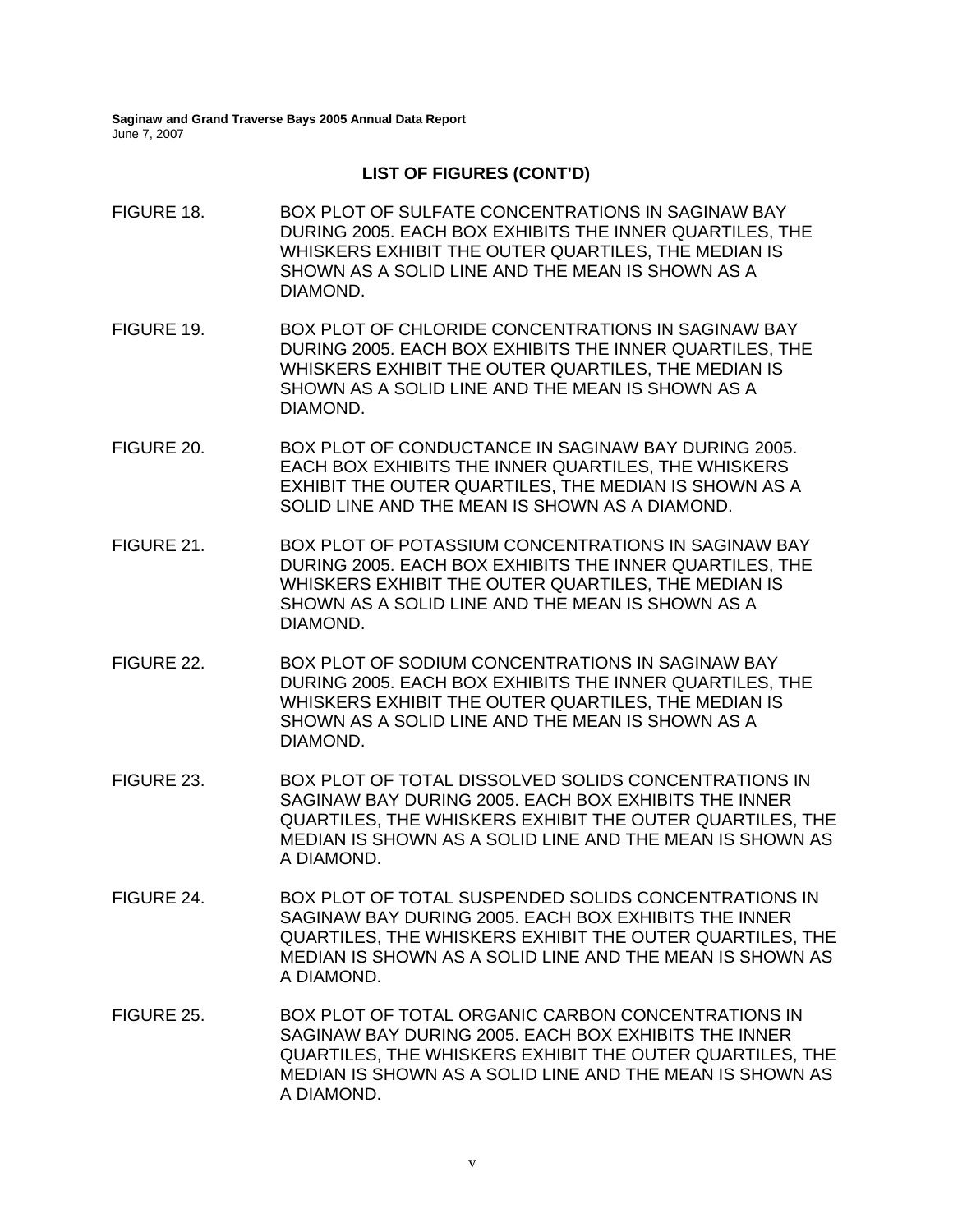- FIGURE 18. BOX PLOT OF SULFATE CONCENTRATIONS IN SAGINAW BAY DURING 2005. EACH BOX EXHIBITS THE INNER QUARTILES, THE WHISKERS EXHIBIT THE OUTER QUARTILES, THE MEDIAN IS SHOWN AS A SOLID LINE AND THE MEAN IS SHOWN AS A DIAMOND. FIGURE 19. BOX PLOT OF CHLORIDE CONCENTRATIONS IN SAGINAW BAY DURING 2005. EACH BOX EXHIBITS THE INNER QUARTILES, THE WHISKERS EXHIBIT THE OUTER QUARTILES, THE MEDIAN IS SHOWN AS A SOLID LINE AND THE MEAN IS SHOWN AS A DIAMOND. FIGURE 20. BOX PLOT OF CONDUCTANCE IN SAGINAW BAY DURING 2005. EACH BOX EXHIBITS THE INNER QUARTILES, THE WHISKERS EXHIBIT THE OUTER QUARTILES, THE MEDIAN IS SHOWN AS A SOLID LINE AND THE MEAN IS SHOWN AS A DIAMOND. FIGURE 21. BOX PLOT OF POTASSIUM CONCENTRATIONS IN SAGINAW BAY DURING 2005. EACH BOX EXHIBITS THE INNER QUARTILES, THE WHISKERS EXHIBIT THE OUTER QUARTILES, THE MEDIAN IS SHOWN AS A SOLID LINE AND THE MEAN IS SHOWN AS A DIAMOND. FIGURE 22. BOX PLOT OF SODIUM CONCENTRATIONS IN SAGINAW BAY DURING 2005. EACH BOX EXHIBITS THE INNER QUARTILES, THE WHISKERS EXHIBIT THE OUTER QUARTILES, THE MEDIAN IS SHOWN AS A SOLID LINE AND THE MEAN IS SHOWN AS A DIAMOND. FIGURE 23. BOX PLOT OF TOTAL DISSOLVED SOLIDS CONCENTRATIONS IN SAGINAW BAY DURING 2005. EACH BOX EXHIBITS THE INNER QUARTILES, THE WHISKERS EXHIBIT THE OUTER QUARTILES, THE MEDIAN IS SHOWN AS A SOLID LINE AND THE MEAN IS SHOWN AS A DIAMOND. FIGURE 24. BOX PLOT OF TOTAL SUSPENDED SOLIDS CONCENTRATIONS IN SAGINAW BAY DURING 2005. EACH BOX EXHIBITS THE INNER QUARTILES, THE WHISKERS EXHIBIT THE OUTER QUARTILES, THE MEDIAN IS SHOWN AS A SOLID LINE AND THE MEAN IS SHOWN AS A DIAMOND.
- FIGURE 25. BOX PLOT OF TOTAL ORGANIC CARBON CONCENTRATIONS IN SAGINAW BAY DURING 2005. EACH BOX EXHIBITS THE INNER QUARTILES, THE WHISKERS EXHIBIT THE OUTER QUARTILES, THE MEDIAN IS SHOWN AS A SOLID LINE AND THE MEAN IS SHOWN AS A DIAMOND.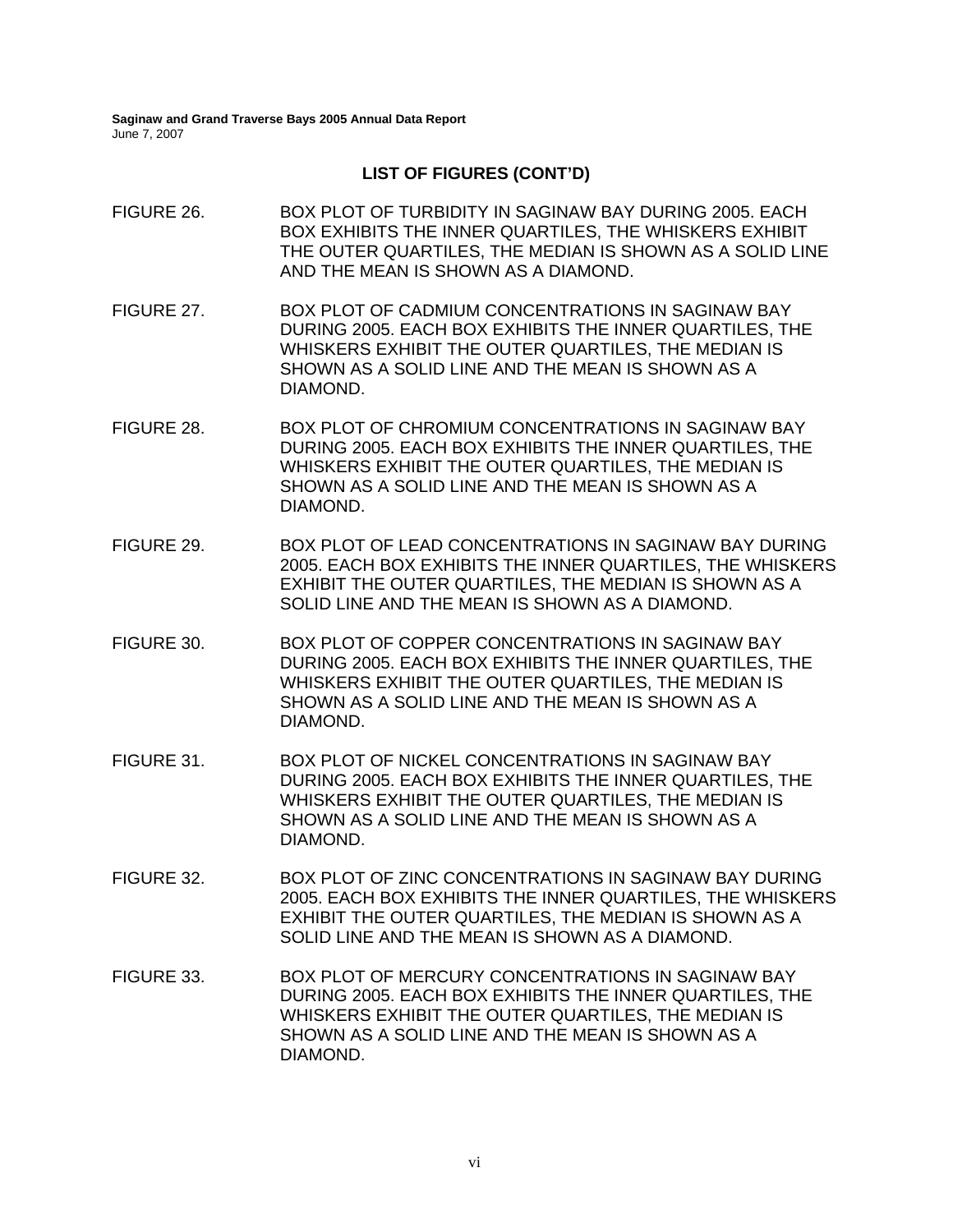- FIGURE 26. BOX PLOT OF TURBIDITY IN SAGINAW BAY DURING 2005. EACH BOX EXHIBITS THE INNER QUARTILES, THE WHISKERS EXHIBIT THE OUTER QUARTILES, THE MEDIAN IS SHOWN AS A SOLID LINE AND THE MEAN IS SHOWN AS A DIAMOND. FIGURE 27. BOX PLOT OF CADMIUM CONCENTRATIONS IN SAGINAW BAY DURING 2005. EACH BOX EXHIBITS THE INNER QUARTILES, THE WHISKERS EXHIBIT THE OUTER QUARTILES, THE MEDIAN IS SHOWN AS A SOLID LINE AND THE MEAN IS SHOWN AS A DIAMOND. FIGURE 28. BOX PLOT OF CHROMIUM CONCENTRATIONS IN SAGINAW BAY DURING 2005. EACH BOX EXHIBITS THE INNER QUARTILES, THE WHISKERS EXHIBIT THE OUTER QUARTILES, THE MEDIAN IS SHOWN AS A SOLID LINE AND THE MEAN IS SHOWN AS A DIAMOND. FIGURE 29. BOX PLOT OF LEAD CONCENTRATIONS IN SAGINAW BAY DURING 2005. EACH BOX EXHIBITS THE INNER QUARTILES, THE WHISKERS EXHIBIT THE OUTER QUARTILES, THE MEDIAN IS SHOWN AS A SOLID LINE AND THE MEAN IS SHOWN AS A DIAMOND. FIGURE 30. BOX PLOT OF COPPER CONCENTRATIONS IN SAGINAW BAY DURING 2005. EACH BOX EXHIBITS THE INNER QUARTILES, THE WHISKERS EXHIBIT THE OUTER QUARTILES, THE MEDIAN IS SHOWN AS A SOLID LINE AND THE MEAN IS SHOWN AS A DIAMOND.
- FIGURE 31. BOX PLOT OF NICKEL CONCENTRATIONS IN SAGINAW BAY DURING 2005. EACH BOX EXHIBITS THE INNER QUARTILES, THE WHISKERS EXHIBIT THE OUTER QUARTILES, THE MEDIAN IS SHOWN AS A SOLID LINE AND THE MEAN IS SHOWN AS A DIAMOND.
- FIGURE 32. BOX PLOT OF ZINC CONCENTRATIONS IN SAGINAW BAY DURING 2005. EACH BOX EXHIBITS THE INNER QUARTILES, THE WHISKERS EXHIBIT THE OUTER QUARTILES, THE MEDIAN IS SHOWN AS A SOLID LINE AND THE MEAN IS SHOWN AS A DIAMOND.
- FIGURE 33. BOX PLOT OF MERCURY CONCENTRATIONS IN SAGINAW BAY DURING 2005. EACH BOX EXHIBITS THE INNER QUARTILES, THE WHISKERS EXHIBIT THE OUTER QUARTILES, THE MEDIAN IS SHOWN AS A SOLID LINE AND THE MEAN IS SHOWN AS A DIAMOND.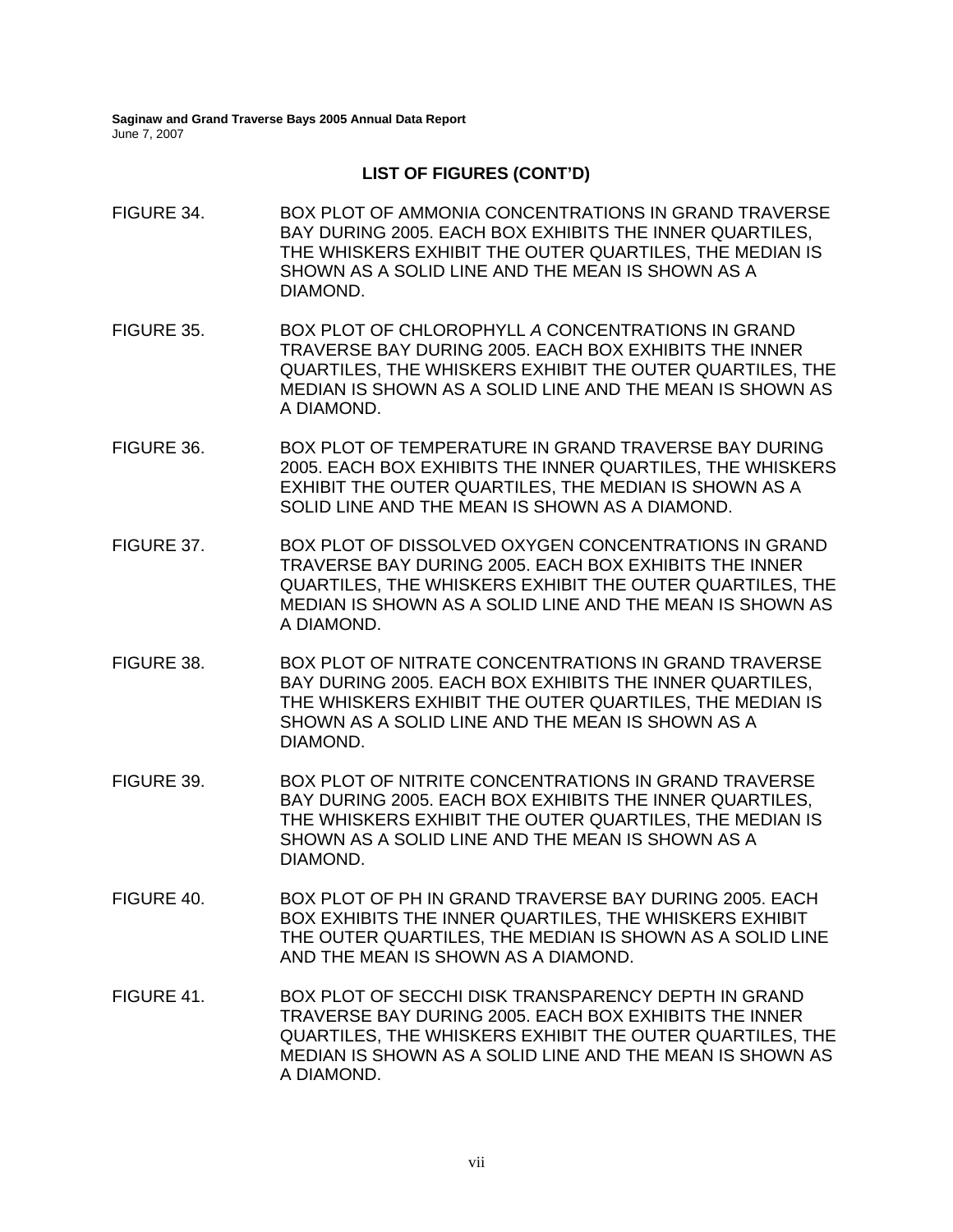- FIGURE 34. BOX PLOT OF AMMONIA CONCENTRATIONS IN GRAND TRAVERSE BAY DURING 2005. EACH BOX EXHIBITS THE INNER QUARTILES, THE WHISKERS EXHIBIT THE OUTER QUARTILES, THE MEDIAN IS SHOWN AS A SOLID LINE AND THE MEAN IS SHOWN AS A DIAMOND. FIGURE 35. BOX PLOT OF CHLOROPHYLL *A* CONCENTRATIONS IN GRAND TRAVERSE BAY DURING 2005. EACH BOX EXHIBITS THE INNER QUARTILES, THE WHISKERS EXHIBIT THE OUTER QUARTILES, THE MEDIAN IS SHOWN AS A SOLID LINE AND THE MEAN IS SHOWN AS A DIAMOND. FIGURE 36. BOX PLOT OF TEMPERATURE IN GRAND TRAVERSE BAY DURING 2005. EACH BOX EXHIBITS THE INNER QUARTILES, THE WHISKERS EXHIBIT THE OUTER QUARTILES, THE MEDIAN IS SHOWN AS A SOLID LINE AND THE MEAN IS SHOWN AS A DIAMOND. FIGURE 37. BOX PLOT OF DISSOLVED OXYGEN CONCENTRATIONS IN GRAND TRAVERSE BAY DURING 2005. EACH BOX EXHIBITS THE INNER QUARTILES, THE WHISKERS EXHIBIT THE OUTER QUARTILES, THE MEDIAN IS SHOWN AS A SOLID LINE AND THE MEAN IS SHOWN AS A DIAMOND. FIGURE 38. BOX PLOT OF NITRATE CONCENTRATIONS IN GRAND TRAVERSE BAY DURING 2005. EACH BOX EXHIBITS THE INNER QUARTILES, THE WHISKERS EXHIBIT THE OUTER QUARTILES, THE MEDIAN IS SHOWN AS A SOLID LINE AND THE MEAN IS SHOWN AS A DIAMOND. FIGURE 39. BOX PLOT OF NITRITE CONCENTRATIONS IN GRAND TRAVERSE BAY DURING 2005. EACH BOX EXHIBITS THE INNER QUARTILES, THE WHISKERS EXHIBIT THE OUTER QUARTILES, THE MEDIAN IS SHOWN AS A SOLID LINE AND THE MEAN IS SHOWN AS A DIAMOND. FIGURE 40. BOX PLOT OF PH IN GRAND TRAVERSE BAY DURING 2005. EACH BOX EXHIBITS THE INNER QUARTILES, THE WHISKERS EXHIBIT THE OUTER QUARTILES, THE MEDIAN IS SHOWN AS A SOLID LINE AND THE MEAN IS SHOWN AS A DIAMOND. FIGURE 41. BOX PLOT OF SECCHI DISK TRANSPARENCY DEPTH IN GRAND
- TRAVERSE BAY DURING 2005. EACH BOX EXHIBITS THE INNER QUARTILES, THE WHISKERS EXHIBIT THE OUTER QUARTILES, THE MEDIAN IS SHOWN AS A SOLID LINE AND THE MEAN IS SHOWN AS A DIAMOND.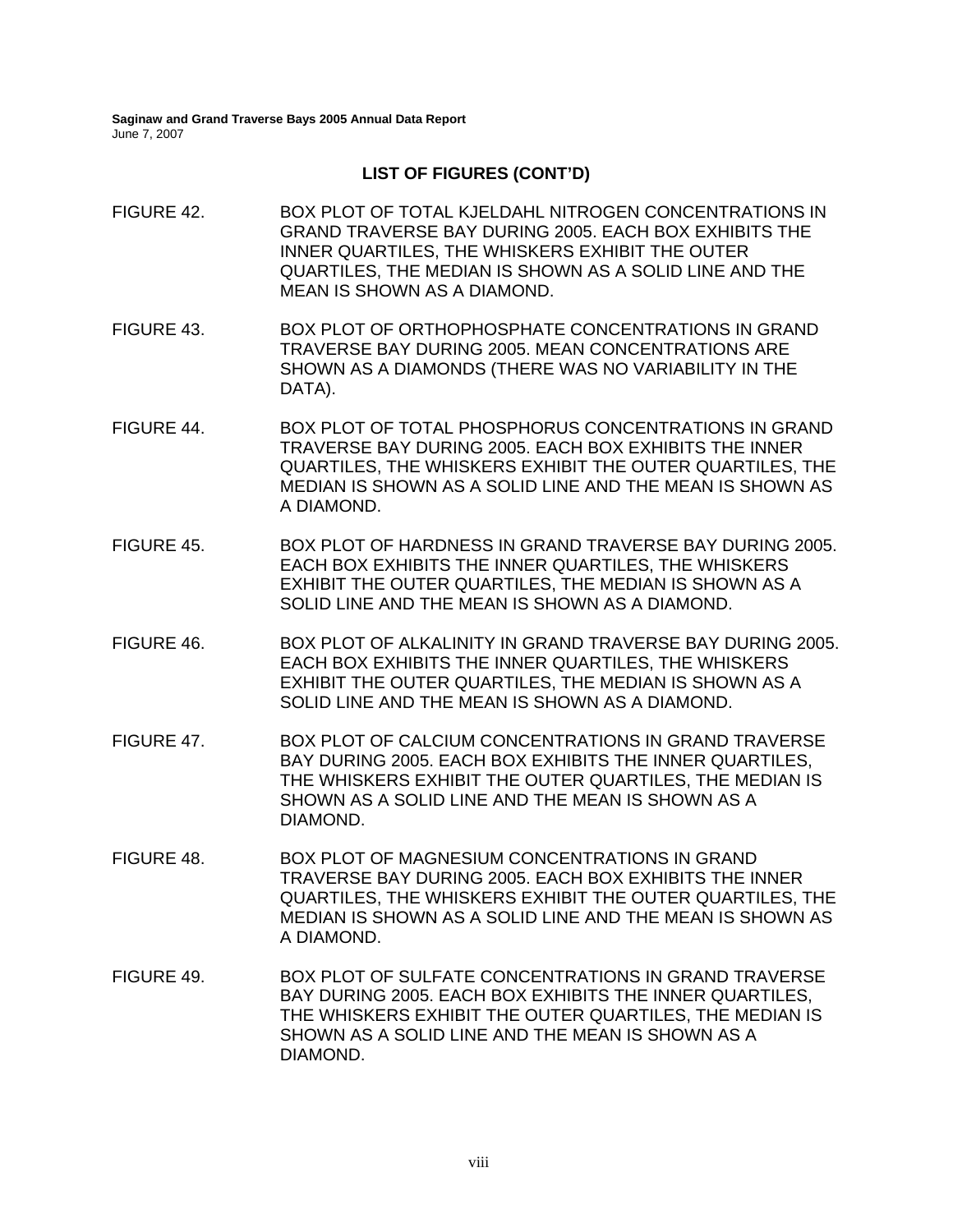### **LIST OF FIGURES (CONT'D)**

FIGURE 42. BOX PLOT OF TOTAL KJELDAHL NITROGEN CONCENTRATIONS IN GRAND TRAVERSE BAY DURING 2005. EACH BOX EXHIBITS THE INNER QUARTILES, THE WHISKERS EXHIBIT THE OUTER QUARTILES, THE MEDIAN IS SHOWN AS A SOLID LINE AND THE MEAN IS SHOWN AS A DIAMOND. FIGURE 43. BOX PLOT OF ORTHOPHOSPHATE CONCENTRATIONS IN GRAND TRAVERSE BAY DURING 2005. MEAN CONCENTRATIONS ARE SHOWN AS A DIAMONDS (THERE WAS NO VARIABILITY IN THE DATA). FIGURE 44. BOX PLOT OF TOTAL PHOSPHORUS CONCENTRATIONS IN GRAND TRAVERSE BAY DURING 2005. EACH BOX EXHIBITS THE INNER QUARTILES, THE WHISKERS EXHIBIT THE OUTER QUARTILES, THE MEDIAN IS SHOWN AS A SOLID LINE AND THE MEAN IS SHOWN AS A DIAMOND. FIGURE 45. BOX PLOT OF HARDNESS IN GRAND TRAVERSE BAY DURING 2005. EACH BOX EXHIBITS THE INNER QUARTILES, THE WHISKERS EXHIBIT THE OUTER QUARTILES, THE MEDIAN IS SHOWN AS A SOLID LINE AND THE MEAN IS SHOWN AS A DIAMOND. FIGURE 46. BOX PLOT OF ALKALINITY IN GRAND TRAVERSE BAY DURING 2005. EACH BOX EXHIBITS THE INNER QUARTILES, THE WHISKERS EXHIBIT THE OUTER QUARTILES, THE MEDIAN IS SHOWN AS A SOLID LINE AND THE MEAN IS SHOWN AS A DIAMOND. FIGURE 47. BOX PLOT OF CALCIUM CONCENTRATIONS IN GRAND TRAVERSE BAY DURING 2005. EACH BOX EXHIBITS THE INNER QUARTILES, THE WHISKERS EXHIBIT THE OUTER QUARTILES, THE MEDIAN IS SHOWN AS A SOLID LINE AND THE MEAN IS SHOWN AS A DIAMOND. FIGURE 48. BOX PLOT OF MAGNESIUM CONCENTRATIONS IN GRAND TRAVERSE BAY DURING 2005. EACH BOX EXHIBITS THE INNER QUARTILES, THE WHISKERS EXHIBIT THE OUTER QUARTILES, THE MEDIAN IS SHOWN AS A SOLID LINE AND THE MEAN IS SHOWN AS A DIAMOND. FIGURE 49. BOX PLOT OF SULFATE CONCENTRATIONS IN GRAND TRAVERSE BAY DURING 2005. EACH BOX EXHIBITS THE INNER QUARTILES, THE WHISKERS EXHIBIT THE OUTER QUARTILES, THE MEDIAN IS SHOWN AS A SOLID LINE AND THE MEAN IS SHOWN AS A DIAMOND.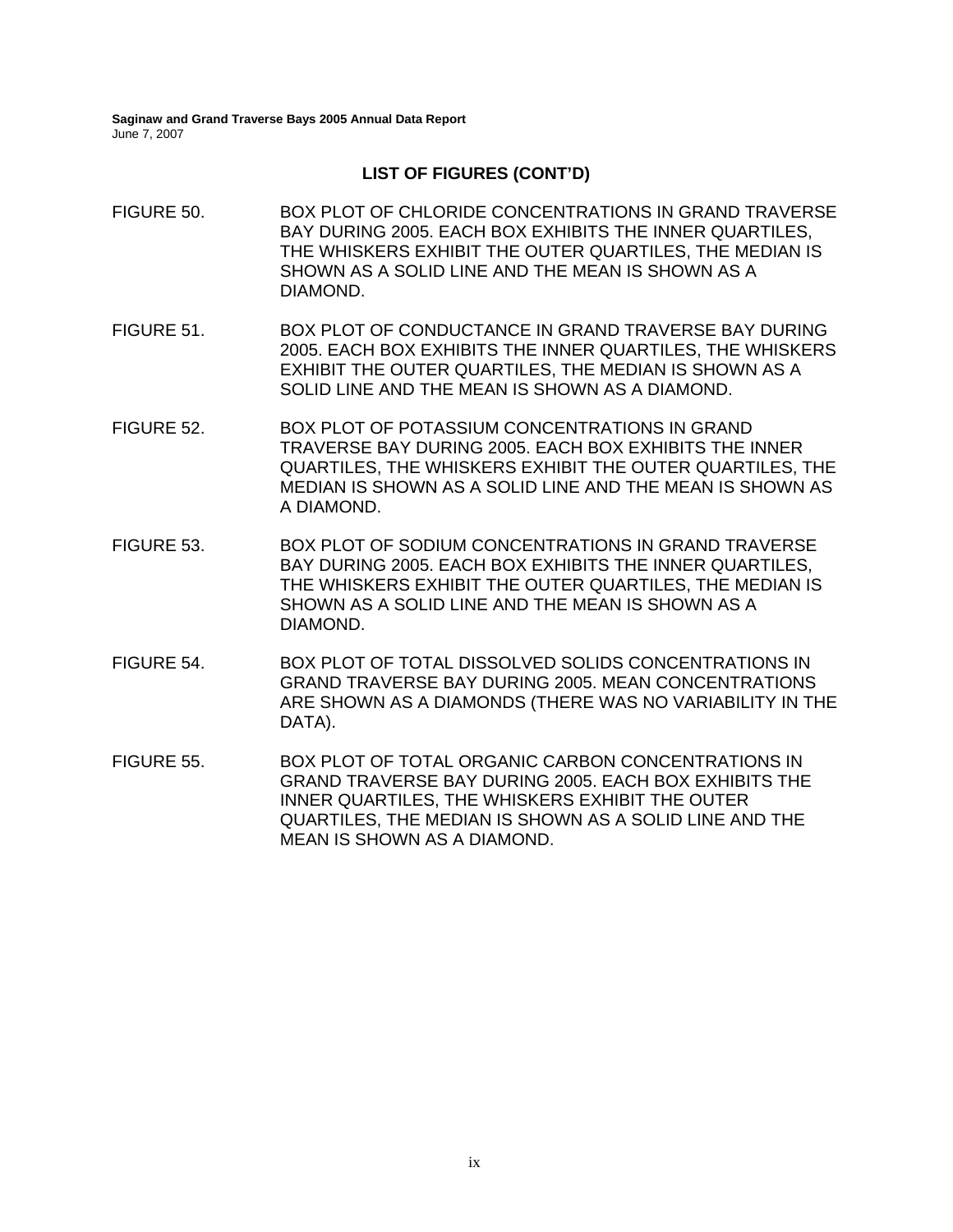DATA).

- FIGURE 50. BOX PLOT OF CHLORIDE CONCENTRATIONS IN GRAND TRAVERSE BAY DURING 2005. EACH BOX EXHIBITS THE INNER QUARTILES, THE WHISKERS EXHIBIT THE OUTER QUARTILES, THE MEDIAN IS SHOWN AS A SOLID LINE AND THE MEAN IS SHOWN AS A DIAMOND. FIGURE 51. BOX PLOT OF CONDUCTANCE IN GRAND TRAVERSE BAY DURING 2005. EACH BOX EXHIBITS THE INNER QUARTILES, THE WHISKERS EXHIBIT THE OUTER QUARTILES, THE MEDIAN IS SHOWN AS A SOLID LINE AND THE MEAN IS SHOWN AS A DIAMOND. FIGURE 52. BOX PLOT OF POTASSIUM CONCENTRATIONS IN GRAND TRAVERSE BAY DURING 2005. EACH BOX EXHIBITS THE INNER QUARTILES, THE WHISKERS EXHIBIT THE OUTER QUARTILES, THE MEDIAN IS SHOWN AS A SOLID LINE AND THE MEAN IS SHOWN AS A DIAMOND. FIGURE 53. BOX PLOT OF SODIUM CONCENTRATIONS IN GRAND TRAVERSE BAY DURING 2005. EACH BOX EXHIBITS THE INNER QUARTILES, THE WHISKERS EXHIBIT THE OUTER QUARTILES, THE MEDIAN IS SHOWN AS A SOLID LINE AND THE MEAN IS SHOWN AS A DIAMOND. FIGURE 54. BOX PLOT OF TOTAL DISSOLVED SOLIDS CONCENTRATIONS IN GRAND TRAVERSE BAY DURING 2005. MEAN CONCENTRATIONS ARE SHOWN AS A DIAMONDS (THERE WAS NO VARIABILITY IN THE
- FIGURE 55. BOX PLOT OF TOTAL ORGANIC CARBON CONCENTRATIONS IN GRAND TRAVERSE BAY DURING 2005. EACH BOX EXHIBITS THE INNER QUARTILES, THE WHISKERS EXHIBIT THE OUTER QUARTILES, THE MEDIAN IS SHOWN AS A SOLID LINE AND THE MEAN IS SHOWN AS A DIAMOND.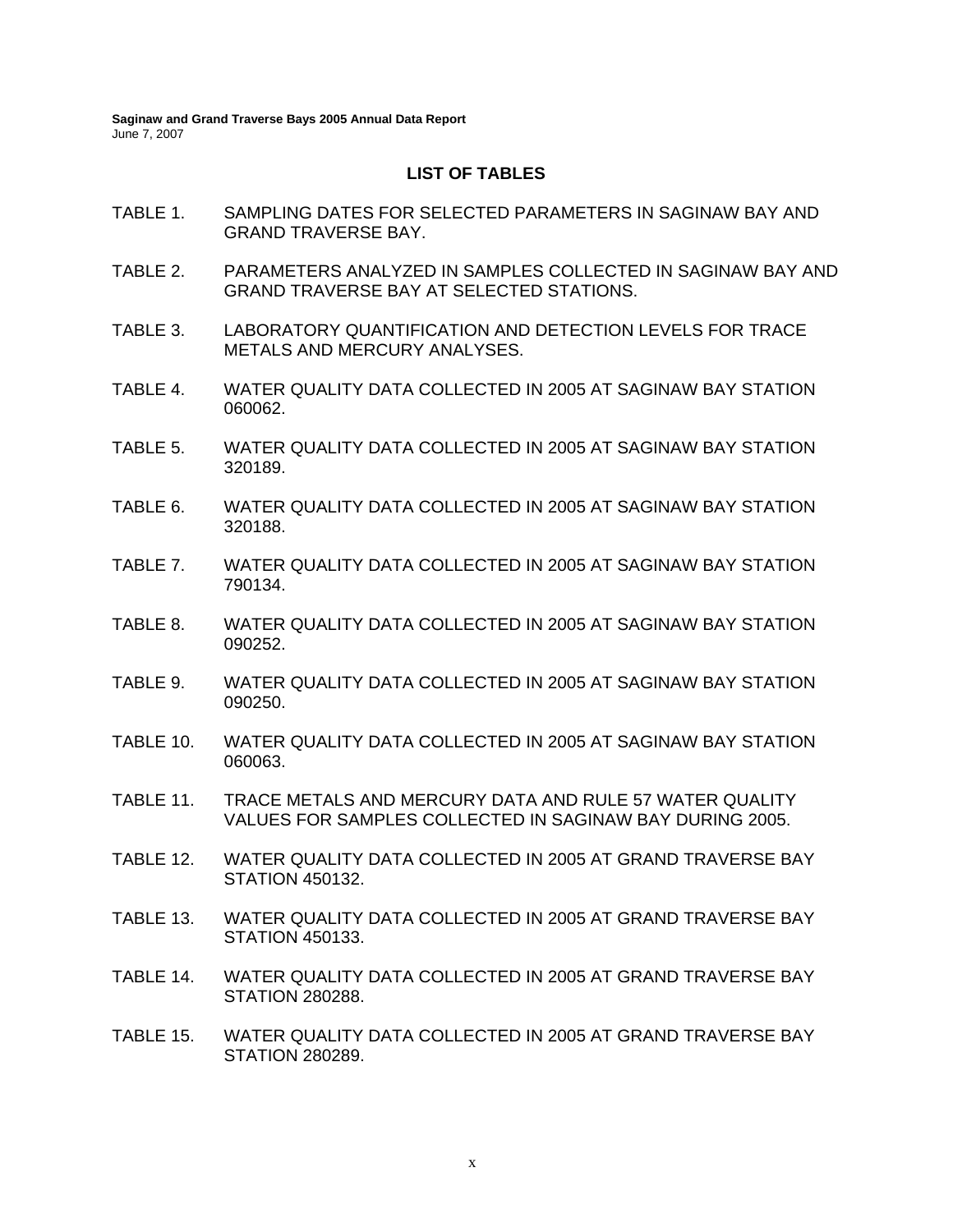#### **LIST OF TABLES**

- TABLE 1. SAMPLING DATES FOR SELECTED PARAMETERS IN SAGINAW BAY AND GRAND TRAVERSE BAY.
- TABLE 2. PARAMETERS ANALYZED IN SAMPLES COLLECTED IN SAGINAW BAY AND GRAND TRAVERSE BAY AT SELECTED STATIONS.
- TABLE 3. LABORATORY QUANTIFICATION AND DETECTION LEVELS FOR TRACE METALS AND MERCURY ANALYSES.
- TABLE 4. WATER QUALITY DATA COLLECTED IN 2005 AT SAGINAW BAY STATION 060062.
- TABLE 5. WATER QUALITY DATA COLLECTED IN 2005 AT SAGINAW BAY STATION 320189.
- TABLE 6. WATER QUALITY DATA COLLECTED IN 2005 AT SAGINAW BAY STATION 320188.
- TABLE 7. WATER QUALITY DATA COLLECTED IN 2005 AT SAGINAW BAY STATION 790134.
- TABLE 8. WATER QUALITY DATA COLLECTED IN 2005 AT SAGINAW BAY STATION 090252.
- TABLE 9. WATER QUALITY DATA COLLECTED IN 2005 AT SAGINAW BAY STATION 090250.
- TABLE 10. WATER QUALITY DATA COLLECTED IN 2005 AT SAGINAW BAY STATION 060063.
- TABLE 11. TRACE METALS AND MERCURY DATA AND RULE 57 WATER QUALITY VALUES FOR SAMPLES COLLECTED IN SAGINAW BAY DURING 2005.
- TABLE 12. WATER QUALITY DATA COLLECTED IN 2005 AT GRAND TRAVERSE BAY STATION 450132.
- TABLE 13. WATER QUALITY DATA COLLECTED IN 2005 AT GRAND TRAVERSE BAY STATION 450133.
- TABLE 14. WATER QUALITY DATA COLLECTED IN 2005 AT GRAND TRAVERSE BAY STATION 280288.
- TABLE 15. WATER QUALITY DATA COLLECTED IN 2005 AT GRAND TRAVERSE BAY STATION 280289.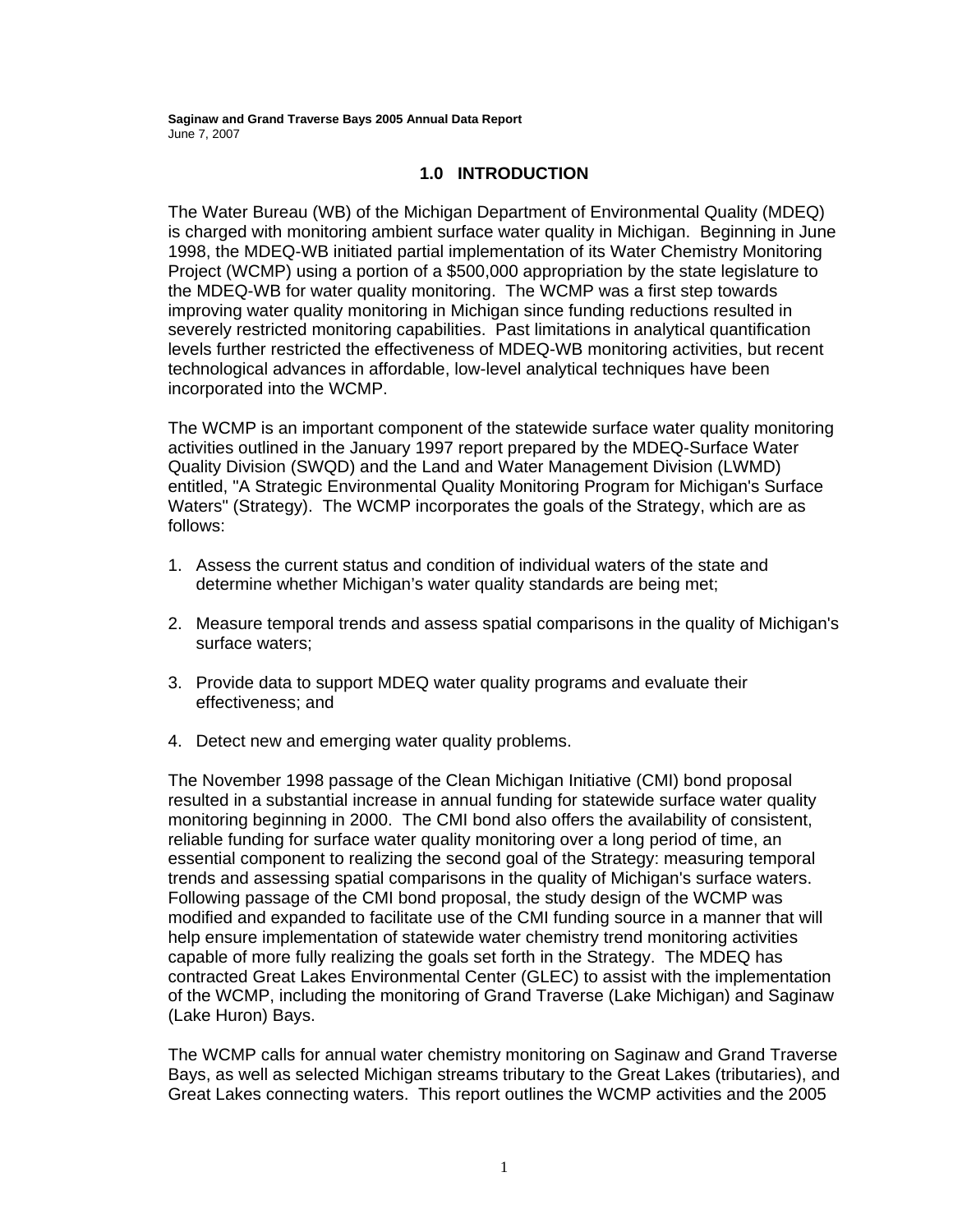### **1.0 INTRODUCTION**

The Water Bureau (WB) of the Michigan Department of Environmental Quality (MDEQ) is charged with monitoring ambient surface water quality in Michigan. Beginning in June 1998, the MDEQ-WB initiated partial implementation of its Water Chemistry Monitoring Project (WCMP) using a portion of a \$500,000 appropriation by the state legislature to the MDEQ-WB for water quality monitoring. The WCMP was a first step towards improving water quality monitoring in Michigan since funding reductions resulted in severely restricted monitoring capabilities. Past limitations in analytical quantification levels further restricted the effectiveness of MDEQ-WB monitoring activities, but recent technological advances in affordable, low-level analytical techniques have been incorporated into the WCMP.

The WCMP is an important component of the statewide surface water quality monitoring activities outlined in the January 1997 report prepared by the MDEQ-Surface Water Quality Division (SWQD) and the Land and Water Management Division (LWMD) entitled, "A Strategic Environmental Quality Monitoring Program for Michigan's Surface Waters" (Strategy). The WCMP incorporates the goals of the Strategy, which are as follows:

- 1. Assess the current status and condition of individual waters of the state and determine whether Michigan's water quality standards are being met;
- 2. Measure temporal trends and assess spatial comparisons in the quality of Michigan's surface waters;
- 3. Provide data to support MDEQ water quality programs and evaluate their effectiveness; and
- 4. Detect new and emerging water quality problems.

The November 1998 passage of the Clean Michigan Initiative (CMI) bond proposal resulted in a substantial increase in annual funding for statewide surface water quality monitoring beginning in 2000. The CMI bond also offers the availability of consistent, reliable funding for surface water quality monitoring over a long period of time, an essential component to realizing the second goal of the Strategy: measuring temporal trends and assessing spatial comparisons in the quality of Michigan's surface waters. Following passage of the CMI bond proposal, the study design of the WCMP was modified and expanded to facilitate use of the CMI funding source in a manner that will help ensure implementation of statewide water chemistry trend monitoring activities capable of more fully realizing the goals set forth in the Strategy. The MDEQ has contracted Great Lakes Environmental Center (GLEC) to assist with the implementation of the WCMP, including the monitoring of Grand Traverse (Lake Michigan) and Saginaw (Lake Huron) Bays.

The WCMP calls for annual water chemistry monitoring on Saginaw and Grand Traverse Bays, as well as selected Michigan streams tributary to the Great Lakes (tributaries), and Great Lakes connecting waters. This report outlines the WCMP activities and the 2005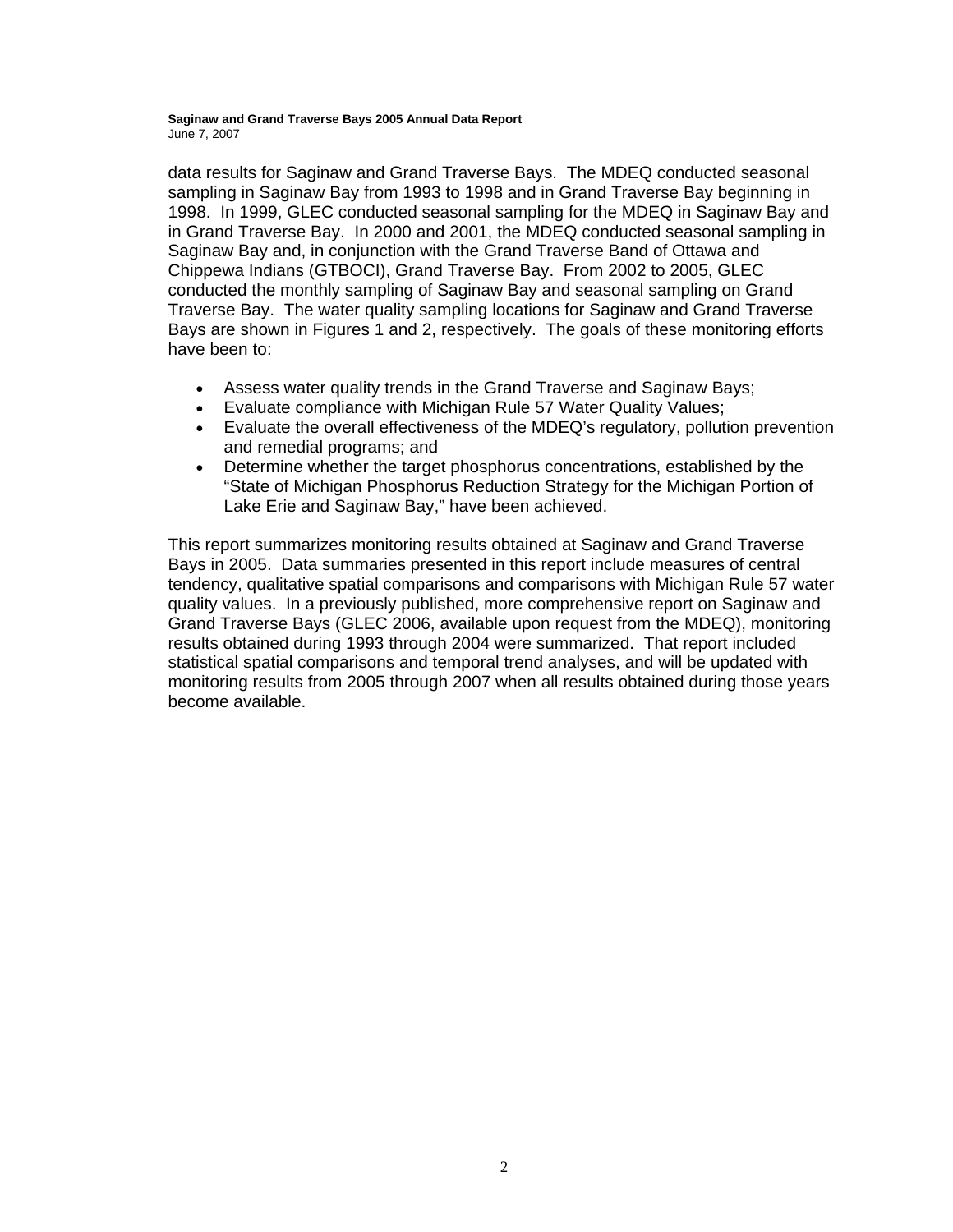data results for Saginaw and Grand Traverse Bays. The MDEQ conducted seasonal sampling in Saginaw Bay from 1993 to 1998 and in Grand Traverse Bay beginning in 1998. In 1999, GLEC conducted seasonal sampling for the MDEQ in Saginaw Bay and in Grand Traverse Bay. In 2000 and 2001, the MDEQ conducted seasonal sampling in Saginaw Bay and, in conjunction with the Grand Traverse Band of Ottawa and Chippewa Indians (GTBOCI), Grand Traverse Bay. From 2002 to 2005, GLEC conducted the monthly sampling of Saginaw Bay and seasonal sampling on Grand Traverse Bay. The water quality sampling locations for Saginaw and Grand Traverse Bays are shown in Figures 1 and 2, respectively. The goals of these monitoring efforts have been to:

- Assess water quality trends in the Grand Traverse and Saginaw Bays;
- Evaluate compliance with Michigan Rule 57 Water Quality Values;
- Evaluate the overall effectiveness of the MDEQ's regulatory, pollution prevention and remedial programs; and
- Determine whether the target phosphorus concentrations, established by the "State of Michigan Phosphorus Reduction Strategy for the Michigan Portion of Lake Erie and Saginaw Bay," have been achieved.

This report summarizes monitoring results obtained at Saginaw and Grand Traverse Bays in 2005. Data summaries presented in this report include measures of central tendency, qualitative spatial comparisons and comparisons with Michigan Rule 57 water quality values. In a previously published, more comprehensive report on Saginaw and Grand Traverse Bays (GLEC 2006, available upon request from the MDEQ), monitoring results obtained during 1993 through 2004 were summarized. That report included statistical spatial comparisons and temporal trend analyses, and will be updated with monitoring results from 2005 through 2007 when all results obtained during those years become available.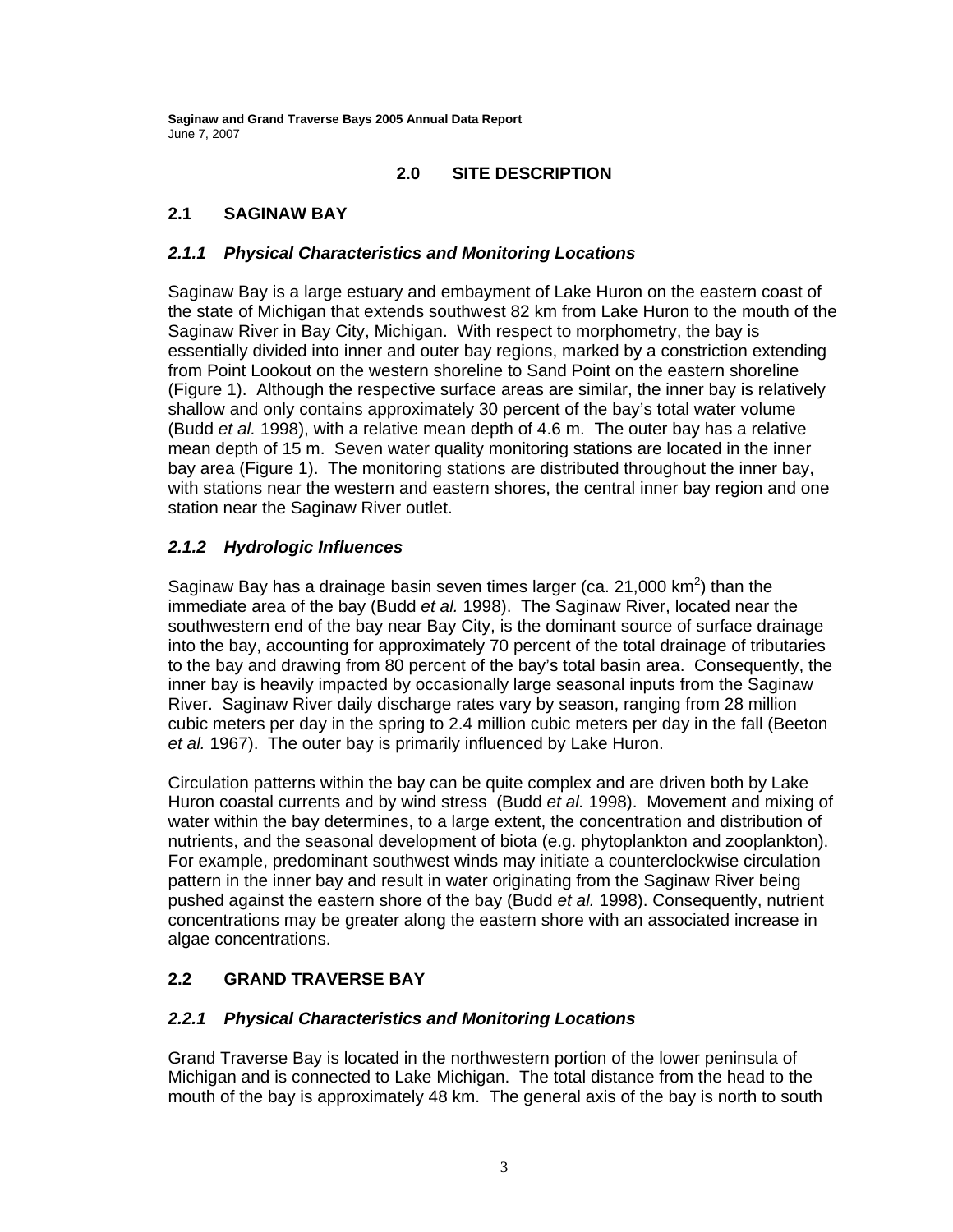### **2.0 SITE DESCRIPTION**

### **2.1 SAGINAW BAY**

### *2.1.1 Physical Characteristics and Monitoring Locations*

Saginaw Bay is a large estuary and embayment of Lake Huron on the eastern coast of the state of Michigan that extends southwest 82 km from Lake Huron to the mouth of the Saginaw River in Bay City, Michigan. With respect to morphometry, the bay is essentially divided into inner and outer bay regions, marked by a constriction extending from Point Lookout on the western shoreline to Sand Point on the eastern shoreline (Figure 1). Although the respective surface areas are similar, the inner bay is relatively shallow and only contains approximately 30 percent of the bay's total water volume (Budd *et al.* 1998), with a relative mean depth of 4.6 m. The outer bay has a relative mean depth of 15 m. Seven water quality monitoring stations are located in the inner bay area (Figure 1). The monitoring stations are distributed throughout the inner bay, with stations near the western and eastern shores, the central inner bay region and one station near the Saginaw River outlet.

### *2.1.2 Hydrologic Influences*

Saginaw Bay has a drainage basin seven times larger (ca. 21,000  $km^2$ ) than the immediate area of the bay (Budd *et al.* 1998). The Saginaw River, located near the southwestern end of the bay near Bay City, is the dominant source of surface drainage into the bay, accounting for approximately 70 percent of the total drainage of tributaries to the bay and drawing from 80 percent of the bay's total basin area. Consequently, the inner bay is heavily impacted by occasionally large seasonal inputs from the Saginaw River. Saginaw River daily discharge rates vary by season, ranging from 28 million cubic meters per day in the spring to 2.4 million cubic meters per day in the fall (Beeton *et al.* 1967). The outer bay is primarily influenced by Lake Huron.

Circulation patterns within the bay can be quite complex and are driven both by Lake Huron coastal currents and by wind stress (Budd *et al.* 1998). Movement and mixing of water within the bay determines, to a large extent, the concentration and distribution of nutrients, and the seasonal development of biota (e.g. phytoplankton and zooplankton). For example, predominant southwest winds may initiate a counterclockwise circulation pattern in the inner bay and result in water originating from the Saginaw River being pushed against the eastern shore of the bay (Budd *et al.* 1998). Consequently, nutrient concentrations may be greater along the eastern shore with an associated increase in algae concentrations.

### **2.2 GRAND TRAVERSE BAY**

### *2.2.1 Physical Characteristics and Monitoring Locations*

Grand Traverse Bay is located in the northwestern portion of the lower peninsula of Michigan and is connected to Lake Michigan. The total distance from the head to the mouth of the bay is approximately 48 km. The general axis of the bay is north to south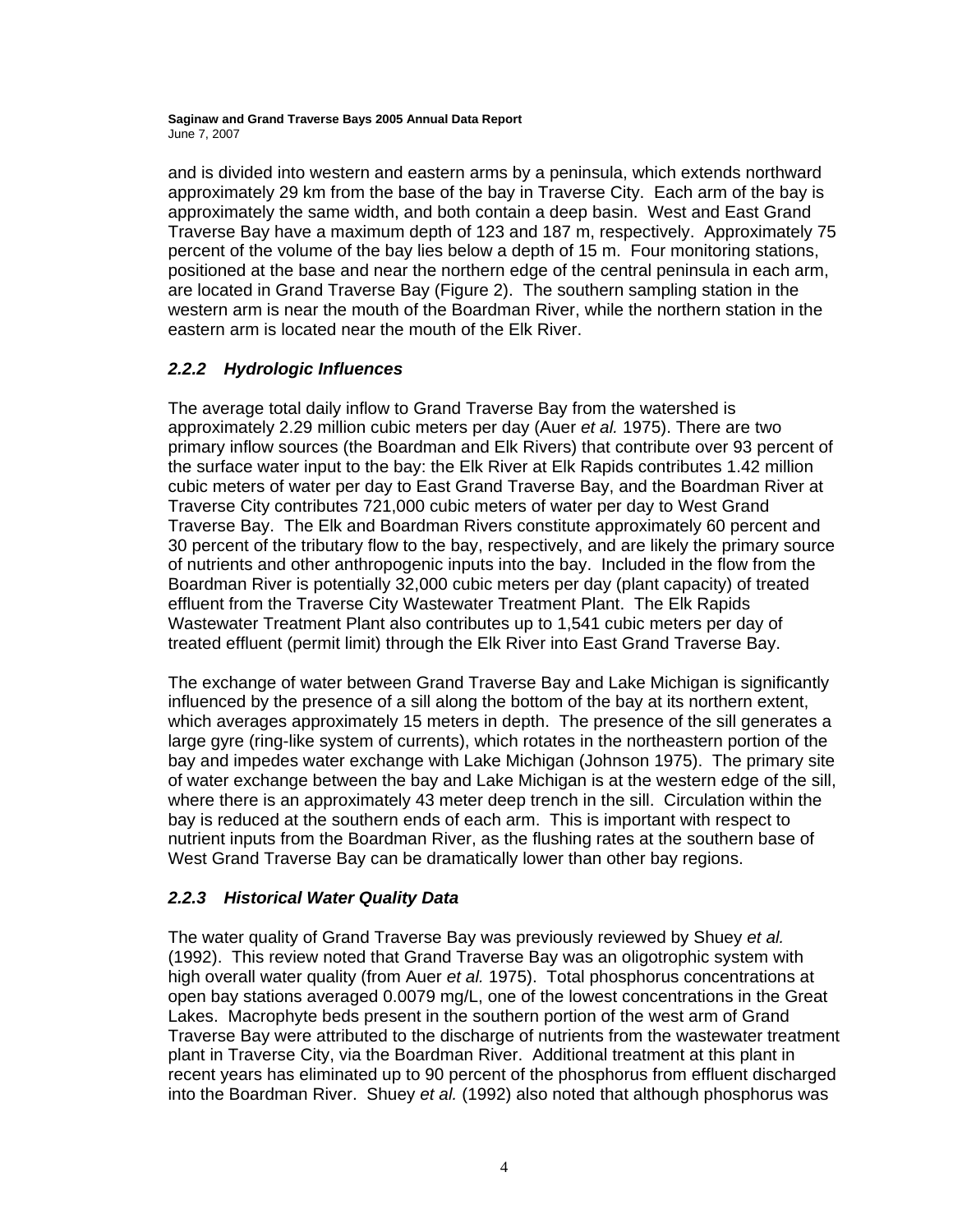and is divided into western and eastern arms by a peninsula, which extends northward approximately 29 km from the base of the bay in Traverse City. Each arm of the bay is approximately the same width, and both contain a deep basin. West and East Grand Traverse Bay have a maximum depth of 123 and 187 m, respectively. Approximately 75 percent of the volume of the bay lies below a depth of 15 m. Four monitoring stations, positioned at the base and near the northern edge of the central peninsula in each arm, are located in Grand Traverse Bay (Figure 2). The southern sampling station in the western arm is near the mouth of the Boardman River, while the northern station in the eastern arm is located near the mouth of the Elk River.

### *2.2.2 Hydrologic Influences*

The average total daily inflow to Grand Traverse Bay from the watershed is approximately 2.29 million cubic meters per day (Auer *et al.* 1975). There are two primary inflow sources (the Boardman and Elk Rivers) that contribute over 93 percent of the surface water input to the bay: the Elk River at Elk Rapids contributes 1.42 million cubic meters of water per day to East Grand Traverse Bay, and the Boardman River at Traverse City contributes 721,000 cubic meters of water per day to West Grand Traverse Bay. The Elk and Boardman Rivers constitute approximately 60 percent and 30 percent of the tributary flow to the bay, respectively, and are likely the primary source of nutrients and other anthropogenic inputs into the bay. Included in the flow from the Boardman River is potentially 32,000 cubic meters per day (plant capacity) of treated effluent from the Traverse City Wastewater Treatment Plant. The Elk Rapids Wastewater Treatment Plant also contributes up to 1,541 cubic meters per day of treated effluent (permit limit) through the Elk River into East Grand Traverse Bay.

The exchange of water between Grand Traverse Bay and Lake Michigan is significantly influenced by the presence of a sill along the bottom of the bay at its northern extent, which averages approximately 15 meters in depth. The presence of the sill generates a large gyre (ring-like system of currents), which rotates in the northeastern portion of the bay and impedes water exchange with Lake Michigan (Johnson 1975). The primary site of water exchange between the bay and Lake Michigan is at the western edge of the sill, where there is an approximately 43 meter deep trench in the sill. Circulation within the bay is reduced at the southern ends of each arm. This is important with respect to nutrient inputs from the Boardman River, as the flushing rates at the southern base of West Grand Traverse Bay can be dramatically lower than other bay regions.

### *2.2.3 Historical Water Quality Data*

The water quality of Grand Traverse Bay was previously reviewed by Shuey *et al.*  (1992). This review noted that Grand Traverse Bay was an oligotrophic system with high overall water quality (from Auer *et al.* 1975). Total phosphorus concentrations at open bay stations averaged 0.0079 mg/L, one of the lowest concentrations in the Great Lakes. Macrophyte beds present in the southern portion of the west arm of Grand Traverse Bay were attributed to the discharge of nutrients from the wastewater treatment plant in Traverse City, via the Boardman River. Additional treatment at this plant in recent years has eliminated up to 90 percent of the phosphorus from effluent discharged into the Boardman River. Shuey *et al.* (1992) also noted that although phosphorus was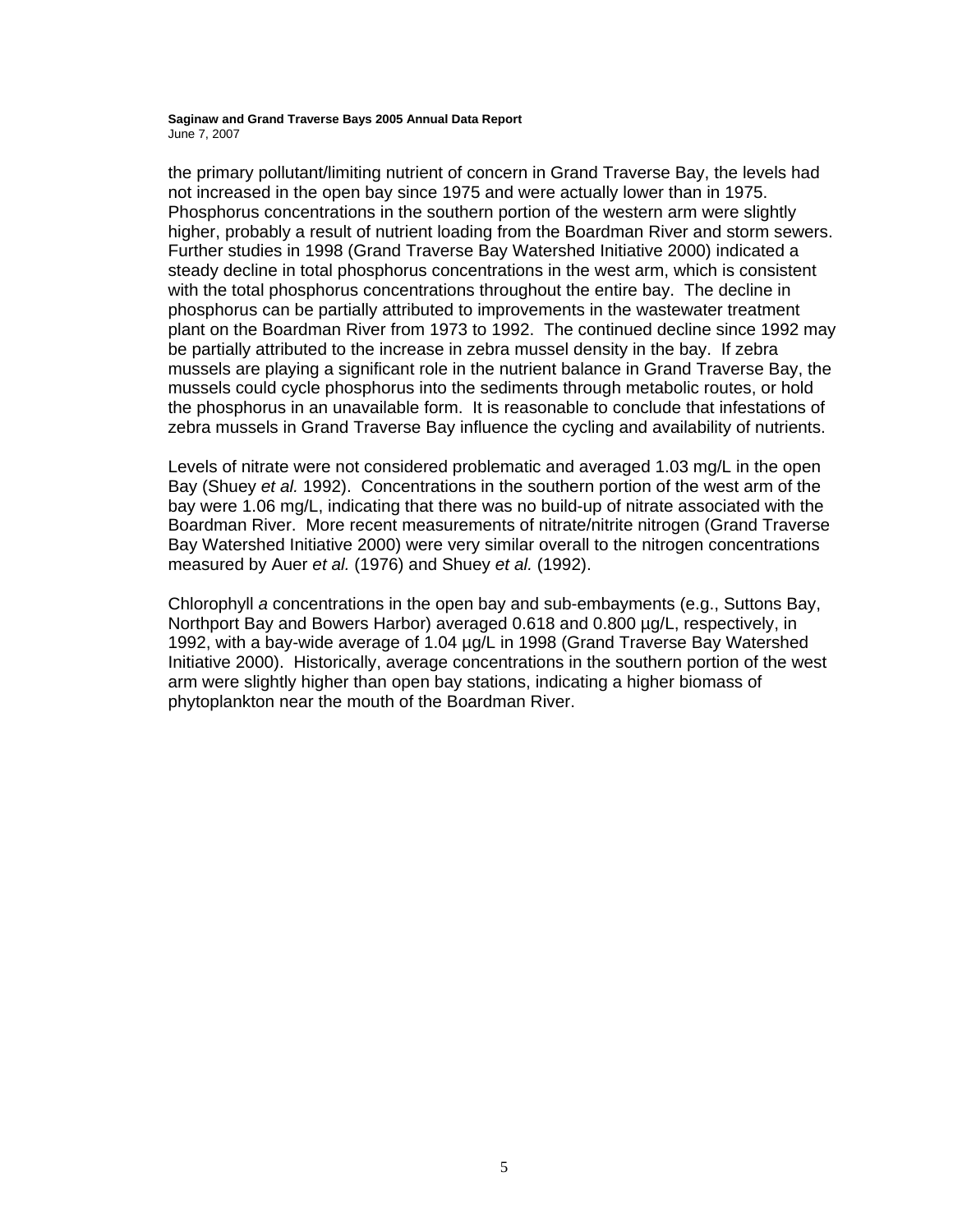the primary pollutant/limiting nutrient of concern in Grand Traverse Bay, the levels had not increased in the open bay since 1975 and were actually lower than in 1975. Phosphorus concentrations in the southern portion of the western arm were slightly higher, probably a result of nutrient loading from the Boardman River and storm sewers. Further studies in 1998 (Grand Traverse Bay Watershed Initiative 2000) indicated a steady decline in total phosphorus concentrations in the west arm, which is consistent with the total phosphorus concentrations throughout the entire bay. The decline in phosphorus can be partially attributed to improvements in the wastewater treatment plant on the Boardman River from 1973 to 1992. The continued decline since 1992 may be partially attributed to the increase in zebra mussel density in the bay. If zebra mussels are playing a significant role in the nutrient balance in Grand Traverse Bay, the mussels could cycle phosphorus into the sediments through metabolic routes, or hold the phosphorus in an unavailable form. It is reasonable to conclude that infestations of zebra mussels in Grand Traverse Bay influence the cycling and availability of nutrients.

Levels of nitrate were not considered problematic and averaged 1.03 mg/L in the open Bay (Shuey *et al.* 1992). Concentrations in the southern portion of the west arm of the bay were 1.06 mg/L, indicating that there was no build-up of nitrate associated with the Boardman River. More recent measurements of nitrate/nitrite nitrogen (Grand Traverse Bay Watershed Initiative 2000) were very similar overall to the nitrogen concentrations measured by Auer *et al.* (1976) and Shuey *et al.* (1992).

Chlorophyll *a* concentrations in the open bay and sub-embayments (e.g., Suttons Bay, Northport Bay and Bowers Harbor) averaged 0.618 and 0.800 µg/L, respectively, in 1992, with a bay-wide average of 1.04 µg/L in 1998 (Grand Traverse Bay Watershed Initiative 2000). Historically, average concentrations in the southern portion of the west arm were slightly higher than open bay stations, indicating a higher biomass of phytoplankton near the mouth of the Boardman River.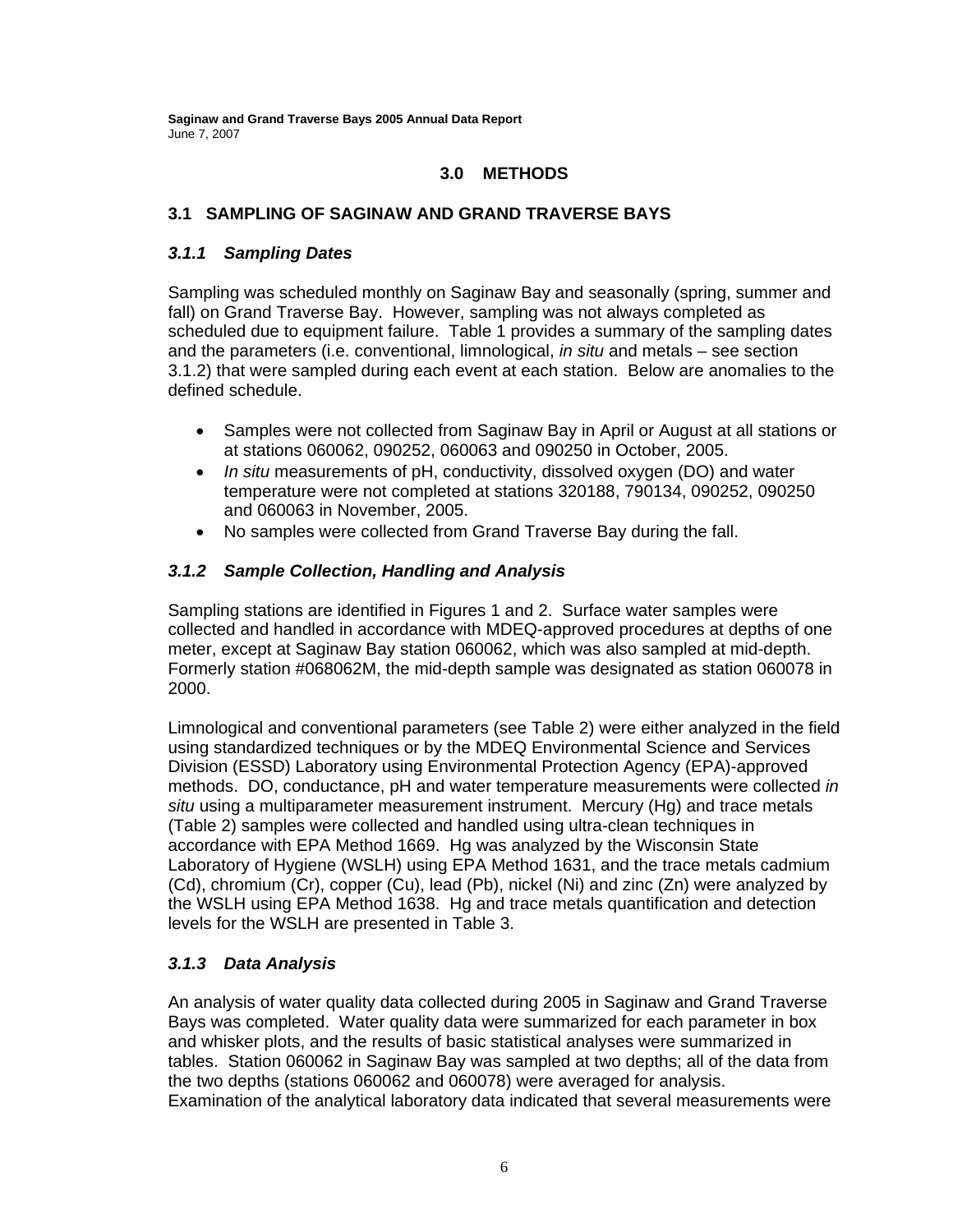### **3.0 METHODS**

### **3.1 SAMPLING OF SAGINAW AND GRAND TRAVERSE BAYS**

### *3.1.1 Sampling Dates*

Sampling was scheduled monthly on Saginaw Bay and seasonally (spring, summer and fall) on Grand Traverse Bay. However, sampling was not always completed as scheduled due to equipment failure. Table 1 provides a summary of the sampling dates and the parameters (i.e. conventional, limnological, *in situ* and metals – see section 3.1.2) that were sampled during each event at each station. Below are anomalies to the defined schedule.

- Samples were not collected from Saginaw Bay in April or August at all stations or at stations 060062, 090252, 060063 and 090250 in October, 2005.
- *In situ* measurements of pH, conductivity, dissolved oxygen (DO) and water temperature were not completed at stations 320188, 790134, 090252, 090250 and 060063 in November, 2005.
- No samples were collected from Grand Traverse Bay during the fall.

### *3.1.2 Sample Collection, Handling and Analysis*

Sampling stations are identified in Figures 1 and 2. Surface water samples were collected and handled in accordance with MDEQ-approved procedures at depths of one meter, except at Saginaw Bay station 060062, which was also sampled at mid-depth. Formerly station #068062M, the mid-depth sample was designated as station 060078 in 2000.

Limnological and conventional parameters (see Table 2) were either analyzed in the field using standardized techniques or by the MDEQ Environmental Science and Services Division (ESSD) Laboratory using Environmental Protection Agency (EPA)-approved methods. DO, conductance, pH and water temperature measurements were collected *in situ* using a multiparameter measurement instrument. Mercury (Hg) and trace metals (Table 2) samples were collected and handled using ultra-clean techniques in accordance with EPA Method 1669. Hg was analyzed by the Wisconsin State Laboratory of Hygiene (WSLH) using EPA Method 1631, and the trace metals cadmium (Cd), chromium (Cr), copper (Cu), lead (Pb), nickel (Ni) and zinc (Zn) were analyzed by the WSLH using EPA Method 1638. Hg and trace metals quantification and detection levels for the WSLH are presented in Table 3.

### *3.1.3 Data Analysis*

An analysis of water quality data collected during 2005 in Saginaw and Grand Traverse Bays was completed. Water quality data were summarized for each parameter in box and whisker plots, and the results of basic statistical analyses were summarized in tables. Station 060062 in Saginaw Bay was sampled at two depths; all of the data from the two depths (stations 060062 and 060078) were averaged for analysis. Examination of the analytical laboratory data indicated that several measurements were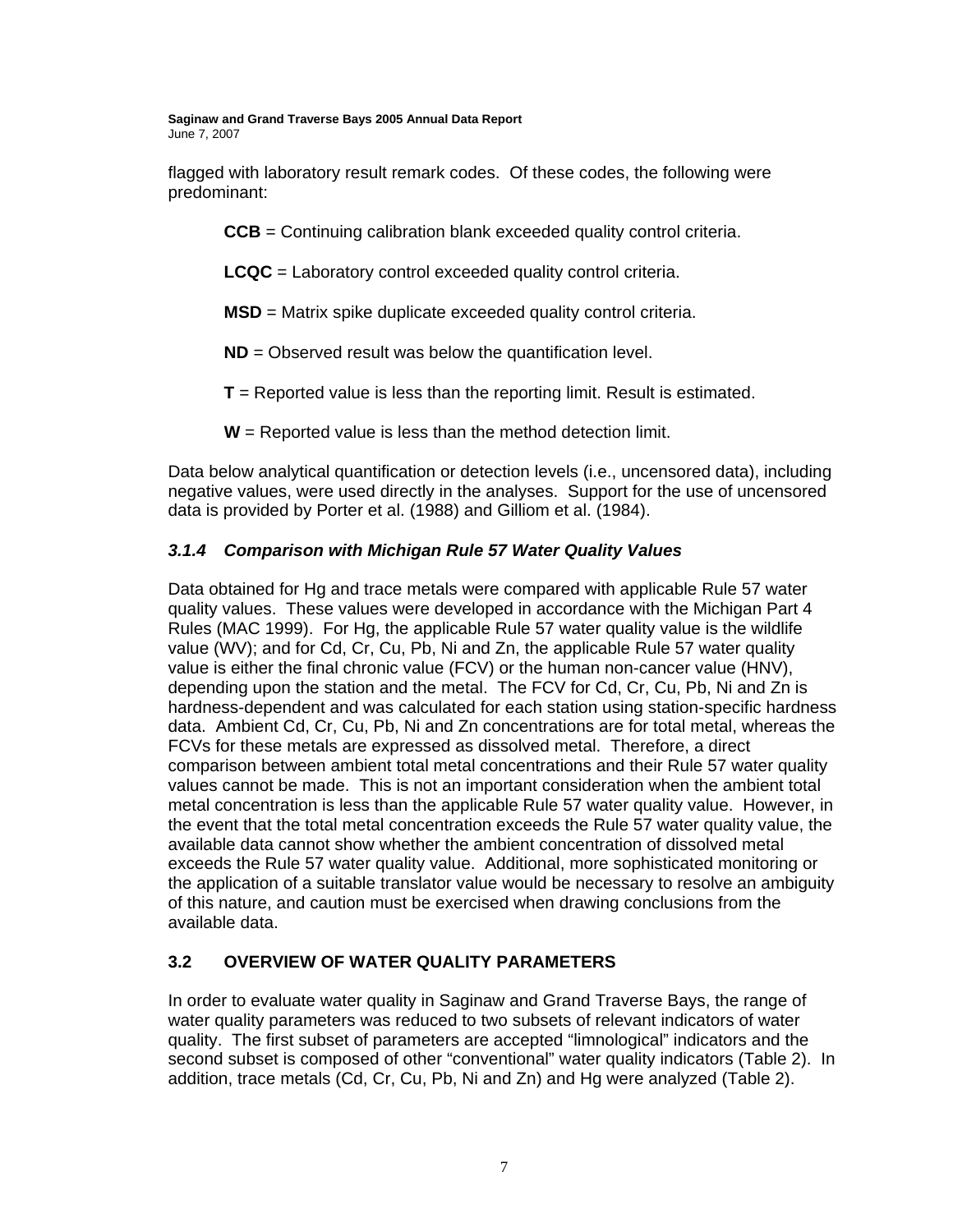flagged with laboratory result remark codes. Of these codes, the following were predominant:

**CCB** = Continuing calibration blank exceeded quality control criteria.

**LCQC** = Laboratory control exceeded quality control criteria.

**MSD** = Matrix spike duplicate exceeded quality control criteria.

**ND** = Observed result was below the quantification level.

**T** = Reported value is less than the reporting limit. Result is estimated.

**W** = Reported value is less than the method detection limit.

Data below analytical quantification or detection levels (i.e., uncensored data), including negative values, were used directly in the analyses. Support for the use of uncensored data is provided by Porter et al. (1988) and Gilliom et al. (1984).

### *3.1.4 Comparison with Michigan Rule 57 Water Quality Values*

Data obtained for Hg and trace metals were compared with applicable Rule 57 water quality values. These values were developed in accordance with the Michigan Part 4 Rules (MAC 1999). For Hg, the applicable Rule 57 water quality value is the wildlife value (WV); and for Cd, Cr, Cu, Pb, Ni and Zn, the applicable Rule 57 water quality value is either the final chronic value (FCV) or the human non-cancer value (HNV), depending upon the station and the metal. The FCV for Cd, Cr, Cu, Pb, Ni and Zn is hardness-dependent and was calculated for each station using station-specific hardness data. Ambient Cd, Cr, Cu, Pb, Ni and Zn concentrations are for total metal, whereas the FCVs for these metals are expressed as dissolved metal. Therefore, a direct comparison between ambient total metal concentrations and their Rule 57 water quality values cannot be made. This is not an important consideration when the ambient total metal concentration is less than the applicable Rule 57 water quality value. However, in the event that the total metal concentration exceeds the Rule 57 water quality value, the available data cannot show whether the ambient concentration of dissolved metal exceeds the Rule 57 water quality value. Additional, more sophisticated monitoring or the application of a suitable translator value would be necessary to resolve an ambiguity of this nature, and caution must be exercised when drawing conclusions from the available data.

### **3.2 OVERVIEW OF WATER QUALITY PARAMETERS**

In order to evaluate water quality in Saginaw and Grand Traverse Bays, the range of water quality parameters was reduced to two subsets of relevant indicators of water quality. The first subset of parameters are accepted "limnological" indicators and the second subset is composed of other "conventional" water quality indicators (Table 2). In addition, trace metals (Cd, Cr, Cu, Pb, Ni and Zn) and Hg were analyzed (Table 2).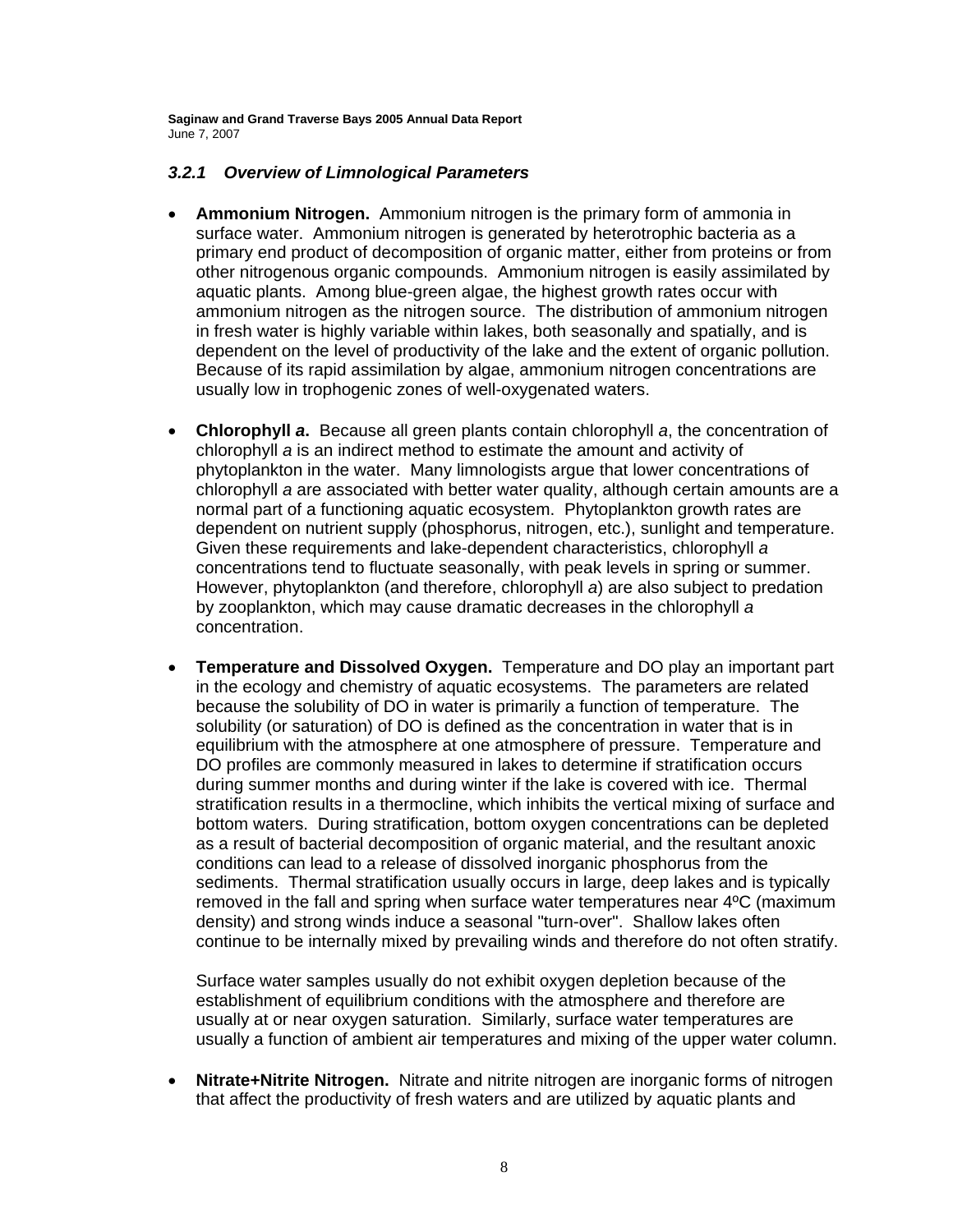### *3.2.1 Overview of Limnological Parameters*

- **Ammonium Nitrogen.** Ammonium nitrogen is the primary form of ammonia in surface water. Ammonium nitrogen is generated by heterotrophic bacteria as a primary end product of decomposition of organic matter, either from proteins or from other nitrogenous organic compounds. Ammonium nitrogen is easily assimilated by aquatic plants. Among blue-green algae, the highest growth rates occur with ammonium nitrogen as the nitrogen source. The distribution of ammonium nitrogen in fresh water is highly variable within lakes, both seasonally and spatially, and is dependent on the level of productivity of the lake and the extent of organic pollution. Because of its rapid assimilation by algae, ammonium nitrogen concentrations are usually low in trophogenic zones of well-oxygenated waters.
- **Chlorophyll** *a***.** Because all green plants contain chlorophyll *a*, the concentration of chlorophyll *a* is an indirect method to estimate the amount and activity of phytoplankton in the water. Many limnologists argue that lower concentrations of chlorophyll *a* are associated with better water quality, although certain amounts are a normal part of a functioning aquatic ecosystem. Phytoplankton growth rates are dependent on nutrient supply (phosphorus, nitrogen, etc.), sunlight and temperature. Given these requirements and lake-dependent characteristics, chlorophyll *a* concentrations tend to fluctuate seasonally, with peak levels in spring or summer. However, phytoplankton (and therefore, chlorophyll *a*) are also subject to predation by zooplankton, which may cause dramatic decreases in the chlorophyll *a* concentration.
- **Temperature and Dissolved Oxygen.** Temperature and DO play an important part in the ecology and chemistry of aquatic ecosystems. The parameters are related because the solubility of DO in water is primarily a function of temperature. The solubility (or saturation) of DO is defined as the concentration in water that is in equilibrium with the atmosphere at one atmosphere of pressure. Temperature and DO profiles are commonly measured in lakes to determine if stratification occurs during summer months and during winter if the lake is covered with ice. Thermal stratification results in a thermocline, which inhibits the vertical mixing of surface and bottom waters. During stratification, bottom oxygen concentrations can be depleted as a result of bacterial decomposition of organic material, and the resultant anoxic conditions can lead to a release of dissolved inorganic phosphorus from the sediments. Thermal stratification usually occurs in large, deep lakes and is typically removed in the fall and spring when surface water temperatures near 4ºC (maximum density) and strong winds induce a seasonal "turn-over". Shallow lakes often continue to be internally mixed by prevailing winds and therefore do not often stratify.

 Surface water samples usually do not exhibit oxygen depletion because of the establishment of equilibrium conditions with the atmosphere and therefore are usually at or near oxygen saturation. Similarly, surface water temperatures are usually a function of ambient air temperatures and mixing of the upper water column.

• **Nitrate+Nitrite Nitrogen.** Nitrate and nitrite nitrogen are inorganic forms of nitrogen that affect the productivity of fresh waters and are utilized by aquatic plants and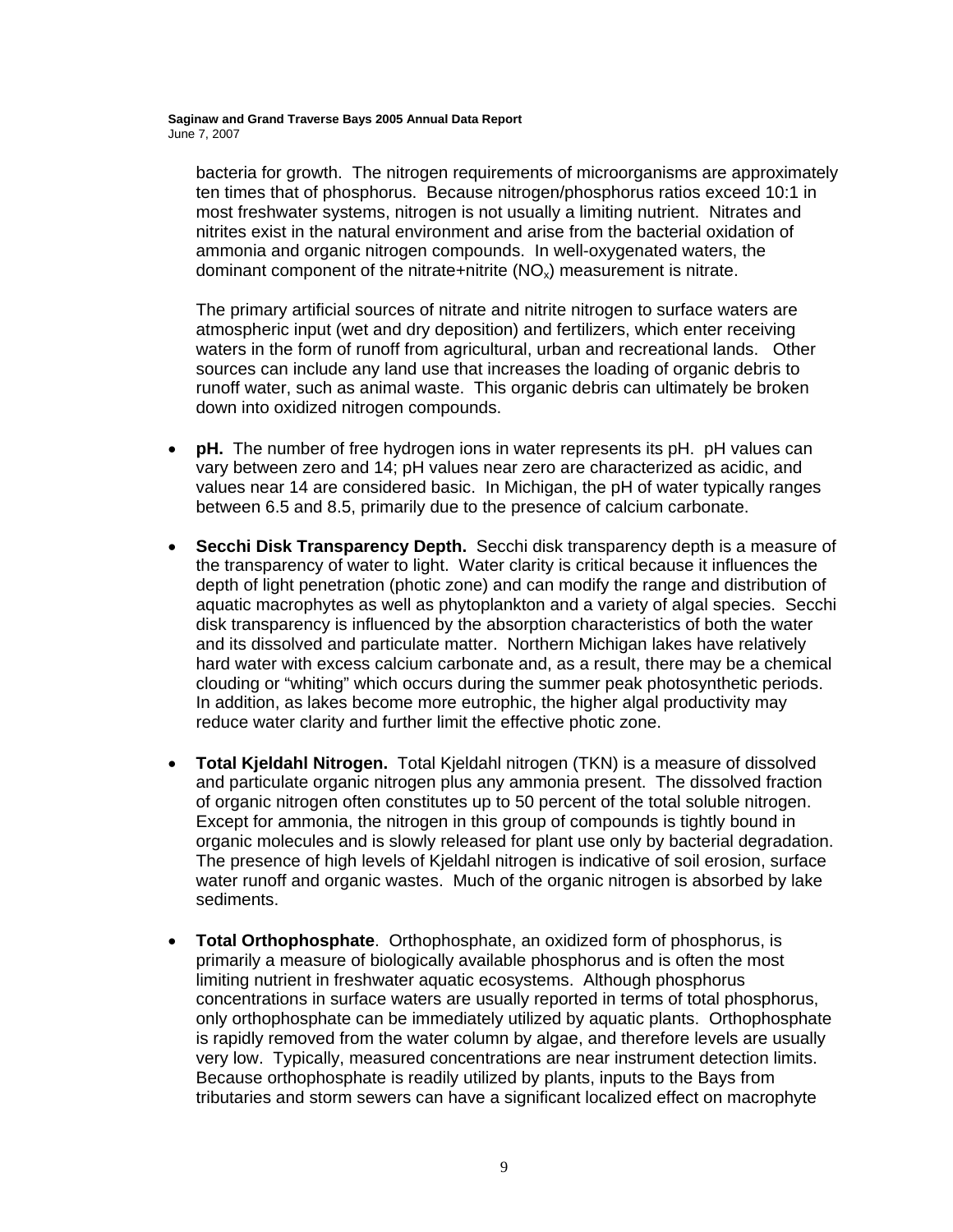bacteria for growth. The nitrogen requirements of microorganisms are approximately ten times that of phosphorus. Because nitrogen/phosphorus ratios exceed 10:1 in most freshwater systems, nitrogen is not usually a limiting nutrient. Nitrates and nitrites exist in the natural environment and arise from the bacterial oxidation of ammonia and organic nitrogen compounds. In well-oxygenated waters, the dominant component of the nitrate+nitrite  $(NO_x)$  measurement is nitrate.

The primary artificial sources of nitrate and nitrite nitrogen to surface waters are atmospheric input (wet and dry deposition) and fertilizers, which enter receiving waters in the form of runoff from agricultural, urban and recreational lands. Other sources can include any land use that increases the loading of organic debris to runoff water, such as animal waste. This organic debris can ultimately be broken down into oxidized nitrogen compounds.

- **pH.** The number of free hydrogen ions in water represents its pH. pH values can vary between zero and 14; pH values near zero are characterized as acidic, and values near 14 are considered basic. In Michigan, the pH of water typically ranges between 6.5 and 8.5, primarily due to the presence of calcium carbonate.
- **Secchi Disk Transparency Depth.** Secchi disk transparency depth is a measure of the transparency of water to light. Water clarity is critical because it influences the depth of light penetration (photic zone) and can modify the range and distribution of aquatic macrophytes as well as phytoplankton and a variety of algal species. Secchi disk transparency is influenced by the absorption characteristics of both the water and its dissolved and particulate matter. Northern Michigan lakes have relatively hard water with excess calcium carbonate and, as a result, there may be a chemical clouding or "whiting" which occurs during the summer peak photosynthetic periods. In addition, as lakes become more eutrophic, the higher algal productivity may reduce water clarity and further limit the effective photic zone.
- **Total Kjeldahl Nitrogen.** Total Kjeldahl nitrogen (TKN) is a measure of dissolved and particulate organic nitrogen plus any ammonia present. The dissolved fraction of organic nitrogen often constitutes up to 50 percent of the total soluble nitrogen. Except for ammonia, the nitrogen in this group of compounds is tightly bound in organic molecules and is slowly released for plant use only by bacterial degradation. The presence of high levels of Kjeldahl nitrogen is indicative of soil erosion, surface water runoff and organic wastes. Much of the organic nitrogen is absorbed by lake sediments.
- **Total Orthophosphate**. Orthophosphate, an oxidized form of phosphorus, is primarily a measure of biologically available phosphorus and is often the most limiting nutrient in freshwater aquatic ecosystems. Although phosphorus concentrations in surface waters are usually reported in terms of total phosphorus, only orthophosphate can be immediately utilized by aquatic plants. Orthophosphate is rapidly removed from the water column by algae, and therefore levels are usually very low. Typically, measured concentrations are near instrument detection limits. Because orthophosphate is readily utilized by plants, inputs to the Bays from tributaries and storm sewers can have a significant localized effect on macrophyte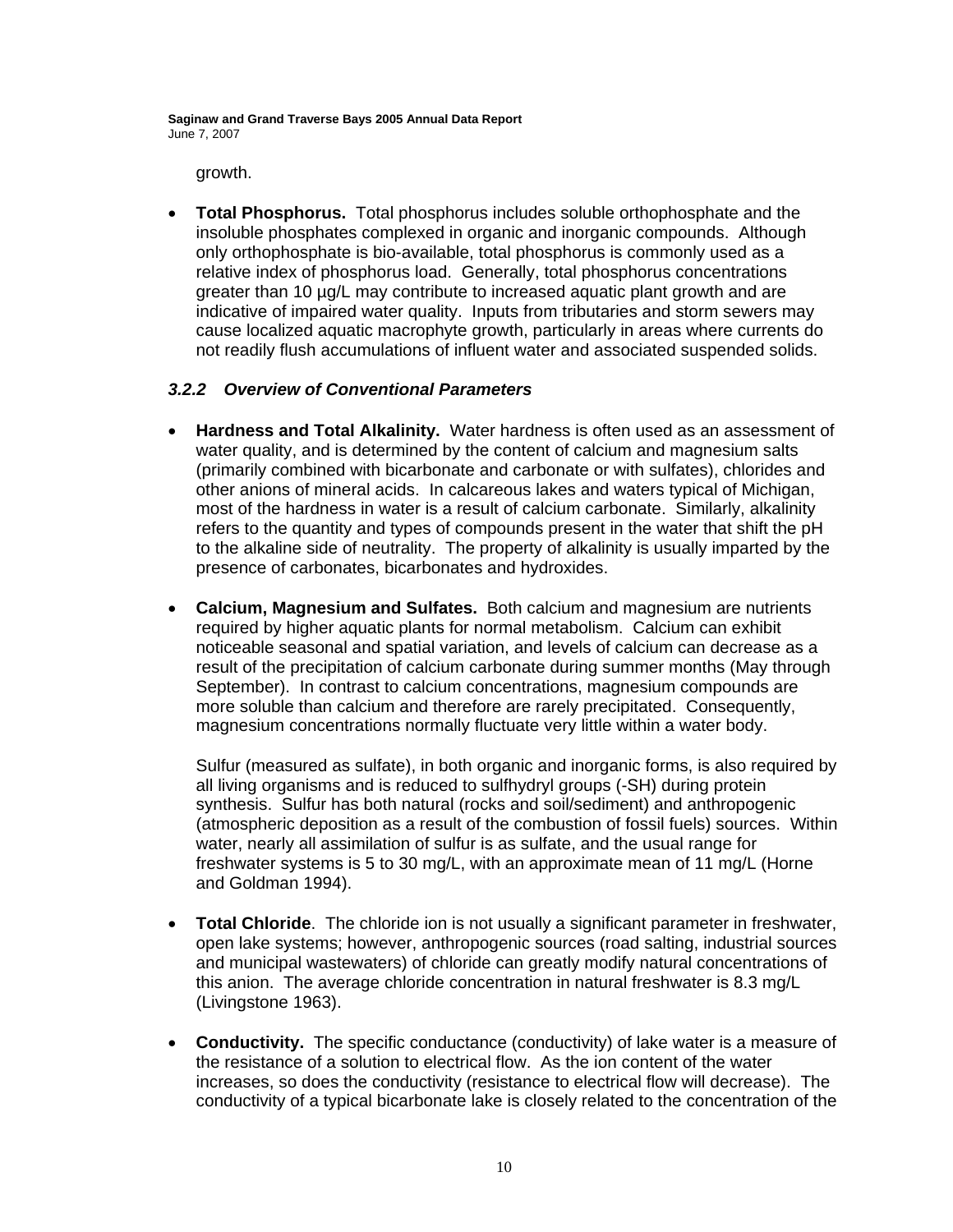growth.

• **Total Phosphorus.** Total phosphorus includes soluble orthophosphate and the insoluble phosphates complexed in organic and inorganic compounds. Although only orthophosphate is bio-available, total phosphorus is commonly used as a relative index of phosphorus load. Generally, total phosphorus concentrations greater than 10 µg/L may contribute to increased aquatic plant growth and are indicative of impaired water quality. Inputs from tributaries and storm sewers may cause localized aquatic macrophyte growth, particularly in areas where currents do not readily flush accumulations of influent water and associated suspended solids.

### *3.2.2 Overview of Conventional Parameters*

- **Hardness and Total Alkalinity.** Water hardness is often used as an assessment of water quality, and is determined by the content of calcium and magnesium salts (primarily combined with bicarbonate and carbonate or with sulfates), chlorides and other anions of mineral acids. In calcareous lakes and waters typical of Michigan, most of the hardness in water is a result of calcium carbonate. Similarly, alkalinity refers to the quantity and types of compounds present in the water that shift the pH to the alkaline side of neutrality. The property of alkalinity is usually imparted by the presence of carbonates, bicarbonates and hydroxides.
- **Calcium, Magnesium and Sulfates.** Both calcium and magnesium are nutrients required by higher aquatic plants for normal metabolism. Calcium can exhibit noticeable seasonal and spatial variation, and levels of calcium can decrease as a result of the precipitation of calcium carbonate during summer months (May through September). In contrast to calcium concentrations, magnesium compounds are more soluble than calcium and therefore are rarely precipitated. Consequently, magnesium concentrations normally fluctuate very little within a water body.

Sulfur (measured as sulfate), in both organic and inorganic forms, is also required by all living organisms and is reduced to sulfhydryl groups (-SH) during protein synthesis. Sulfur has both natural (rocks and soil/sediment) and anthropogenic (atmospheric deposition as a result of the combustion of fossil fuels) sources. Within water, nearly all assimilation of sulfur is as sulfate, and the usual range for freshwater systems is 5 to 30 mg/L, with an approximate mean of 11 mg/L (Horne and Goldman 1994).

- **Total Chloride**. The chloride ion is not usually a significant parameter in freshwater, open lake systems; however, anthropogenic sources (road salting, industrial sources and municipal wastewaters) of chloride can greatly modify natural concentrations of this anion. The average chloride concentration in natural freshwater is 8.3 mg/L (Livingstone 1963).
- **Conductivity.** The specific conductance (conductivity) of lake water is a measure of the resistance of a solution to electrical flow. As the ion content of the water increases, so does the conductivity (resistance to electrical flow will decrease). The conductivity of a typical bicarbonate lake is closely related to the concentration of the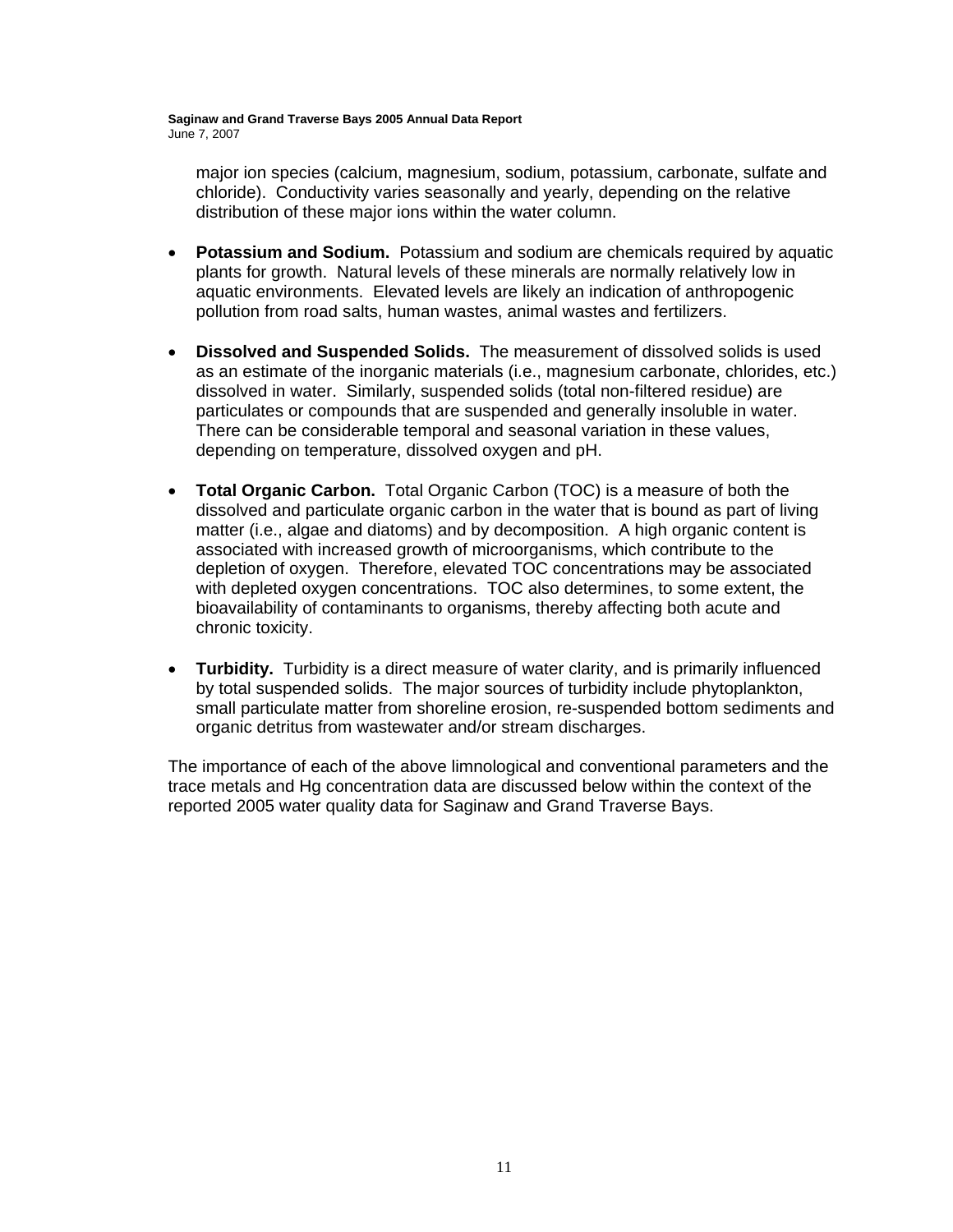major ion species (calcium, magnesium, sodium, potassium, carbonate, sulfate and chloride). Conductivity varies seasonally and yearly, depending on the relative distribution of these major ions within the water column.

- **Potassium and Sodium.** Potassium and sodium are chemicals required by aquatic plants for growth. Natural levels of these minerals are normally relatively low in aquatic environments. Elevated levels are likely an indication of anthropogenic pollution from road salts, human wastes, animal wastes and fertilizers.
- **Dissolved and Suspended Solids.** The measurement of dissolved solids is used as an estimate of the inorganic materials (i.e., magnesium carbonate, chlorides, etc.) dissolved in water. Similarly, suspended solids (total non-filtered residue) are particulates or compounds that are suspended and generally insoluble in water. There can be considerable temporal and seasonal variation in these values, depending on temperature, dissolved oxygen and pH.
- **Total Organic Carbon.** Total Organic Carbon (TOC) is a measure of both the dissolved and particulate organic carbon in the water that is bound as part of living matter (i.e., algae and diatoms) and by decomposition. A high organic content is associated with increased growth of microorganisms, which contribute to the depletion of oxygen. Therefore, elevated TOC concentrations may be associated with depleted oxygen concentrations. TOC also determines, to some extent, the bioavailability of contaminants to organisms, thereby affecting both acute and chronic toxicity.
- **Turbidity.** Turbidity is a direct measure of water clarity, and is primarily influenced by total suspended solids. The major sources of turbidity include phytoplankton, small particulate matter from shoreline erosion, re-suspended bottom sediments and organic detritus from wastewater and/or stream discharges.

The importance of each of the above limnological and conventional parameters and the trace metals and Hg concentration data are discussed below within the context of the reported 2005 water quality data for Saginaw and Grand Traverse Bays.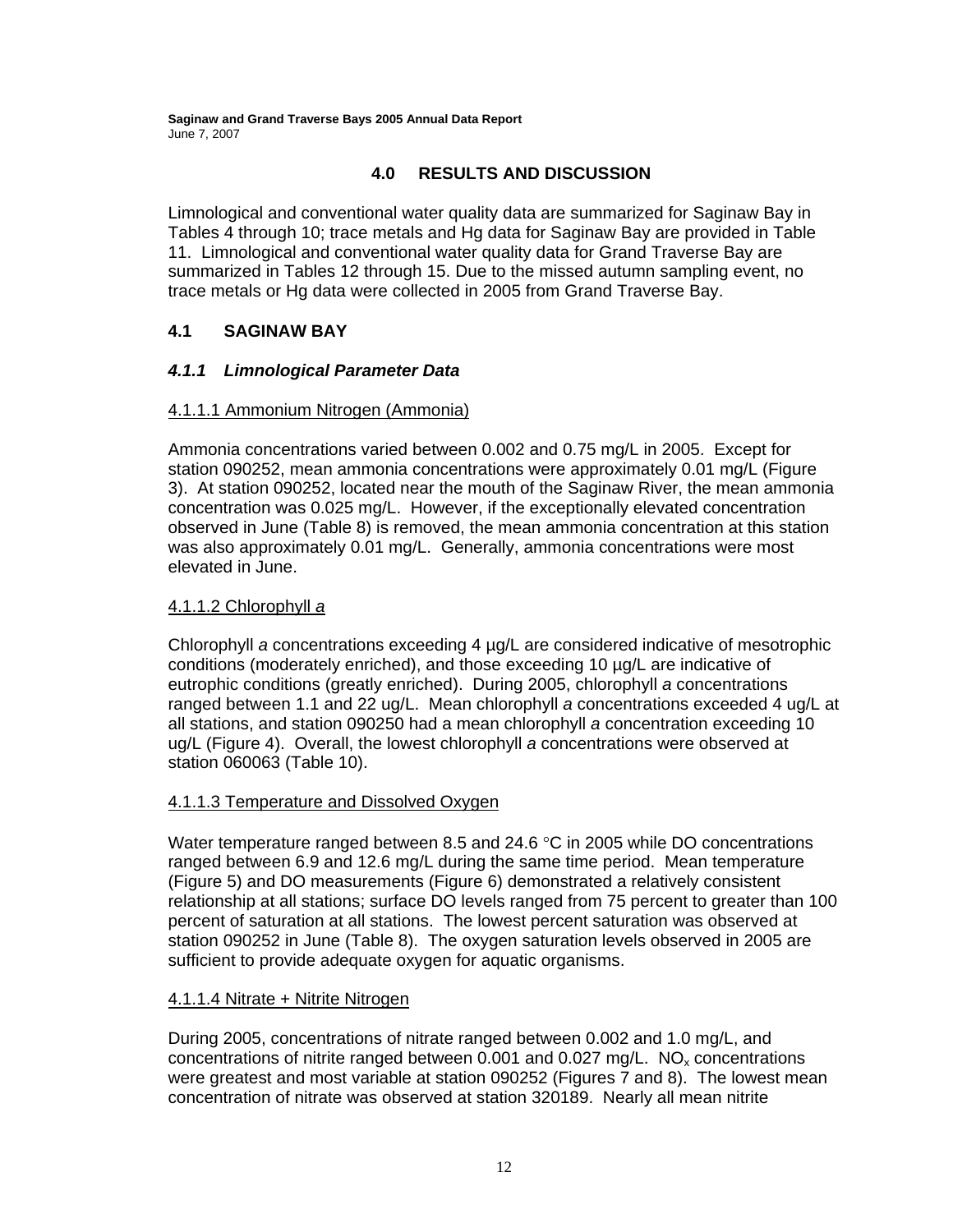### **4.0 RESULTS AND DISCUSSION**

Limnological and conventional water quality data are summarized for Saginaw Bay in Tables 4 through 10; trace metals and Hg data for Saginaw Bay are provided in Table 11. Limnological and conventional water quality data for Grand Traverse Bay are summarized in Tables 12 through 15. Due to the missed autumn sampling event, no trace metals or Hg data were collected in 2005 from Grand Traverse Bay.

### **4.1 SAGINAW BAY**

### *4.1.1 Limnological Parameter Data*

### 4.1.1.1 Ammonium Nitrogen (Ammonia)

Ammonia concentrations varied between 0.002 and 0.75 mg/L in 2005. Except for station 090252, mean ammonia concentrations were approximately 0.01 mg/L (Figure 3). At station 090252, located near the mouth of the Saginaw River, the mean ammonia concentration was 0.025 mg/L. However, if the exceptionally elevated concentration observed in June (Table 8) is removed, the mean ammonia concentration at this station was also approximately 0.01 mg/L. Generally, ammonia concentrations were most elevated in June.

### 4.1.1.2 Chlorophyll *a*

Chlorophyll *a* concentrations exceeding 4 µg/L are considered indicative of mesotrophic conditions (moderately enriched), and those exceeding 10 µg/L are indicative of eutrophic conditions (greatly enriched). During 2005, chlorophyll *a* concentrations ranged between 1.1 and 22 ug/L. Mean chlorophyll *a* concentrations exceeded 4 ug/L at all stations, and station 090250 had a mean chlorophyll *a* concentration exceeding 10 ug/L (Figure 4). Overall, the lowest chlorophyll *a* concentrations were observed at station 060063 (Table 10).

### 4.1.1.3 Temperature and Dissolved Oxygen

Water temperature ranged between 8.5 and 24.6 °C in 2005 while DO concentrations ranged between 6.9 and 12.6 mg/L during the same time period. Mean temperature (Figure 5) and DO measurements (Figure 6) demonstrated a relatively consistent relationship at all stations; surface DO levels ranged from 75 percent to greater than 100 percent of saturation at all stations. The lowest percent saturation was observed at station 090252 in June (Table 8). The oxygen saturation levels observed in 2005 are sufficient to provide adequate oxygen for aquatic organisms.

### 4.1.1.4 Nitrate + Nitrite Nitrogen

During 2005, concentrations of nitrate ranged between 0.002 and 1.0 mg/L, and concentrations of nitrite ranged between 0.001 and 0.027 mg/L.  $NO<sub>x</sub>$  concentrations were greatest and most variable at station 090252 (Figures 7 and 8). The lowest mean concentration of nitrate was observed at station 320189. Nearly all mean nitrite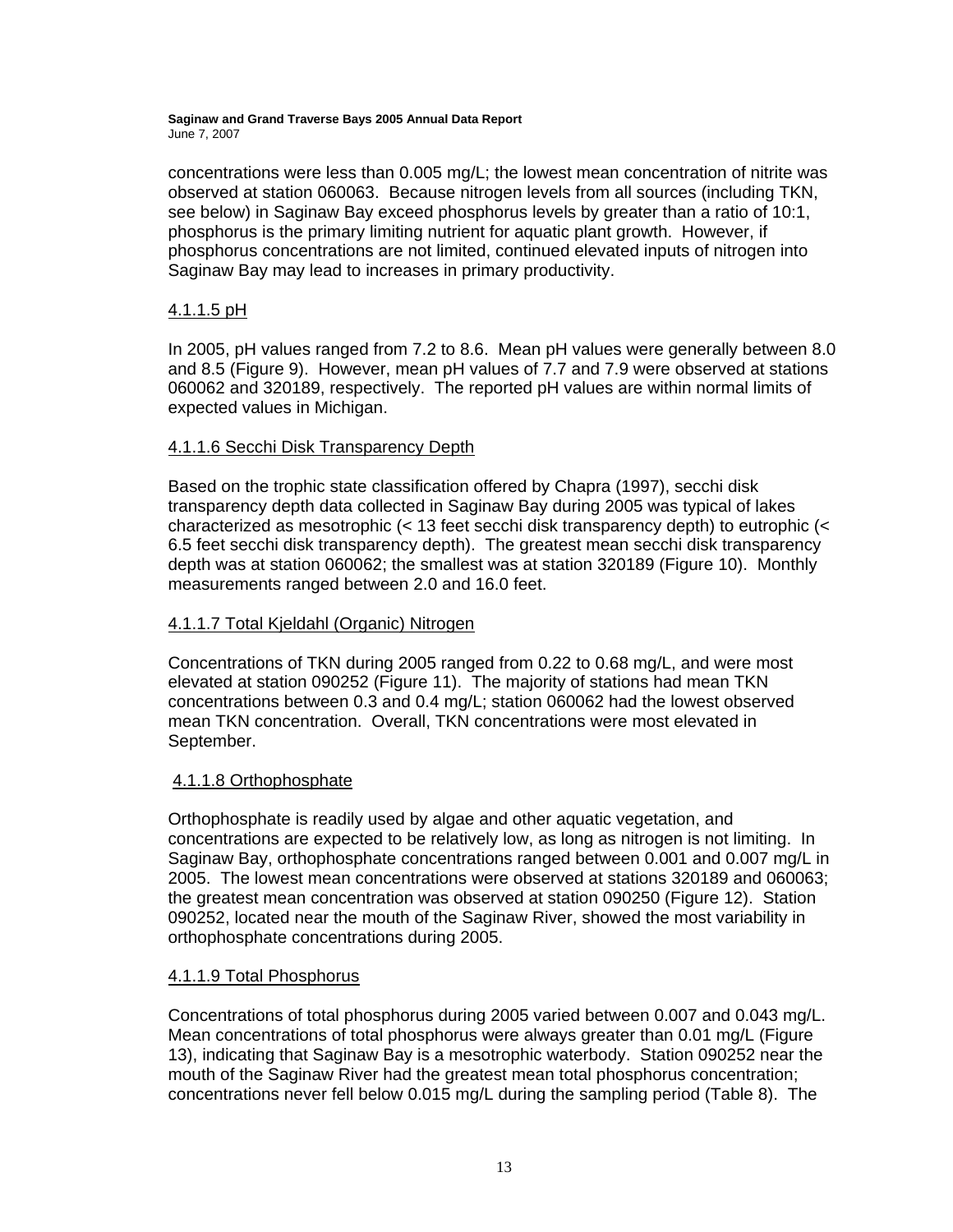concentrations were less than 0.005 mg/L; the lowest mean concentration of nitrite was observed at station 060063. Because nitrogen levels from all sources (including TKN, see below) in Saginaw Bay exceed phosphorus levels by greater than a ratio of 10:1, phosphorus is the primary limiting nutrient for aquatic plant growth. However, if phosphorus concentrations are not limited, continued elevated inputs of nitrogen into Saginaw Bay may lead to increases in primary productivity.

### 4.1.1.5 pH

In 2005, pH values ranged from 7.2 to 8.6. Mean pH values were generally between 8.0 and 8.5 (Figure 9). However, mean pH values of 7.7 and 7.9 were observed at stations 060062 and 320189, respectively. The reported pH values are within normal limits of expected values in Michigan.

#### 4.1.1.6 Secchi Disk Transparency Depth

Based on the trophic state classification offered by Chapra (1997), secchi disk transparency depth data collected in Saginaw Bay during 2005 was typical of lakes characterized as mesotrophic (< 13 feet secchi disk transparency depth) to eutrophic (< 6.5 feet secchi disk transparency depth). The greatest mean secchi disk transparency depth was at station 060062; the smallest was at station 320189 (Figure 10). Monthly measurements ranged between 2.0 and 16.0 feet.

### 4.1.1.7 Total Kjeldahl (Organic) Nitrogen

Concentrations of TKN during 2005 ranged from 0.22 to 0.68 mg/L, and were most elevated at station 090252 (Figure 11). The majority of stations had mean TKN concentrations between 0.3 and 0.4 mg/L; station 060062 had the lowest observed mean TKN concentration. Overall, TKN concentrations were most elevated in September.

#### 4.1.1.8 Orthophosphate

Orthophosphate is readily used by algae and other aquatic vegetation, and concentrations are expected to be relatively low, as long as nitrogen is not limiting. In Saginaw Bay, orthophosphate concentrations ranged between 0.001 and 0.007 mg/L in 2005. The lowest mean concentrations were observed at stations 320189 and 060063; the greatest mean concentration was observed at station 090250 (Figure 12). Station 090252, located near the mouth of the Saginaw River, showed the most variability in orthophosphate concentrations during 2005.

#### 4.1.1.9 Total Phosphorus

Concentrations of total phosphorus during 2005 varied between 0.007 and 0.043 mg/L. Mean concentrations of total phosphorus were always greater than 0.01 mg/L (Figure 13), indicating that Saginaw Bay is a mesotrophic waterbody. Station 090252 near the mouth of the Saginaw River had the greatest mean total phosphorus concentration; concentrations never fell below 0.015 mg/L during the sampling period (Table 8). The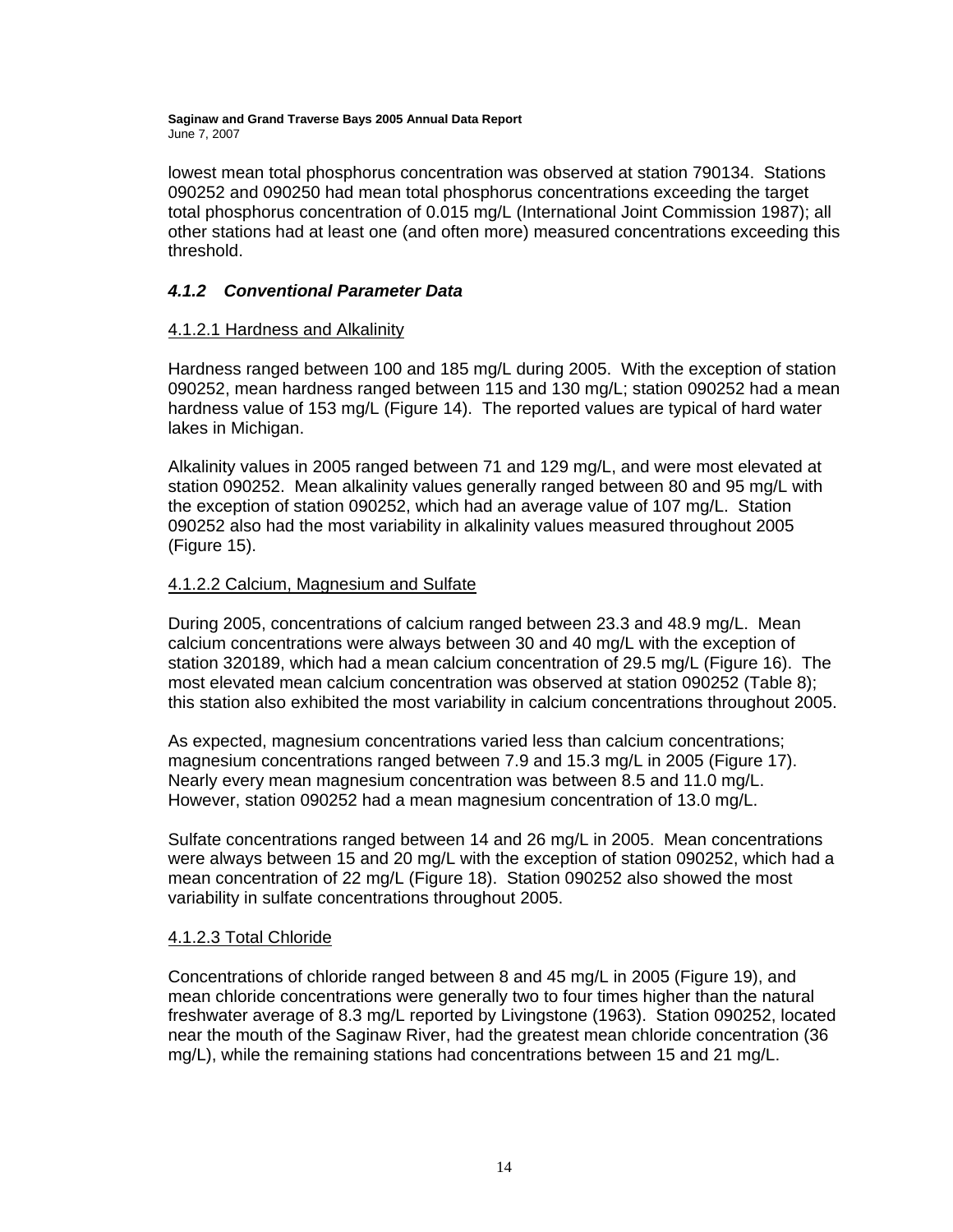lowest mean total phosphorus concentration was observed at station 790134. Stations 090252 and 090250 had mean total phosphorus concentrations exceeding the target total phosphorus concentration of 0.015 mg/L (International Joint Commission 1987); all other stations had at least one (and often more) measured concentrations exceeding this threshold.

### *4.1.2 Conventional Parameter Data*

#### 4.1.2.1 Hardness and Alkalinity

Hardness ranged between 100 and 185 mg/L during 2005. With the exception of station 090252, mean hardness ranged between 115 and 130 mg/L; station 090252 had a mean hardness value of 153 mg/L (Figure 14). The reported values are typical of hard water lakes in Michigan.

Alkalinity values in 2005 ranged between 71 and 129 mg/L, and were most elevated at station 090252. Mean alkalinity values generally ranged between 80 and 95 mg/L with the exception of station 090252, which had an average value of 107 mg/L. Station 090252 also had the most variability in alkalinity values measured throughout 2005 (Figure 15).

### 4.1.2.2 Calcium, Magnesium and Sulfate

During 2005, concentrations of calcium ranged between 23.3 and 48.9 mg/L. Mean calcium concentrations were always between 30 and 40 mg/L with the exception of station 320189, which had a mean calcium concentration of 29.5 mg/L (Figure 16). The most elevated mean calcium concentration was observed at station 090252 (Table 8); this station also exhibited the most variability in calcium concentrations throughout 2005.

As expected, magnesium concentrations varied less than calcium concentrations; magnesium concentrations ranged between 7.9 and 15.3 mg/L in 2005 (Figure 17). Nearly every mean magnesium concentration was between 8.5 and 11.0 mg/L. However, station 090252 had a mean magnesium concentration of 13.0 mg/L.

Sulfate concentrations ranged between 14 and 26 mg/L in 2005. Mean concentrations were always between 15 and 20 mg/L with the exception of station 090252, which had a mean concentration of 22 mg/L (Figure 18). Station 090252 also showed the most variability in sulfate concentrations throughout 2005.

#### 4.1.2.3 Total Chloride

Concentrations of chloride ranged between 8 and 45 mg/L in 2005 (Figure 19), and mean chloride concentrations were generally two to four times higher than the natural freshwater average of 8.3 mg/L reported by Livingstone (1963). Station 090252, located near the mouth of the Saginaw River, had the greatest mean chloride concentration (36 mg/L), while the remaining stations had concentrations between 15 and 21 mg/L.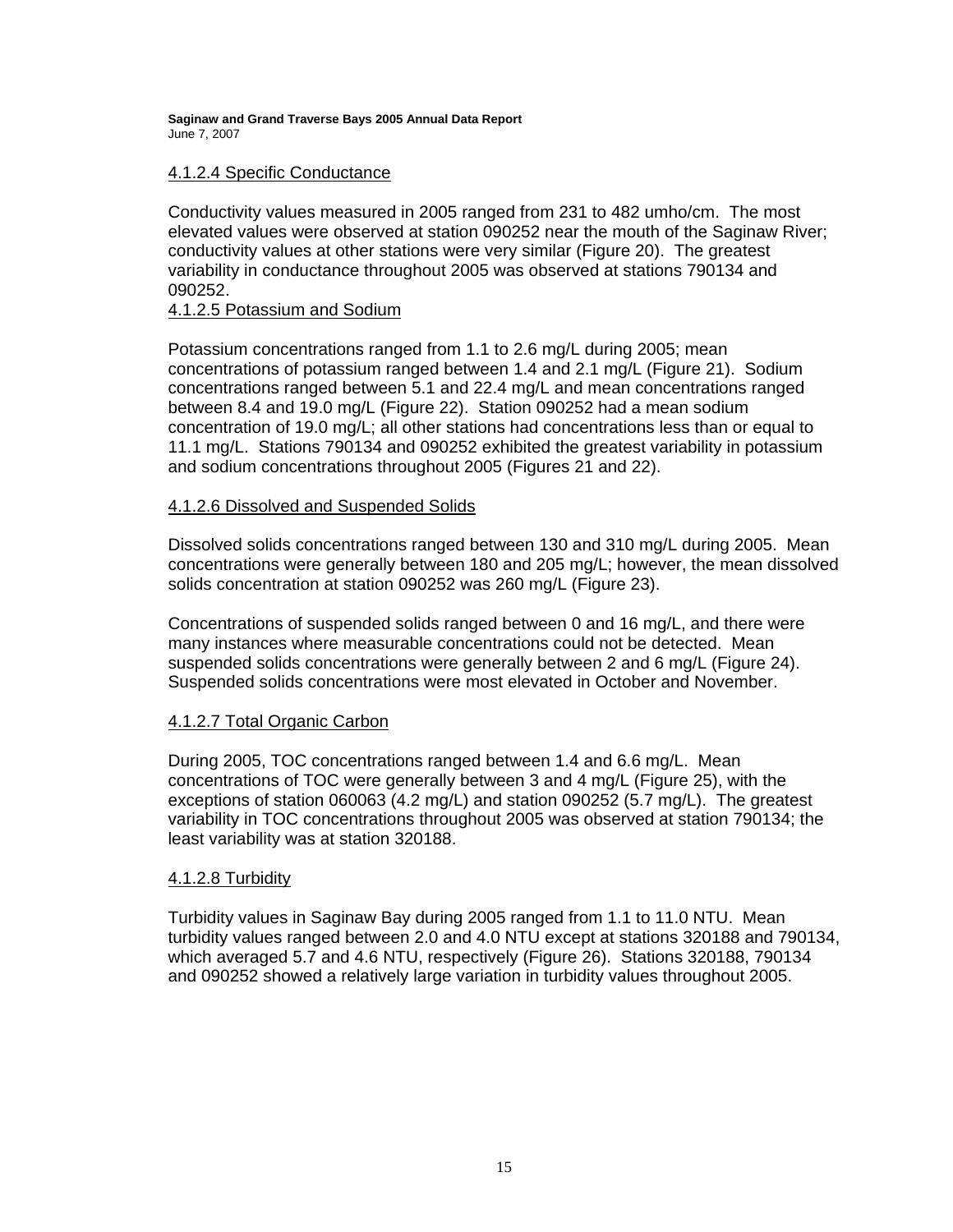#### 4.1.2.4 Specific Conductance

Conductivity values measured in 2005 ranged from 231 to 482 umho/cm. The most elevated values were observed at station 090252 near the mouth of the Saginaw River; conductivity values at other stations were very similar (Figure 20). The greatest variability in conductance throughout 2005 was observed at stations 790134 and 090252.

#### 4.1.2.5 Potassium and Sodium

Potassium concentrations ranged from 1.1 to 2.6 mg/L during 2005; mean concentrations of potassium ranged between 1.4 and 2.1 mg/L (Figure 21). Sodium concentrations ranged between 5.1 and 22.4 mg/L and mean concentrations ranged between 8.4 and 19.0 mg/L (Figure 22). Station 090252 had a mean sodium concentration of 19.0 mg/L; all other stations had concentrations less than or equal to 11.1 mg/L. Stations 790134 and 090252 exhibited the greatest variability in potassium and sodium concentrations throughout 2005 (Figures 21 and 22).

#### 4.1.2.6 Dissolved and Suspended Solids

Dissolved solids concentrations ranged between 130 and 310 mg/L during 2005. Mean concentrations were generally between 180 and 205 mg/L; however, the mean dissolved solids concentration at station 090252 was 260 mg/L (Figure 23).

Concentrations of suspended solids ranged between 0 and 16 mg/L, and there were many instances where measurable concentrations could not be detected. Mean suspended solids concentrations were generally between 2 and 6 mg/L (Figure 24). Suspended solids concentrations were most elevated in October and November.

#### 4.1.2.7 Total Organic Carbon

During 2005, TOC concentrations ranged between 1.4 and 6.6 mg/L. Mean concentrations of TOC were generally between 3 and 4 mg/L (Figure 25), with the exceptions of station 060063 (4.2 mg/L) and station 090252 (5.7 mg/L). The greatest variability in TOC concentrations throughout 2005 was observed at station 790134; the least variability was at station 320188.

#### 4.1.2.8 Turbidity

Turbidity values in Saginaw Bay during 2005 ranged from 1.1 to 11.0 NTU. Mean turbidity values ranged between 2.0 and 4.0 NTU except at stations 320188 and 790134, which averaged 5.7 and 4.6 NTU, respectively (Figure 26). Stations 320188, 790134 and 090252 showed a relatively large variation in turbidity values throughout 2005.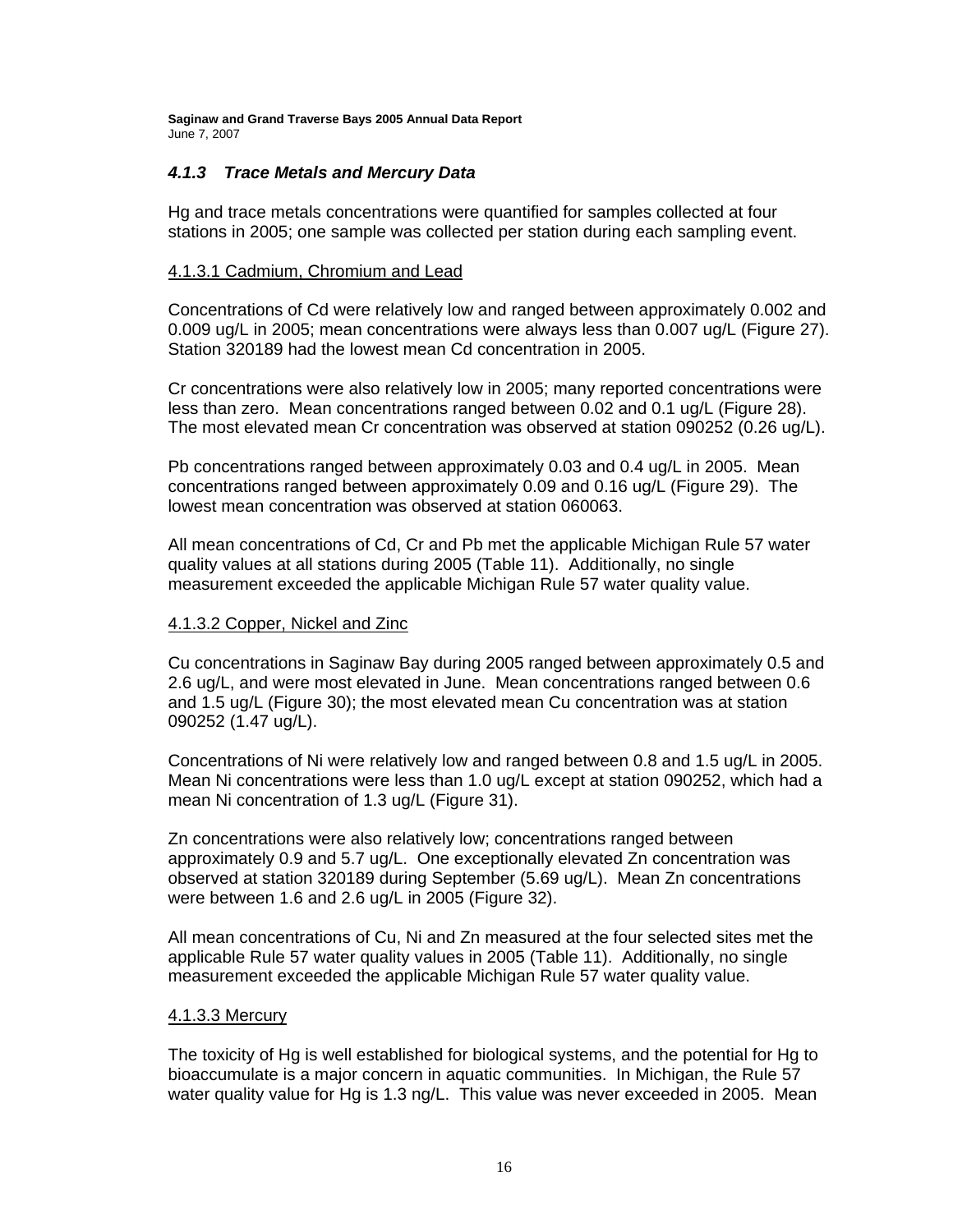#### *4.1.3 Trace Metals and Mercury Data*

Hg and trace metals concentrations were quantified for samples collected at four stations in 2005; one sample was collected per station during each sampling event.

#### 4.1.3.1 Cadmium, Chromium and Lead

Concentrations of Cd were relatively low and ranged between approximately 0.002 and 0.009 ug/L in 2005; mean concentrations were always less than 0.007 ug/L (Figure 27). Station 320189 had the lowest mean Cd concentration in 2005.

Cr concentrations were also relatively low in 2005; many reported concentrations were less than zero. Mean concentrations ranged between 0.02 and 0.1 ug/L (Figure 28). The most elevated mean Cr concentration was observed at station 090252 (0.26 ug/L).

Pb concentrations ranged between approximately 0.03 and 0.4 ug/L in 2005. Mean concentrations ranged between approximately 0.09 and 0.16 ug/L (Figure 29). The lowest mean concentration was observed at station 060063.

All mean concentrations of Cd, Cr and Pb met the applicable Michigan Rule 57 water quality values at all stations during 2005 (Table 11). Additionally, no single measurement exceeded the applicable Michigan Rule 57 water quality value.

#### 4.1.3.2 Copper, Nickel and Zinc

Cu concentrations in Saginaw Bay during 2005 ranged between approximately 0.5 and 2.6 ug/L, and were most elevated in June. Mean concentrations ranged between 0.6 and 1.5 ug/L (Figure 30); the most elevated mean Cu concentration was at station 090252 (1.47 ug/L).

Concentrations of Ni were relatively low and ranged between 0.8 and 1.5 ug/L in 2005. Mean Ni concentrations were less than 1.0 ug/L except at station 090252, which had a mean Ni concentration of 1.3 ug/L (Figure 31).

Zn concentrations were also relatively low; concentrations ranged between approximately 0.9 and 5.7 ug/L. One exceptionally elevated Zn concentration was observed at station 320189 during September (5.69 ug/L). Mean Zn concentrations were between 1.6 and 2.6 ug/L in 2005 (Figure 32).

All mean concentrations of Cu, Ni and Zn measured at the four selected sites met the applicable Rule 57 water quality values in 2005 (Table 11). Additionally, no single measurement exceeded the applicable Michigan Rule 57 water quality value.

#### 4.1.3.3 Mercury

The toxicity of Hg is well established for biological systems, and the potential for Hg to bioaccumulate is a major concern in aquatic communities. In Michigan, the Rule 57 water quality value for Hg is 1.3 ng/L. This value was never exceeded in 2005. Mean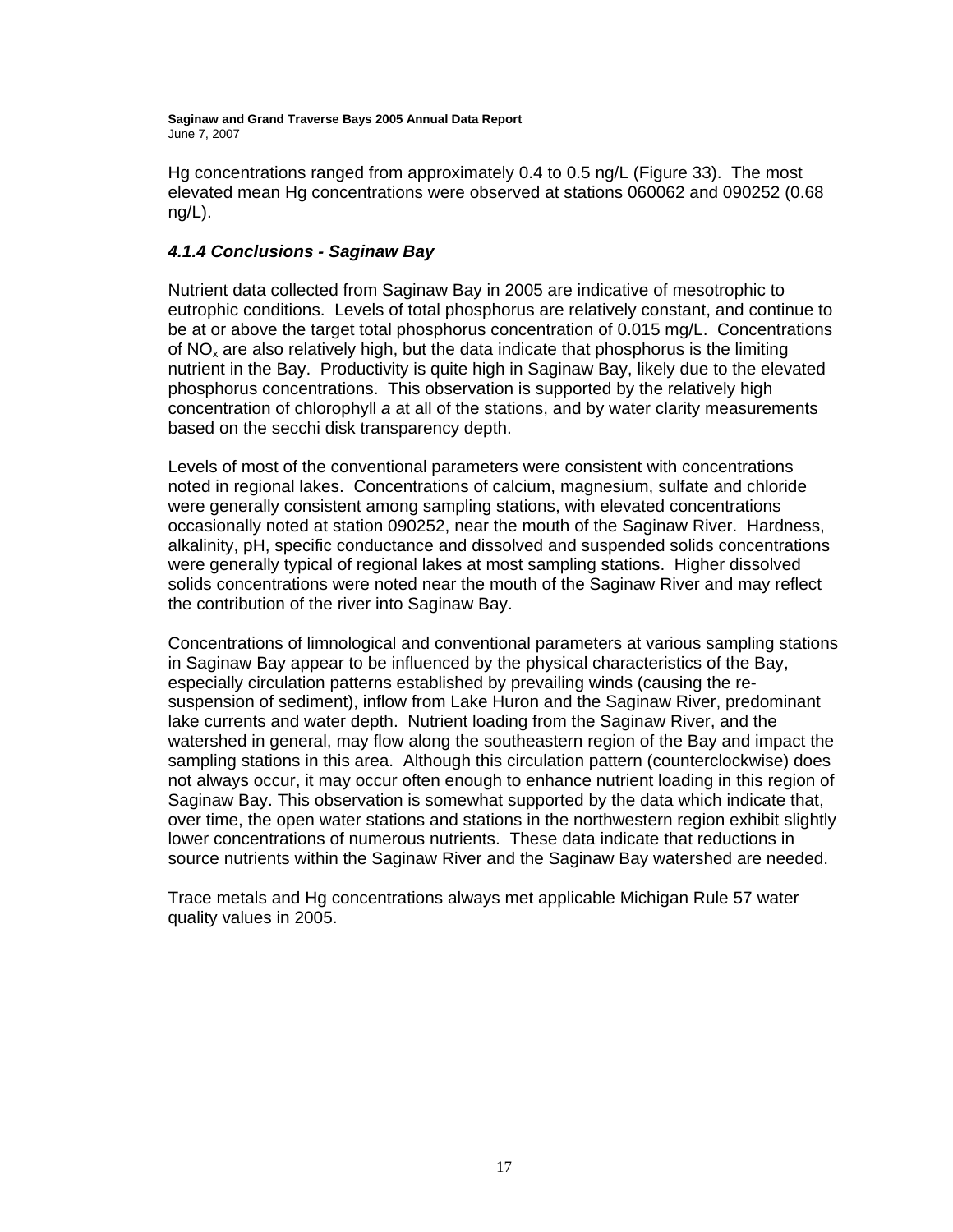Hg concentrations ranged from approximately 0.4 to 0.5 ng/L (Figure 33). The most elevated mean Hg concentrations were observed at stations 060062 and 090252 (0.68 ng/L).

### *4.1.4 Conclusions - Saginaw Bay*

Nutrient data collected from Saginaw Bay in 2005 are indicative of mesotrophic to eutrophic conditions. Levels of total phosphorus are relatively constant, and continue to be at or above the target total phosphorus concentration of 0.015 mg/L. Concentrations of  $NO<sub>x</sub>$  are also relatively high, but the data indicate that phosphorus is the limiting nutrient in the Bay. Productivity is quite high in Saginaw Bay, likely due to the elevated phosphorus concentrations. This observation is supported by the relatively high concentration of chlorophyll *a* at all of the stations, and by water clarity measurements based on the secchi disk transparency depth.

Levels of most of the conventional parameters were consistent with concentrations noted in regional lakes. Concentrations of calcium, magnesium, sulfate and chloride were generally consistent among sampling stations, with elevated concentrations occasionally noted at station 090252, near the mouth of the Saginaw River. Hardness, alkalinity, pH, specific conductance and dissolved and suspended solids concentrations were generally typical of regional lakes at most sampling stations. Higher dissolved solids concentrations were noted near the mouth of the Saginaw River and may reflect the contribution of the river into Saginaw Bay.

Concentrations of limnological and conventional parameters at various sampling stations in Saginaw Bay appear to be influenced by the physical characteristics of the Bay, especially circulation patterns established by prevailing winds (causing the resuspension of sediment), inflow from Lake Huron and the Saginaw River, predominant lake currents and water depth. Nutrient loading from the Saginaw River, and the watershed in general, may flow along the southeastern region of the Bay and impact the sampling stations in this area. Although this circulation pattern (counterclockwise) does not always occur, it may occur often enough to enhance nutrient loading in this region of Saginaw Bay. This observation is somewhat supported by the data which indicate that, over time, the open water stations and stations in the northwestern region exhibit slightly lower concentrations of numerous nutrients. These data indicate that reductions in source nutrients within the Saginaw River and the Saginaw Bay watershed are needed.

Trace metals and Hg concentrations always met applicable Michigan Rule 57 water quality values in 2005.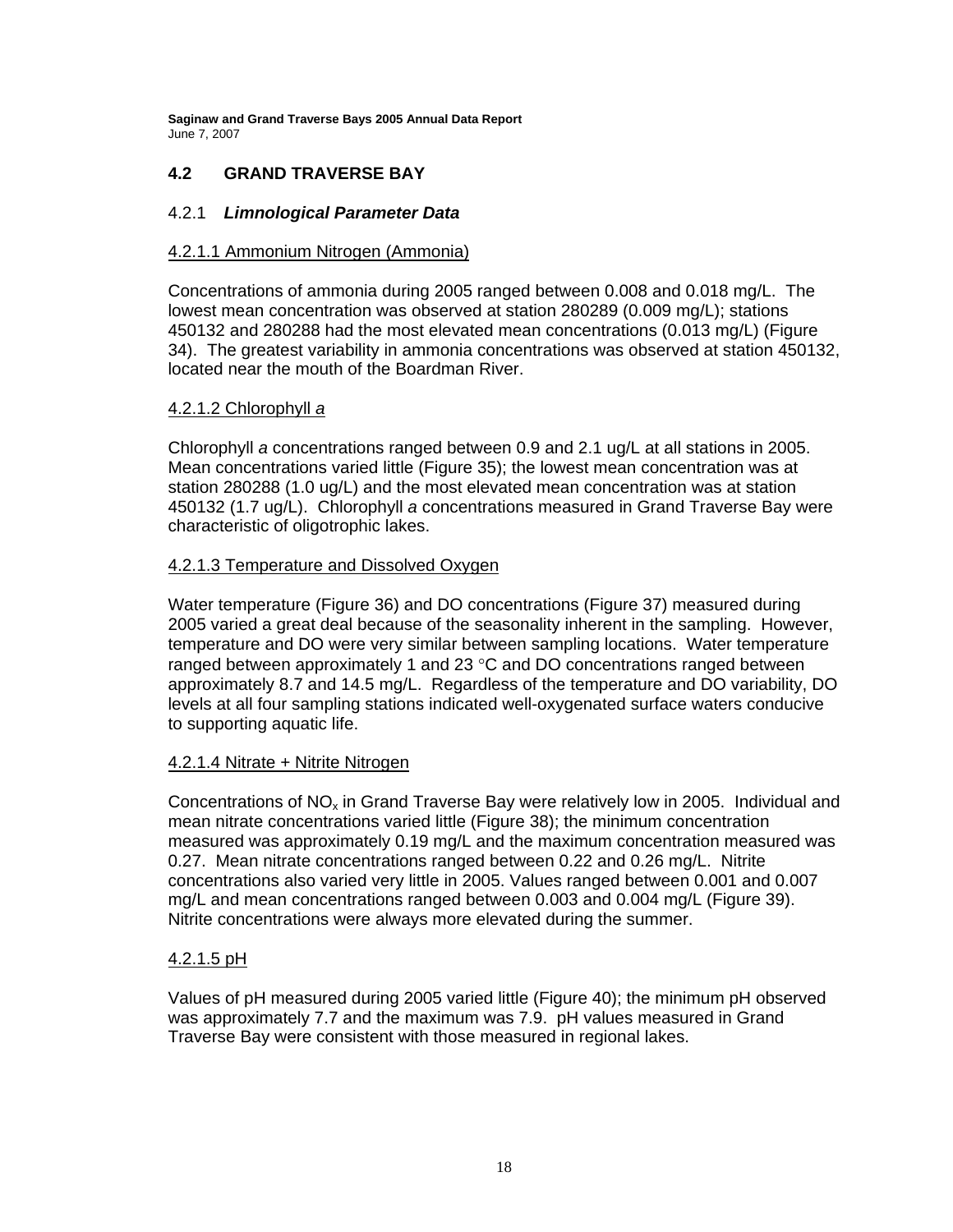### **4.2 GRAND TRAVERSE BAY**

#### 4.2.1 *Limnological Parameter Data*

#### 4.2.1.1 Ammonium Nitrogen (Ammonia)

Concentrations of ammonia during 2005 ranged between 0.008 and 0.018 mg/L. The lowest mean concentration was observed at station 280289 (0.009 mg/L); stations 450132 and 280288 had the most elevated mean concentrations (0.013 mg/L) (Figure 34). The greatest variability in ammonia concentrations was observed at station 450132, located near the mouth of the Boardman River.

#### 4.2.1.2 Chlorophyll *a*

Chlorophyll *a* concentrations ranged between 0.9 and 2.1 ug/L at all stations in 2005. Mean concentrations varied little (Figure 35); the lowest mean concentration was at station 280288 (1.0 ug/L) and the most elevated mean concentration was at station 450132 (1.7 ug/L). Chlorophyll *a* concentrations measured in Grand Traverse Bay were characteristic of oligotrophic lakes.

#### 4.2.1.3 Temperature and Dissolved Oxygen

Water temperature (Figure 36) and DO concentrations (Figure 37) measured during 2005 varied a great deal because of the seasonality inherent in the sampling. However, temperature and DO were very similar between sampling locations. Water temperature ranged between approximately 1 and 23 °C and DO concentrations ranged between approximately 8.7 and 14.5 mg/L. Regardless of the temperature and DO variability, DO levels at all four sampling stations indicated well-oxygenated surface waters conducive to supporting aquatic life.

#### 4.2.1.4 Nitrate + Nitrite Nitrogen

Concentrations of  $NO<sub>x</sub>$  in Grand Traverse Bay were relatively low in 2005. Individual and mean nitrate concentrations varied little (Figure 38); the minimum concentration measured was approximately 0.19 mg/L and the maximum concentration measured was 0.27. Mean nitrate concentrations ranged between 0.22 and 0.26 mg/L. Nitrite concentrations also varied very little in 2005. Values ranged between 0.001 and 0.007 mg/L and mean concentrations ranged between 0.003 and 0.004 mg/L (Figure 39). Nitrite concentrations were always more elevated during the summer.

#### 4.2.1.5 pH

Values of pH measured during 2005 varied little (Figure 40); the minimum pH observed was approximately 7.7 and the maximum was 7.9. pH values measured in Grand Traverse Bay were consistent with those measured in regional lakes.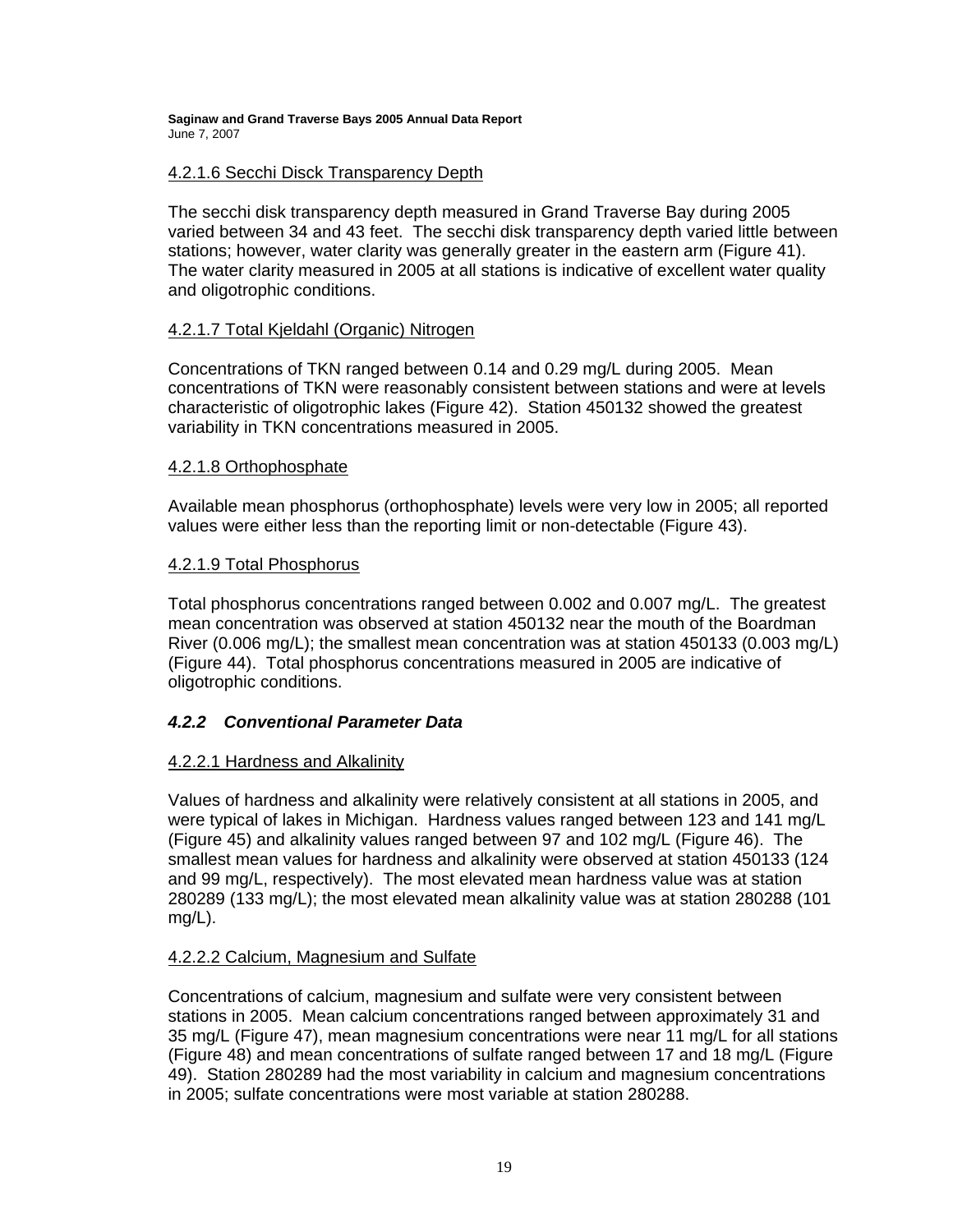#### 4.2.1.6 Secchi Disck Transparency Depth

The secchi disk transparency depth measured in Grand Traverse Bay during 2005 varied between 34 and 43 feet. The secchi disk transparency depth varied little between stations; however, water clarity was generally greater in the eastern arm (Figure 41). The water clarity measured in 2005 at all stations is indicative of excellent water quality and oligotrophic conditions.

### 4.2.1.7 Total Kjeldahl (Organic) Nitrogen

Concentrations of TKN ranged between 0.14 and 0.29 mg/L during 2005. Mean concentrations of TKN were reasonably consistent between stations and were at levels characteristic of oligotrophic lakes (Figure 42). Station 450132 showed the greatest variability in TKN concentrations measured in 2005.

#### 4.2.1.8 Orthophosphate

Available mean phosphorus (orthophosphate) levels were very low in 2005; all reported values were either less than the reporting limit or non-detectable (Figure 43).

#### 4.2.1.9 Total Phosphorus

Total phosphorus concentrations ranged between 0.002 and 0.007 mg/L. The greatest mean concentration was observed at station 450132 near the mouth of the Boardman River (0.006 mg/L); the smallest mean concentration was at station 450133 (0.003 mg/L) (Figure 44). Total phosphorus concentrations measured in 2005 are indicative of oligotrophic conditions.

### *4.2.2 Conventional Parameter Data*

#### 4.2.2.1 Hardness and Alkalinity

Values of hardness and alkalinity were relatively consistent at all stations in 2005, and were typical of lakes in Michigan. Hardness values ranged between 123 and 141 mg/L (Figure 45) and alkalinity values ranged between 97 and 102 mg/L (Figure 46). The smallest mean values for hardness and alkalinity were observed at station 450133 (124 and 99 mg/L, respectively). The most elevated mean hardness value was at station 280289 (133 mg/L); the most elevated mean alkalinity value was at station 280288 (101 mg/L).

#### 4.2.2.2 Calcium, Magnesium and Sulfate

Concentrations of calcium, magnesium and sulfate were very consistent between stations in 2005. Mean calcium concentrations ranged between approximately 31 and 35 mg/L (Figure 47), mean magnesium concentrations were near 11 mg/L for all stations (Figure 48) and mean concentrations of sulfate ranged between 17 and 18 mg/L (Figure 49). Station 280289 had the most variability in calcium and magnesium concentrations in 2005; sulfate concentrations were most variable at station 280288.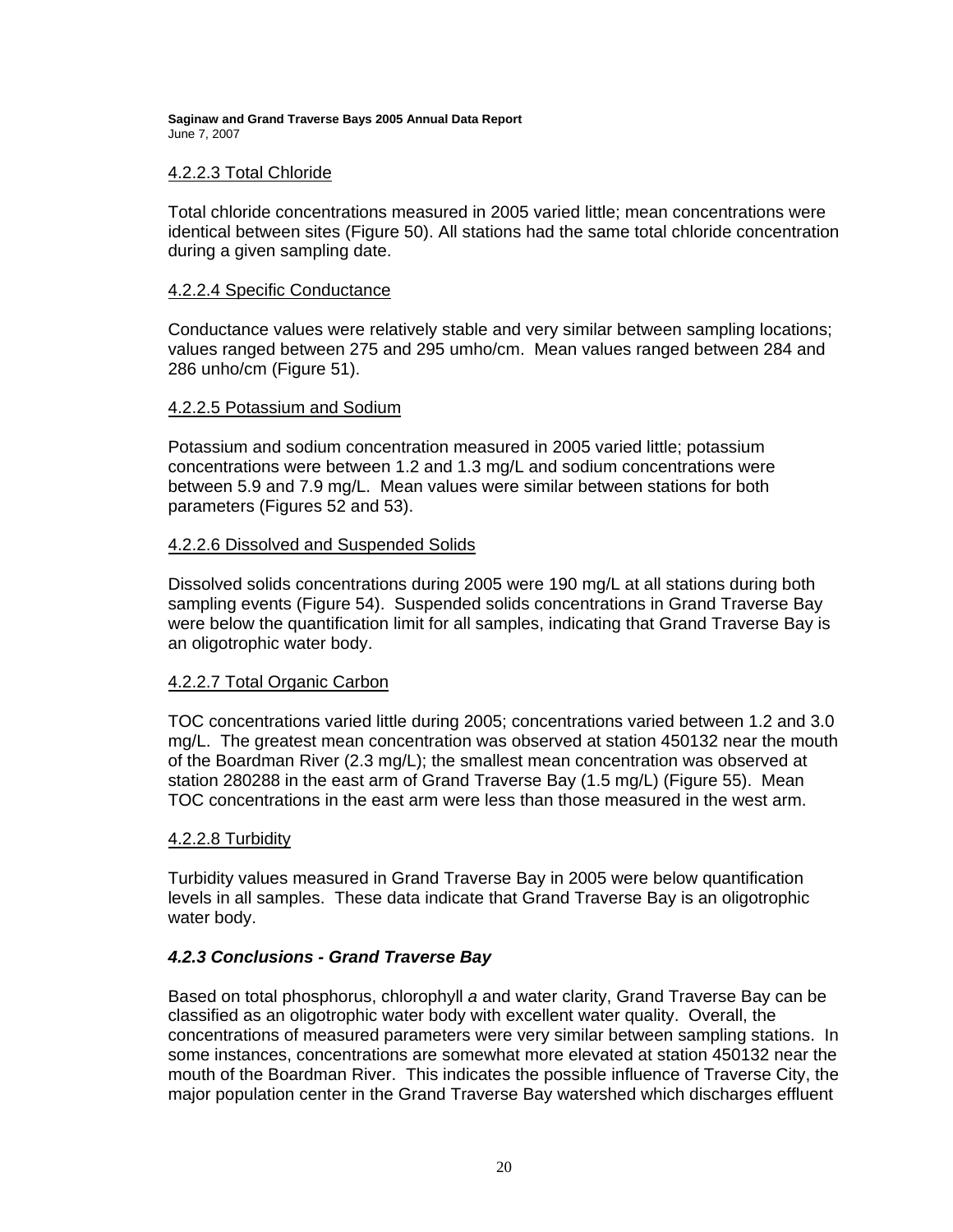#### 4.2.2.3 Total Chloride

Total chloride concentrations measured in 2005 varied little; mean concentrations were identical between sites (Figure 50). All stations had the same total chloride concentration during a given sampling date.

#### 4.2.2.4 Specific Conductance

Conductance values were relatively stable and very similar between sampling locations; values ranged between 275 and 295 umho/cm. Mean values ranged between 284 and 286 unho/cm (Figure 51).

#### 4.2.2.5 Potassium and Sodium

Potassium and sodium concentration measured in 2005 varied little; potassium concentrations were between 1.2 and 1.3 mg/L and sodium concentrations were between 5.9 and 7.9 mg/L. Mean values were similar between stations for both parameters (Figures 52 and 53).

#### 4.2.2.6 Dissolved and Suspended Solids

Dissolved solids concentrations during 2005 were 190 mg/L at all stations during both sampling events (Figure 54). Suspended solids concentrations in Grand Traverse Bay were below the quantification limit for all samples, indicating that Grand Traverse Bay is an oligotrophic water body.

### 4.2.2.7 Total Organic Carbon

TOC concentrations varied little during 2005; concentrations varied between 1.2 and 3.0 mg/L. The greatest mean concentration was observed at station 450132 near the mouth of the Boardman River (2.3 mg/L); the smallest mean concentration was observed at station 280288 in the east arm of Grand Traverse Bay (1.5 mg/L) (Figure 55). Mean TOC concentrations in the east arm were less than those measured in the west arm.

#### 4.2.2.8 Turbidity

Turbidity values measured in Grand Traverse Bay in 2005 were below quantification levels in all samples. These data indicate that Grand Traverse Bay is an oligotrophic water body.

### *4.2.3 Conclusions - Grand Traverse Bay*

Based on total phosphorus, chlorophyll *a* and water clarity, Grand Traverse Bay can be classified as an oligotrophic water body with excellent water quality. Overall, the concentrations of measured parameters were very similar between sampling stations. In some instances, concentrations are somewhat more elevated at station 450132 near the mouth of the Boardman River. This indicates the possible influence of Traverse City, the major population center in the Grand Traverse Bay watershed which discharges effluent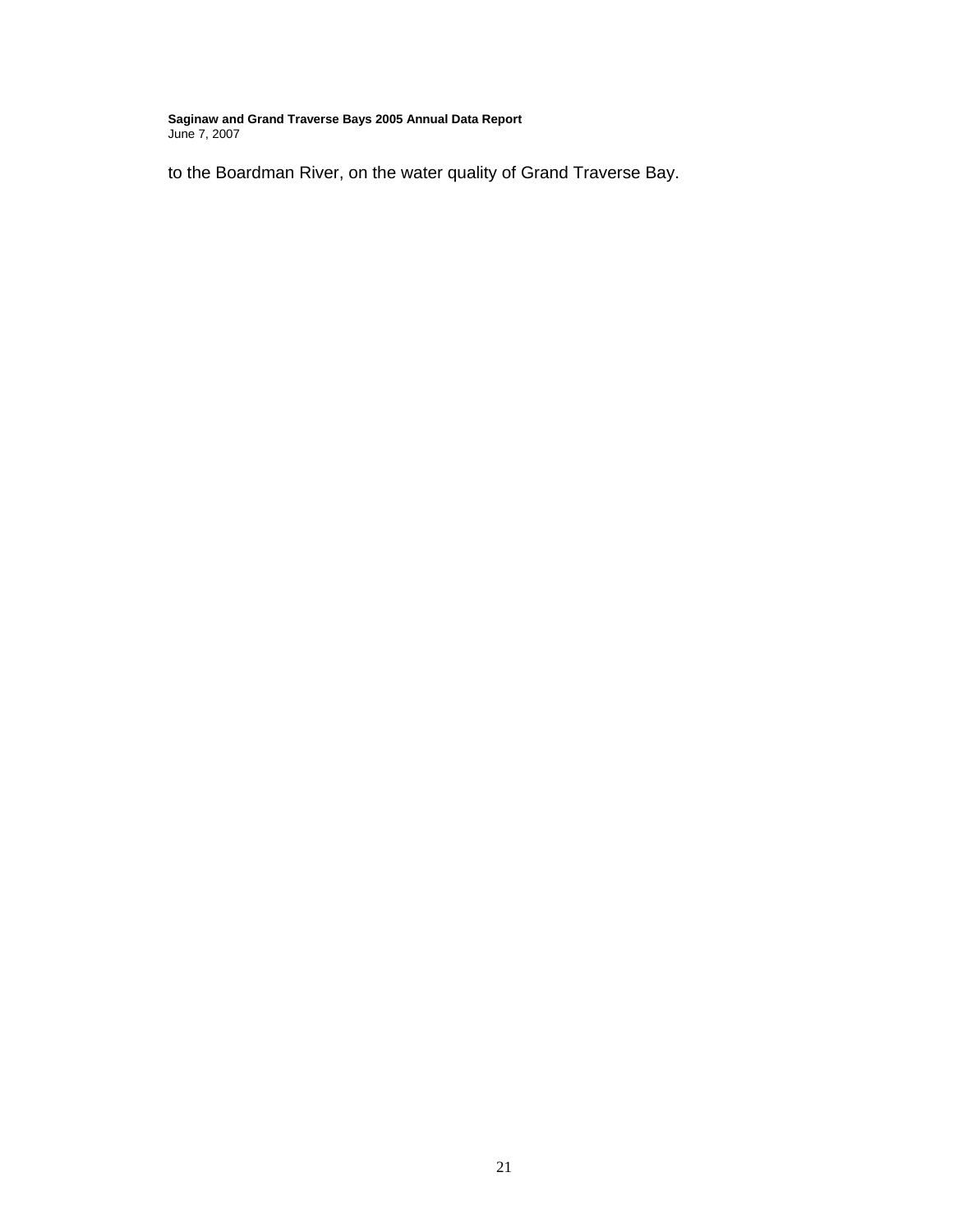to the Boardman River, on the water quality of Grand Traverse Bay.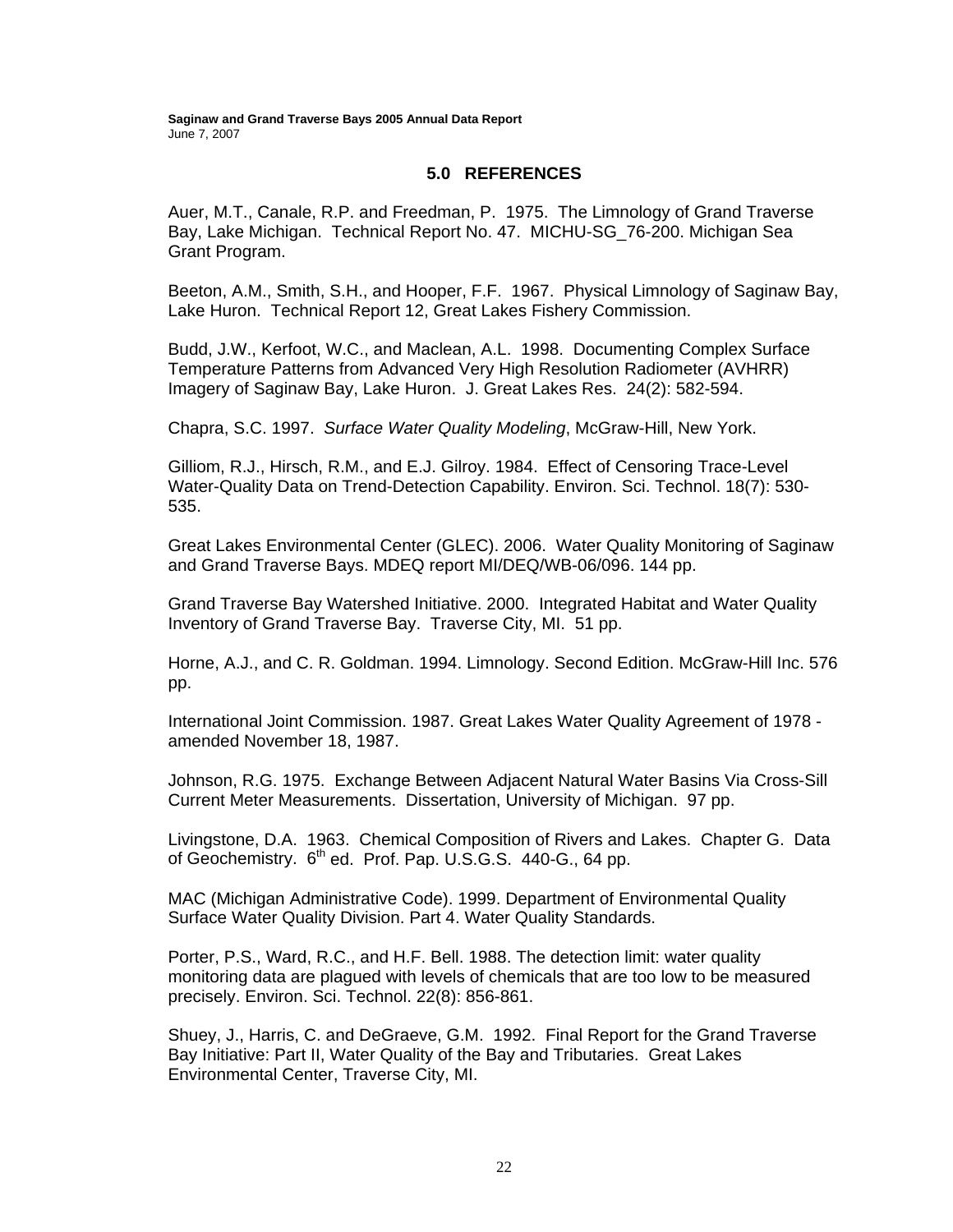#### **5.0 REFERENCES**

Auer, M.T., Canale, R.P. and Freedman, P. 1975. The Limnology of Grand Traverse Bay, Lake Michigan. Technical Report No. 47. MICHU-SG\_76-200. Michigan Sea Grant Program.

Beeton, A.M., Smith, S.H., and Hooper, F.F. 1967. Physical Limnology of Saginaw Bay, Lake Huron. Technical Report 12, Great Lakes Fishery Commission.

Budd, J.W., Kerfoot, W.C., and Maclean, A.L. 1998. Documenting Complex Surface Temperature Patterns from Advanced Very High Resolution Radiometer (AVHRR) Imagery of Saginaw Bay, Lake Huron. J. Great Lakes Res. 24(2): 582-594.

Chapra, S.C. 1997. *Surface Water Quality Modeling*, McGraw-Hill, New York.

Gilliom, R.J., Hirsch, R.M., and E.J. Gilroy. 1984. Effect of Censoring Trace-Level Water-Quality Data on Trend-Detection Capability. Environ. Sci. Technol. 18(7): 530- 535.

Great Lakes Environmental Center (GLEC). 2006. Water Quality Monitoring of Saginaw and Grand Traverse Bays. MDEQ report MI/DEQ/WB-06/096. 144 pp.

Grand Traverse Bay Watershed Initiative. 2000. Integrated Habitat and Water Quality Inventory of Grand Traverse Bay. Traverse City, MI. 51 pp.

Horne, A.J., and C. R. Goldman. 1994. Limnology. Second Edition. McGraw-Hill Inc. 576 pp.

International Joint Commission. 1987. Great Lakes Water Quality Agreement of 1978 amended November 18, 1987.

Johnson, R.G. 1975. Exchange Between Adjacent Natural Water Basins Via Cross-Sill Current Meter Measurements. Dissertation, University of Michigan. 97 pp.

Livingstone, D.A. 1963. Chemical Composition of Rivers and Lakes. Chapter G. Data of Geochemistry. 6<sup>th</sup> ed. Prof. Pap. U.S.G.S. 440-G., 64 pp.

MAC (Michigan Administrative Code). 1999. Department of Environmental Quality Surface Water Quality Division. Part 4. Water Quality Standards.

Porter, P.S., Ward, R.C., and H.F. Bell. 1988. The detection limit: water quality monitoring data are plagued with levels of chemicals that are too low to be measured precisely. Environ. Sci. Technol. 22(8): 856-861.

Shuey, J., Harris, C. and DeGraeve, G.M. 1992. Final Report for the Grand Traverse Bay Initiative: Part II, Water Quality of the Bay and Tributaries. Great Lakes Environmental Center, Traverse City, MI.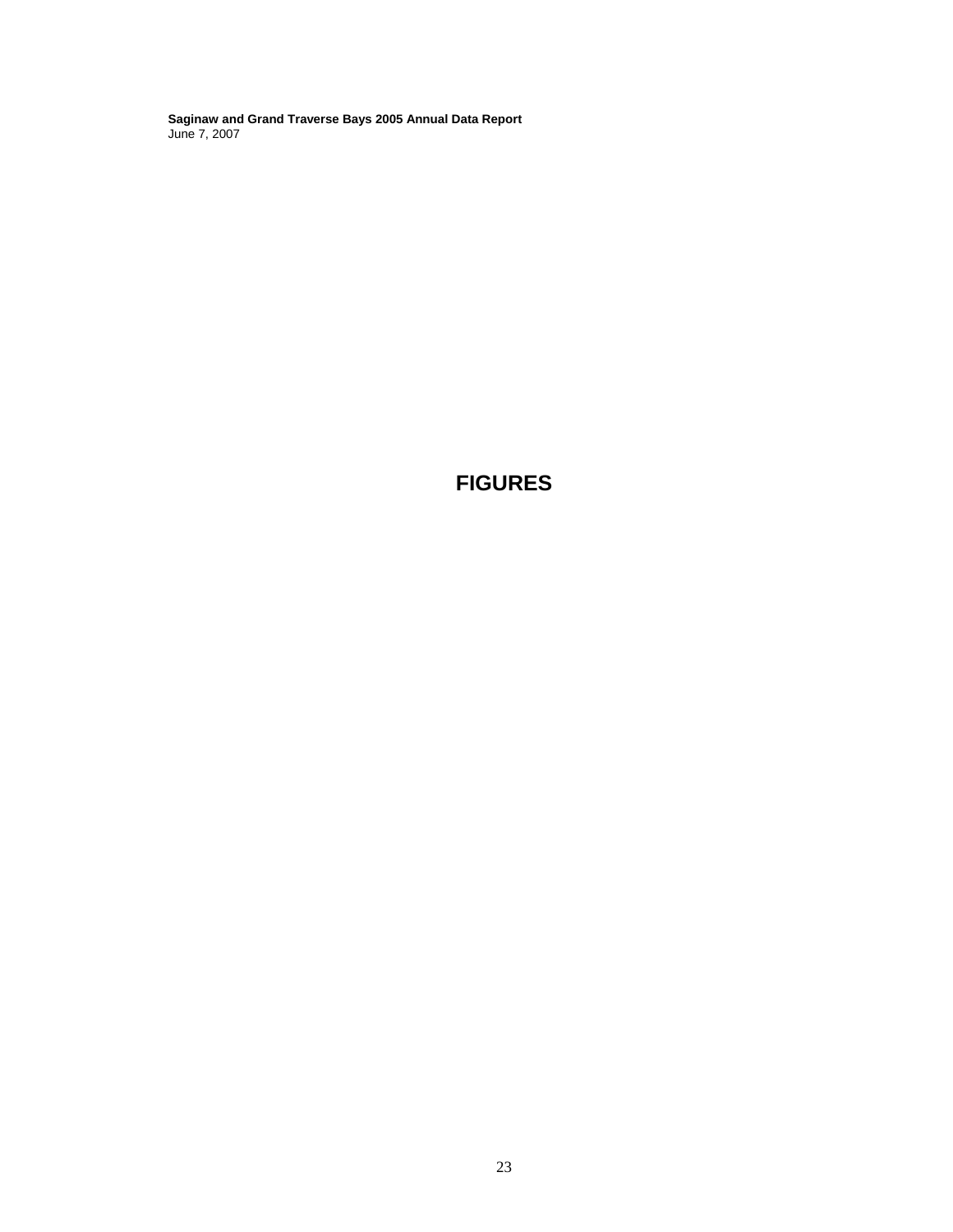**FIGURES**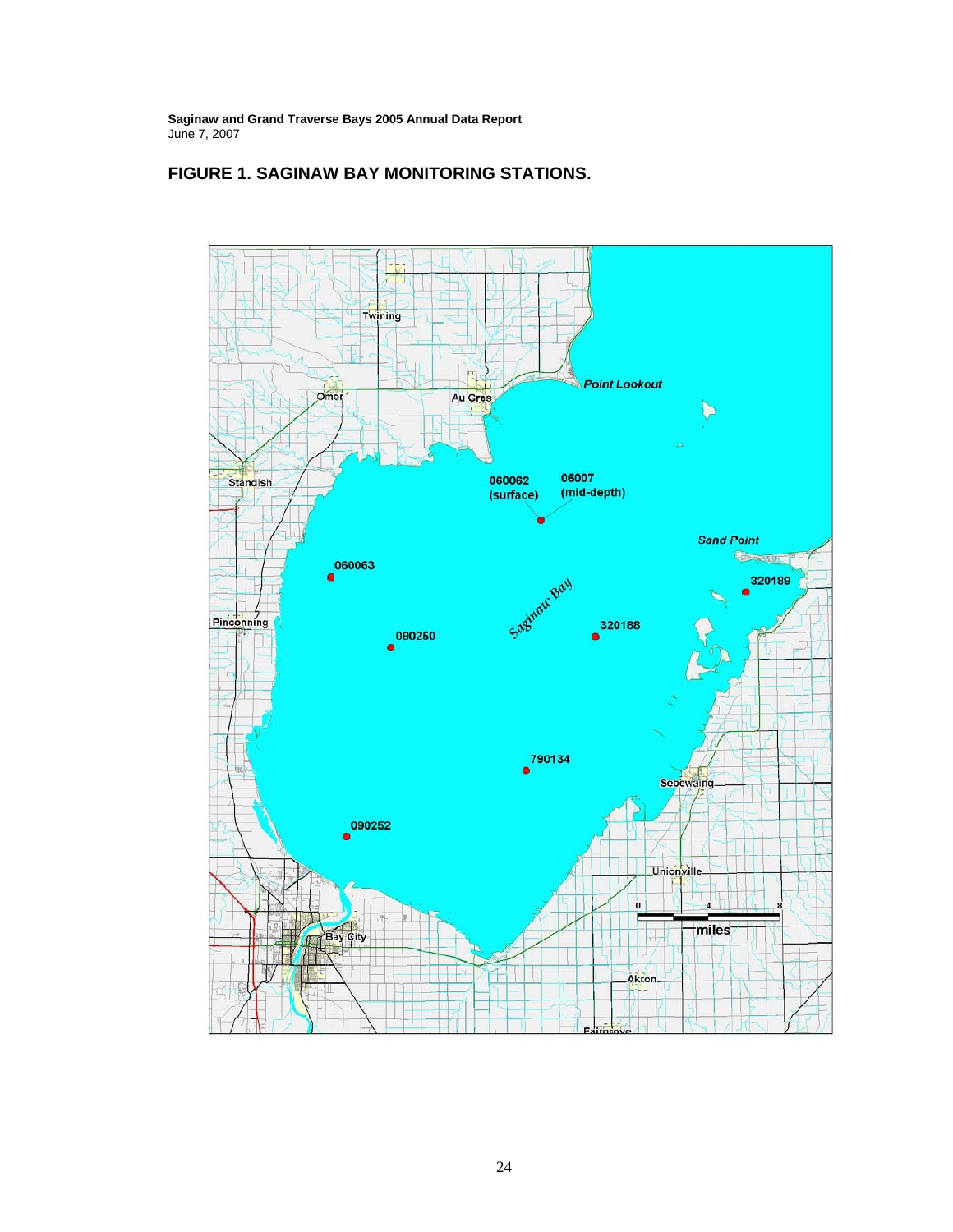

### **FIGURE 1. SAGINAW BAY MONITORING STATIONS.**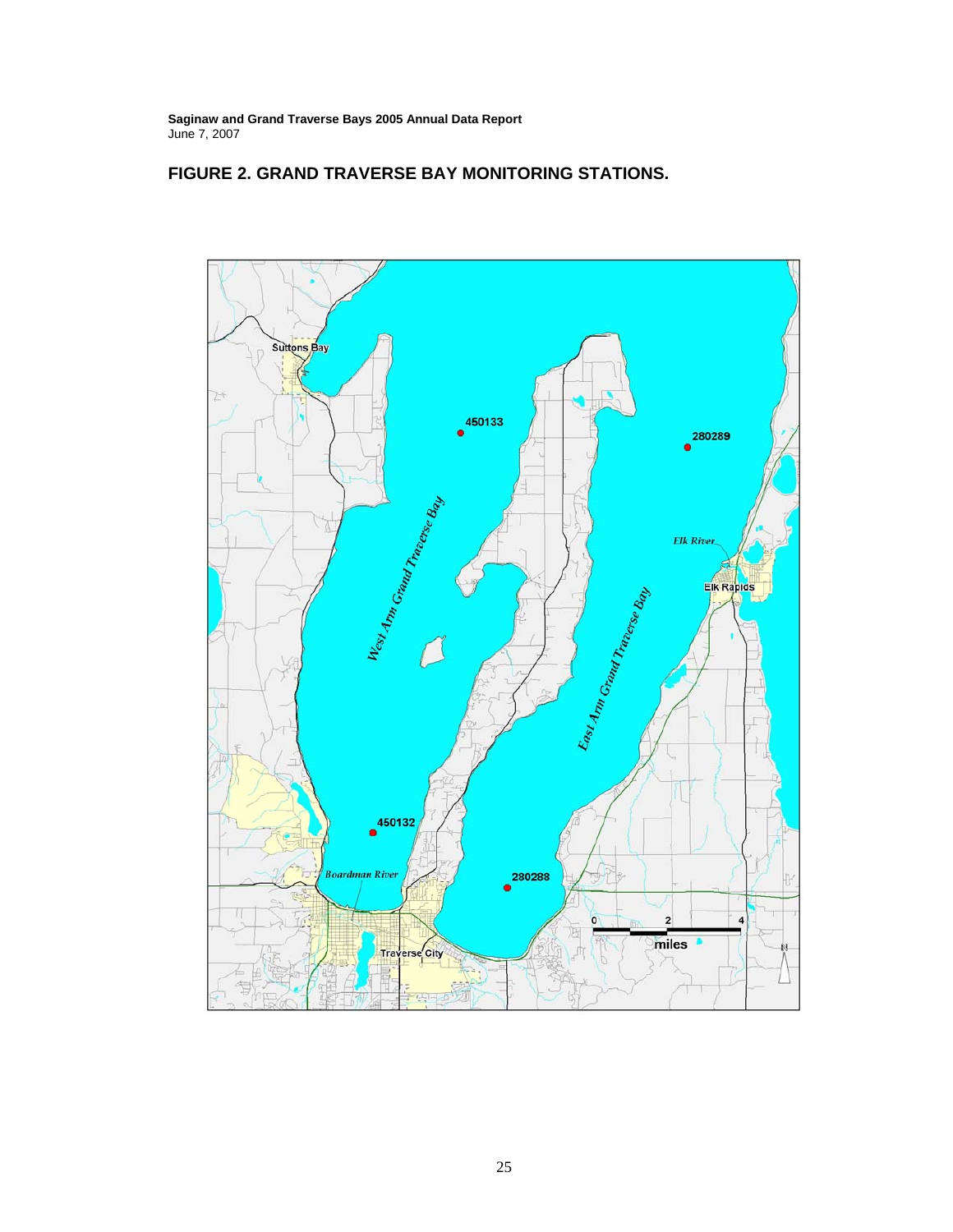

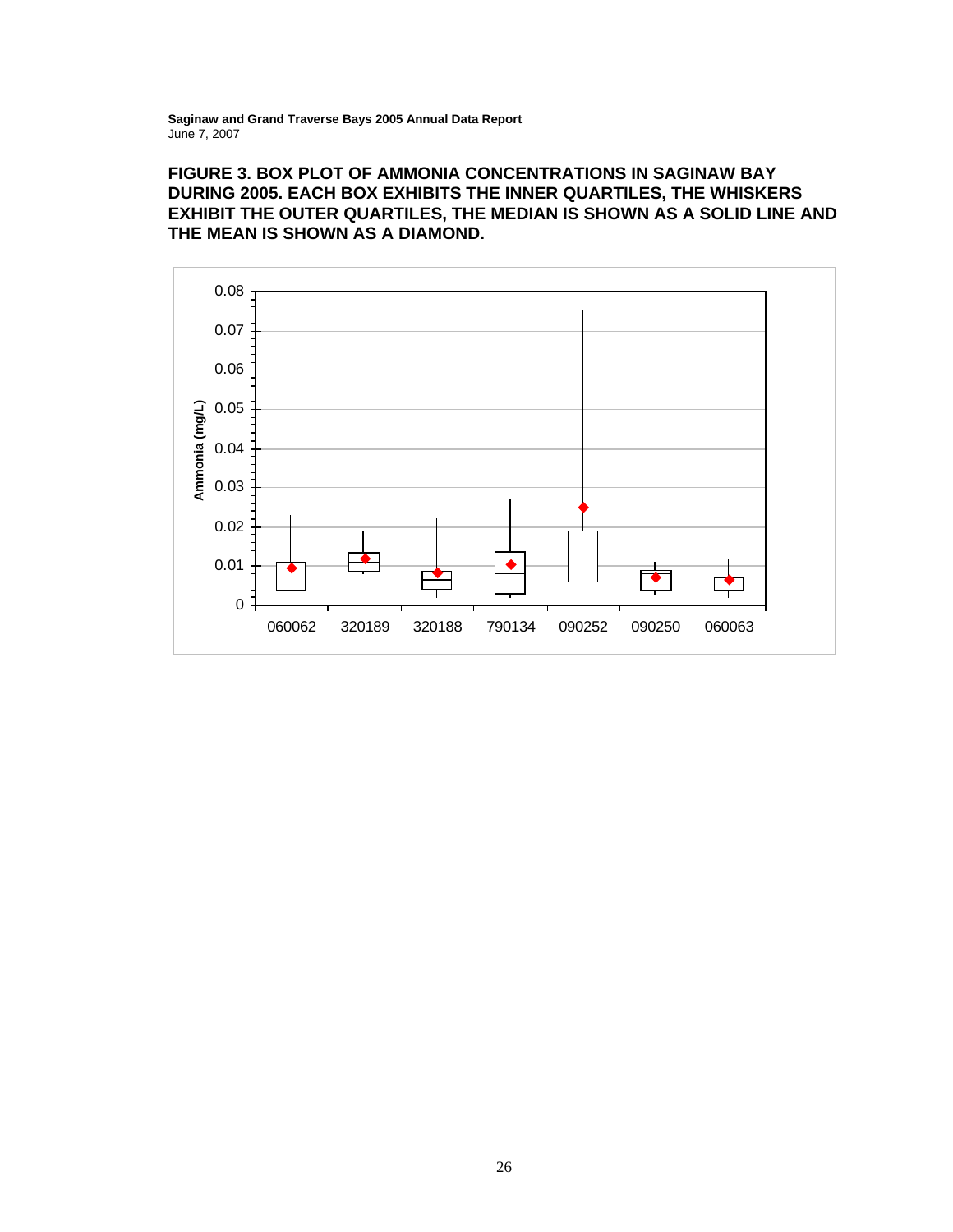# **FIGURE 3. BOX PLOT OF AMMONIA CONCENTRATIONS IN SAGINAW BAY DURING 2005. EACH BOX EXHIBITS THE INNER QUARTILES, THE WHISKERS EXHIBIT THE OUTER QUARTILES, THE MEDIAN IS SHOWN AS A SOLID LINE AND THE MEAN IS SHOWN AS A DIAMOND.**

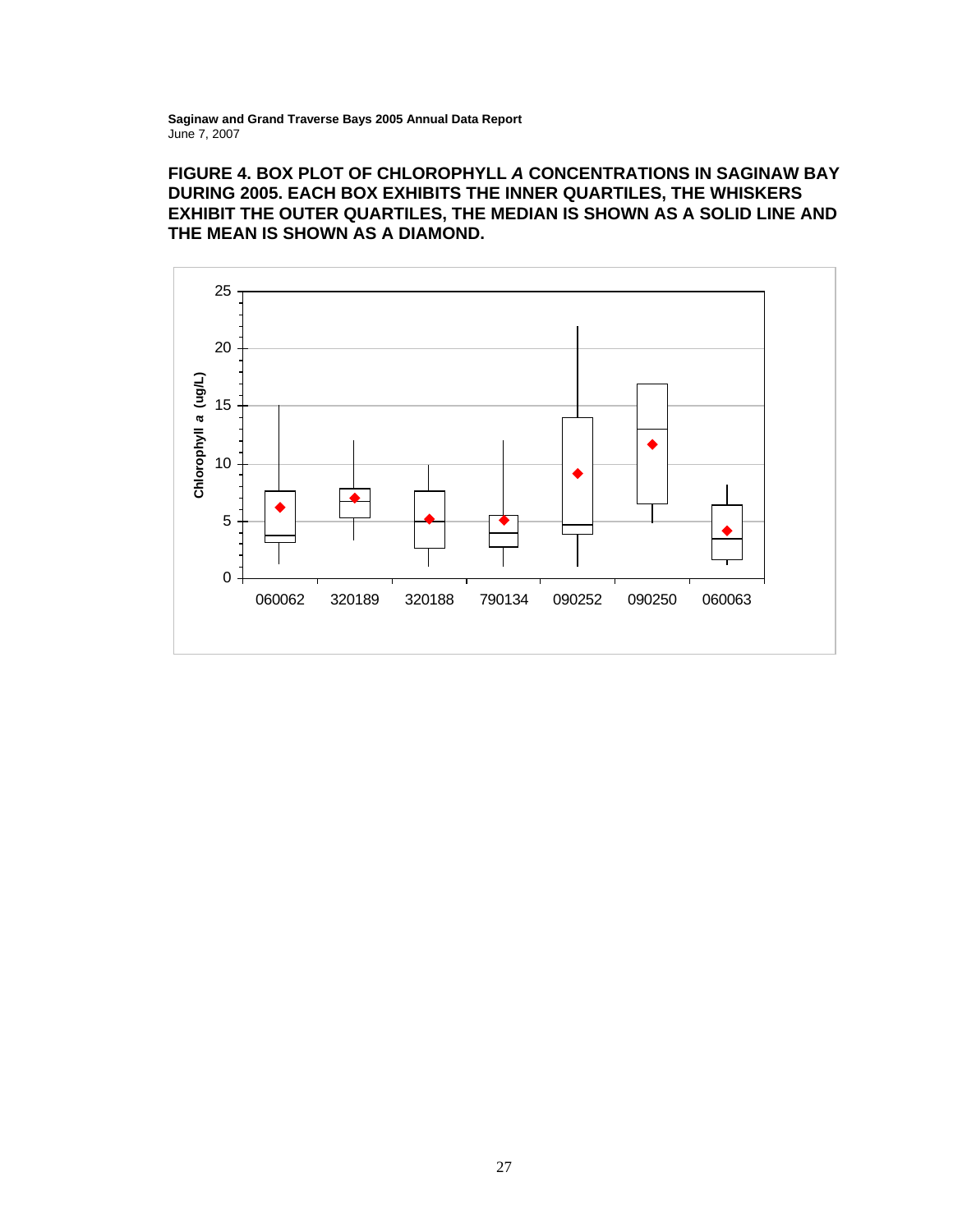# **FIGURE 4. BOX PLOT OF CHLOROPHYLL** *A* **CONCENTRATIONS IN SAGINAW BAY DURING 2005. EACH BOX EXHIBITS THE INNER QUARTILES, THE WHISKERS EXHIBIT THE OUTER QUARTILES, THE MEDIAN IS SHOWN AS A SOLID LINE AND THE MEAN IS SHOWN AS A DIAMOND.**

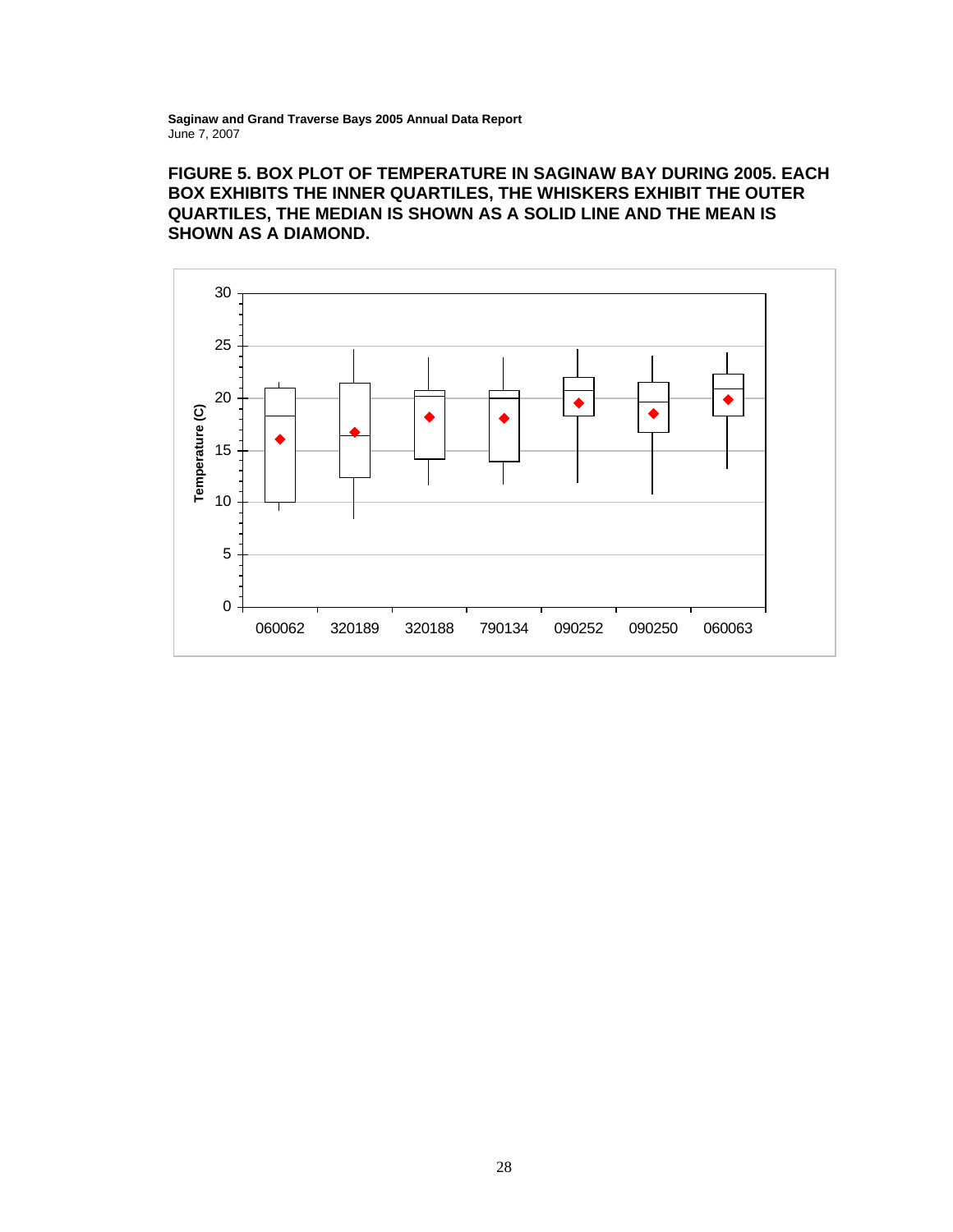# **FIGURE 5. BOX PLOT OF TEMPERATURE IN SAGINAW BAY DURING 2005. EACH BOX EXHIBITS THE INNER QUARTILES, THE WHISKERS EXHIBIT THE OUTER QUARTILES, THE MEDIAN IS SHOWN AS A SOLID LINE AND THE MEAN IS SHOWN AS A DIAMOND.**

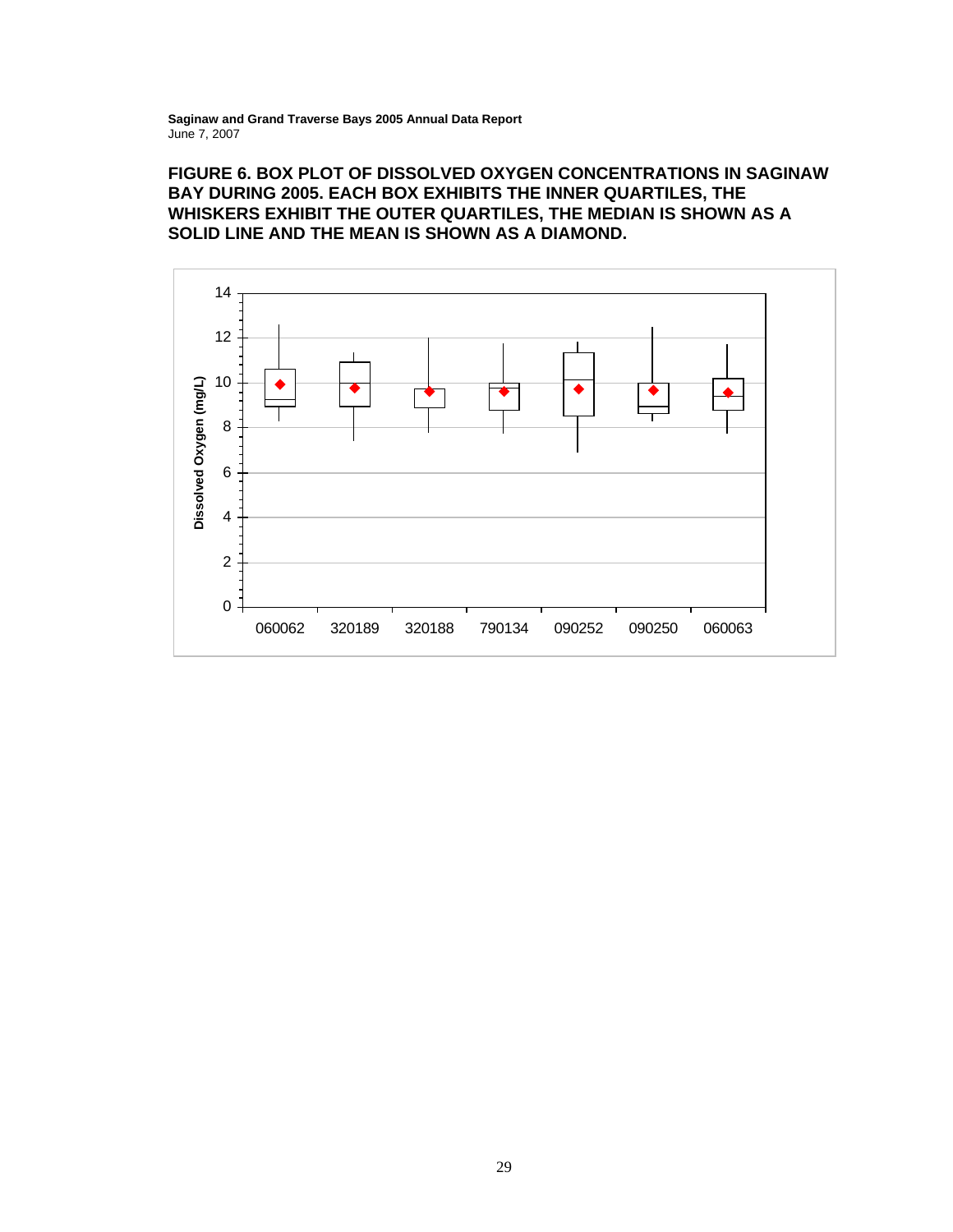### **FIGURE 6. BOX PLOT OF DISSOLVED OXYGEN CONCENTRATIONS IN SAGINAW BAY DURING 2005. EACH BOX EXHIBITS THE INNER QUARTILES, THE WHISKERS EXHIBIT THE OUTER QUARTILES, THE MEDIAN IS SHOWN AS A SOLID LINE AND THE MEAN IS SHOWN AS A DIAMOND.**

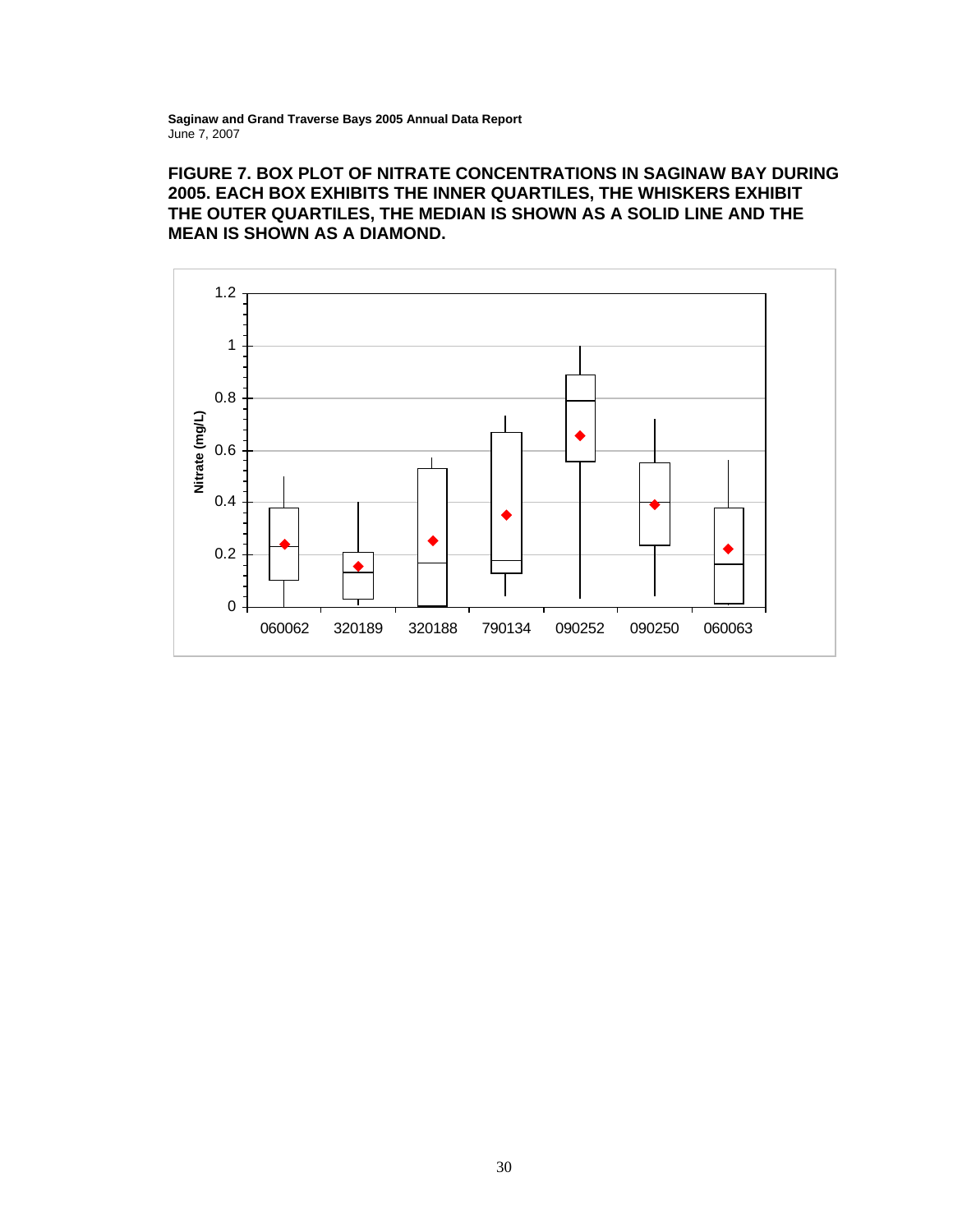# **FIGURE 7. BOX PLOT OF NITRATE CONCENTRATIONS IN SAGINAW BAY DURING 2005. EACH BOX EXHIBITS THE INNER QUARTILES, THE WHISKERS EXHIBIT THE OUTER QUARTILES, THE MEDIAN IS SHOWN AS A SOLID LINE AND THE MEAN IS SHOWN AS A DIAMOND.**

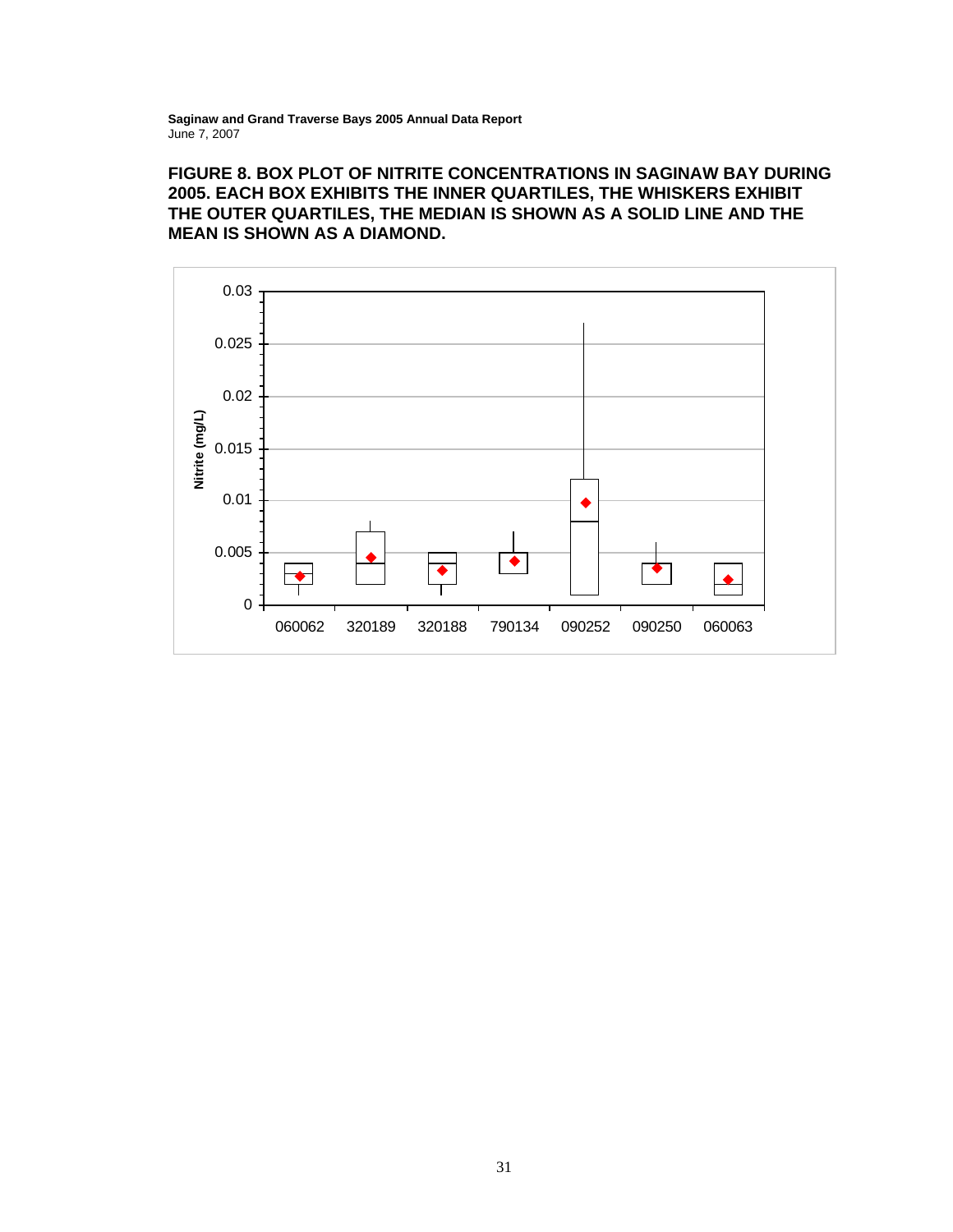# **FIGURE 8. BOX PLOT OF NITRITE CONCENTRATIONS IN SAGINAW BAY DURING 2005. EACH BOX EXHIBITS THE INNER QUARTILES, THE WHISKERS EXHIBIT THE OUTER QUARTILES, THE MEDIAN IS SHOWN AS A SOLID LINE AND THE MEAN IS SHOWN AS A DIAMOND.**

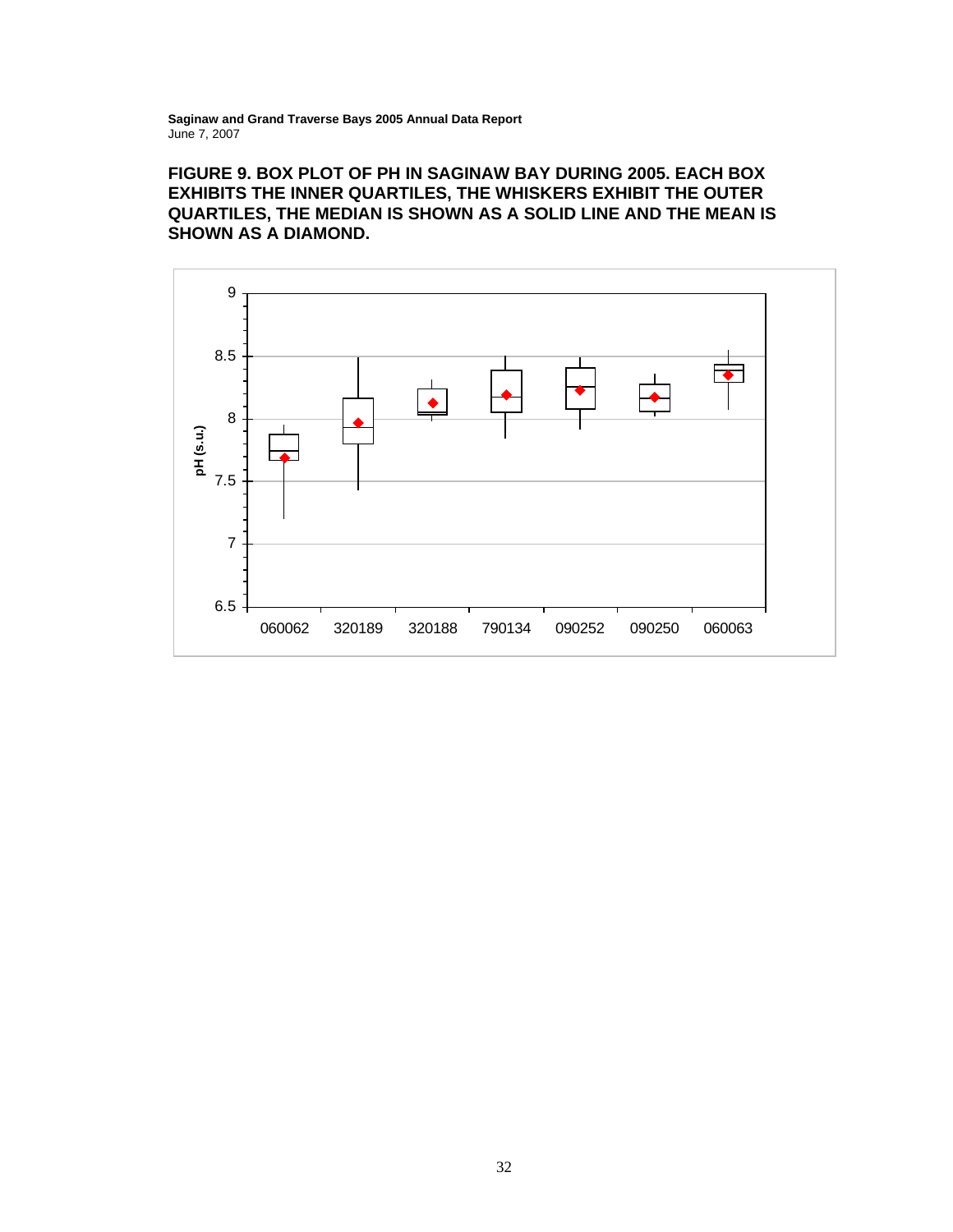**FIGURE 9. BOX PLOT OF PH IN SAGINAW BAY DURING 2005. EACH BOX EXHIBITS THE INNER QUARTILES, THE WHISKERS EXHIBIT THE OUTER QUARTILES, THE MEDIAN IS SHOWN AS A SOLID LINE AND THE MEAN IS SHOWN AS A DIAMOND.** 

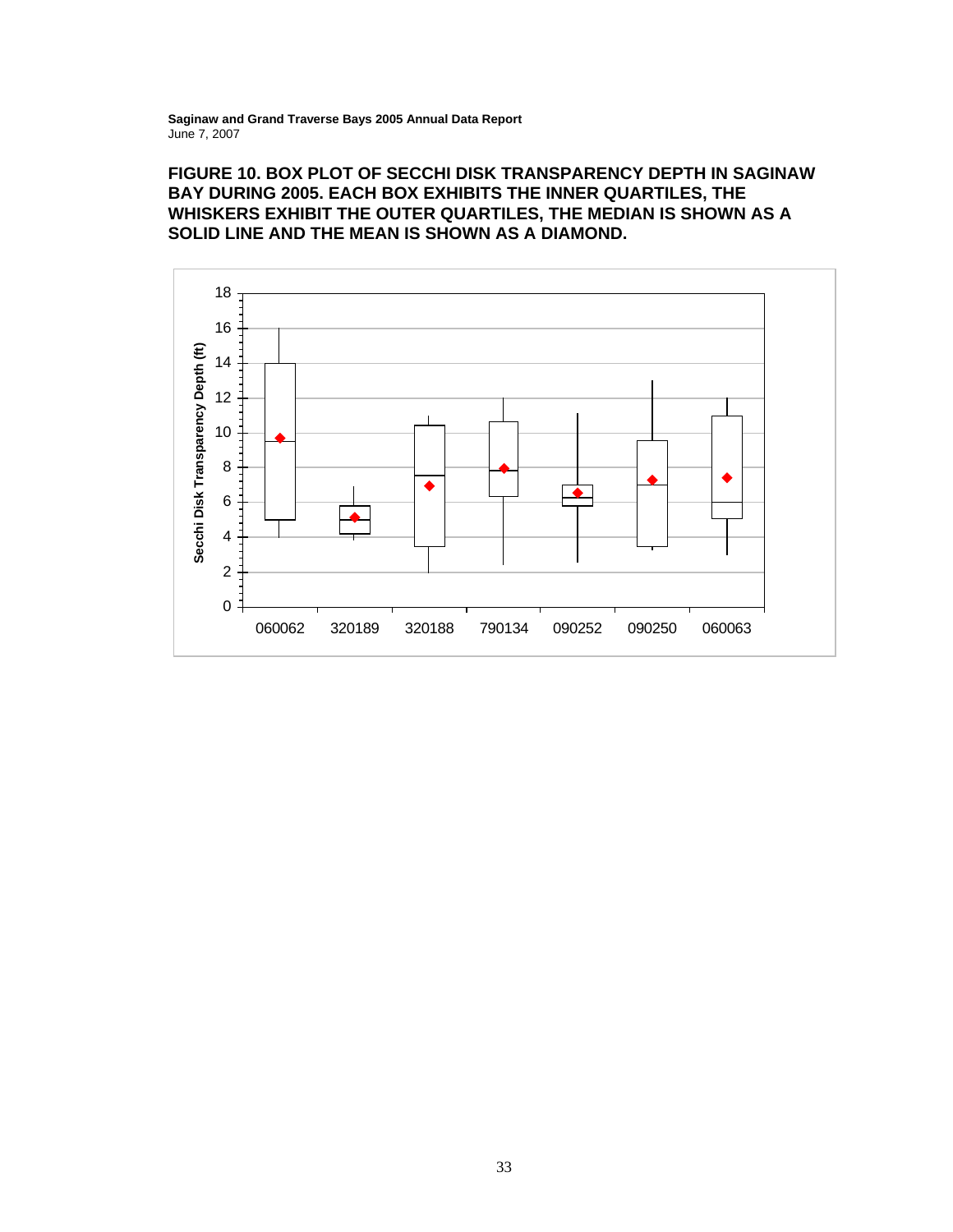### **FIGURE 10. BOX PLOT OF SECCHI DISK TRANSPARENCY DEPTH IN SAGINAW BAY DURING 2005. EACH BOX EXHIBITS THE INNER QUARTILES, THE WHISKERS EXHIBIT THE OUTER QUARTILES, THE MEDIAN IS SHOWN AS A SOLID LINE AND THE MEAN IS SHOWN AS A DIAMOND.**

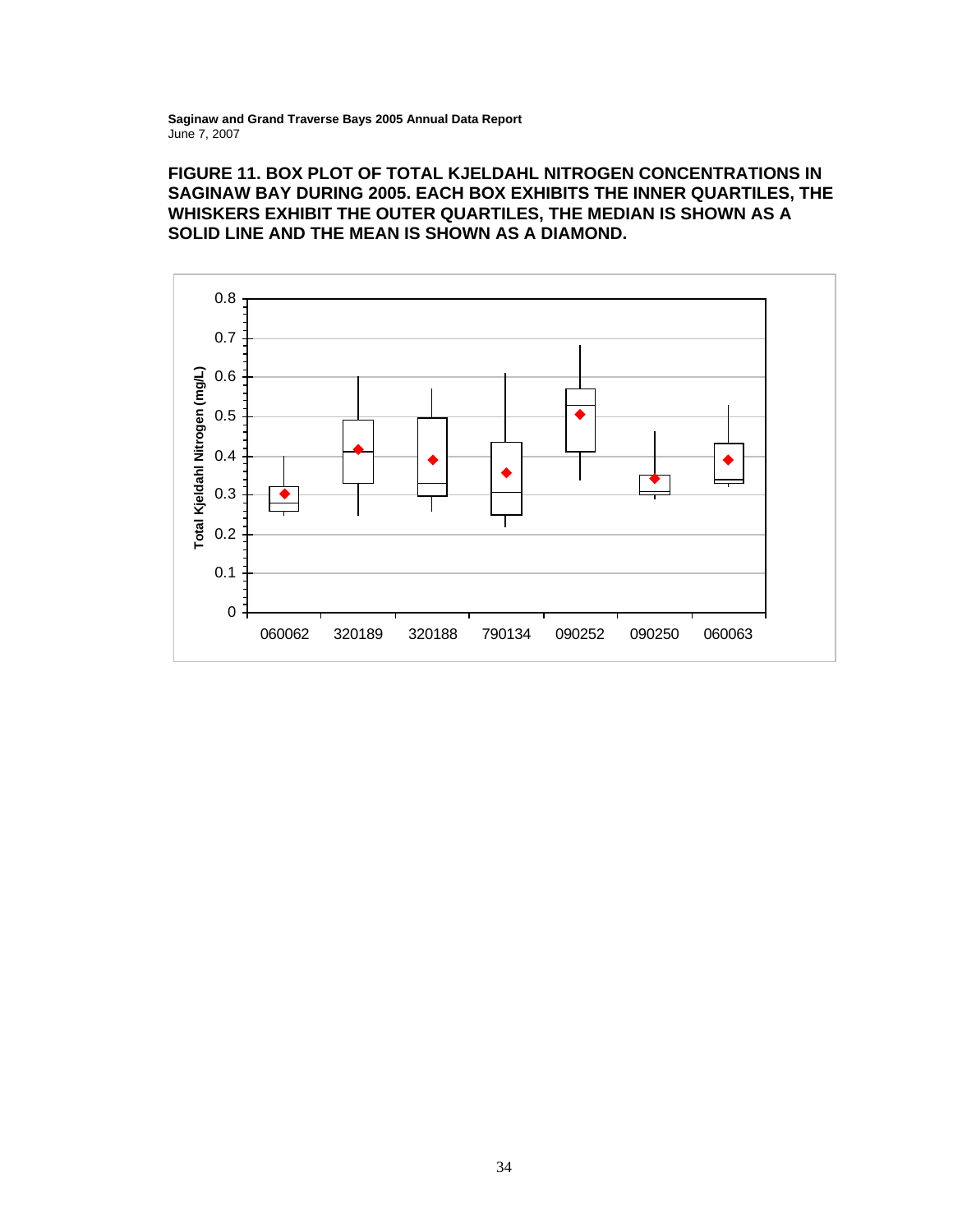# **FIGURE 11. BOX PLOT OF TOTAL KJELDAHL NITROGEN CONCENTRATIONS IN SAGINAW BAY DURING 2005. EACH BOX EXHIBITS THE INNER QUARTILES, THE WHISKERS EXHIBIT THE OUTER QUARTILES, THE MEDIAN IS SHOWN AS A SOLID LINE AND THE MEAN IS SHOWN AS A DIAMOND.**

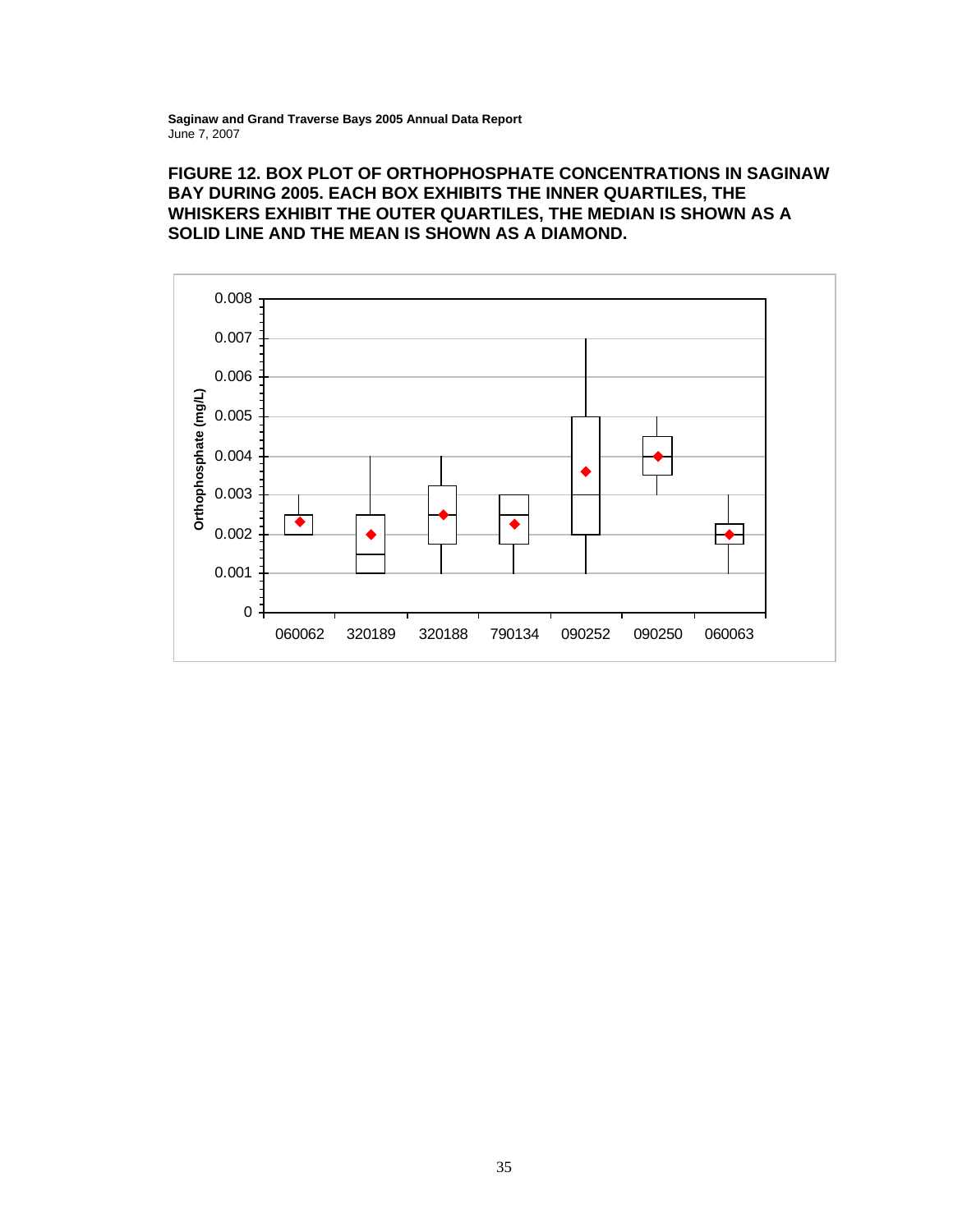#### **FIGURE 12. BOX PLOT OF ORTHOPHOSPHATE CONCENTRATIONS IN SAGINAW BAY DURING 2005. EACH BOX EXHIBITS THE INNER QUARTILES, THE WHISKERS EXHIBIT THE OUTER QUARTILES, THE MEDIAN IS SHOWN AS A SOLID LINE AND THE MEAN IS SHOWN AS A DIAMOND.**

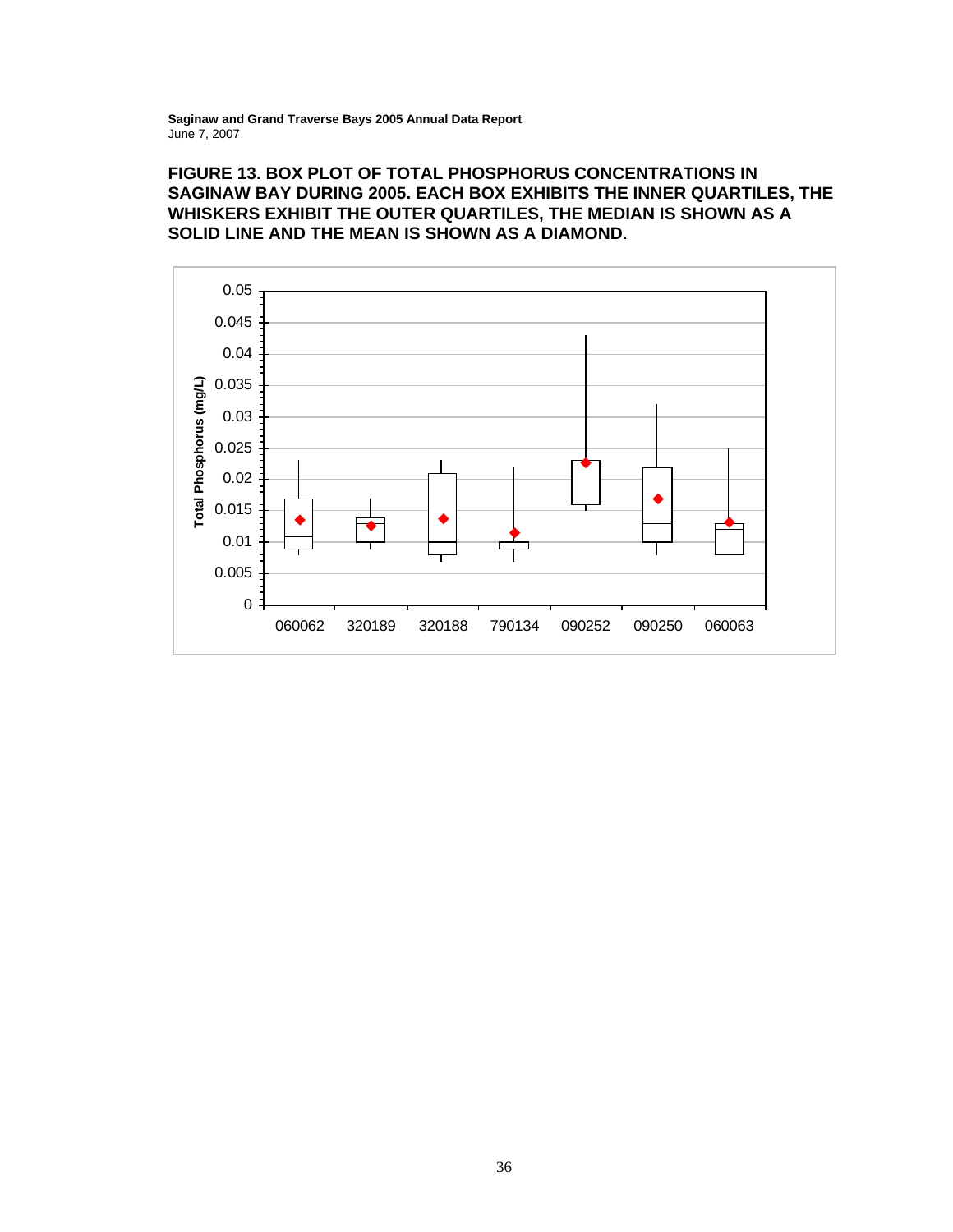### **FIGURE 13. BOX PLOT OF TOTAL PHOSPHORUS CONCENTRATIONS IN SAGINAW BAY DURING 2005. EACH BOX EXHIBITS THE INNER QUARTILES, THE WHISKERS EXHIBIT THE OUTER QUARTILES, THE MEDIAN IS SHOWN AS A SOLID LINE AND THE MEAN IS SHOWN AS A DIAMOND.**

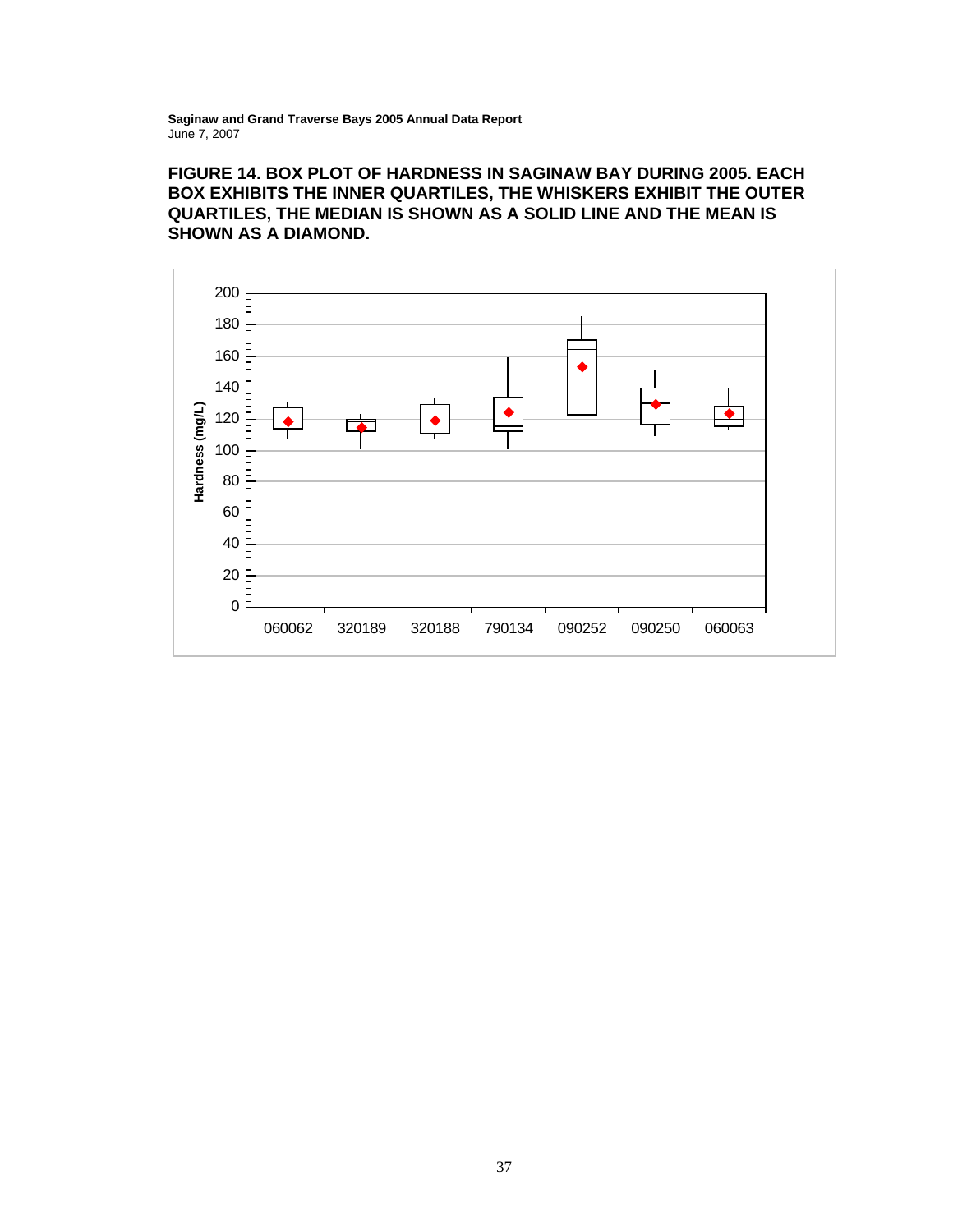# **FIGURE 14. BOX PLOT OF HARDNESS IN SAGINAW BAY DURING 2005. EACH BOX EXHIBITS THE INNER QUARTILES, THE WHISKERS EXHIBIT THE OUTER QUARTILES, THE MEDIAN IS SHOWN AS A SOLID LINE AND THE MEAN IS SHOWN AS A DIAMOND.**

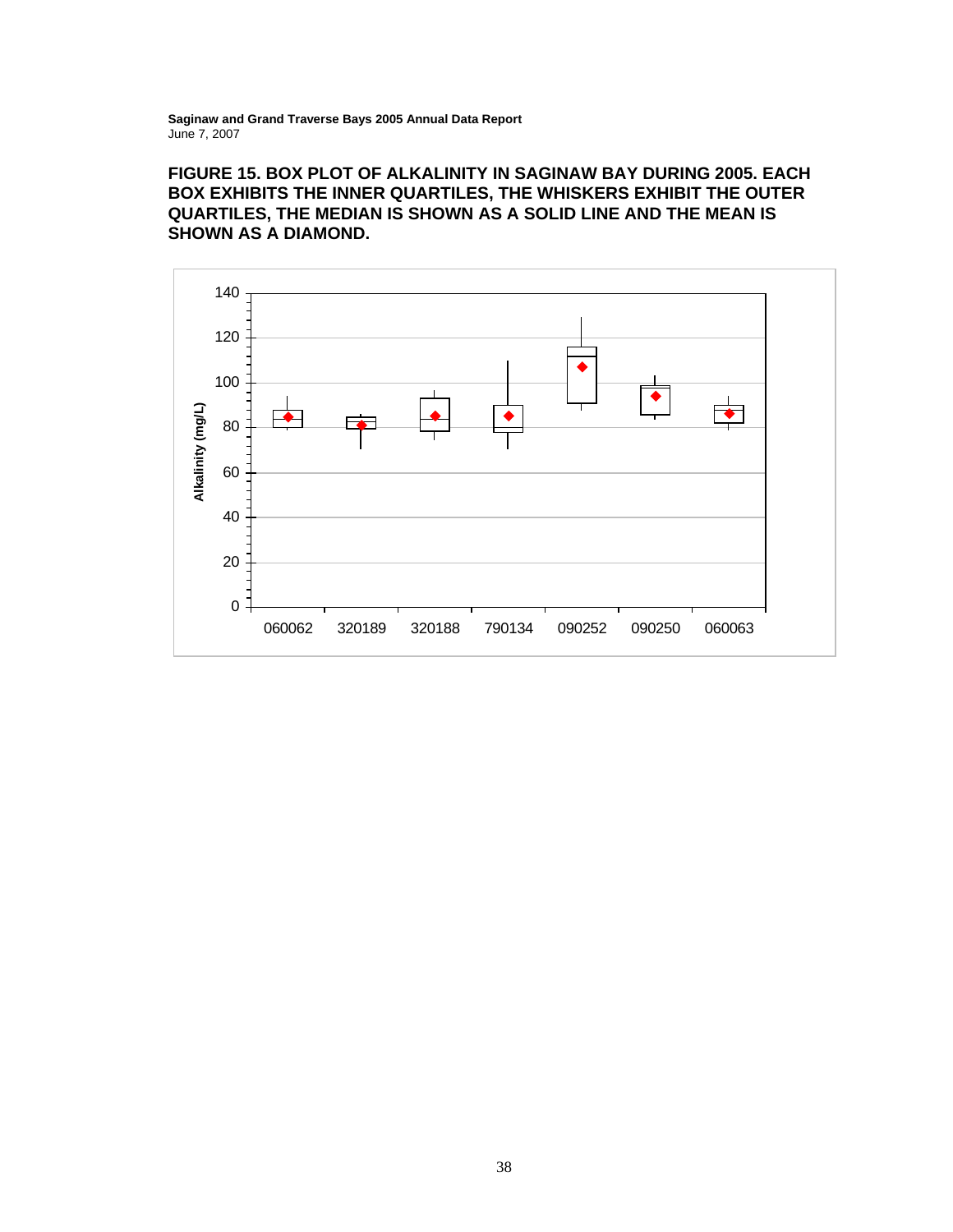# **FIGURE 15. BOX PLOT OF ALKALINITY IN SAGINAW BAY DURING 2005. EACH BOX EXHIBITS THE INNER QUARTILES, THE WHISKERS EXHIBIT THE OUTER QUARTILES, THE MEDIAN IS SHOWN AS A SOLID LINE AND THE MEAN IS SHOWN AS A DIAMOND.**

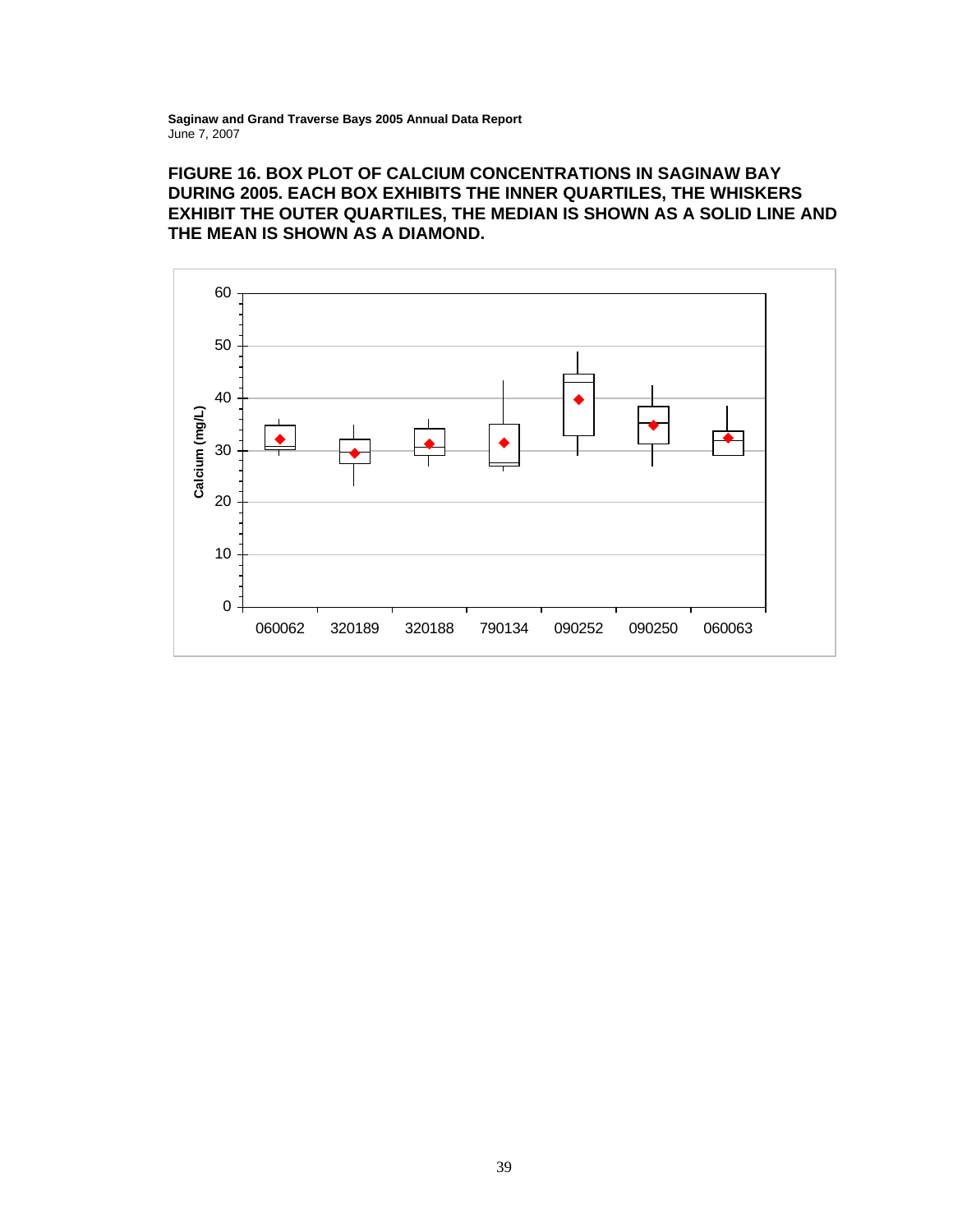# **FIGURE 16. BOX PLOT OF CALCIUM CONCENTRATIONS IN SAGINAW BAY DURING 2005. EACH BOX EXHIBITS THE INNER QUARTILES, THE WHISKERS EXHIBIT THE OUTER QUARTILES, THE MEDIAN IS SHOWN AS A SOLID LINE AND THE MEAN IS SHOWN AS A DIAMOND.**

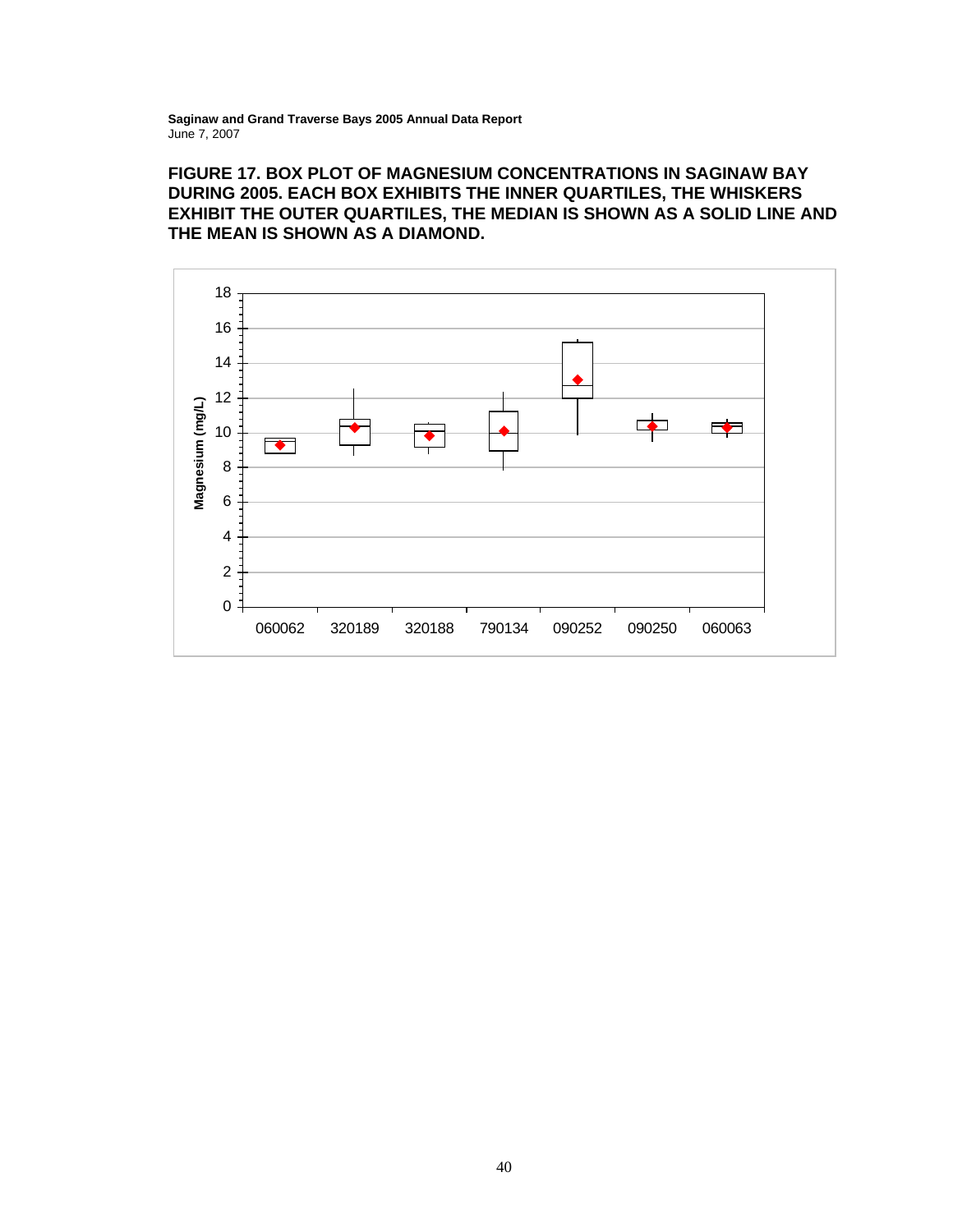**FIGURE 17. BOX PLOT OF MAGNESIUM CONCENTRATIONS IN SAGINAW BAY DURING 2005. EACH BOX EXHIBITS THE INNER QUARTILES, THE WHISKERS EXHIBIT THE OUTER QUARTILES, THE MEDIAN IS SHOWN AS A SOLID LINE AND THE MEAN IS SHOWN AS A DIAMOND.** 

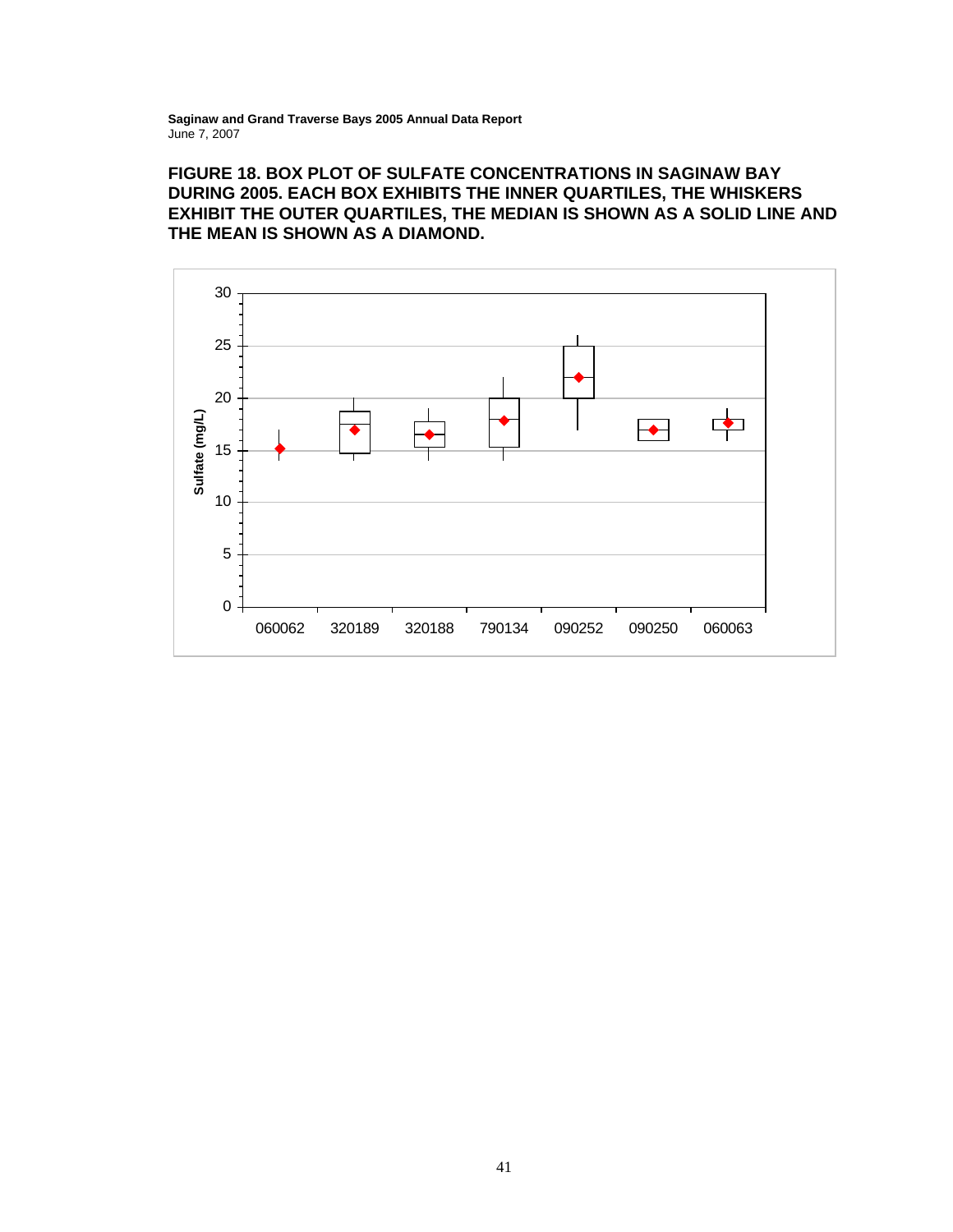# **FIGURE 18. BOX PLOT OF SULFATE CONCENTRATIONS IN SAGINAW BAY DURING 2005. EACH BOX EXHIBITS THE INNER QUARTILES, THE WHISKERS EXHIBIT THE OUTER QUARTILES, THE MEDIAN IS SHOWN AS A SOLID LINE AND THE MEAN IS SHOWN AS A DIAMOND.**

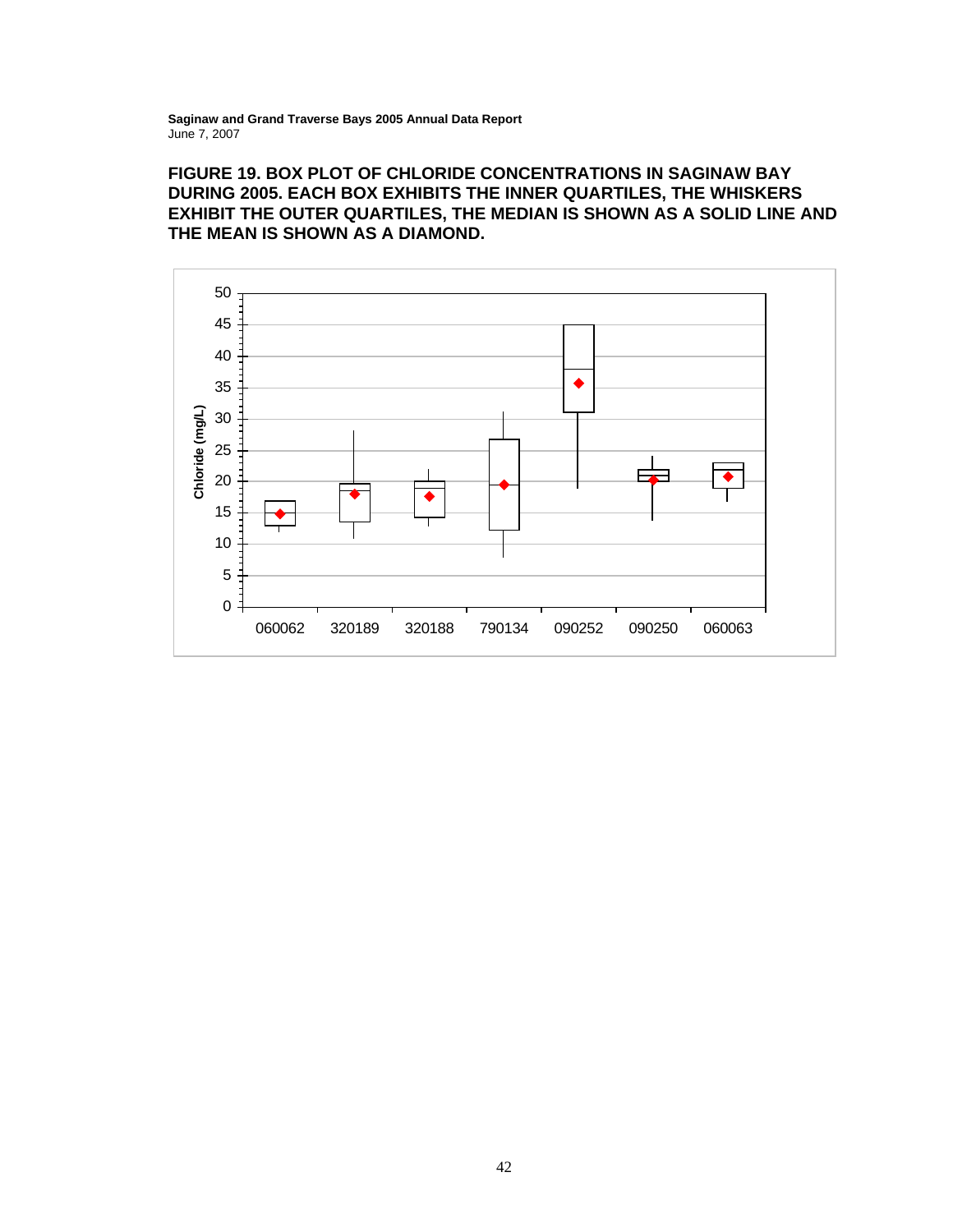# **FIGURE 19. BOX PLOT OF CHLORIDE CONCENTRATIONS IN SAGINAW BAY DURING 2005. EACH BOX EXHIBITS THE INNER QUARTILES, THE WHISKERS EXHIBIT THE OUTER QUARTILES, THE MEDIAN IS SHOWN AS A SOLID LINE AND THE MEAN IS SHOWN AS A DIAMOND.**

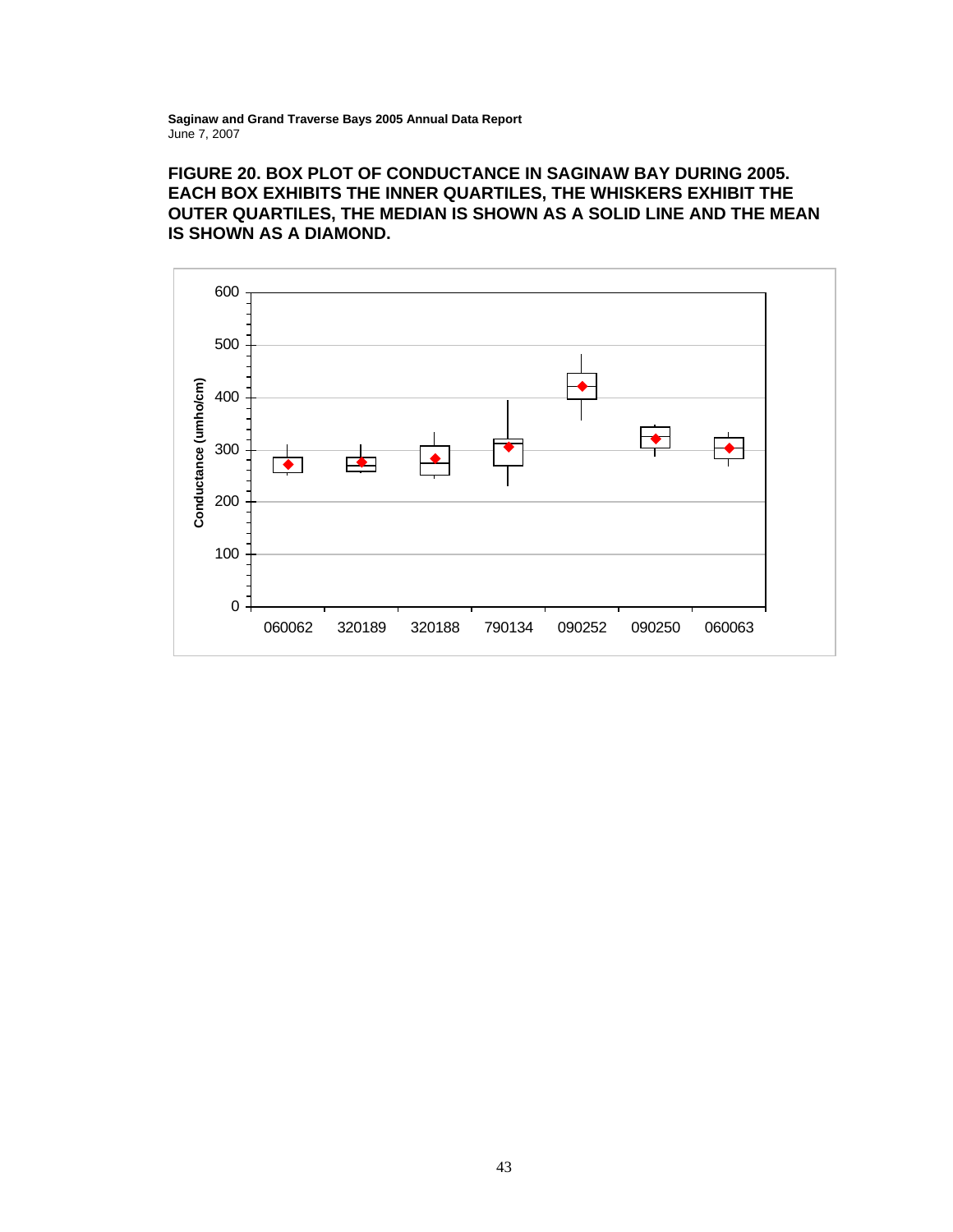# **FIGURE 20. BOX PLOT OF CONDUCTANCE IN SAGINAW BAY DURING 2005. EACH BOX EXHIBITS THE INNER QUARTILES, THE WHISKERS EXHIBIT THE OUTER QUARTILES, THE MEDIAN IS SHOWN AS A SOLID LINE AND THE MEAN IS SHOWN AS A DIAMOND.**

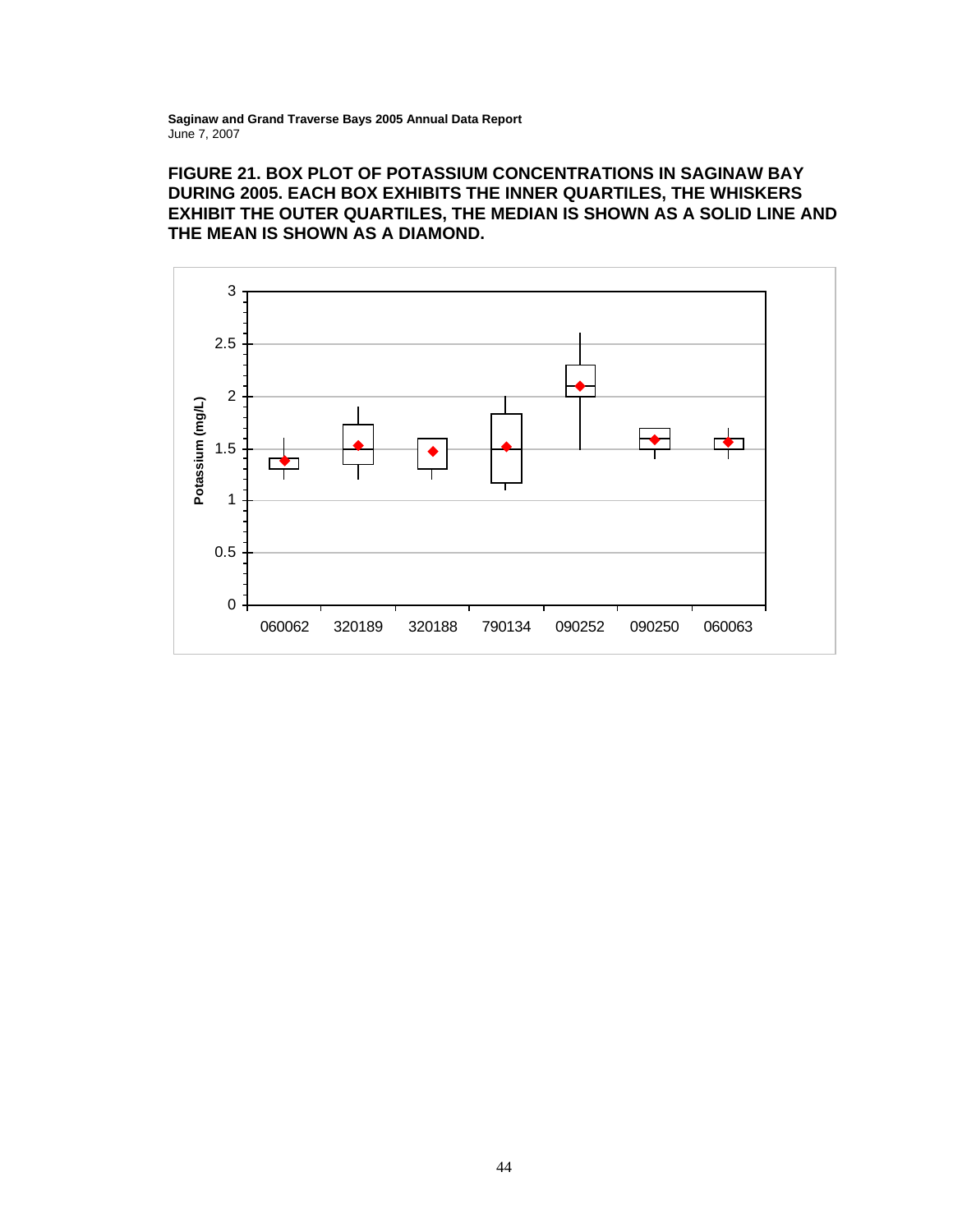# **FIGURE 21. BOX PLOT OF POTASSIUM CONCENTRATIONS IN SAGINAW BAY DURING 2005. EACH BOX EXHIBITS THE INNER QUARTILES, THE WHISKERS EXHIBIT THE OUTER QUARTILES, THE MEDIAN IS SHOWN AS A SOLID LINE AND THE MEAN IS SHOWN AS A DIAMOND.**

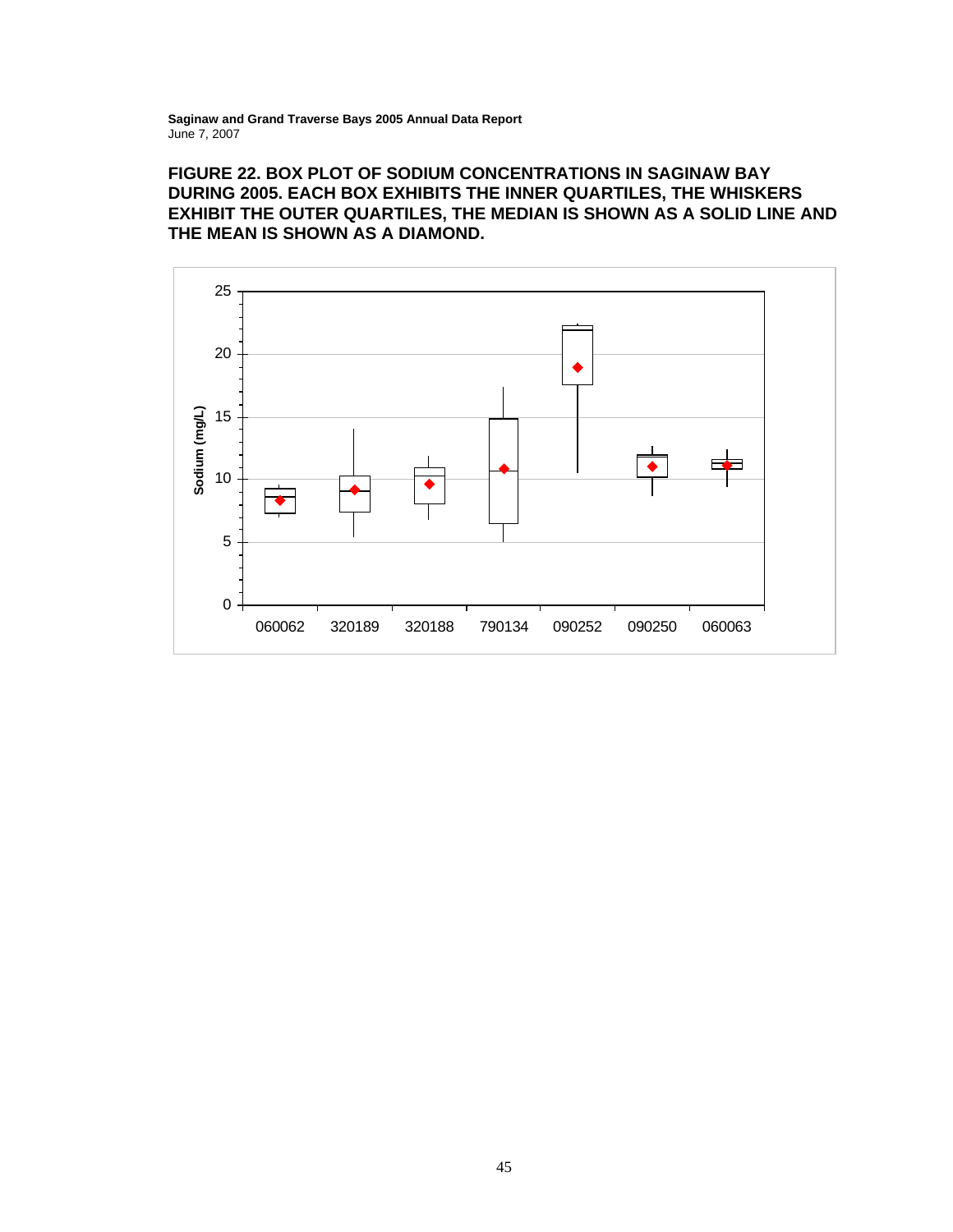# **FIGURE 22. BOX PLOT OF SODIUM CONCENTRATIONS IN SAGINAW BAY DURING 2005. EACH BOX EXHIBITS THE INNER QUARTILES, THE WHISKERS EXHIBIT THE OUTER QUARTILES, THE MEDIAN IS SHOWN AS A SOLID LINE AND THE MEAN IS SHOWN AS A DIAMOND.**

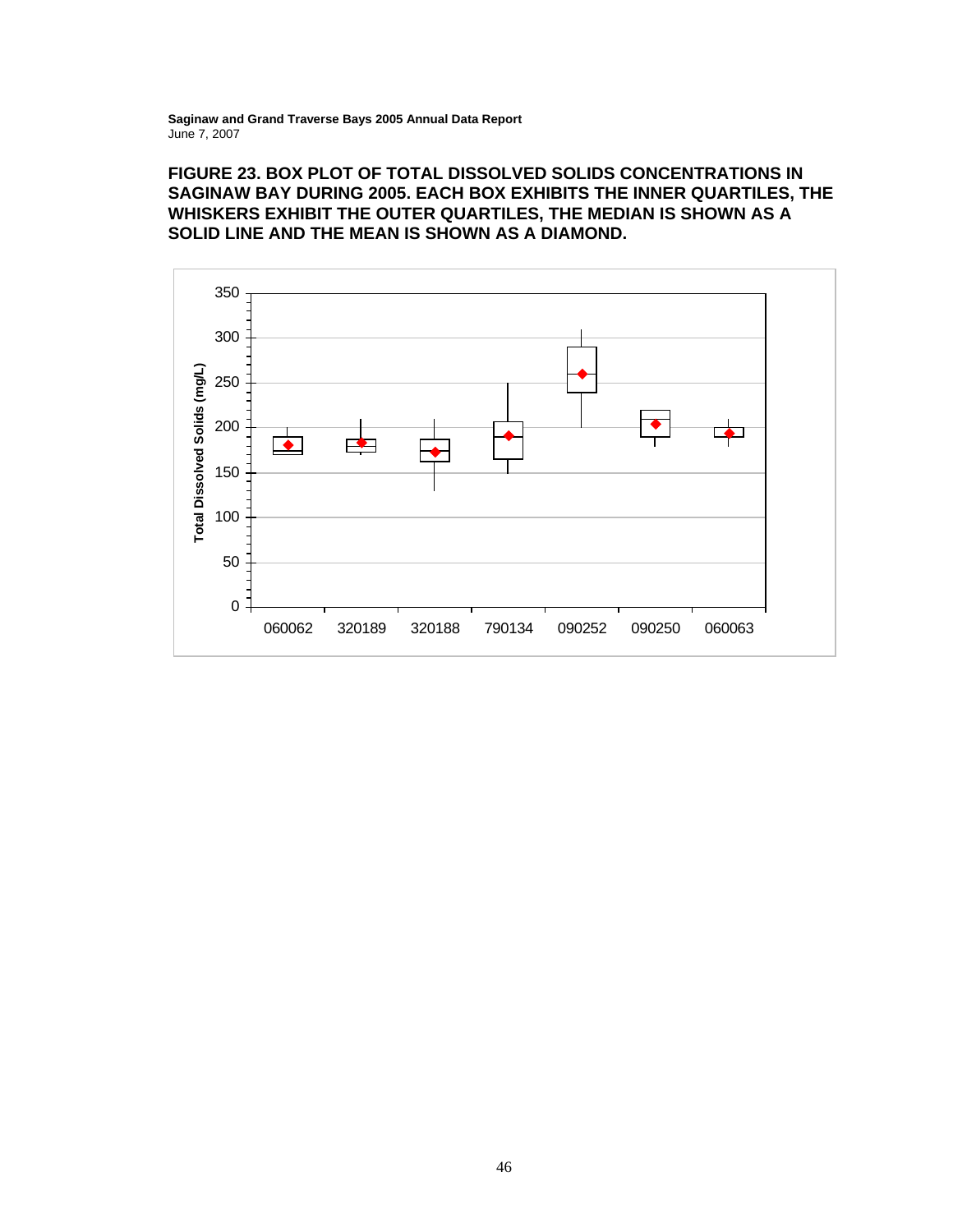# **FIGURE 23. BOX PLOT OF TOTAL DISSOLVED SOLIDS CONCENTRATIONS IN SAGINAW BAY DURING 2005. EACH BOX EXHIBITS THE INNER QUARTILES, THE WHISKERS EXHIBIT THE OUTER QUARTILES, THE MEDIAN IS SHOWN AS A SOLID LINE AND THE MEAN IS SHOWN AS A DIAMOND.**

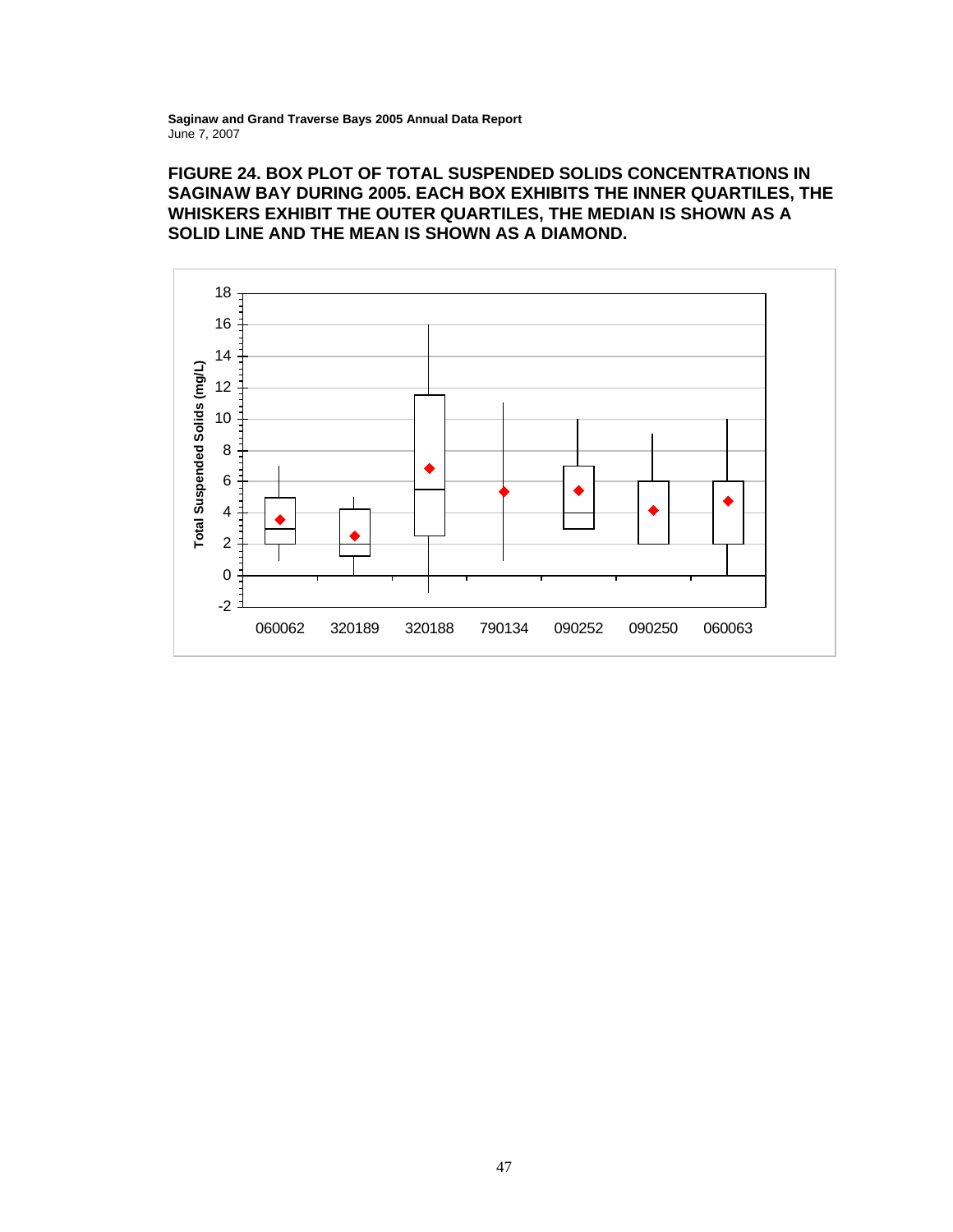# **FIGURE 24. BOX PLOT OF TOTAL SUSPENDED SOLIDS CONCENTRATIONS IN SAGINAW BAY DURING 2005. EACH BOX EXHIBITS THE INNER QUARTILES, THE WHISKERS EXHIBIT THE OUTER QUARTILES, THE MEDIAN IS SHOWN AS A SOLID LINE AND THE MEAN IS SHOWN AS A DIAMOND.**

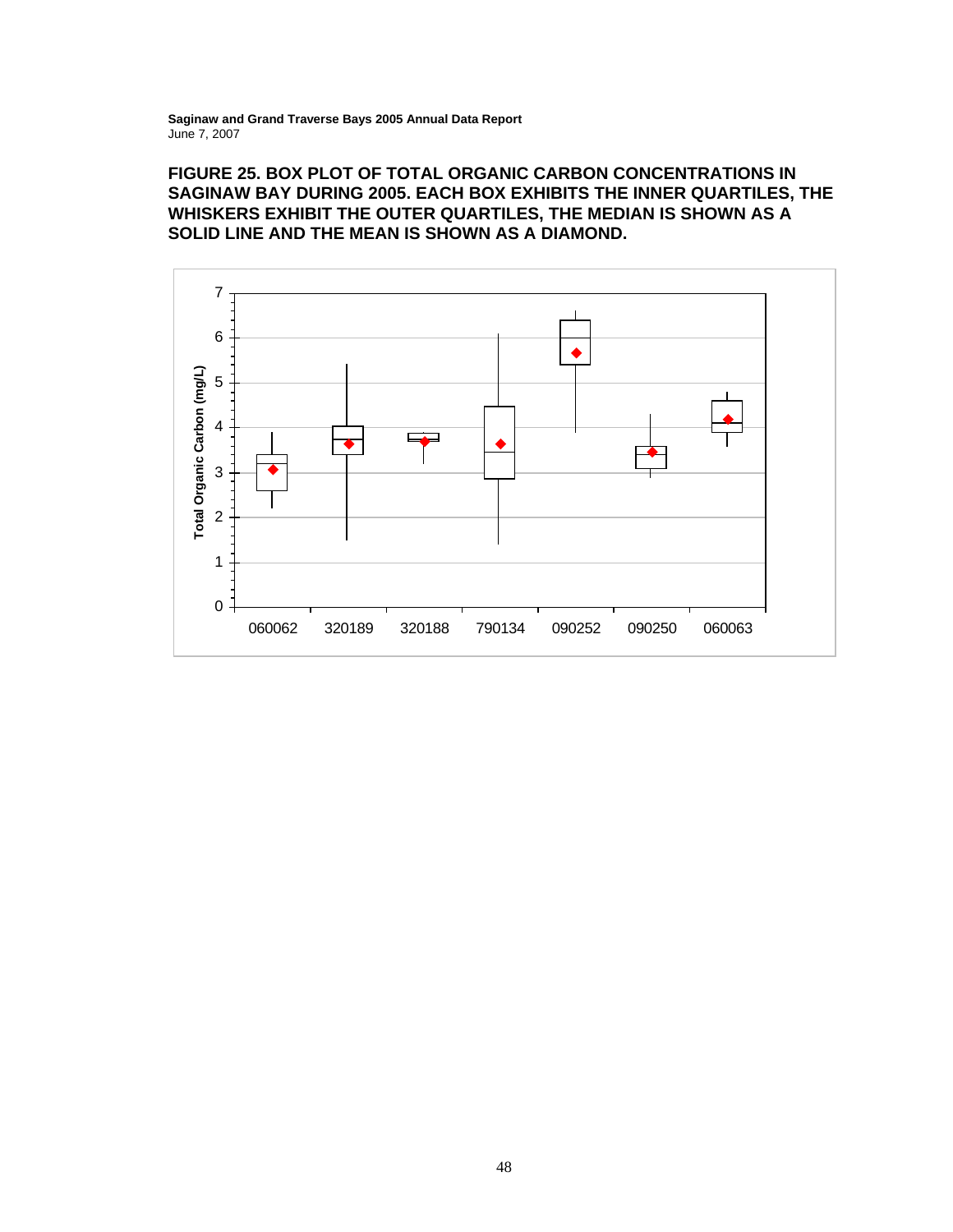# **FIGURE 25. BOX PLOT OF TOTAL ORGANIC CARBON CONCENTRATIONS IN SAGINAW BAY DURING 2005. EACH BOX EXHIBITS THE INNER QUARTILES, THE WHISKERS EXHIBIT THE OUTER QUARTILES, THE MEDIAN IS SHOWN AS A SOLID LINE AND THE MEAN IS SHOWN AS A DIAMOND.**

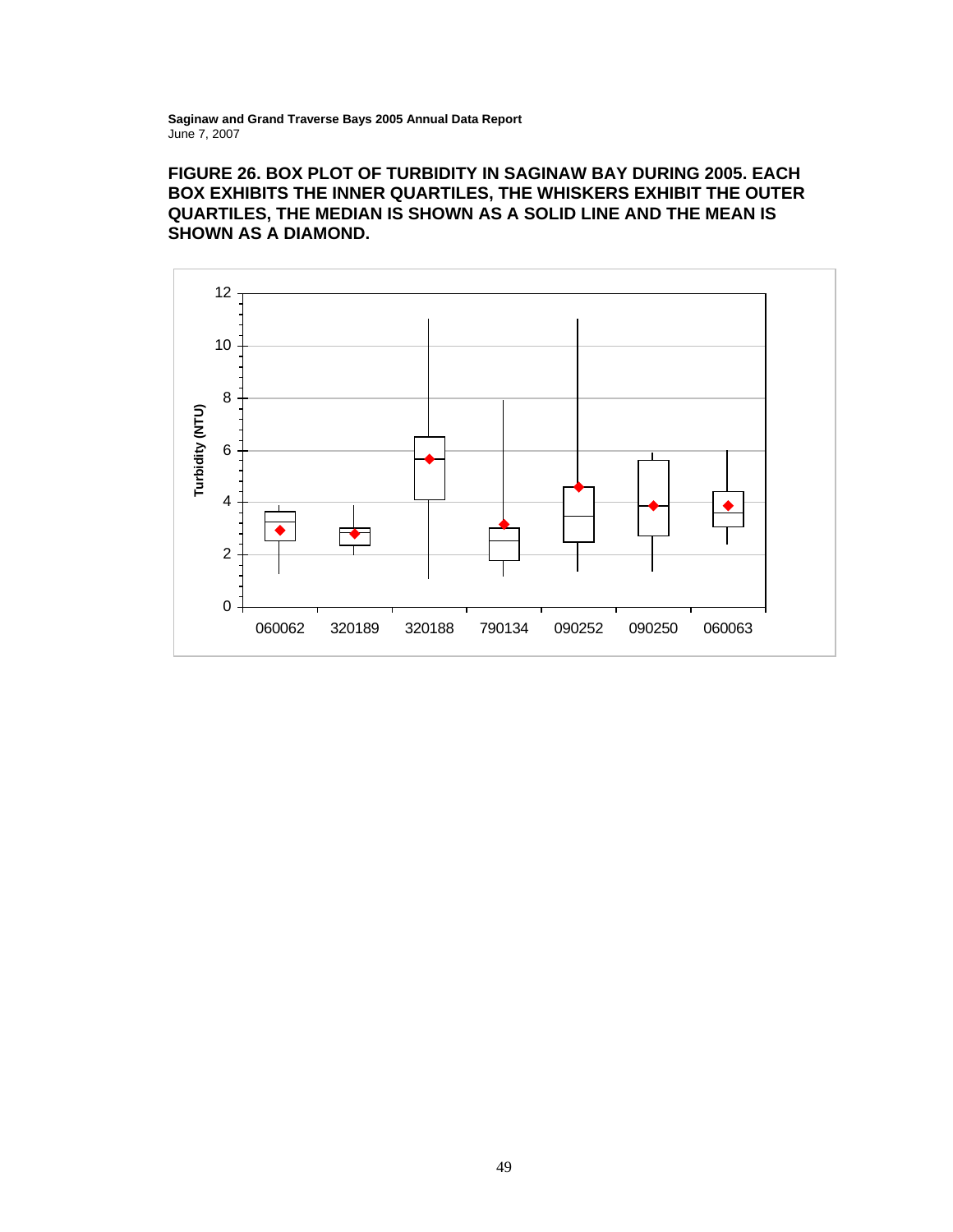# **FIGURE 26. BOX PLOT OF TURBIDITY IN SAGINAW BAY DURING 2005. EACH BOX EXHIBITS THE INNER QUARTILES, THE WHISKERS EXHIBIT THE OUTER QUARTILES, THE MEDIAN IS SHOWN AS A SOLID LINE AND THE MEAN IS SHOWN AS A DIAMOND.**

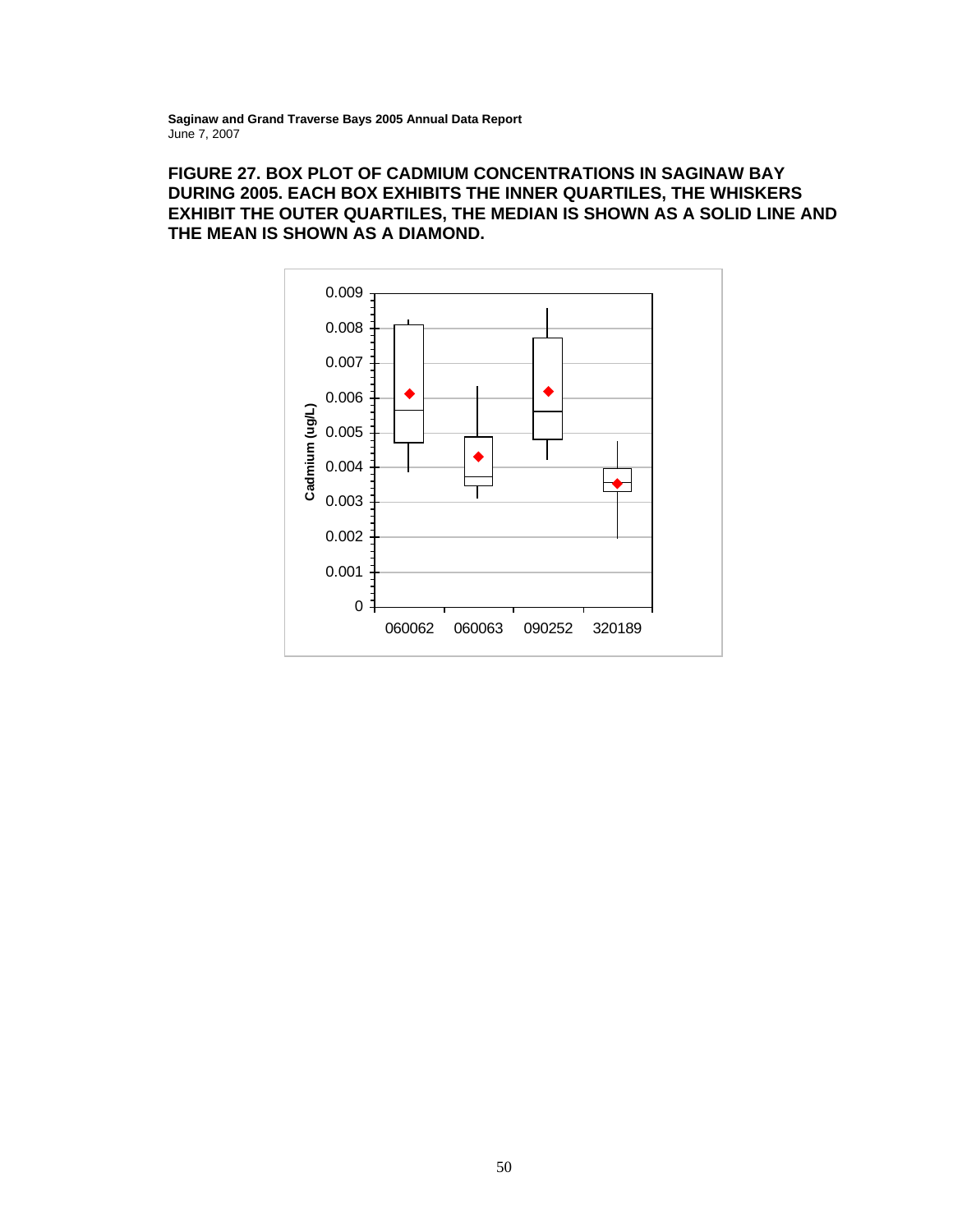# **FIGURE 27. BOX PLOT OF CADMIUM CONCENTRATIONS IN SAGINAW BAY DURING 2005. EACH BOX EXHIBITS THE INNER QUARTILES, THE WHISKERS EXHIBIT THE OUTER QUARTILES, THE MEDIAN IS SHOWN AS A SOLID LINE AND THE MEAN IS SHOWN AS A DIAMOND.**

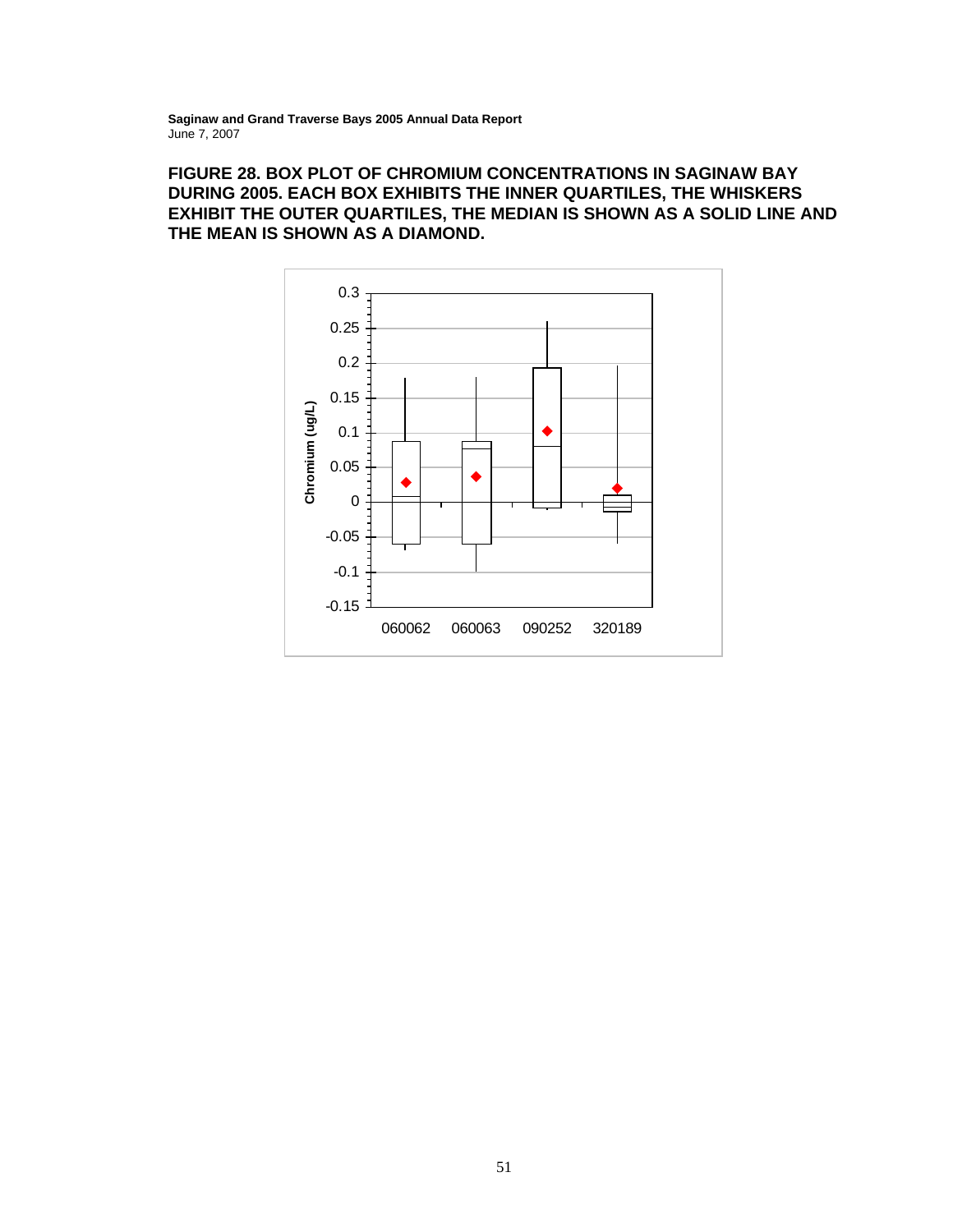# **FIGURE 28. BOX PLOT OF CHROMIUM CONCENTRATIONS IN SAGINAW BAY DURING 2005. EACH BOX EXHIBITS THE INNER QUARTILES, THE WHISKERS EXHIBIT THE OUTER QUARTILES, THE MEDIAN IS SHOWN AS A SOLID LINE AND THE MEAN IS SHOWN AS A DIAMOND.**

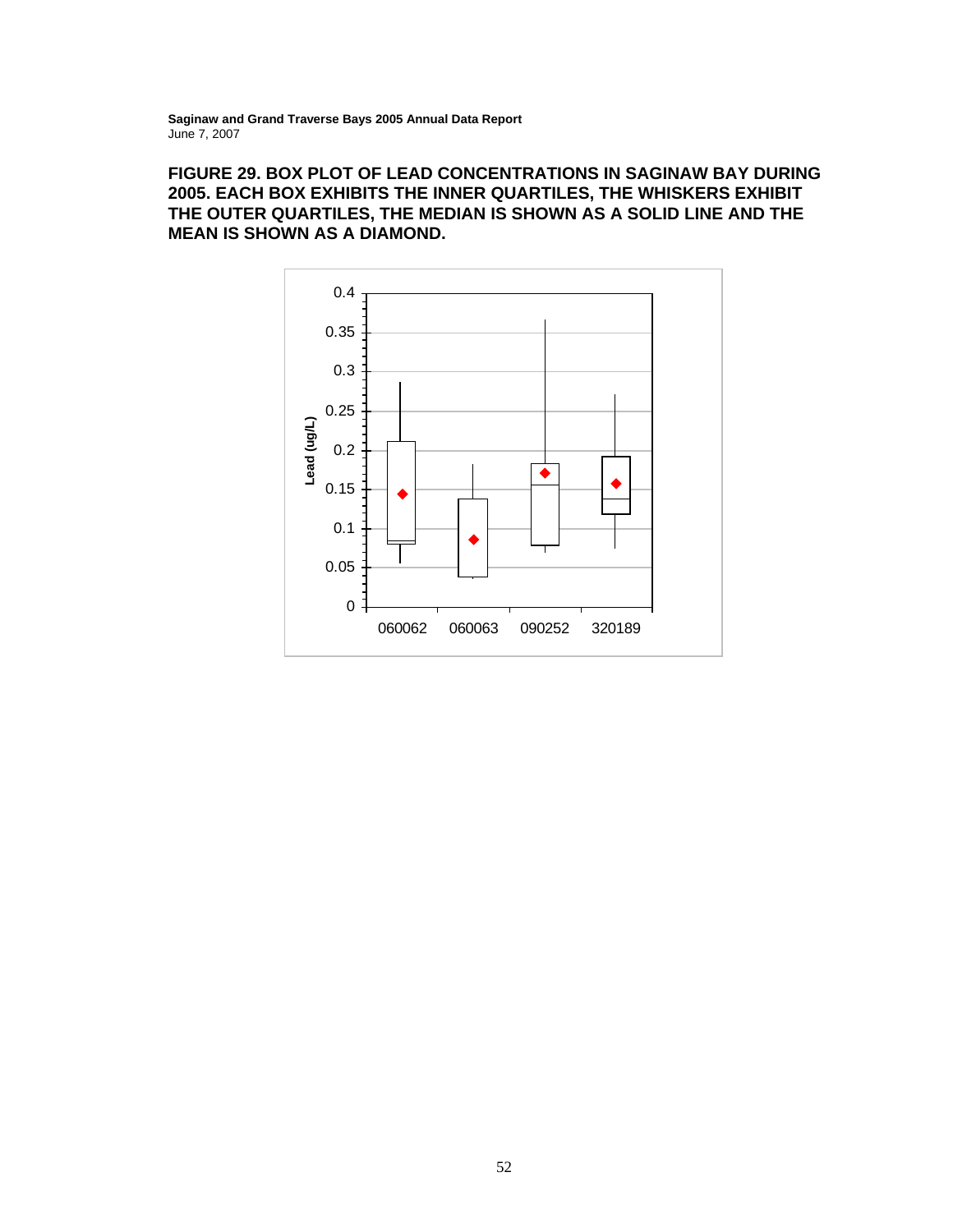# **FIGURE 29. BOX PLOT OF LEAD CONCENTRATIONS IN SAGINAW BAY DURING 2005. EACH BOX EXHIBITS THE INNER QUARTILES, THE WHISKERS EXHIBIT THE OUTER QUARTILES, THE MEDIAN IS SHOWN AS A SOLID LINE AND THE MEAN IS SHOWN AS A DIAMOND.**

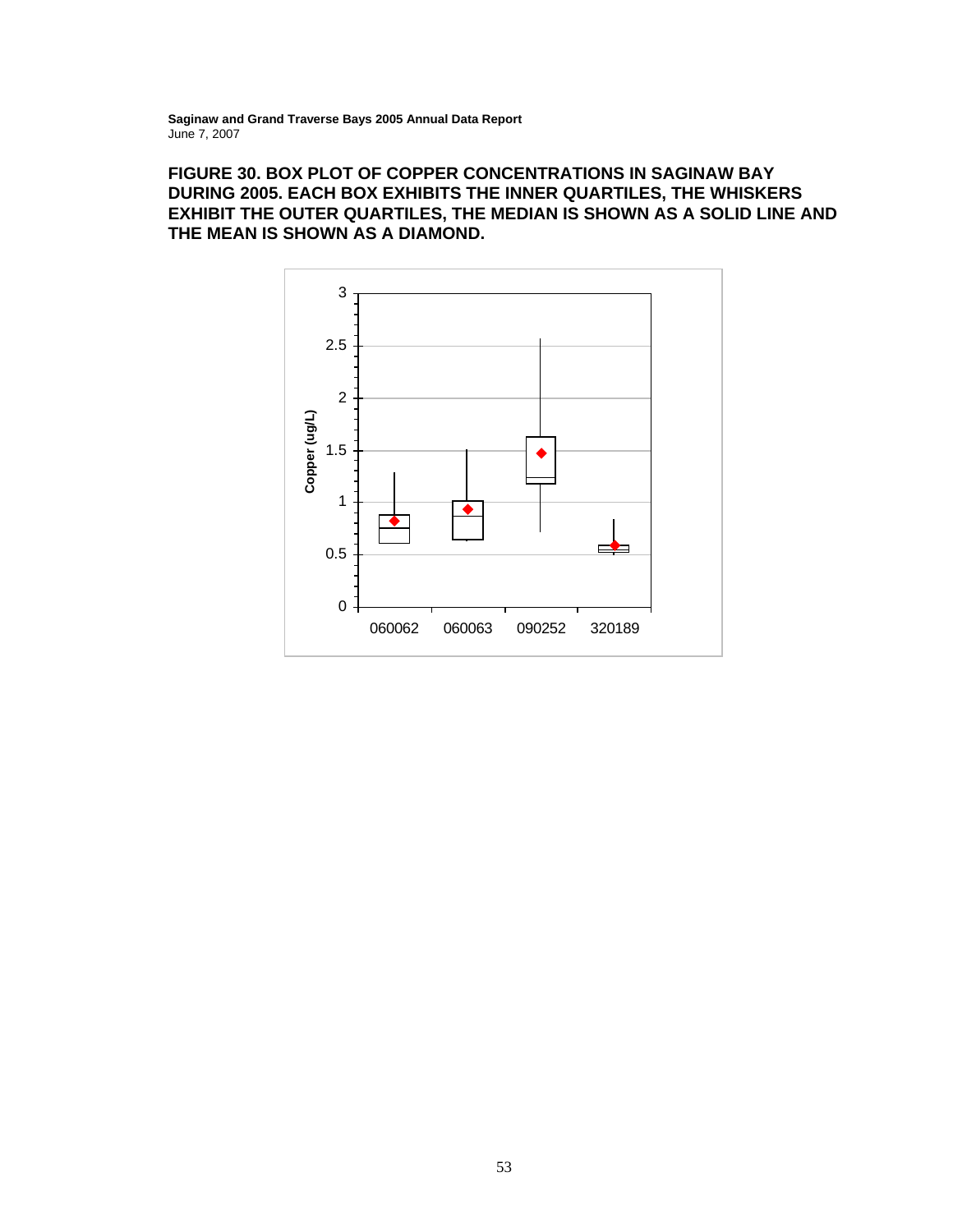# **FIGURE 30. BOX PLOT OF COPPER CONCENTRATIONS IN SAGINAW BAY DURING 2005. EACH BOX EXHIBITS THE INNER QUARTILES, THE WHISKERS EXHIBIT THE OUTER QUARTILES, THE MEDIAN IS SHOWN AS A SOLID LINE AND THE MEAN IS SHOWN AS A DIAMOND.**

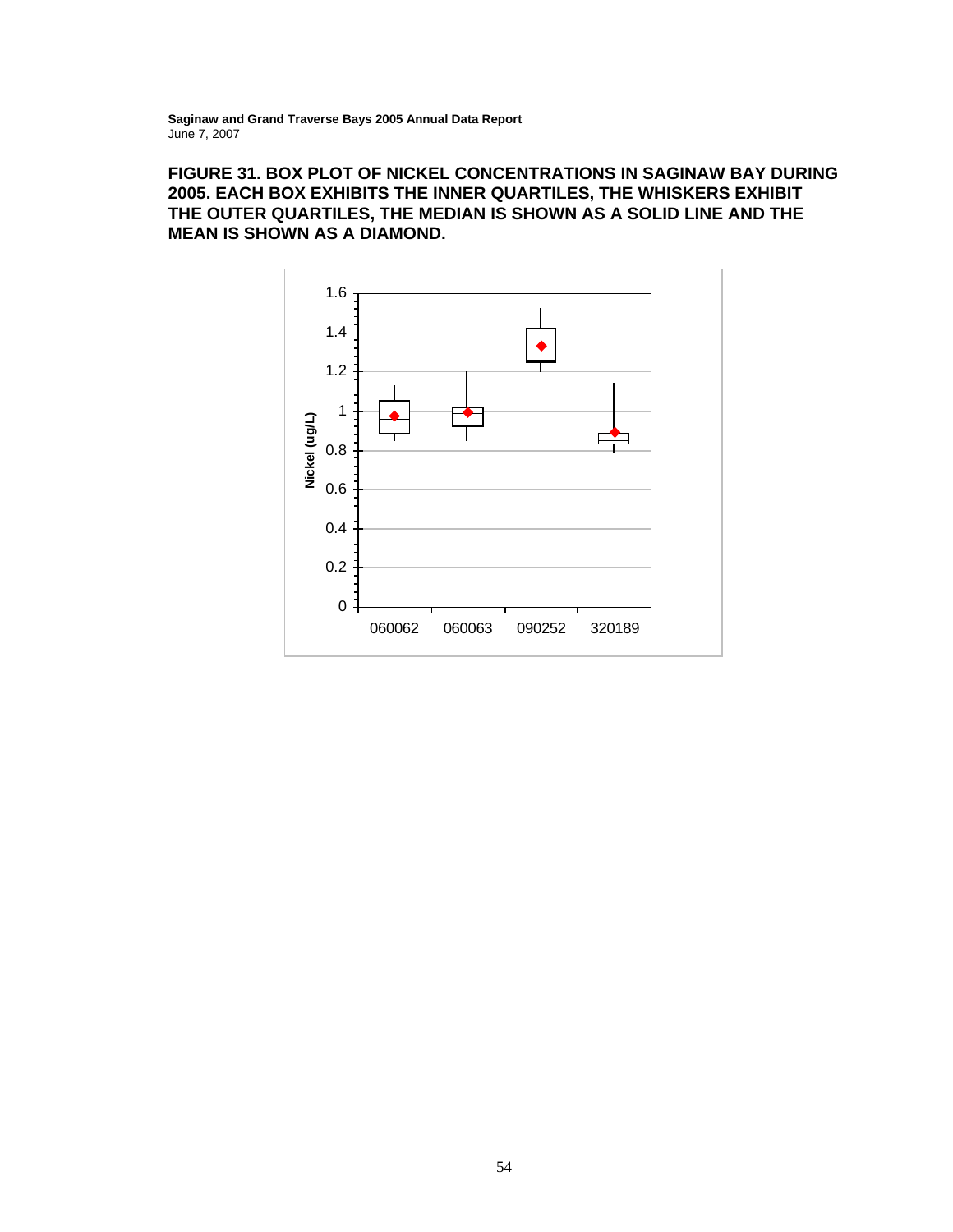# **FIGURE 31. BOX PLOT OF NICKEL CONCENTRATIONS IN SAGINAW BAY DURING 2005. EACH BOX EXHIBITS THE INNER QUARTILES, THE WHISKERS EXHIBIT THE OUTER QUARTILES, THE MEDIAN IS SHOWN AS A SOLID LINE AND THE MEAN IS SHOWN AS A DIAMOND.**

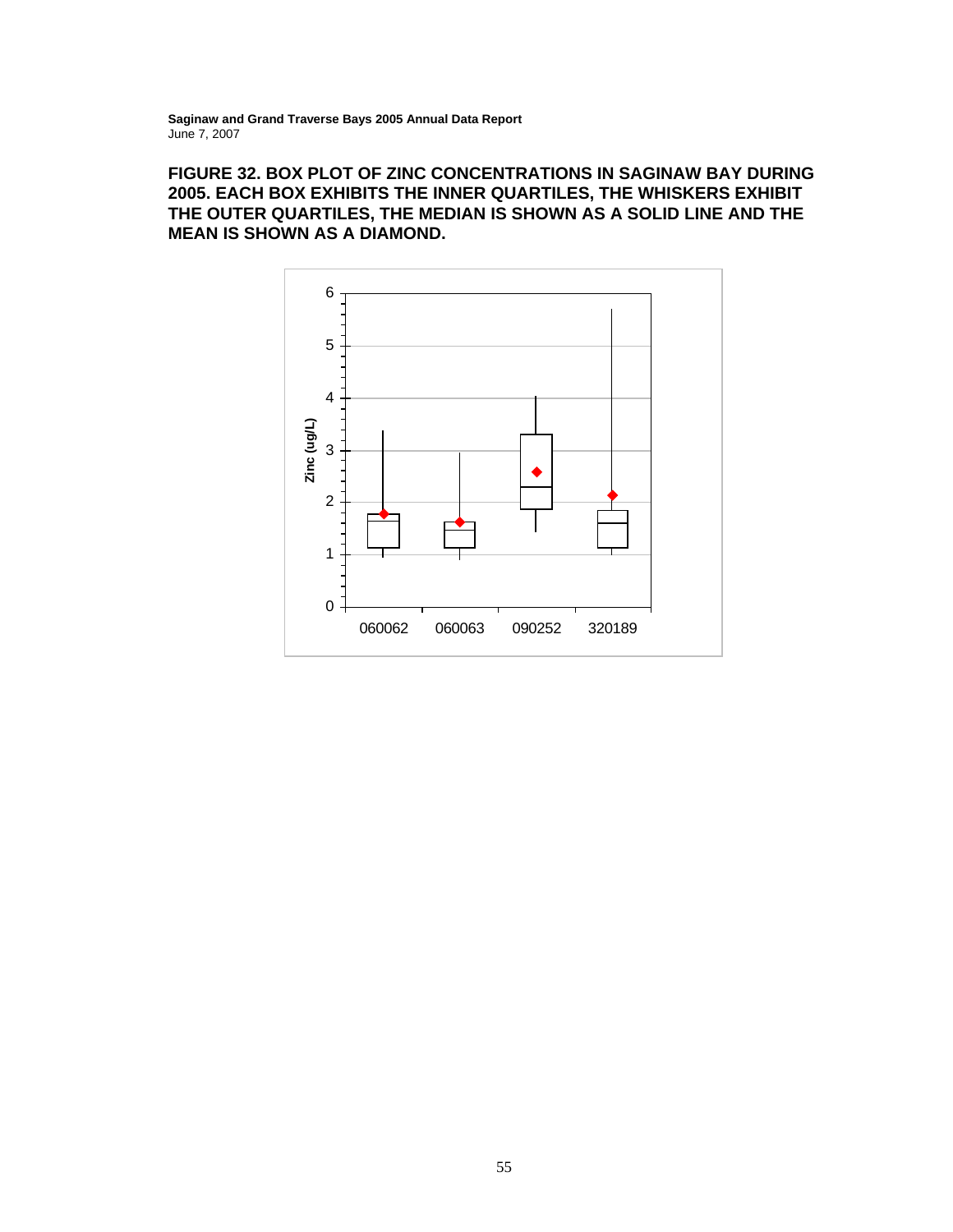# **FIGURE 32. BOX PLOT OF ZINC CONCENTRATIONS IN SAGINAW BAY DURING 2005. EACH BOX EXHIBITS THE INNER QUARTILES, THE WHISKERS EXHIBIT THE OUTER QUARTILES, THE MEDIAN IS SHOWN AS A SOLID LINE AND THE MEAN IS SHOWN AS A DIAMOND.**

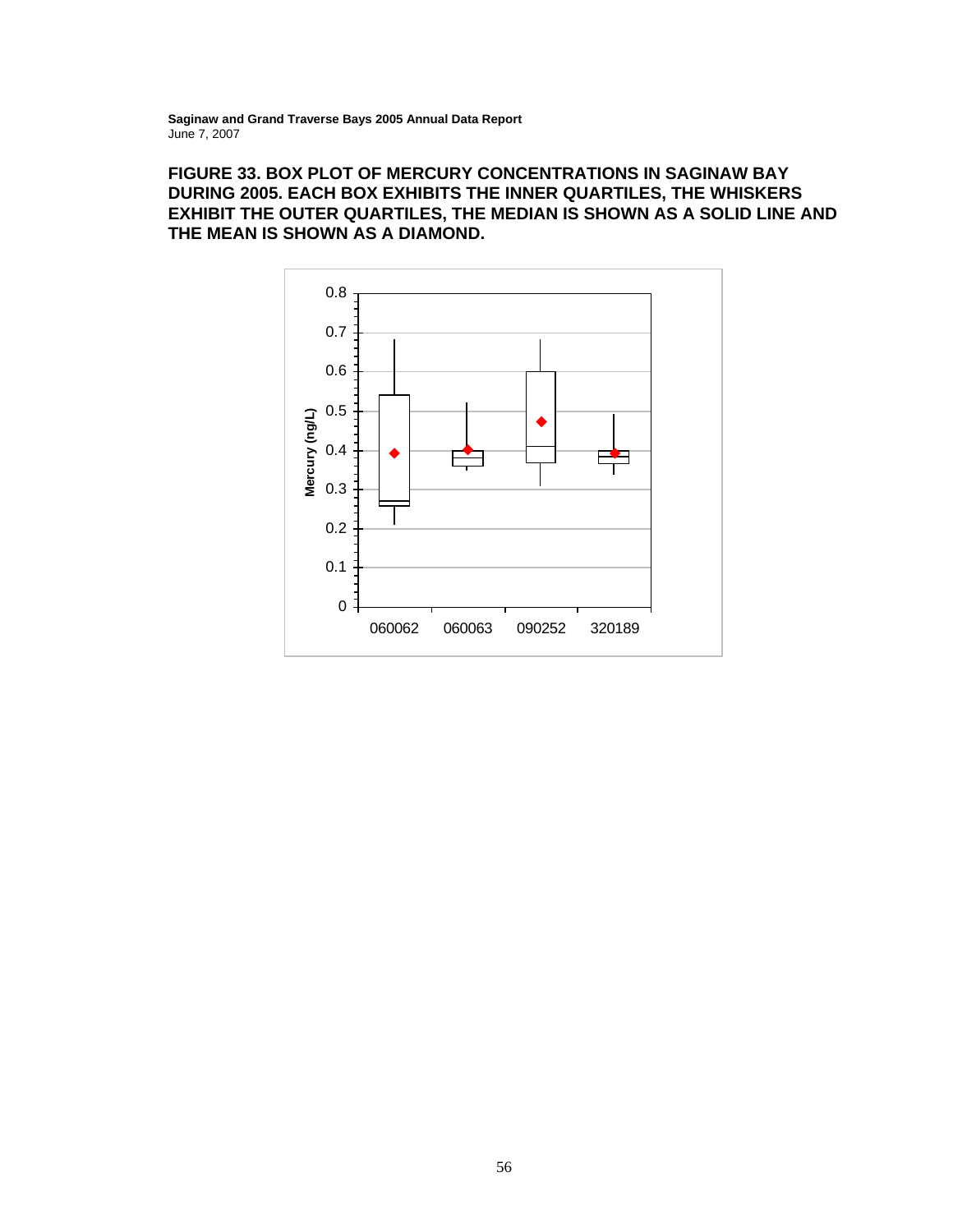# **FIGURE 33. BOX PLOT OF MERCURY CONCENTRATIONS IN SAGINAW BAY DURING 2005. EACH BOX EXHIBITS THE INNER QUARTILES, THE WHISKERS EXHIBIT THE OUTER QUARTILES, THE MEDIAN IS SHOWN AS A SOLID LINE AND THE MEAN IS SHOWN AS A DIAMOND.**

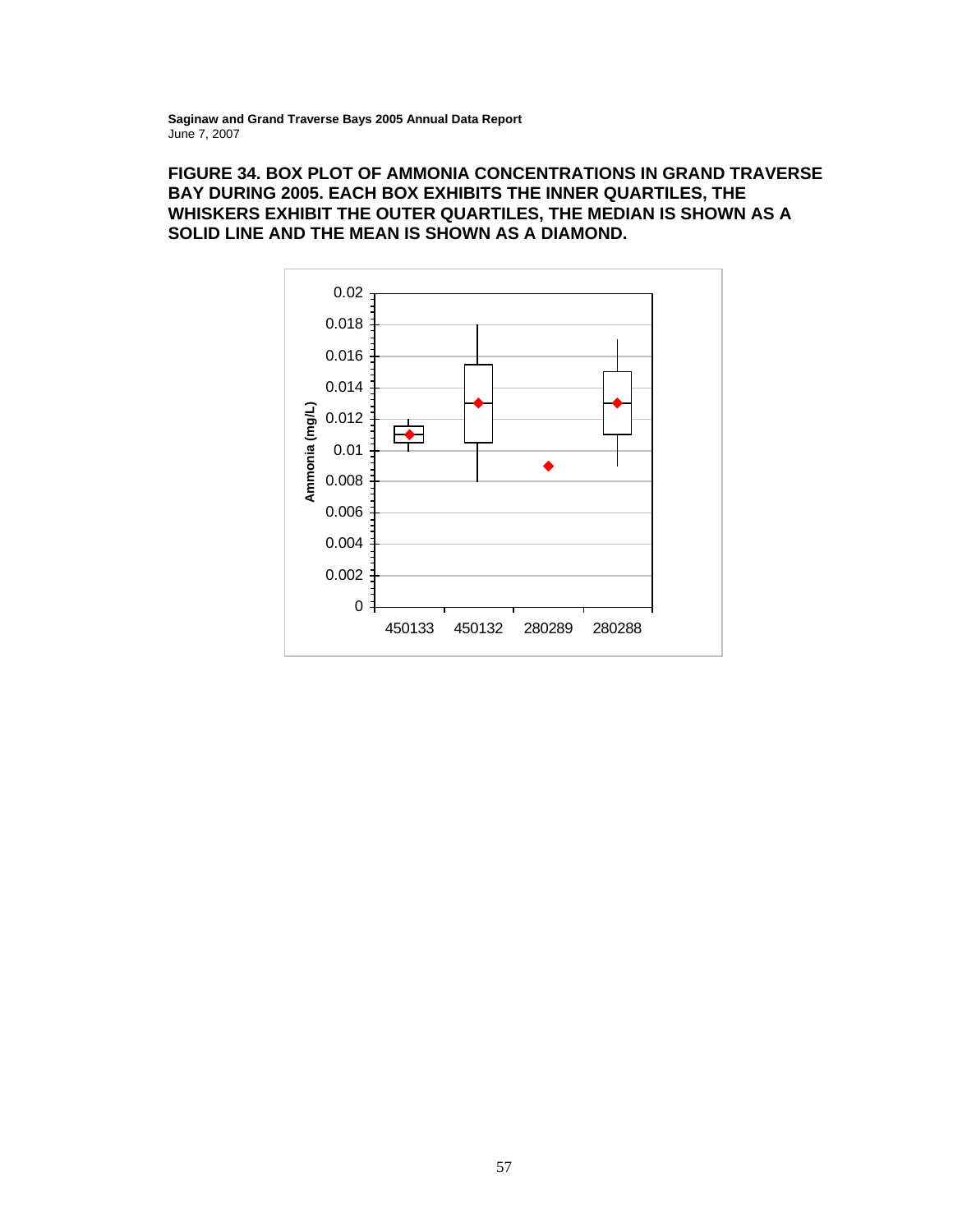#### **FIGURE 34. BOX PLOT OF AMMONIA CONCENTRATIONS IN GRAND TRAVERSE BAY DURING 2005. EACH BOX EXHIBITS THE INNER QUARTILES, THE WHISKERS EXHIBIT THE OUTER QUARTILES, THE MEDIAN IS SHOWN AS A SOLID LINE AND THE MEAN IS SHOWN AS A DIAMOND.**

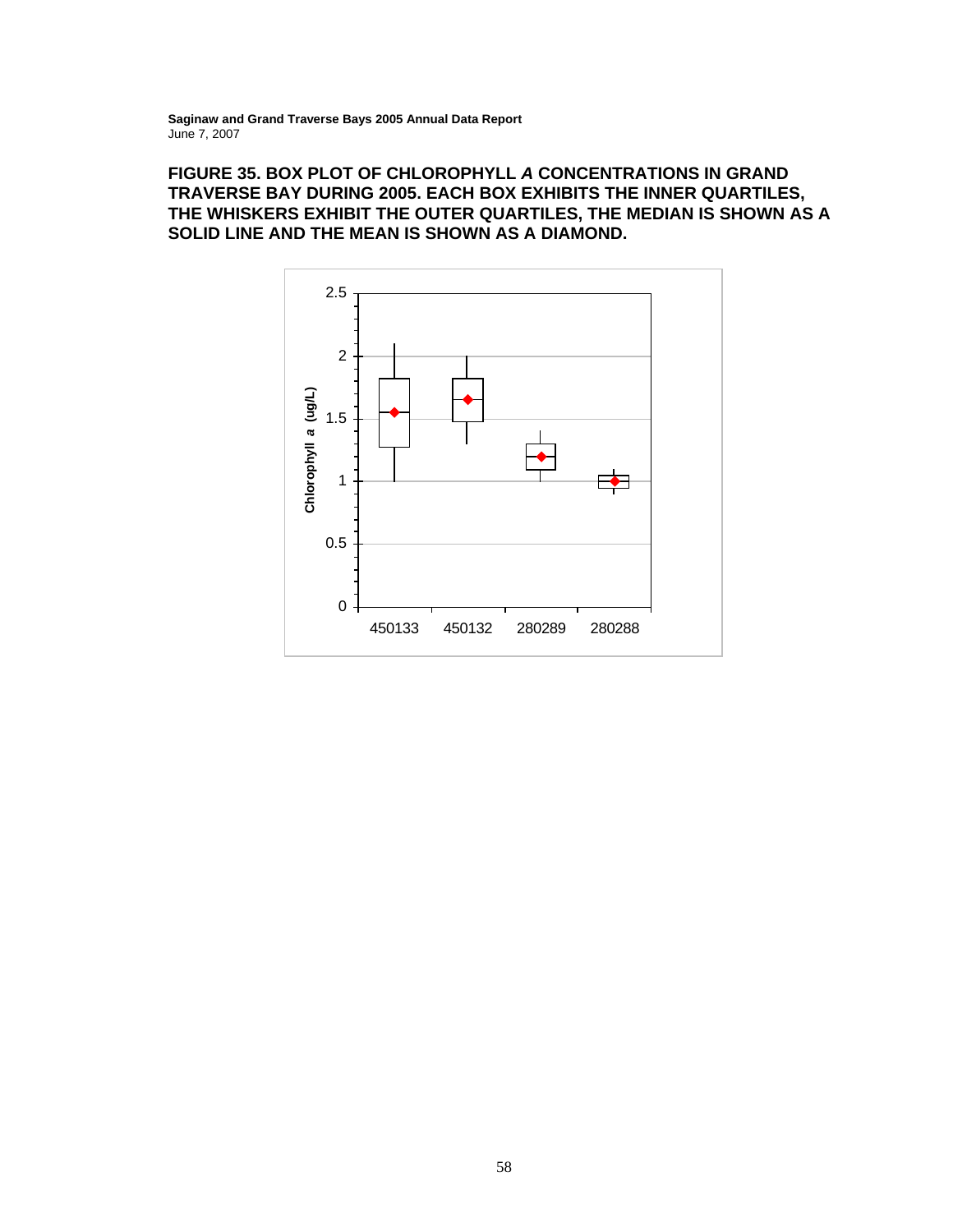# **FIGURE 35. BOX PLOT OF CHLOROPHYLL** *A* **CONCENTRATIONS IN GRAND TRAVERSE BAY DURING 2005. EACH BOX EXHIBITS THE INNER QUARTILES, THE WHISKERS EXHIBIT THE OUTER QUARTILES, THE MEDIAN IS SHOWN AS A SOLID LINE AND THE MEAN IS SHOWN AS A DIAMOND.**

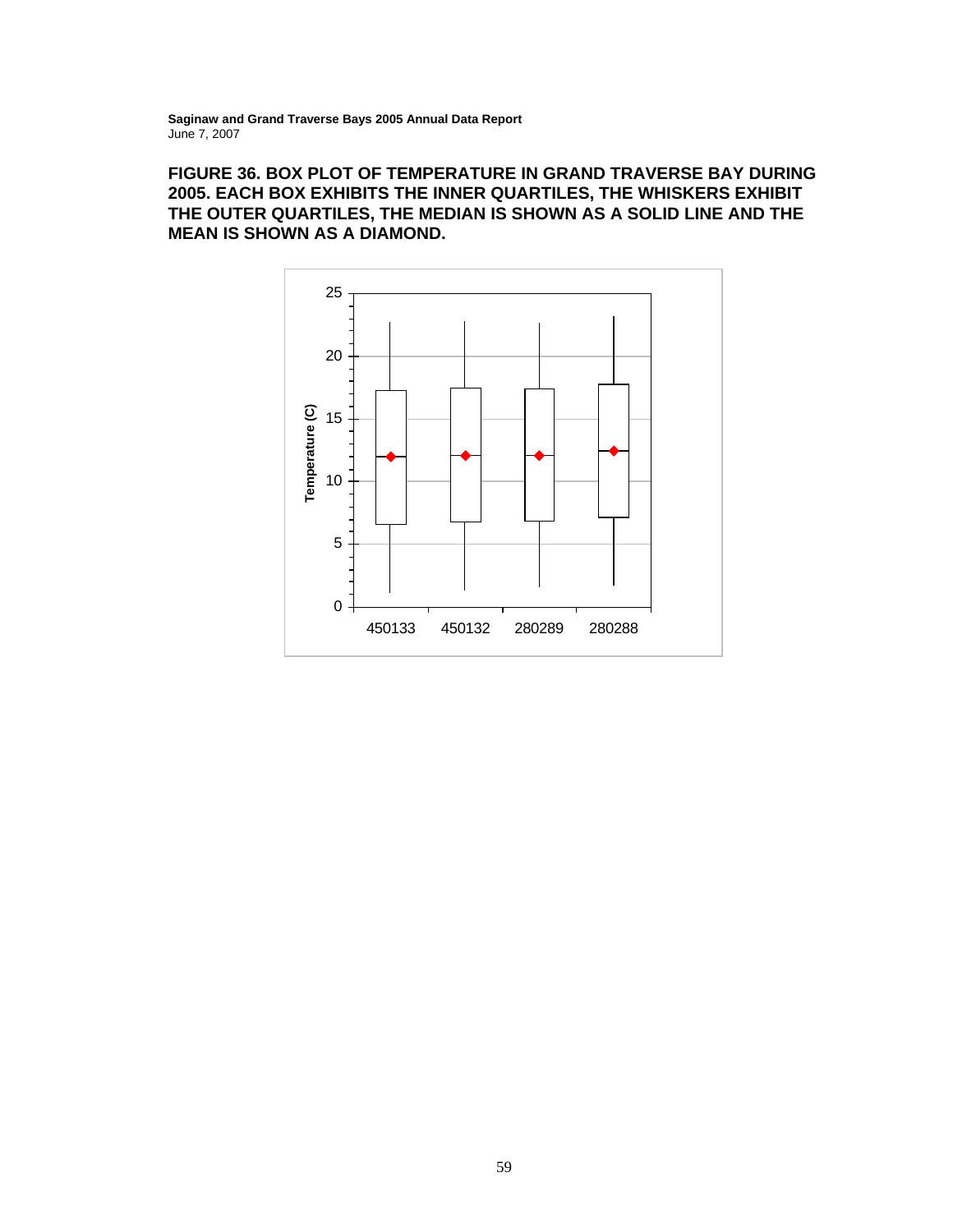# **FIGURE 36. BOX PLOT OF TEMPERATURE IN GRAND TRAVERSE BAY DURING 2005. EACH BOX EXHIBITS THE INNER QUARTILES, THE WHISKERS EXHIBIT THE OUTER QUARTILES, THE MEDIAN IS SHOWN AS A SOLID LINE AND THE MEAN IS SHOWN AS A DIAMOND.**

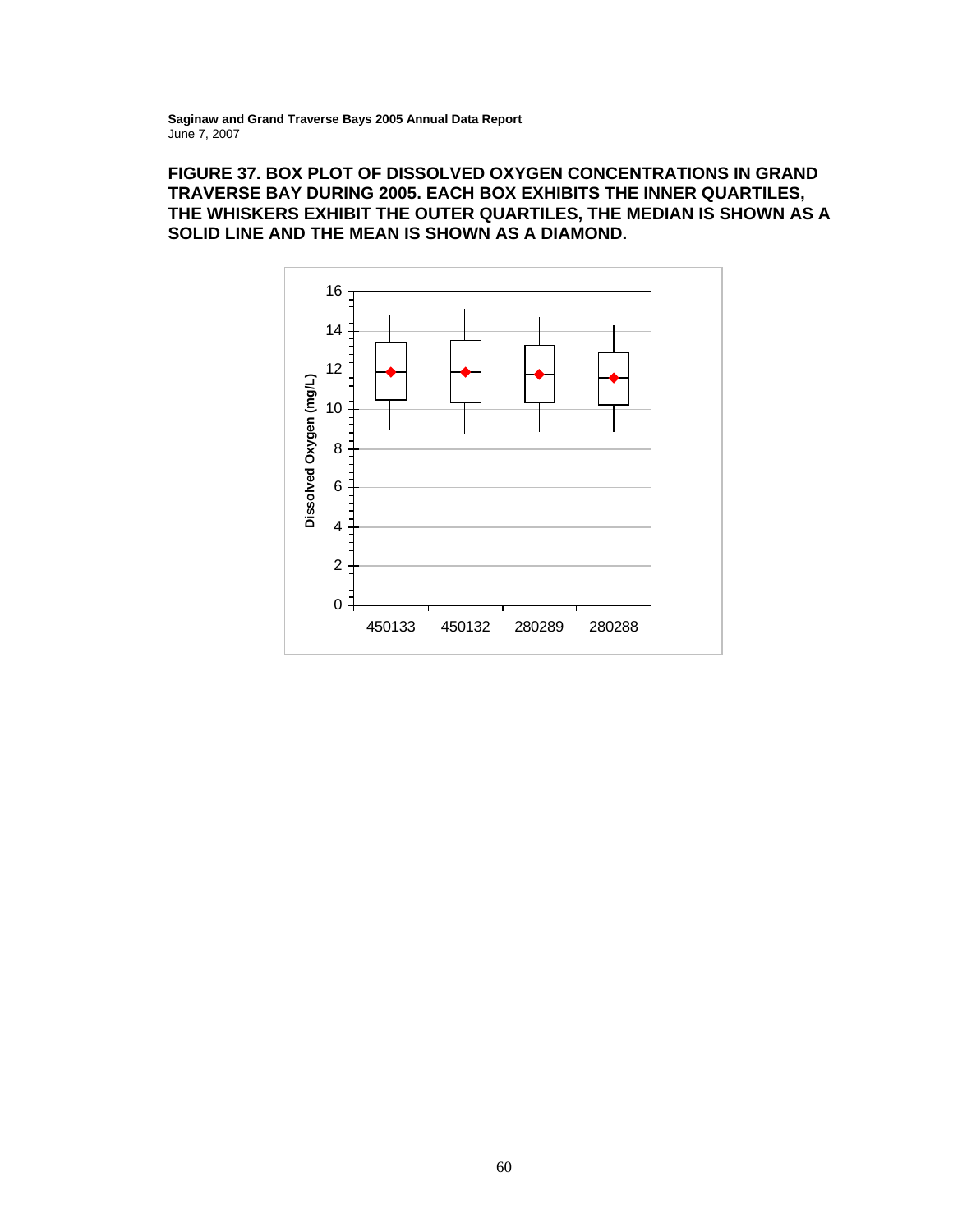### **FIGURE 37. BOX PLOT OF DISSOLVED OXYGEN CONCENTRATIONS IN GRAND TRAVERSE BAY DURING 2005. EACH BOX EXHIBITS THE INNER QUARTILES, THE WHISKERS EXHIBIT THE OUTER QUARTILES, THE MEDIAN IS SHOWN AS A SOLID LINE AND THE MEAN IS SHOWN AS A DIAMOND.**

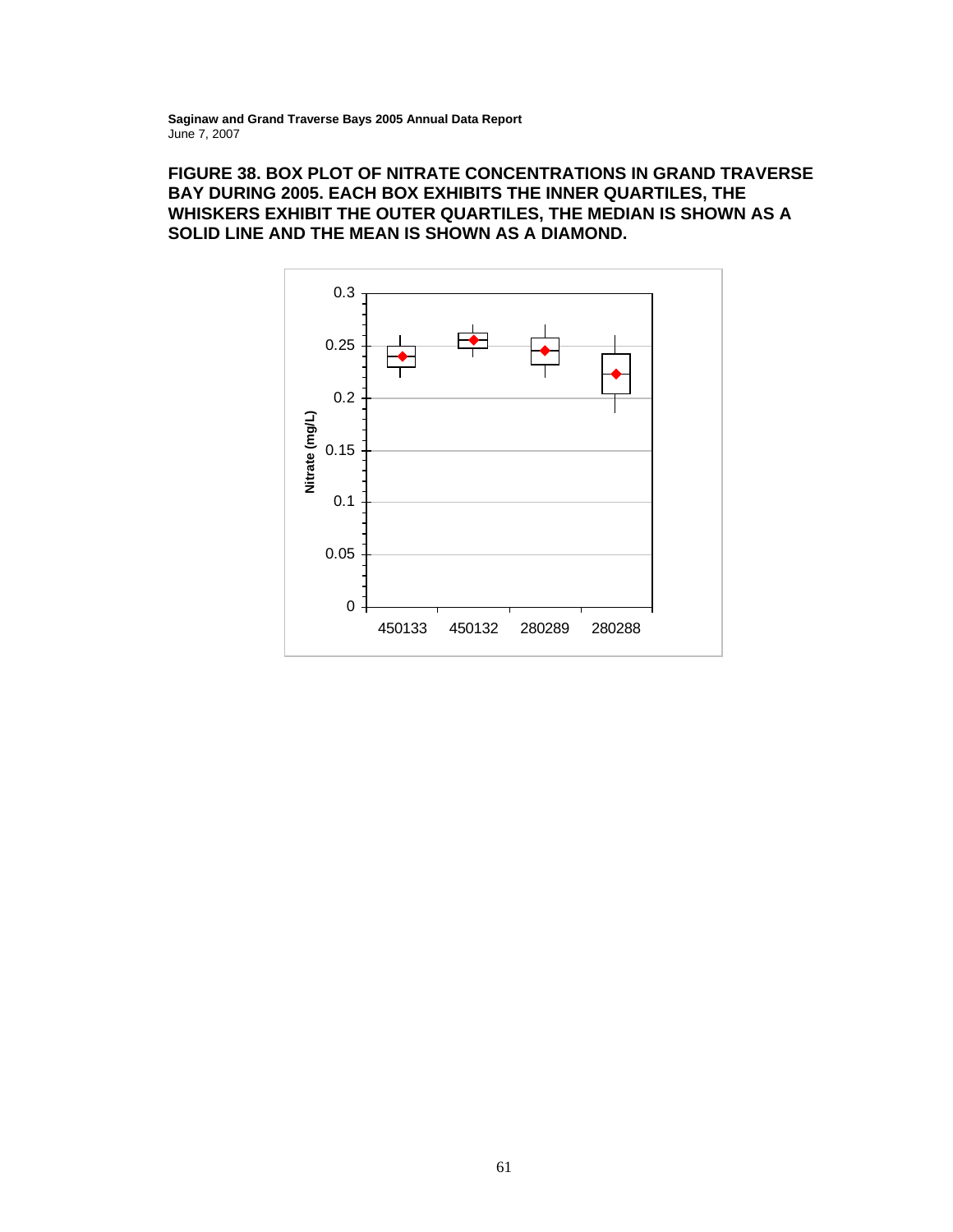# **FIGURE 38. BOX PLOT OF NITRATE CONCENTRATIONS IN GRAND TRAVERSE BAY DURING 2005. EACH BOX EXHIBITS THE INNER QUARTILES, THE WHISKERS EXHIBIT THE OUTER QUARTILES, THE MEDIAN IS SHOWN AS A SOLID LINE AND THE MEAN IS SHOWN AS A DIAMOND.**

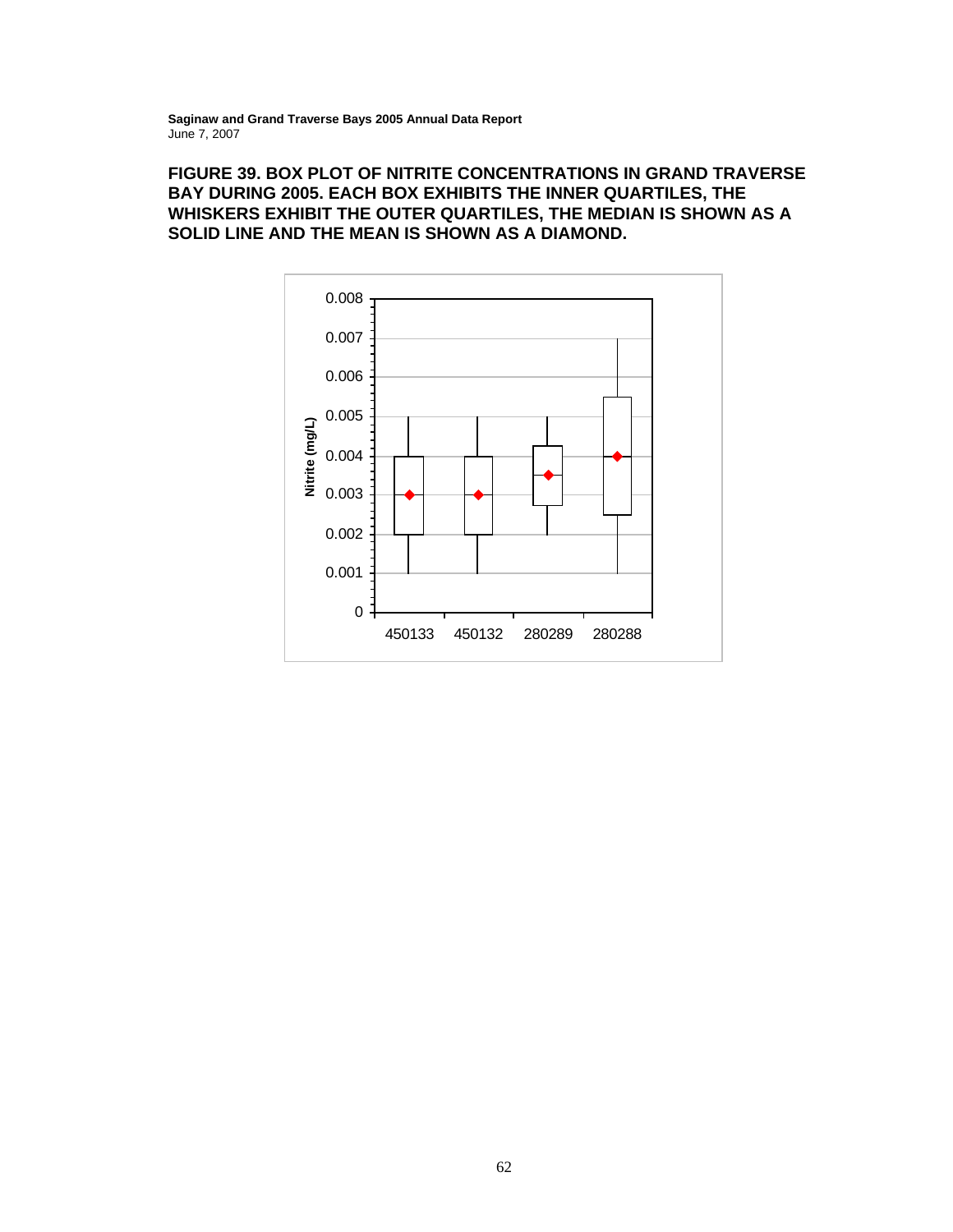# **FIGURE 39. BOX PLOT OF NITRITE CONCENTRATIONS IN GRAND TRAVERSE BAY DURING 2005. EACH BOX EXHIBITS THE INNER QUARTILES, THE WHISKERS EXHIBIT THE OUTER QUARTILES, THE MEDIAN IS SHOWN AS A SOLID LINE AND THE MEAN IS SHOWN AS A DIAMOND.**

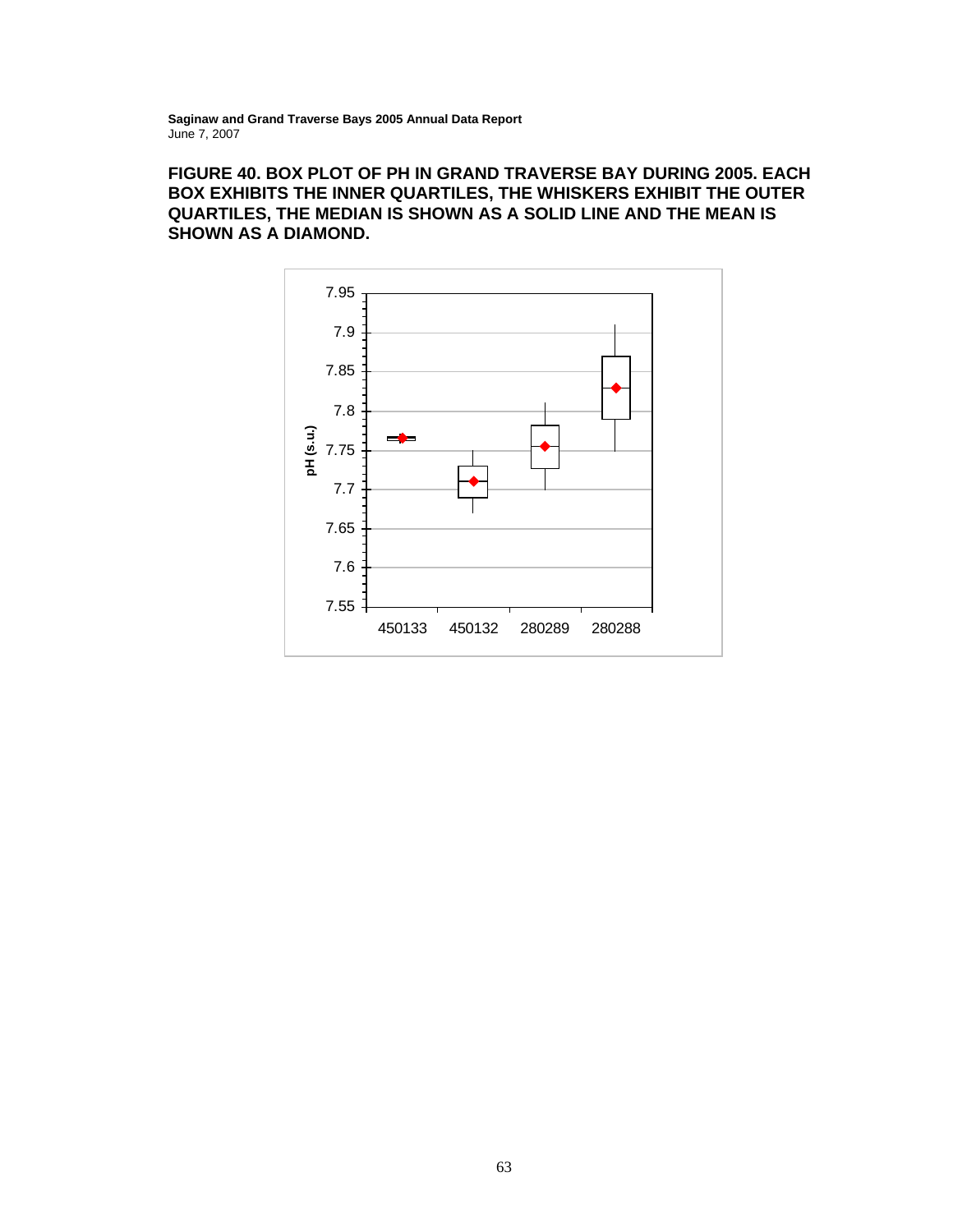# **FIGURE 40. BOX PLOT OF PH IN GRAND TRAVERSE BAY DURING 2005. EACH BOX EXHIBITS THE INNER QUARTILES, THE WHISKERS EXHIBIT THE OUTER QUARTILES, THE MEDIAN IS SHOWN AS A SOLID LINE AND THE MEAN IS SHOWN AS A DIAMOND.**

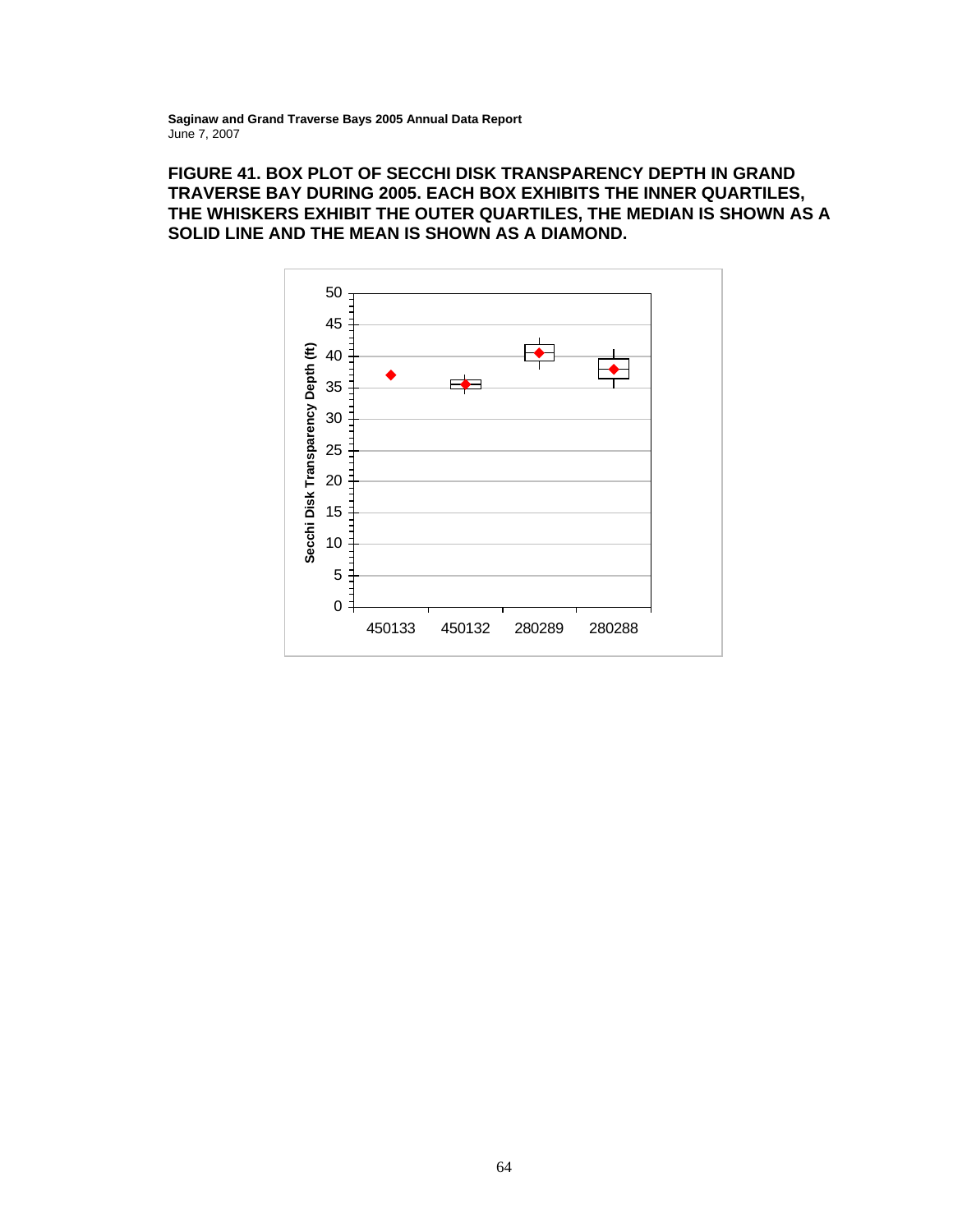# **FIGURE 41. BOX PLOT OF SECCHI DISK TRANSPARENCY DEPTH IN GRAND TRAVERSE BAY DURING 2005. EACH BOX EXHIBITS THE INNER QUARTILES, THE WHISKERS EXHIBIT THE OUTER QUARTILES, THE MEDIAN IS SHOWN AS A SOLID LINE AND THE MEAN IS SHOWN AS A DIAMOND.**

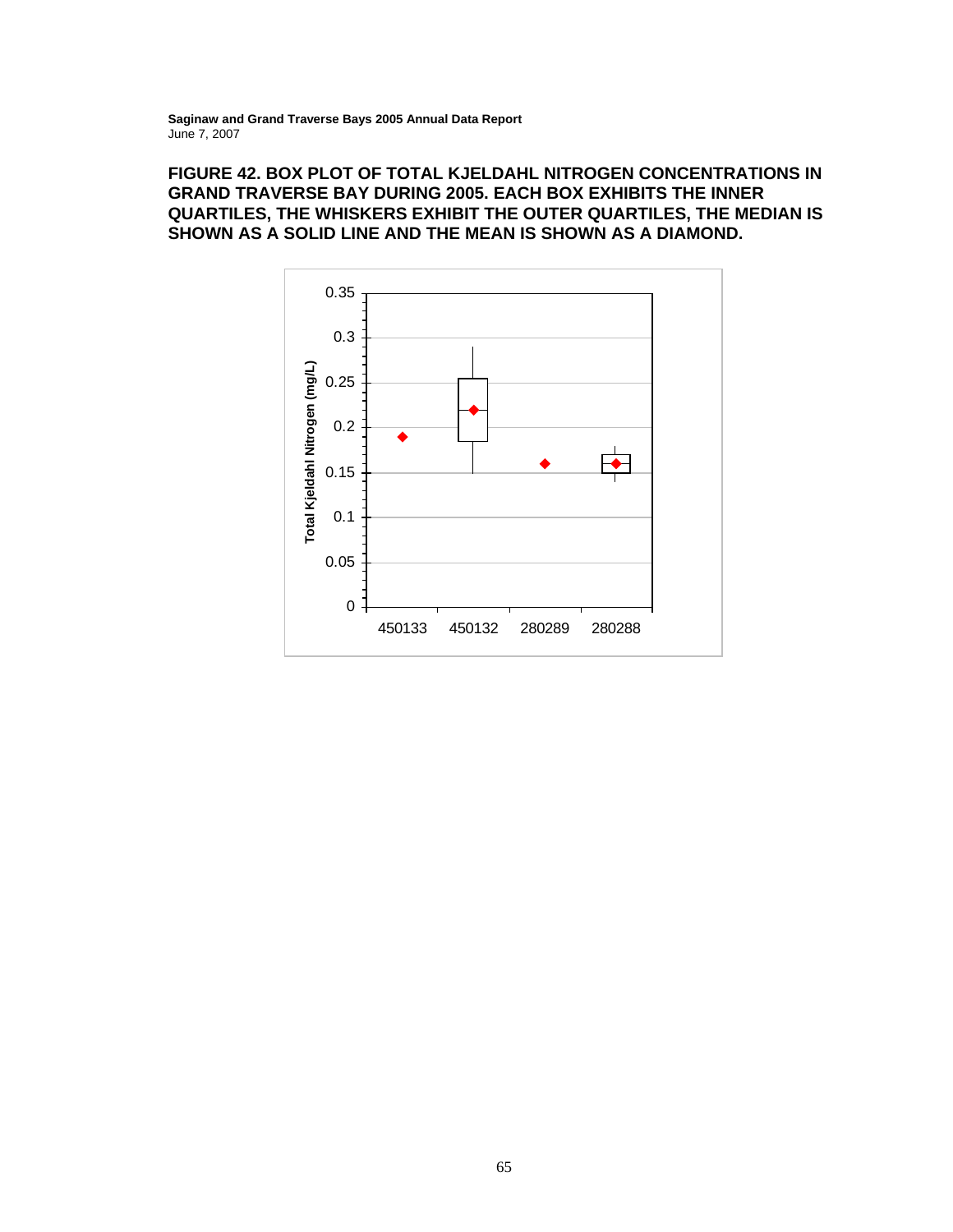# **FIGURE 42. BOX PLOT OF TOTAL KJELDAHL NITROGEN CONCENTRATIONS IN GRAND TRAVERSE BAY DURING 2005. EACH BOX EXHIBITS THE INNER QUARTILES, THE WHISKERS EXHIBIT THE OUTER QUARTILES, THE MEDIAN IS SHOWN AS A SOLID LINE AND THE MEAN IS SHOWN AS A DIAMOND.**

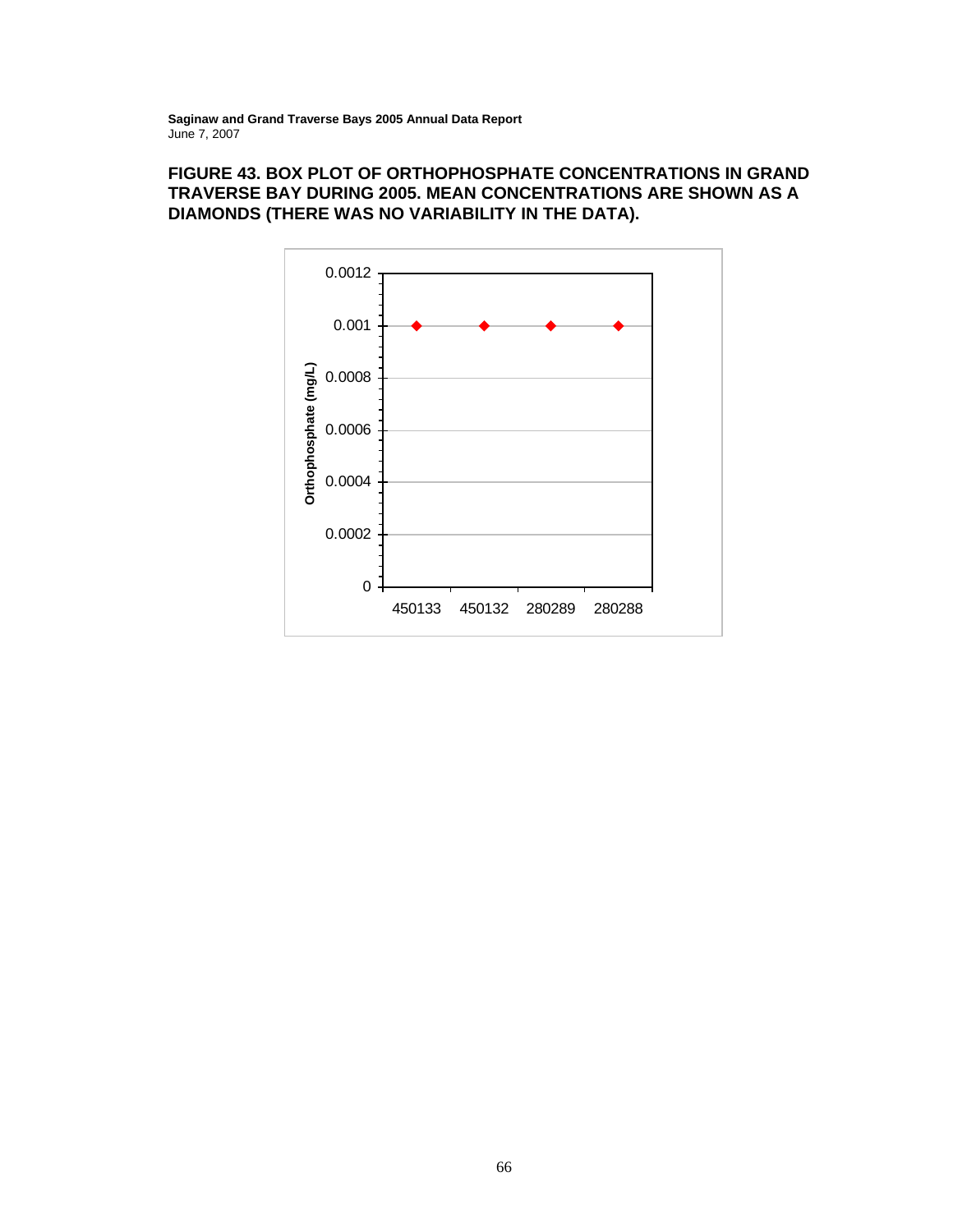# **FIGURE 43. BOX PLOT OF ORTHOPHOSPHATE CONCENTRATIONS IN GRAND TRAVERSE BAY DURING 2005. MEAN CONCENTRATIONS ARE SHOWN AS A DIAMONDS (THERE WAS NO VARIABILITY IN THE DATA).**

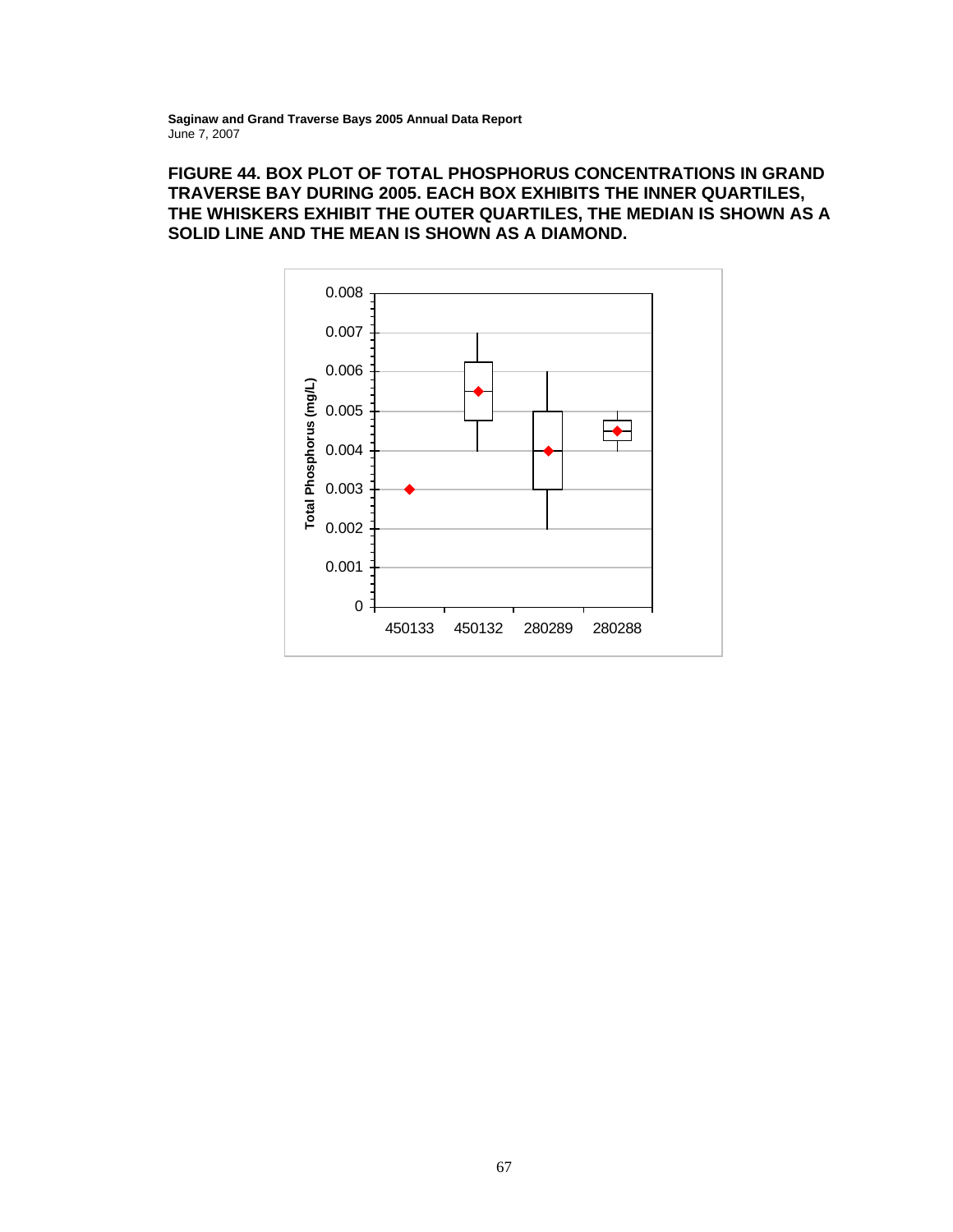# **FIGURE 44. BOX PLOT OF TOTAL PHOSPHORUS CONCENTRATIONS IN GRAND TRAVERSE BAY DURING 2005. EACH BOX EXHIBITS THE INNER QUARTILES, THE WHISKERS EXHIBIT THE OUTER QUARTILES, THE MEDIAN IS SHOWN AS A SOLID LINE AND THE MEAN IS SHOWN AS A DIAMOND.**

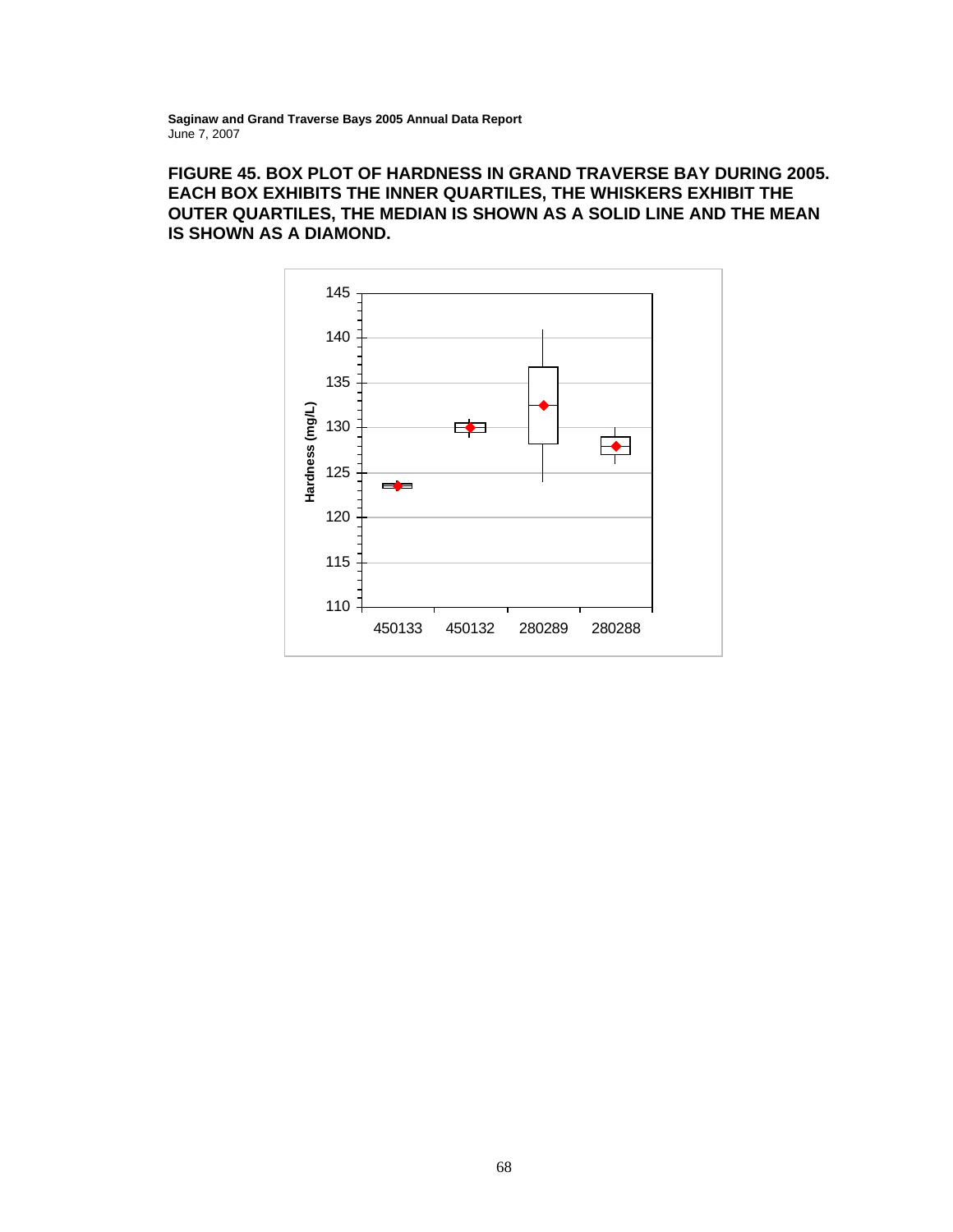# **FIGURE 45. BOX PLOT OF HARDNESS IN GRAND TRAVERSE BAY DURING 2005. EACH BOX EXHIBITS THE INNER QUARTILES, THE WHISKERS EXHIBIT THE OUTER QUARTILES, THE MEDIAN IS SHOWN AS A SOLID LINE AND THE MEAN IS SHOWN AS A DIAMOND.**

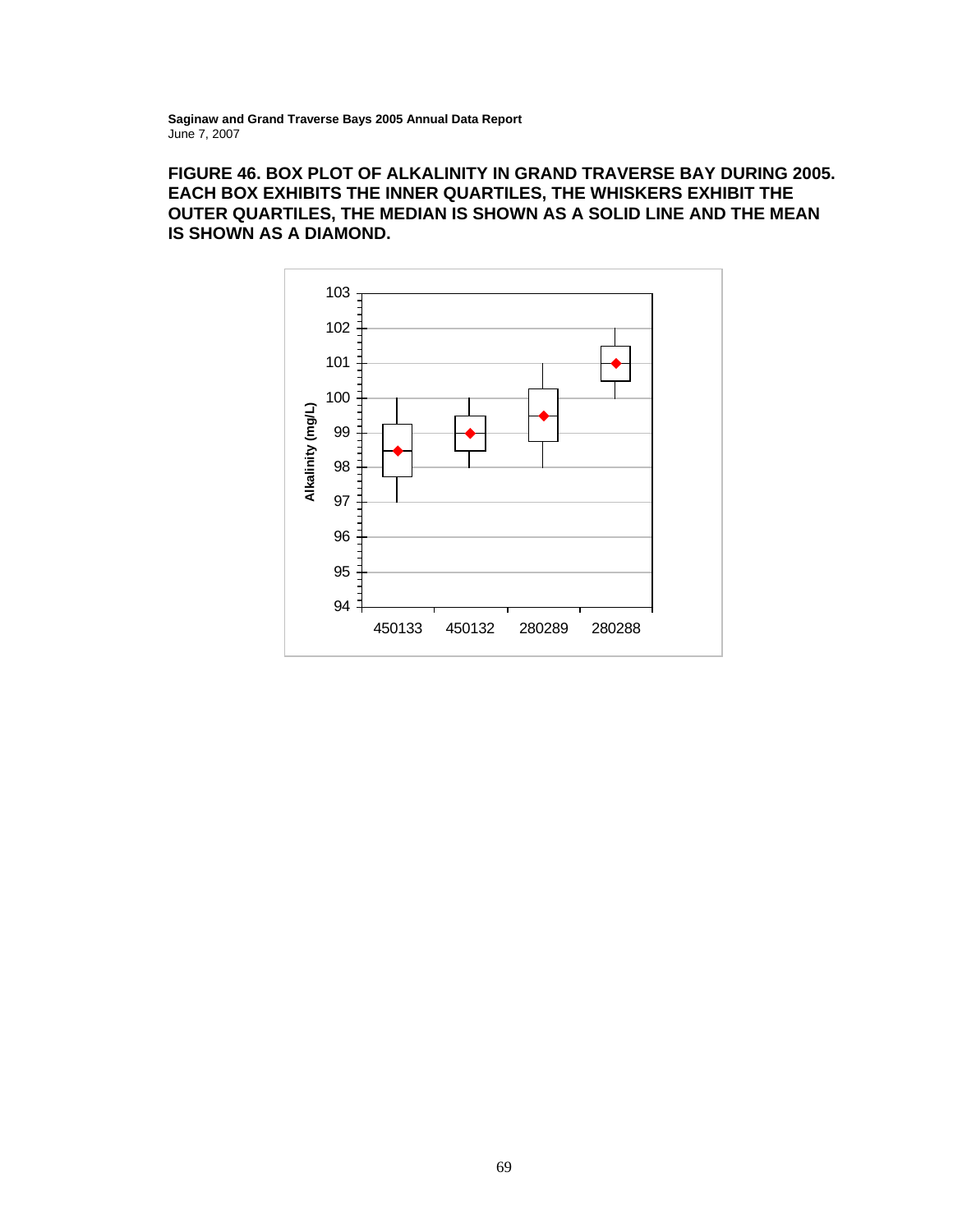# **FIGURE 46. BOX PLOT OF ALKALINITY IN GRAND TRAVERSE BAY DURING 2005. EACH BOX EXHIBITS THE INNER QUARTILES, THE WHISKERS EXHIBIT THE OUTER QUARTILES, THE MEDIAN IS SHOWN AS A SOLID LINE AND THE MEAN IS SHOWN AS A DIAMOND.**

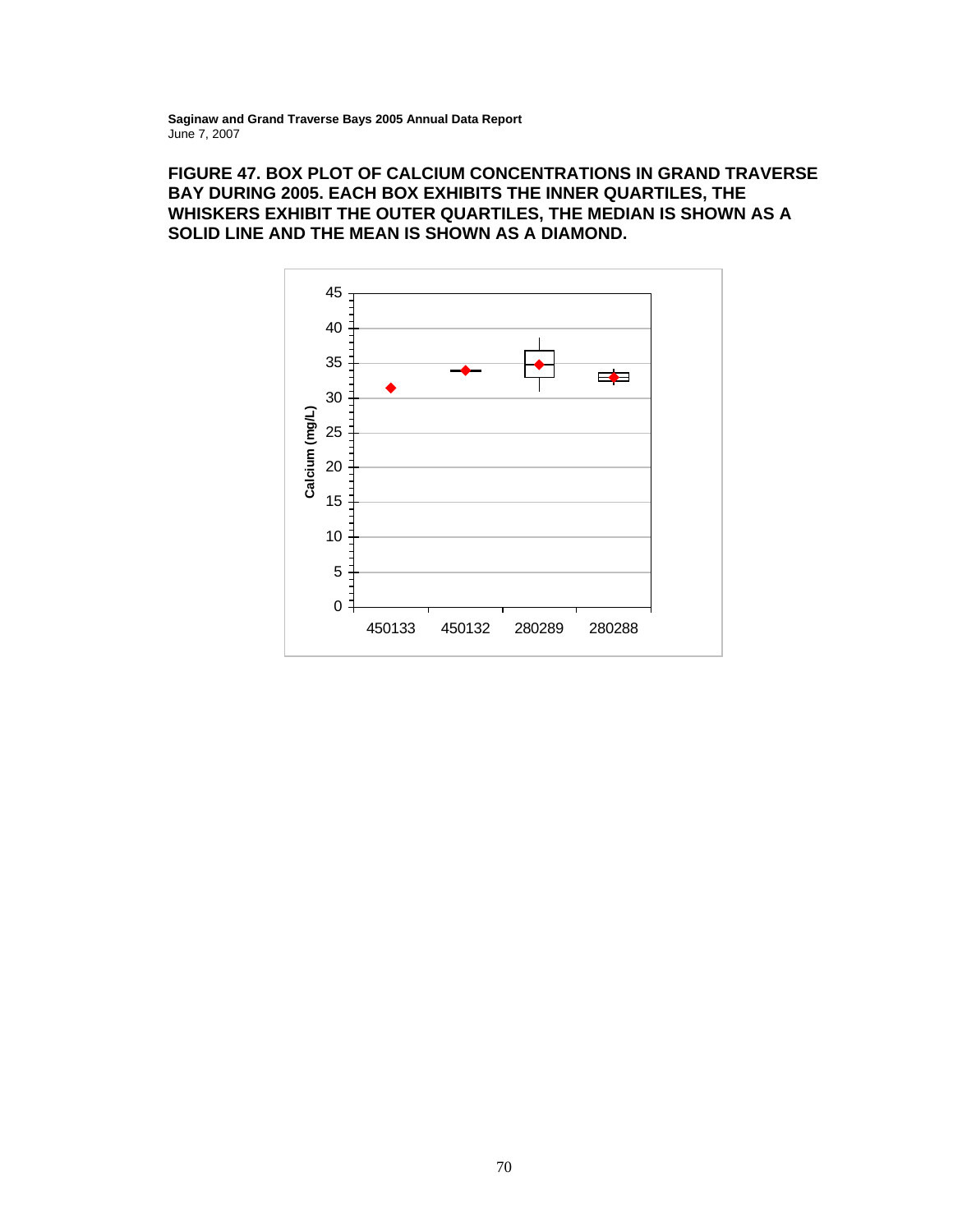# **FIGURE 47. BOX PLOT OF CALCIUM CONCENTRATIONS IN GRAND TRAVERSE BAY DURING 2005. EACH BOX EXHIBITS THE INNER QUARTILES, THE WHISKERS EXHIBIT THE OUTER QUARTILES, THE MEDIAN IS SHOWN AS A SOLID LINE AND THE MEAN IS SHOWN AS A DIAMOND.**

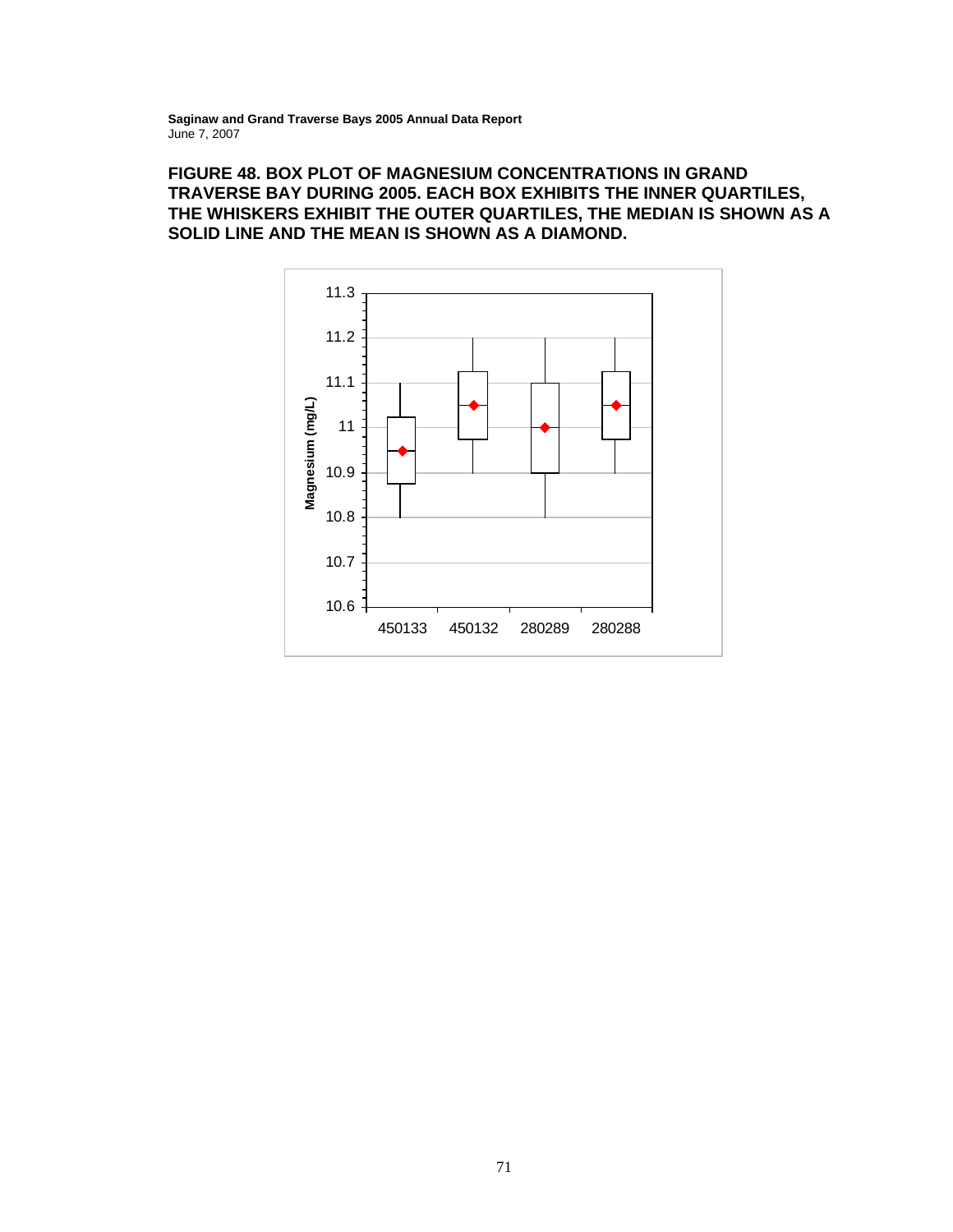# **FIGURE 48. BOX PLOT OF MAGNESIUM CONCENTRATIONS IN GRAND TRAVERSE BAY DURING 2005. EACH BOX EXHIBITS THE INNER QUARTILES, THE WHISKERS EXHIBIT THE OUTER QUARTILES, THE MEDIAN IS SHOWN AS A SOLID LINE AND THE MEAN IS SHOWN AS A DIAMOND.**

![](_page_81_Figure_2.jpeg)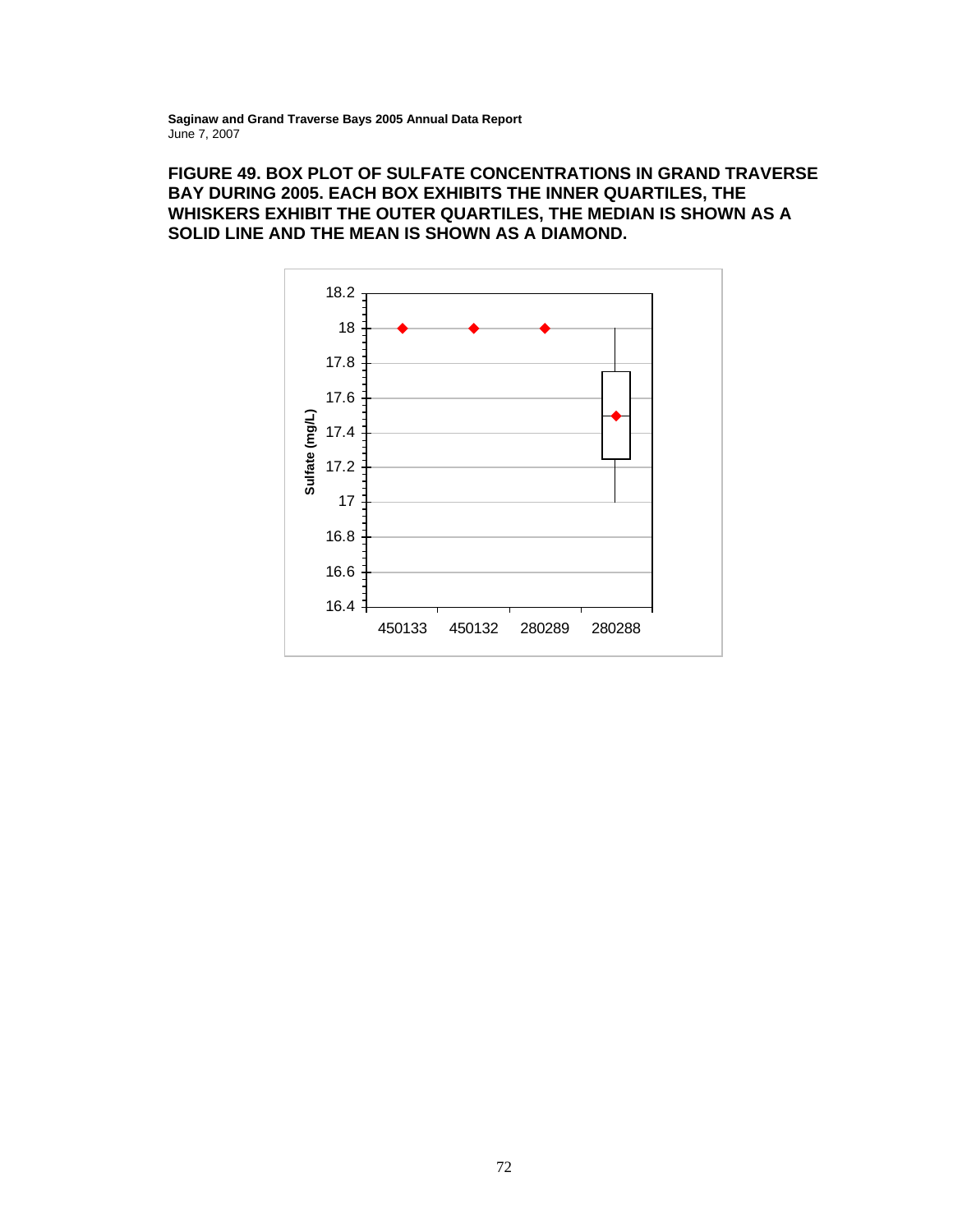# **FIGURE 49. BOX PLOT OF SULFATE CONCENTRATIONS IN GRAND TRAVERSE BAY DURING 2005. EACH BOX EXHIBITS THE INNER QUARTILES, THE WHISKERS EXHIBIT THE OUTER QUARTILES, THE MEDIAN IS SHOWN AS A SOLID LINE AND THE MEAN IS SHOWN AS A DIAMOND.**

![](_page_82_Figure_2.jpeg)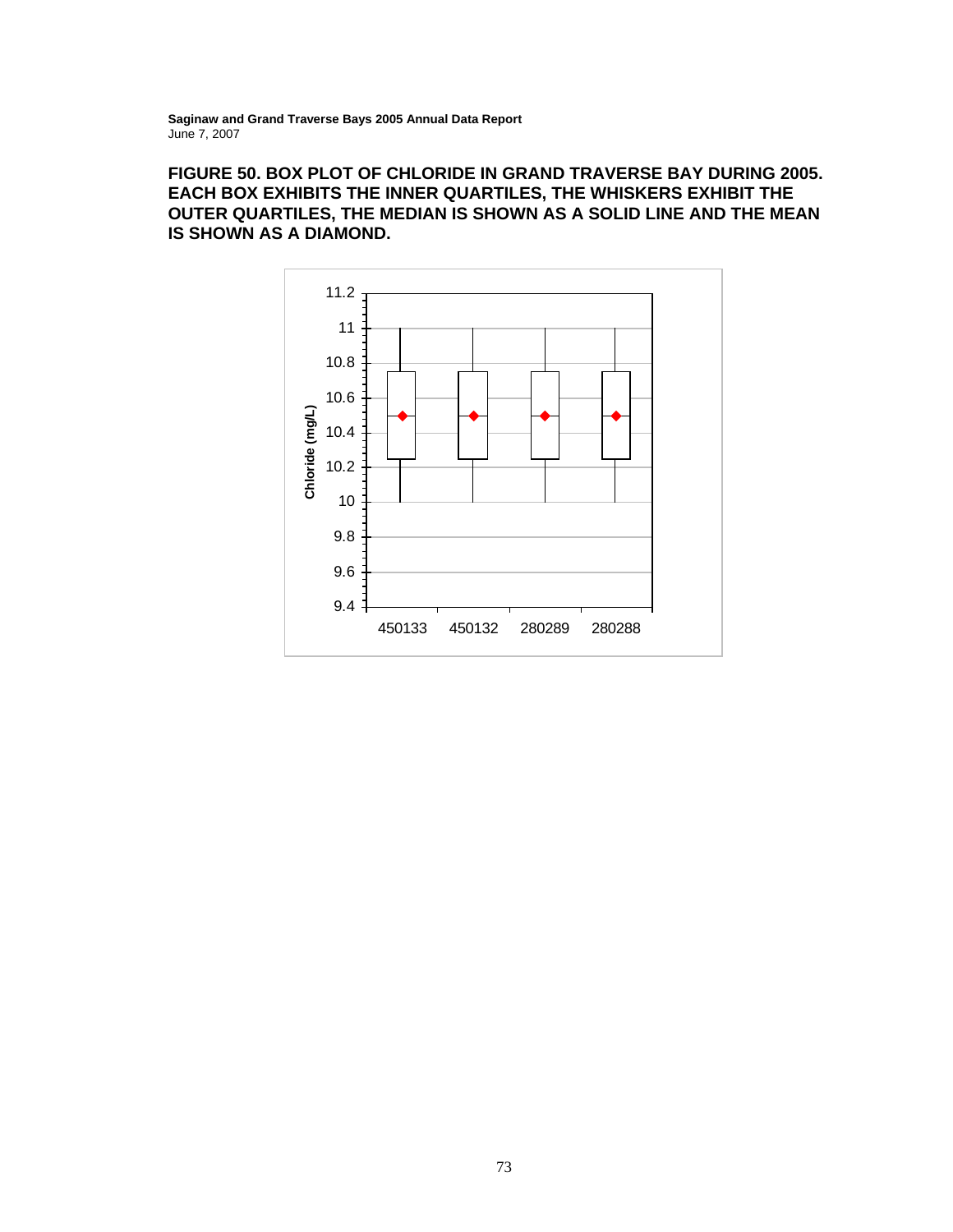# **FIGURE 50. BOX PLOT OF CHLORIDE IN GRAND TRAVERSE BAY DURING 2005. EACH BOX EXHIBITS THE INNER QUARTILES, THE WHISKERS EXHIBIT THE OUTER QUARTILES, THE MEDIAN IS SHOWN AS A SOLID LINE AND THE MEAN IS SHOWN AS A DIAMOND.**

![](_page_83_Figure_2.jpeg)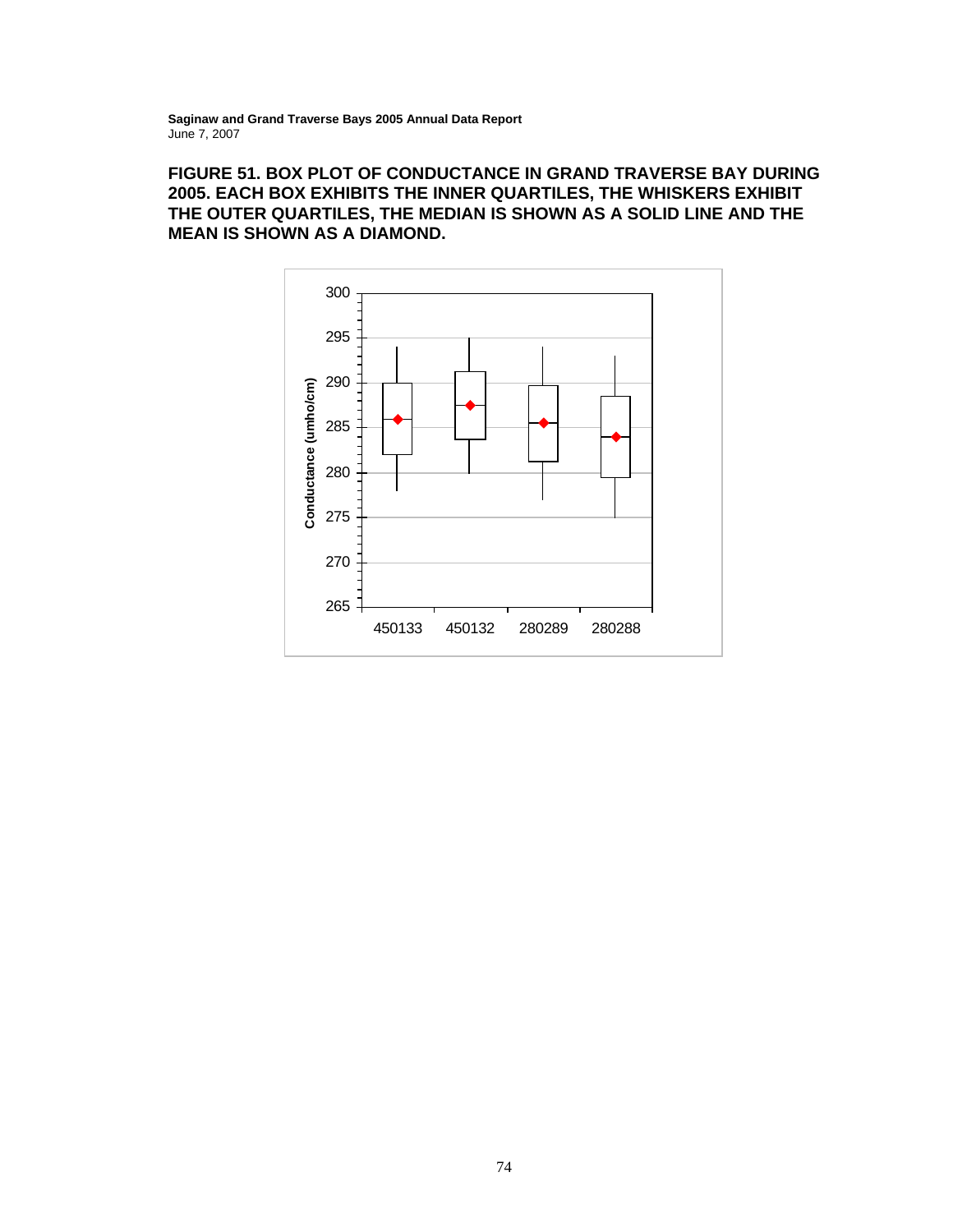# **FIGURE 51. BOX PLOT OF CONDUCTANCE IN GRAND TRAVERSE BAY DURING 2005. EACH BOX EXHIBITS THE INNER QUARTILES, THE WHISKERS EXHIBIT THE OUTER QUARTILES, THE MEDIAN IS SHOWN AS A SOLID LINE AND THE MEAN IS SHOWN AS A DIAMOND.**

![](_page_84_Figure_2.jpeg)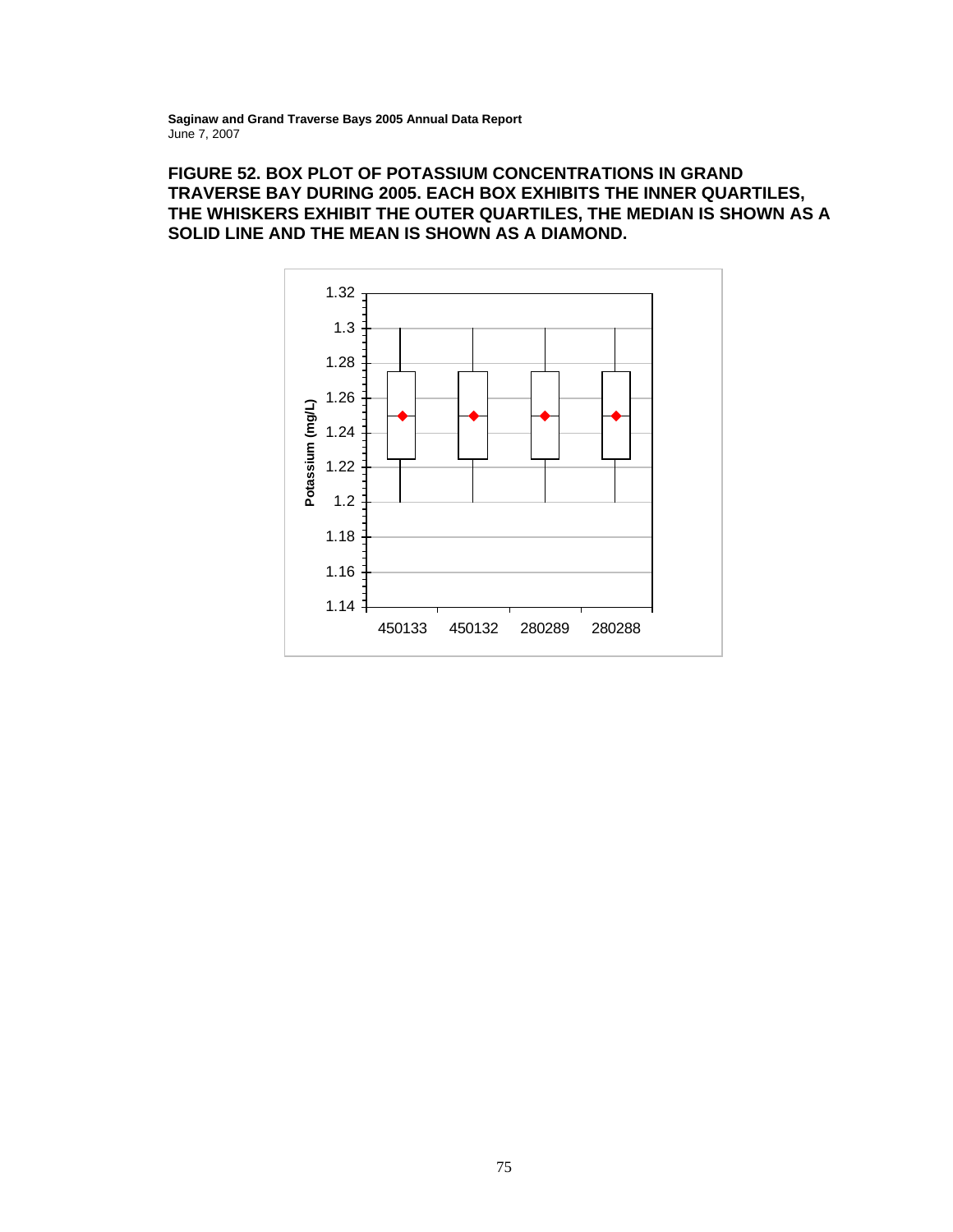# **FIGURE 52. BOX PLOT OF POTASSIUM CONCENTRATIONS IN GRAND TRAVERSE BAY DURING 2005. EACH BOX EXHIBITS THE INNER QUARTILES, THE WHISKERS EXHIBIT THE OUTER QUARTILES, THE MEDIAN IS SHOWN AS A SOLID LINE AND THE MEAN IS SHOWN AS A DIAMOND.**

![](_page_85_Figure_2.jpeg)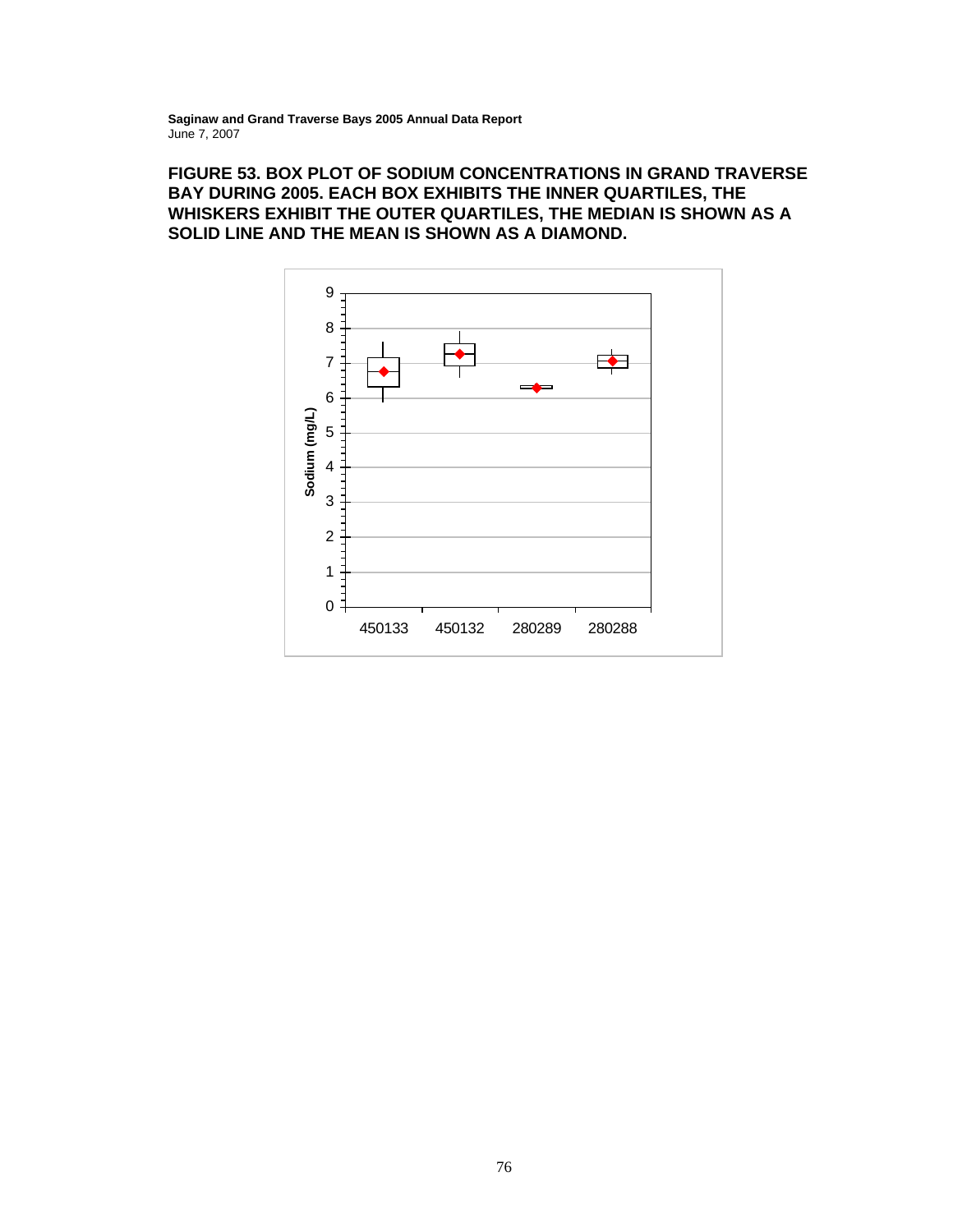# **FIGURE 53. BOX PLOT OF SODIUM CONCENTRATIONS IN GRAND TRAVERSE BAY DURING 2005. EACH BOX EXHIBITS THE INNER QUARTILES, THE WHISKERS EXHIBIT THE OUTER QUARTILES, THE MEDIAN IS SHOWN AS A SOLID LINE AND THE MEAN IS SHOWN AS A DIAMOND.**

![](_page_86_Figure_2.jpeg)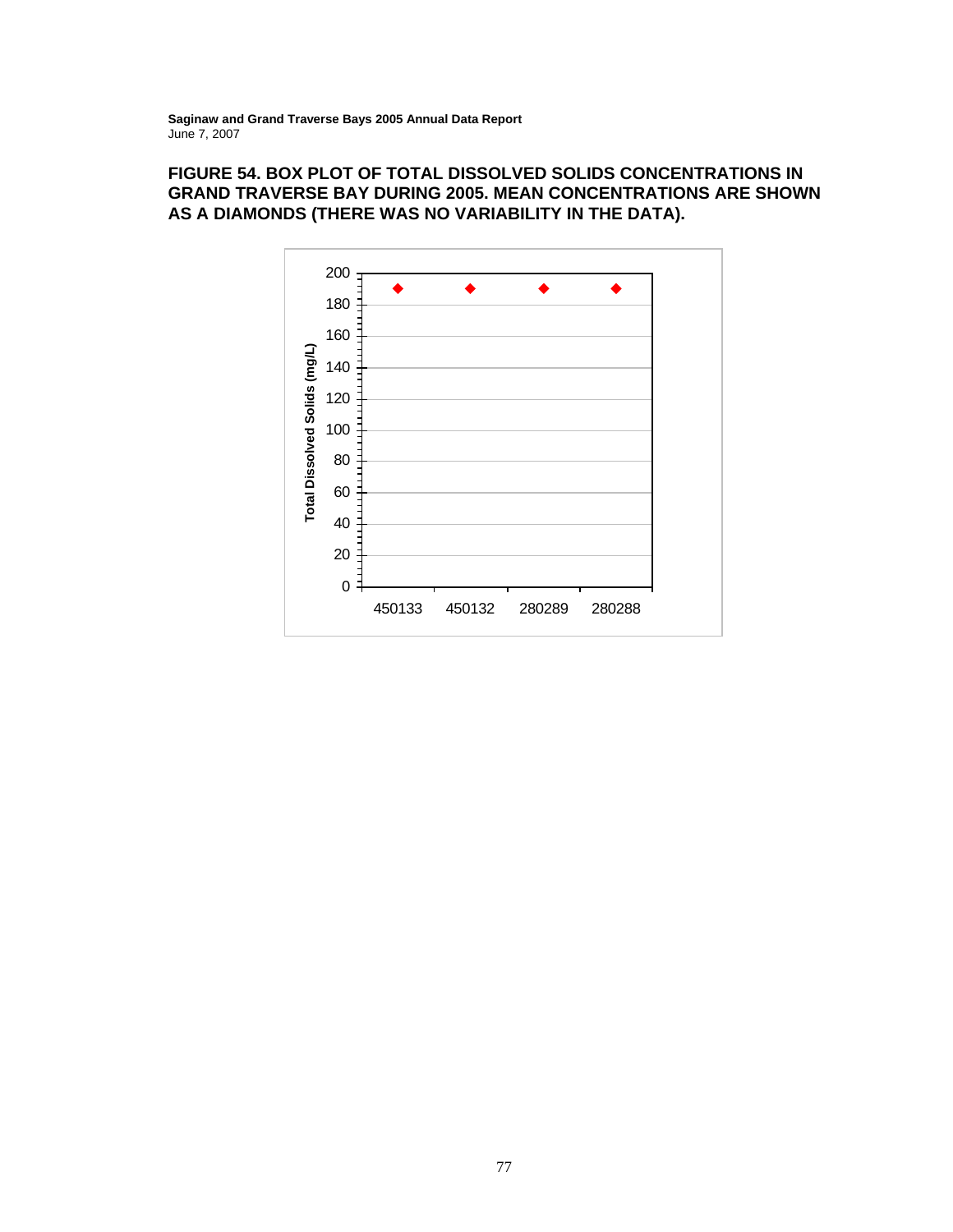# **FIGURE 54. BOX PLOT OF TOTAL DISSOLVED SOLIDS CONCENTRATIONS IN GRAND TRAVERSE BAY DURING 2005. MEAN CONCENTRATIONS ARE SHOWN AS A DIAMONDS (THERE WAS NO VARIABILITY IN THE DATA).**

![](_page_87_Figure_2.jpeg)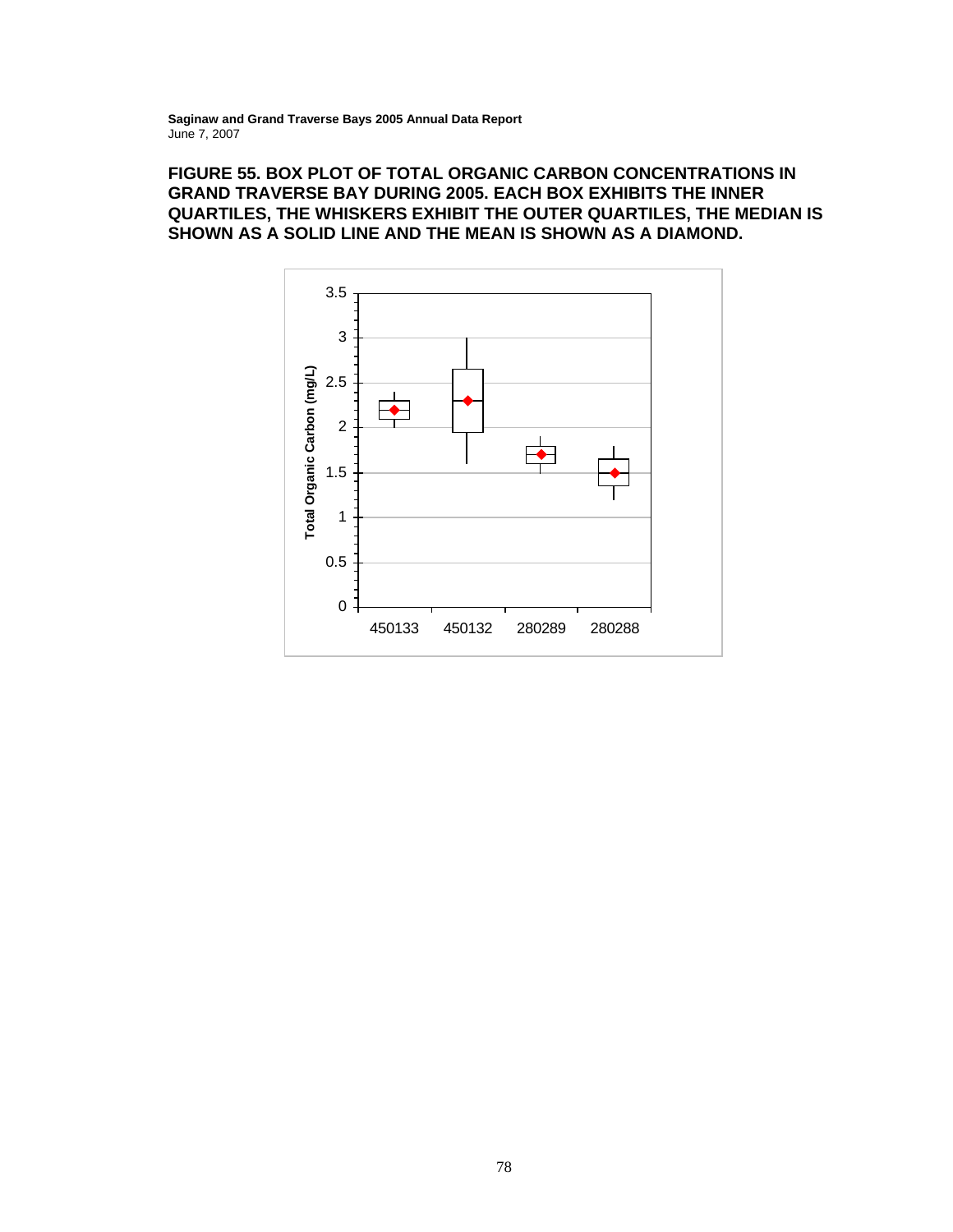# **FIGURE 55. BOX PLOT OF TOTAL ORGANIC CARBON CONCENTRATIONS IN GRAND TRAVERSE BAY DURING 2005. EACH BOX EXHIBITS THE INNER QUARTILES, THE WHISKERS EXHIBIT THE OUTER QUARTILES, THE MEDIAN IS SHOWN AS A SOLID LINE AND THE MEAN IS SHOWN AS A DIAMOND.**

![](_page_88_Figure_2.jpeg)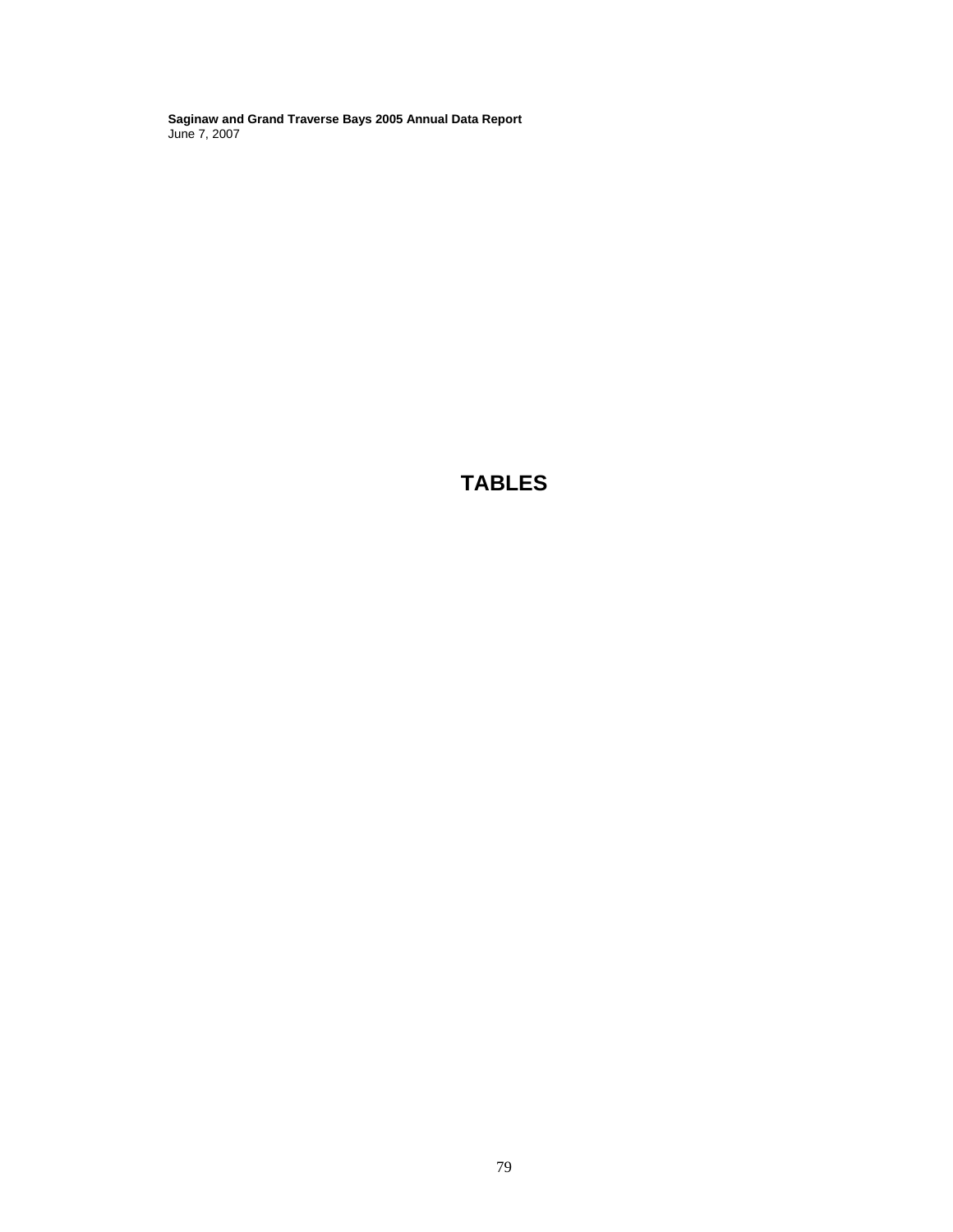**TABLES**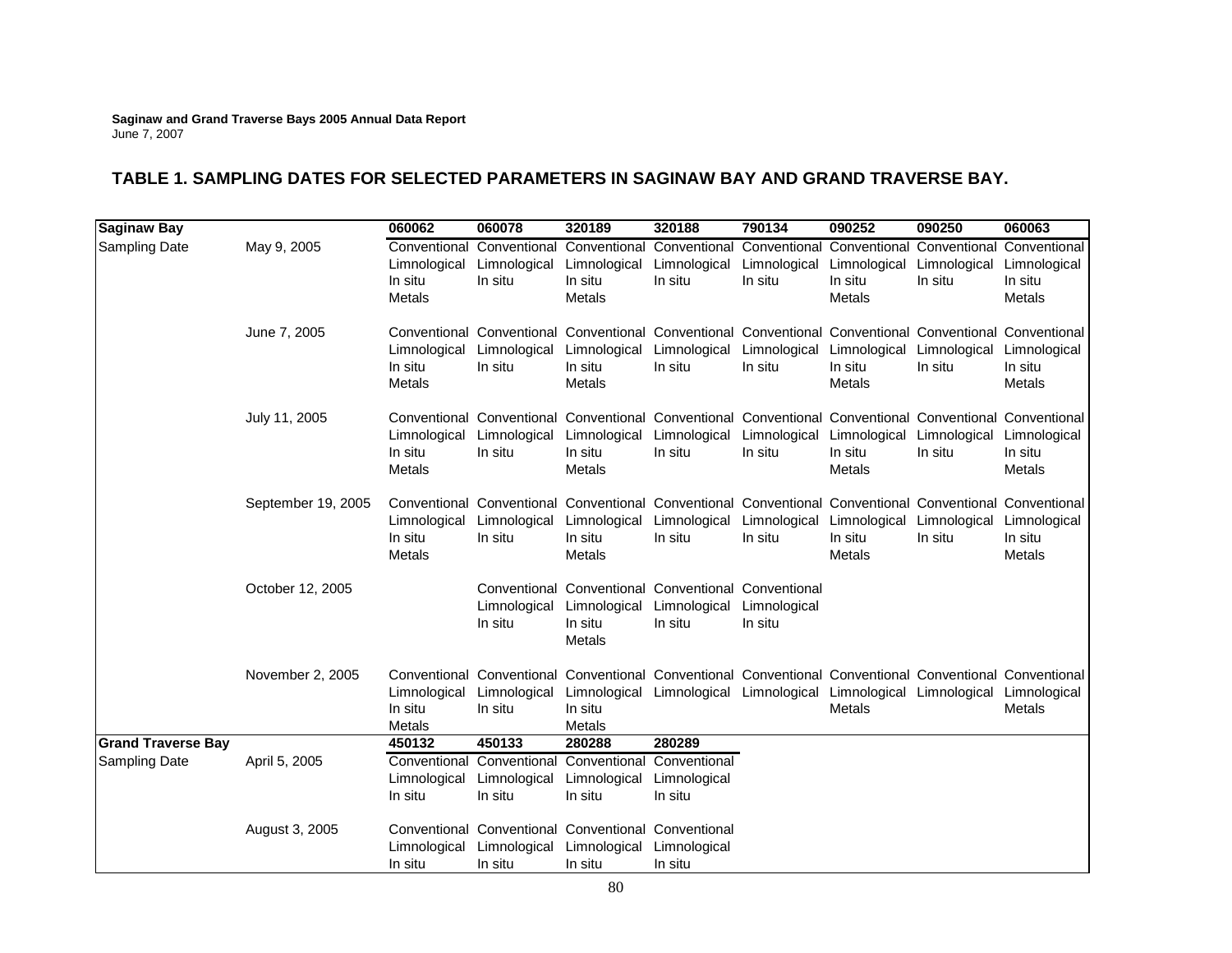# **TABLE 1. SAMPLING DATES FOR SELECTED PARAMETERS IN SAGINAW BAY AND GRAND TRAVERSE BAY.**

| Saginaw Bay               |                    | 060062                                            | 060078                                                                                                                             | 320189                                                                                                | 320188                                                           | 790134                  | 090252                                                         | 090250                                            | 060063                                            |
|---------------------------|--------------------|---------------------------------------------------|------------------------------------------------------------------------------------------------------------------------------------|-------------------------------------------------------------------------------------------------------|------------------------------------------------------------------|-------------------------|----------------------------------------------------------------|---------------------------------------------------|---------------------------------------------------|
| <b>Sampling Date</b>      | May 9, 2005        | Conventional<br>Limnological<br>In situ<br>Metals | Conventional<br>Limnological<br>In situ                                                                                            | Conventional<br>Limnological<br>In situ<br>Metals                                                     | Conventional<br>Limnological<br>In situ                          | Limnological<br>In situ | Conventional Conventional<br>Limnological<br>In situ<br>Metals | Conventional<br>Limnological<br>In situ           | Conventional<br>Limnological<br>In situ<br>Metals |
|                           | June 7, 2005       | Limnological<br>In situ<br>Metals                 | Conventional Conventional Conventional Conventional Conventional Conventional Conventional Conventional<br>Limnological<br>In situ | Limnological<br>In situ<br>Metals                                                                     | Limnological<br>In situ                                          | Limnological<br>In situ | Limnological<br>In situ<br>Metals                              | Limnological<br>In situ                           | Limnological<br>In situ<br>Metals                 |
|                           | July 11, 2005      | Limnological<br>In situ<br>Metals                 | Conventional Conventional Conventional Conventional Conventional Conventional Conventional Conventional<br>In situ                 | Limnological Limnological Limnological<br>In situ<br>Metals                                           | In situ                                                          | In situ                 | In situ<br>Metals                                              | Limnological Limnological Limnological<br>In situ | Limnological<br>In situ<br>Metals                 |
|                           | September 19, 2005 | Limnological<br>In situ<br>Metals                 | Conventional Conventional Conventional Conventional Conventional Conventional Conventional Conventional<br>In situ                 | Limnological Limnological Limnological<br>In situ<br>Metals                                           | In situ                                                          | In situ                 | In situ<br><b>Metals</b>                                       | Limnological Limnological Limnological<br>In situ | Limnological<br>In situ<br>Metals                 |
|                           | October 12, 2005   |                                                   | Limnological<br>In situ                                                                                                            | Conventional Conventional Conventional Conventional<br>Limnological Limnological<br>In situ<br>Metals | In situ                                                          | Limnological<br>In situ |                                                                |                                                   |                                                   |
|                           | November 2, 2005   | Limnological<br>In situ<br>Metals                 | Conventional Conventional Conventional Conventional Conventional Conventional Conventional Conventional<br>Limnological<br>In situ | In situ<br>Metals                                                                                     | Limnological Limnological Limnological Limnological Limnological |                         | Metals                                                         |                                                   | Limnological<br>Metals                            |
| <b>Grand Traverse Bay</b> |                    | 450132                                            | 450133                                                                                                                             | 280288                                                                                                | 280289                                                           |                         |                                                                |                                                   |                                                   |
| <b>Sampling Date</b>      | April 5, 2005      | Conventional<br>Limnological<br>In situ           | Limnological<br>In situ                                                                                                            | Conventional Conventional Conventional<br>Limnological<br>In situ                                     | Limnological<br>In situ                                          |                         |                                                                |                                                   |                                                   |
|                           | August 3, 2005     | Limnological<br>In situ                           | Conventional Conventional Conventional Conventional<br>Limnological<br>In situ                                                     | Limnological Limnological<br>In situ                                                                  | In situ                                                          |                         |                                                                |                                                   |                                                   |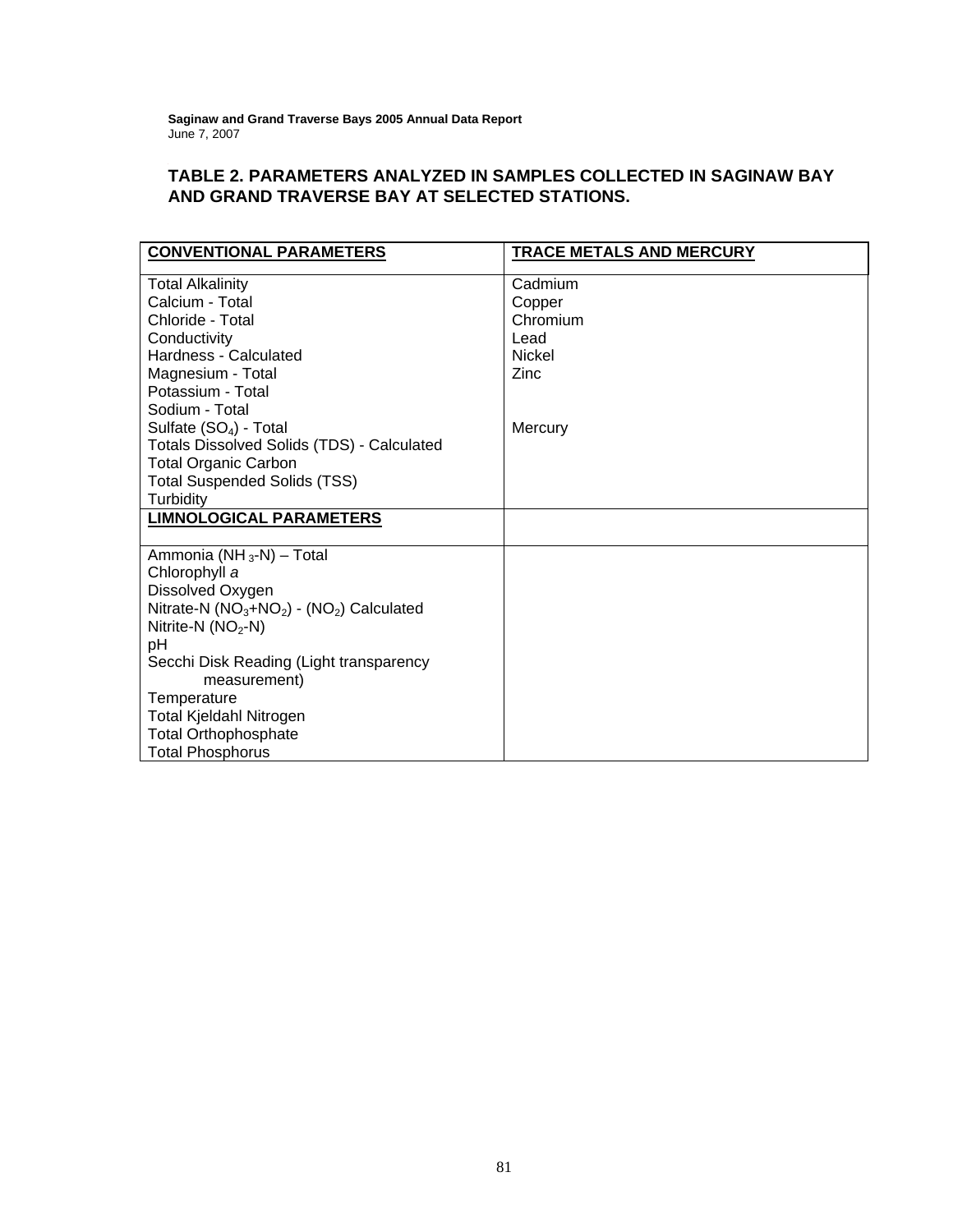**Saginaw** June 7, 2007  **and Grand Traverse Bays 2005 Annual Data Report** 

# **TABLE 2. PARAMETERS ANALYZED IN SAMPLES COLLECTED IN SAGINAW BAY AND GRAND TRAVERSE BAY AT SELECTED STATIONS.**

| <b>CONVENTIONAL PARAMETERS</b>                    | TRACE METALS AND MERCURY |
|---------------------------------------------------|--------------------------|
|                                                   |                          |
| <b>Total Alkalinity</b>                           | Cadmium                  |
| Calcium - Total                                   | Copper                   |
| Chloride - Total                                  | Chromium                 |
| Conductivity                                      | Lead                     |
| Hardness - Calculated                             | Nickel                   |
| Magnesium - Total                                 | Zinc                     |
| Potassium - Total                                 |                          |
| Sodium - Total                                    |                          |
| Sulfate (SO <sub>4</sub> ) - Total                | Mercury                  |
| <b>Totals Dissolved Solids (TDS) - Calculated</b> |                          |
| <b>Total Organic Carbon</b>                       |                          |
| <b>Total Suspended Solids (TSS)</b>               |                          |
| Turbidity                                         |                          |
| <b>LIMNOLOGICAL PARAMETERS</b>                    |                          |
|                                                   |                          |
| Ammonia (NH <sub>3</sub> -N) - Total              |                          |
| Chlorophyll a                                     |                          |
| Dissolved Oxygen                                  |                          |
| Nitrate-N $(NO3+NO2) - (NO2)$ Calculated          |                          |
| Nitrite-N $(NO2-N)$                               |                          |
| рH                                                |                          |
| Secchi Disk Reading (Light transparency           |                          |
| measurement)                                      |                          |
| Temperature                                       |                          |
| Total Kjeldahl Nitrogen                           |                          |
| <b>Total Orthophosphate</b>                       |                          |
| <b>Total Phosphorus</b>                           |                          |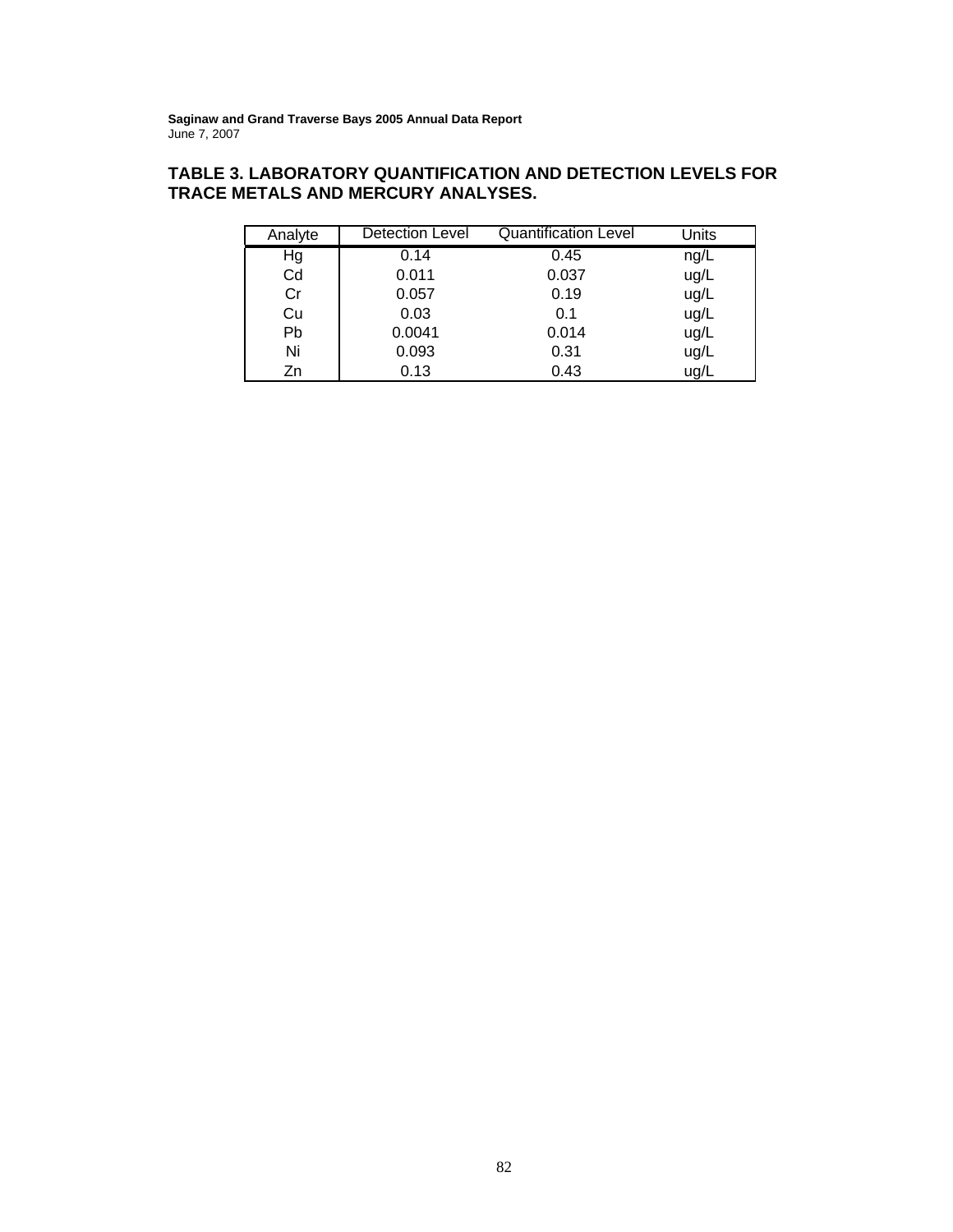# **TABLE 3. LABORATORY QUANTIFICATION AND DETECTION LEVELS FOR TRACE METALS AND MERCURY ANALYSES.**

| Analyte | <b>Detection Level</b> | <b>Quantification Level</b> | Units |
|---------|------------------------|-----------------------------|-------|
| Hg      | 0.14                   | 0.45                        | ng/L  |
| Cd      | 0.011                  | 0.037                       | ug/L  |
| Cr      | 0.057                  | 0.19                        | ug/L  |
| Cu      | 0.03                   | 0.1                         | ug/L  |
| Pb      | 0.0041                 | 0.014                       | ug/L  |
| Ni      | 0.093                  | 0.31                        | ug/L  |
| Zn      | 0.13                   | 0.43                        | ug/L  |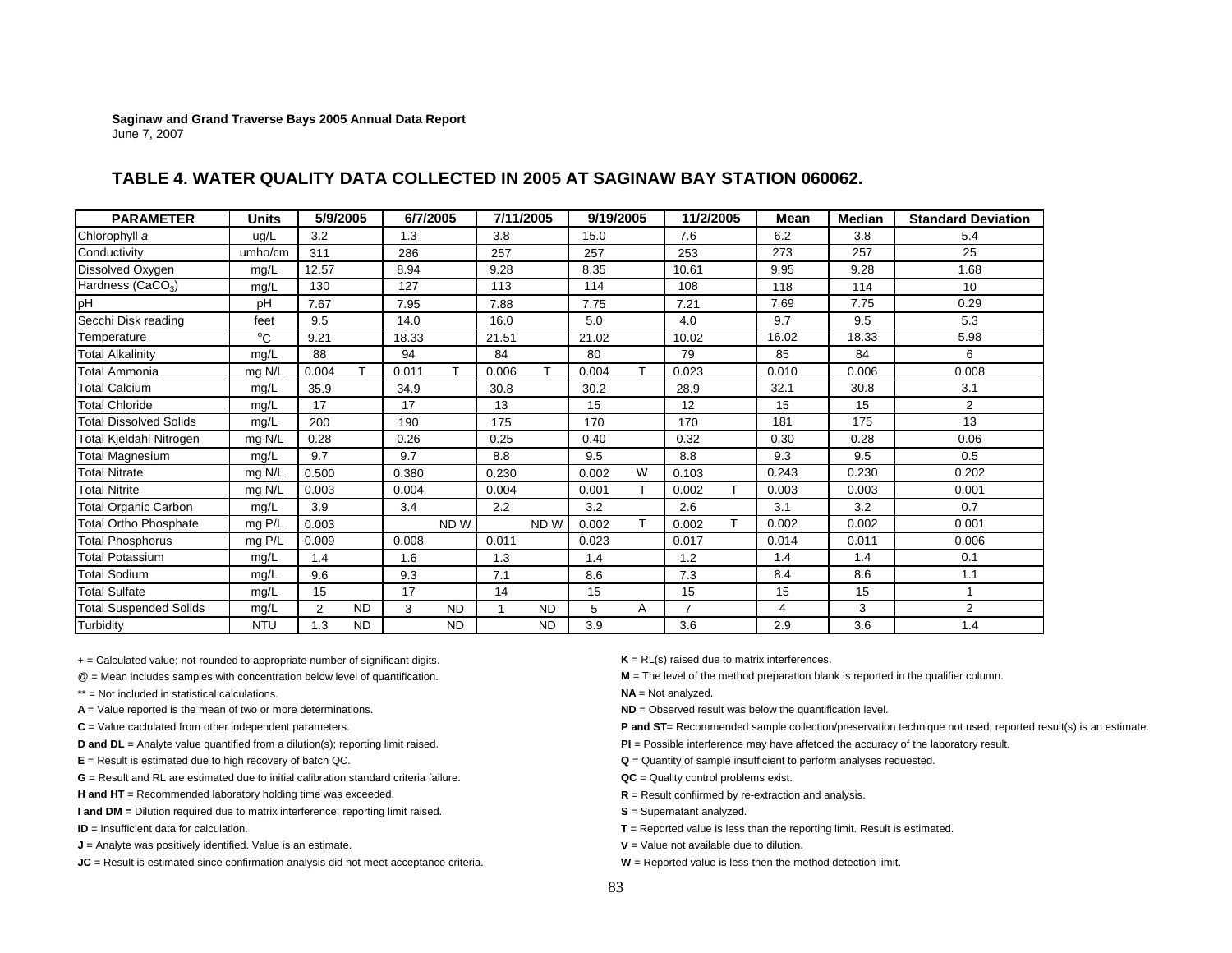| <b>PARAMETER</b>              | <b>Units</b> | 5/9/2005       |           | 6/7/2005 |           |       | 7/11/2005       | 9/19/2005 |    | 11/2/2005      | Mean  | Median | <b>Standard Deviation</b> |
|-------------------------------|--------------|----------------|-----------|----------|-----------|-------|-----------------|-----------|----|----------------|-------|--------|---------------------------|
| Chlorophyll a                 | ug/L         | 3.2            |           | 1.3      |           | 3.8   |                 | 15.0      |    | 7.6            | 6.2   | 3.8    | 5.4                       |
| Conductivity                  | umho/cm      | 311            |           | 286      |           | 257   |                 | 257       |    | 253            | 273   | 257    | 25                        |
| Dissolved Oxygen              | mg/L         | 12.57          |           | 8.94     |           | 9.28  |                 | 8.35      |    | 10.61          | 9.95  | 9.28   | 1.68                      |
| Hardness (CaCO <sub>3</sub> ) | mg/L         | 130            |           | 127      |           | 113   |                 | 114       |    | 108            | 118   | 114    | 10                        |
| pH                            | рH           | 7.67           |           | 7.95     |           | 7.88  |                 | 7.75      |    | 7.21           | 7.69  | 7.75   | 0.29                      |
| Secchi Disk reading           | feet         | 9.5            |           | 14.0     |           | 16.0  |                 | 5.0       |    | 4.0            | 9.7   | 9.5    | 5.3                       |
| Temperature                   | $^{\circ}C$  | 9.21           |           | 18.33    |           | 21.51 |                 | 21.02     |    | 10.02          | 16.02 | 18.33  | 5.98                      |
| <b>Total Alkalinity</b>       | mq/L         | 88             |           | 94       |           | 84    |                 | 80        |    | 79             | 85    | 84     | 6                         |
| Total Ammonia                 | mg N/L       | 0.004          | T.        | 0.011    | т         | 0.006 | т               | 0.004     | т  | 0.023          | 0.010 | 0.006  | 0.008                     |
| Total Calcium                 | mq/L         | 35.9           |           | 34.9     |           | 30.8  |                 | 30.2      |    | 28.9           | 32.1  | 30.8   | 3.1                       |
| <b>Total Chloride</b>         | mg/L         | 17             |           | 17       |           | 13    |                 | 15        |    | 12             | 15    | 15     | 2                         |
| <b>Total Dissolved Solids</b> | mg/L         | 200            |           | 190      |           | 175   |                 | 170       |    | 170            | 181   | 175    | 13                        |
| Total Kjeldahl Nitrogen       | mg N/L       | 0.28           |           | 0.26     |           | 0.25  |                 | 0.40      |    | 0.32           | 0.30  | 0.28   | 0.06                      |
| <b>Total Magnesium</b>        | mg/L         | 9.7            |           | 9.7      |           | 8.8   |                 | 9.5       |    | 8.8            | 9.3   | 9.5    | 0.5                       |
| <b>Total Nitrate</b>          | mg N/L       | 0.500          |           | 0.380    |           | 0.230 |                 | 0.002     | W  | 0.103          | 0.243 | 0.230  | 0.202                     |
| <b>Total Nitrite</b>          | mg N/L       | 0.003          |           | 0.004    |           | 0.004 |                 | 0.001     | т  | 0.002          | 0.003 | 0.003  | 0.001                     |
| Total Organic Carbon          | mg/L         | 3.9            |           | 3.4      |           | 2.2   |                 | 3.2       |    | 2.6            | 3.1   | 3.2    | 0.7                       |
| <b>Total Ortho Phosphate</b>  | mg P/L       | 0.003          |           |          | ND W      |       | ND <sub>W</sub> | 0.002     | T. | 0.002          | 0.002 | 0.002  | 0.001                     |
| <b>Total Phosphorus</b>       | mg P/L       | 0.009          |           | 0.008    |           | 0.011 |                 | 0.023     |    | 0.017          | 0.014 | 0.011  | 0.006                     |
| <b>Total Potassium</b>        | mg/L         | 1.4            |           | 1.6      |           | 1.3   |                 | 1.4       |    | 1.2            | 1.4   | 1.4    | 0.1                       |
| <b>Total Sodium</b>           | mg/L         | 9.6            |           | 9.3      |           | 7.1   |                 | 8.6       |    | 7.3            | 8.4   | 8.6    | 1.1                       |
| <b>Total Sulfate</b>          | mg/L         | 15             |           | 17       |           | 14    |                 | 15        |    | 15             | 15    | 15     |                           |
| <b>Total Suspended Solids</b> | mg/L         | $\overline{2}$ | <b>ND</b> | 3        | <b>ND</b> |       | <b>ND</b>       | 5         | A  | $\overline{7}$ | 4     | 3      | $\overline{2}$            |
| Turbidity                     | <b>NTU</b>   | 1.3            | <b>ND</b> |          | <b>ND</b> |       | <b>ND</b>       | 3.9       |    | 3.6            | 2.9   | 3.6    | 1.4                       |

## **TABLE 4. WATER QUALITY DATA COLLECTED IN 2005 AT SAGINAW BAY STATION 060062.**

+ = Calculated value; not rounded to appropriate number of significant digits. **K** = RL(s) raised due to matrix interferences.

\*\* = Not included in statistical calculations.

- **A** = Value reported is the mean of two or more determinations. **ND** = Observed result was below the quantification level.
- 
- 
- 
- **G** = Result and RL are estimated due to initial calibration standard criteria failure.

**H and HT** = Recommended laboratory holding time was exceeded. **R** = Result confiirmed by re-extraction and analysis.

- **I and DM = Dilution required due to matrix interference; reporting limit raised. <b>S** = Supernatant analyzed.
- **ID** = Insufficient data for calculation.
- **J** = Analyte was positively identified. Value is an estimate. **V W** = Value not available due to dilution.

**JC** = Result is estimated since confirmation analysis did not meet acceptance criteria. **W** = Reported value is less then the method detection limit.

@ = Mean includes samples with concentration below level of quantification. **M** = The level of the method preparation blank is reported in the qualifier column.

- **NA** = Not analyzed.
- 
- C = Value caclulated from other independent parameters. **P** and **ST**= Recommended sample collection/preservation technique not used; reported result(s) is an estimate.
- **D and DL** = Analyte value quantified from a dilution(s); reporting limit raised. **PI PI** = Possible interference may have affetced the accuracy of the laboratory result.
- **E** = Result is estimated due to high recovery of batch QC. **COM CONS Q** is a constant of sample insufficient to perform analyses requested.
	- **QC** = Quality control problems exist.
	-
	-
	- **T** = Reported value is less than the reporting limit. Result is estimated.
	-
	-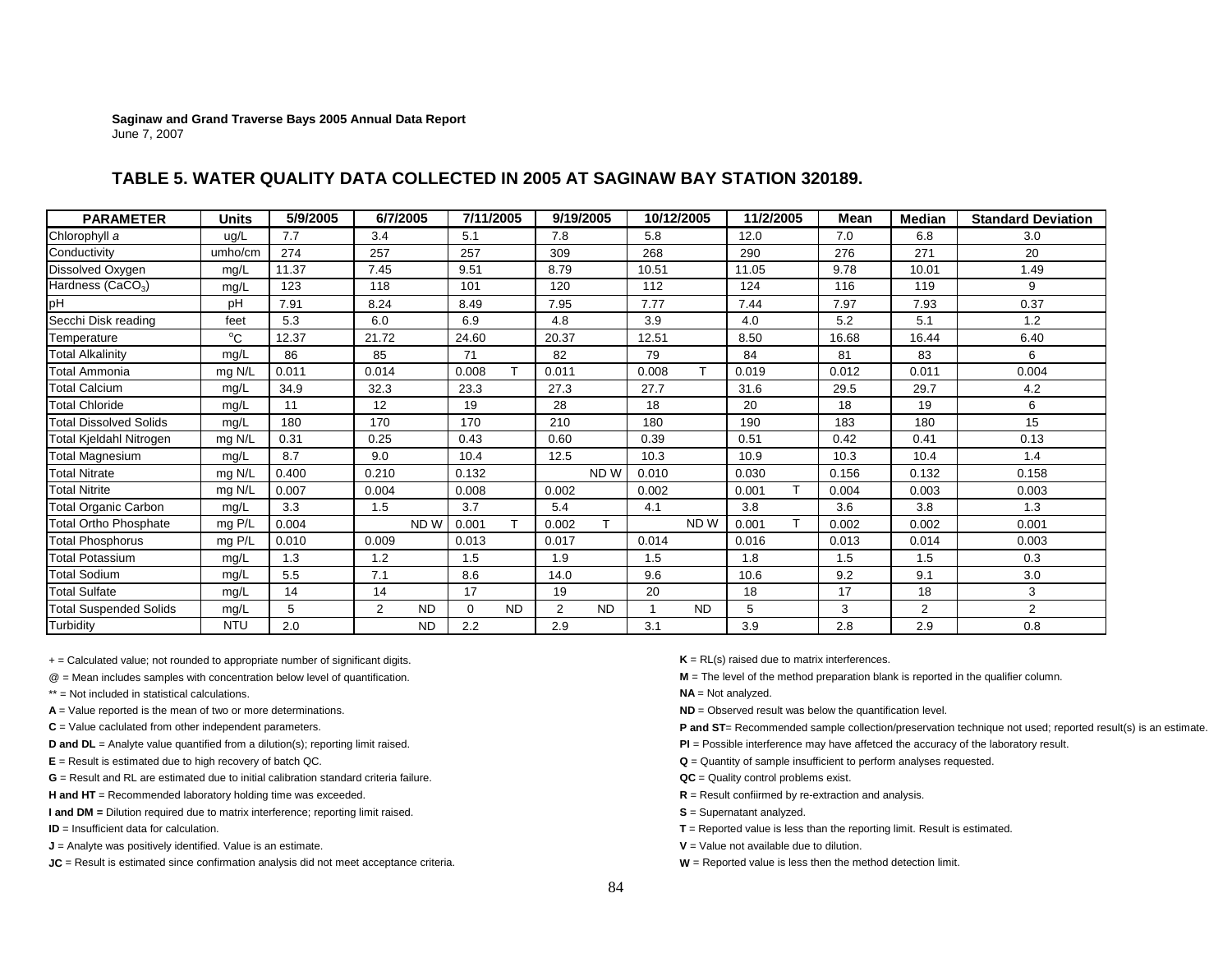## **TABLE 5. WATER QUALITY DATA COLLECTED IN 2005 AT SAGINAW BAY STATION 320189.**

| <b>PARAMETER</b>              | <b>Units</b> | 5/9/2005 | 6/7/2005 |                 | 7/11/2005 |           | 9/19/2005 |           |       | 10/12/2005      | 11/2/2005 | Mean  | <b>Median</b>  | <b>Standard Deviation</b> |
|-------------------------------|--------------|----------|----------|-----------------|-----------|-----------|-----------|-----------|-------|-----------------|-----------|-------|----------------|---------------------------|
| Chlorophyll a                 | ug/L         | 7.7      | 3.4      |                 | 5.1       |           | 7.8       |           | 5.8   |                 | 12.0      | 7.0   | 6.8            | 3.0                       |
| Conductivity                  | umho/cm      | 274      | 257      |                 | 257       |           | 309       |           | 268   |                 | 290       | 276   | 271            | 20                        |
| Dissolved Oxygen              | mg/L         | 11.37    | 7.45     |                 | 9.51      |           | 8.79      |           | 10.51 |                 | 11.05     | 9.78  | 10.01          | 1.49                      |
| Hardness (CaCO <sub>3</sub> ) | mg/L         | 123      | 118      |                 | 101       |           | 120       |           | 112   |                 | 124       | 116   | 119            | 9                         |
| pH                            | pH           | 7.91     | 8.24     |                 | 8.49      |           | 7.95      |           | 7.77  |                 | 7.44      | 7.97  | 7.93           | 0.37                      |
| Secchi Disk reading           | feet         | 5.3      | 6.0      |                 | 6.9       |           | 4.8       |           | 3.9   |                 | 4.0       | 5.2   | 5.1            | 1.2                       |
| Temperature                   | $^{\circ}C$  | 12.37    | 21.72    |                 | 24.60     |           | 20.37     |           | 12.51 |                 | 8.50      | 16.68 | 16.44          | 6.40                      |
| <b>Total Alkalinity</b>       | mg/L         | 86       | 85       |                 | 71        |           | 82        |           | 79    |                 | 84        | 81    | 83             | 6                         |
| <b>Total Ammonia</b>          | mg N/L       | 0.011    | 0.014    |                 | 0.008     |           | 0.011     |           | 0.008 | т               | 0.019     | 0.012 | 0.011          | 0.004                     |
| <b>Total Calcium</b>          | mg/L         | 34.9     | 32.3     |                 | 23.3      |           | 27.3      |           | 27.7  |                 | 31.6      | 29.5  | 29.7           | 4.2                       |
| <b>Total Chloride</b>         | mg/L         | 11       | 12       |                 | 19        |           | 28        |           | 18    |                 | 20        | 18    | 19             | 6                         |
| <b>Total Dissolved Solids</b> | mg/L         | 180      | 170      |                 | 170       |           | 210       |           | 180   |                 | 190       | 183   | 180            | 15                        |
| Total Kjeldahl Nitrogen       | mg N/L       | 0.31     | 0.25     |                 | 0.43      |           | 0.60      |           | 0.39  |                 | 0.51      | 0.42  | 0.41           | 0.13                      |
| <b>Total Magnesium</b>        | mg/L         | 8.7      | 9.0      |                 | 10.4      |           | 12.5      |           | 10.3  |                 | 10.9      | 10.3  | 10.4           | 1.4                       |
| <b>Total Nitrate</b>          | mg N/L       | 0.400    | 0.210    |                 | 0.132     |           |           | ND W      | 0.010 |                 | 0.030     | 0.156 | 0.132          | 0.158                     |
| <b>Total Nitrite</b>          | mg N/L       | 0.007    | 0.004    |                 | 0.008     |           | 0.002     |           | 0.002 |                 | 0.001     | 0.004 | 0.003          | 0.003                     |
| <b>Total Organic Carbon</b>   | mg/L         | 3.3      | 1.5      |                 | 3.7       |           | 5.4       |           | 4.1   |                 | 3.8       | 3.6   | 3.8            | 1.3                       |
| <b>Total Ortho Phosphate</b>  | mg P/L       | 0.004    |          | ND <sub>W</sub> | 0.001     |           | 0.002     |           |       | ND <sub>W</sub> | 0.001     | 0.002 | 0.002          | 0.001                     |
| Total Phosphorus              | mg P/L       | 0.010    | 0.009    |                 | 0.013     |           | 0.017     |           | 0.014 |                 | 0.016     | 0.013 | 0.014          | 0.003                     |
| <b>Total Potassium</b>        | mg/L         | 1.3      | 1.2      |                 | 1.5       |           | 1.9       |           | 1.5   |                 | 1.8       | 1.5   | 1.5            | 0.3                       |
| <b>Total Sodium</b>           | mg/L         | 5.5      | 7.1      |                 | 8.6       |           | 14.0      |           | 9.6   |                 | 10.6      | 9.2   | 9.1            | 3.0                       |
| <b>Total Sulfate</b>          | mg/L         | 14       | 14       |                 | 17        |           | 19        |           | 20    |                 | 18        | 17    | 18             | 3                         |
| <b>Total Suspended Solids</b> | mg/L         | 5        | 2        | <b>ND</b>       | 0         | <b>ND</b> | 2         | <b>ND</b> |       | <b>ND</b>       | 5         | 3     | $\overline{2}$ | $\overline{2}$            |
| Turbidity                     | <b>NTU</b>   | 2.0      |          | <b>ND</b>       | 2.2       |           | 2.9       |           | 3.1   |                 | 3.9       | 2.8   | 2.9            | 0.8                       |

+ = Calculated value; not rounded to appropriate number of significant digits. **K** = RL(s) raised due to matrix interferences.

- 
- \*\* = Not included in statistical calculations.
- **A** = Value reported is the mean of two or more determinations. **ND** = Observed result was below the quantification level.
- 
- 
- 
- **G** = Result and RL are estimated due to initial calibration standard criteria failure.

H and HT = Recommended laboratory holding time was exceeded. **R** = Result confiirmed by re-extraction and analysis.

**I and DM = Dilution required due to matrix interference; reporting limit raised. <br>
<b>S** = Supernatant analyzed.

- **ID** = Insufficient data for calculation.
- **J** = Analyte was positively identified. Value is an estimate. **V** = Value not available due to dilution.

**JC** = Result is estimated since confirmation analysis did not meet acceptance criteria. **W** = Reported value is less then the method detection limit.

- 
- @ = Mean includes samples with concentration below level of quantification. **M** = The level of the method preparation blank is reported in the qualifier column.
	- **NA** = Not analyzed.
	-
- **C** = Value caclulated from other independent parameters. **P** and **ST**= Recommended sample collection/preservation technique not used; reported result(s) is an estimate.
- **D and DL** = Analyte value quantified from a dilution(s); reporting limit raised. **PI** = Possible interference may have affetced the accuracy of the laboratory result.
- **E** = Result is estimated due to high recovery of batch QC. **CONSIDENT AND CONSIDENT AND CONSIDENT AND CONSIDENT** AND **Q** = Quantity of sample insufficient to perform analyses requested.
	- **QC** = Quality control problems exist.
	-
	-
	- **T** = Reported value is less than the reporting limit. Result is estimated.
	-
	-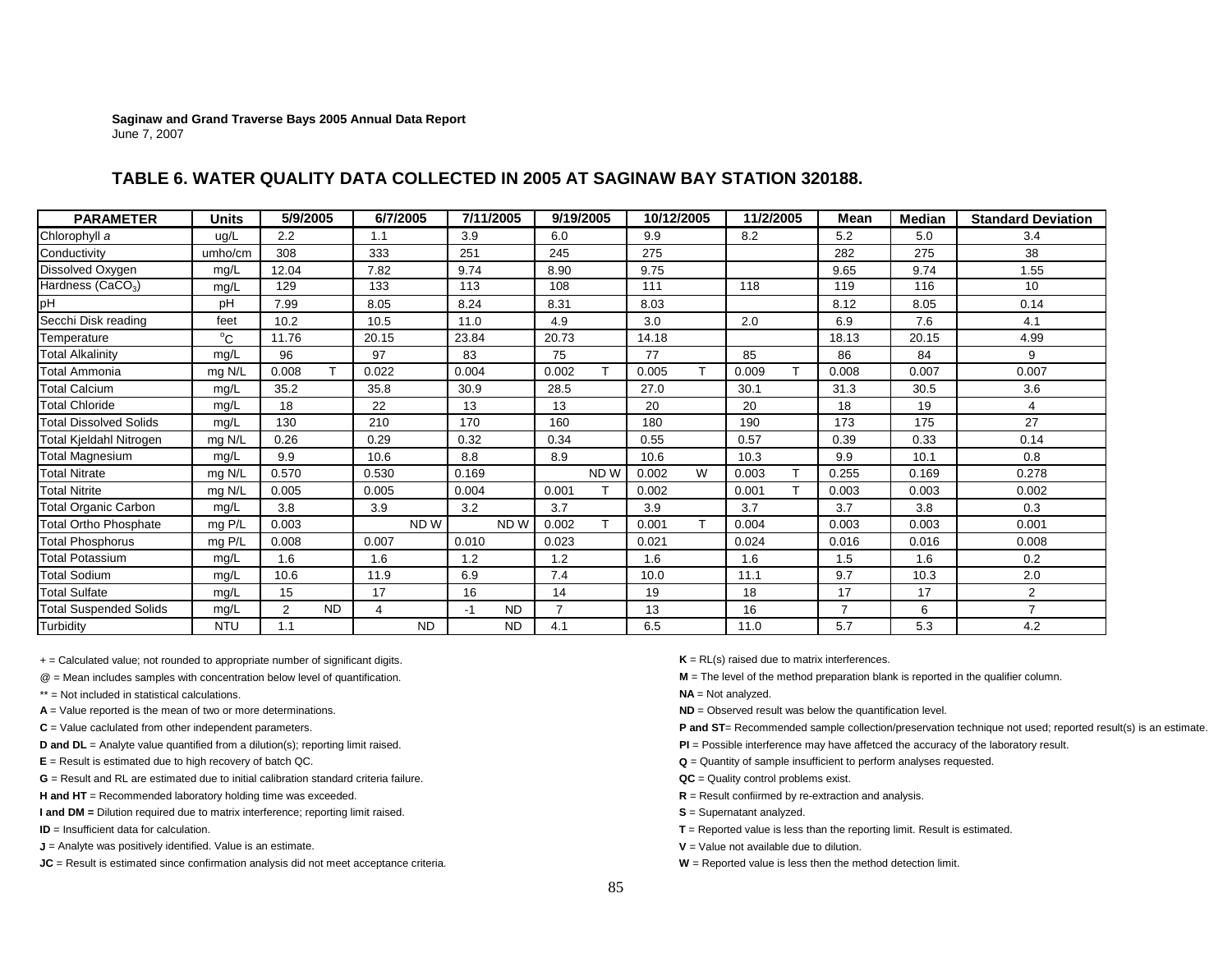## **TABLE 6. WATER QUALITY DATA COLLECTED IN 2005 AT SAGINAW BAY STATION 320188.**

| <b>PARAMETER</b>              | <b>Units</b> | 5/9/2005       |           | 6/7/2005 |                 |       | 7/11/2005       | 9/19/2005      |                 | 10/12/2005 |   | 11/2/2005 | Mean           | Median | <b>Standard Deviation</b> |
|-------------------------------|--------------|----------------|-----------|----------|-----------------|-------|-----------------|----------------|-----------------|------------|---|-----------|----------------|--------|---------------------------|
| Chlorophyll a                 | ug/L         | 2.2            |           | 1.1      |                 | 3.9   |                 | 6.0            |                 | 9.9        |   | 8.2       | 5.2            | 5.0    | 3.4                       |
| Conductivity                  | umho/cm      | 308            |           | 333      |                 | 251   |                 | 245            |                 | 275        |   |           | 282            | 275    | 38                        |
| Dissolved Oxygen              | mg/L         | 12.04          |           | 7.82     |                 | 9.74  |                 | 8.90           |                 | 9.75       |   |           | 9.65           | 9.74   | 1.55                      |
| Hardness (CaCO <sub>3</sub> ) | mg/L         | 129            |           | 133      |                 | 113   |                 | 108            |                 | 111        |   | 118       | 119            | 116    | 10                        |
| pH                            | pH           | 7.99           |           | 8.05     |                 | 8.24  |                 | 8.31           |                 | 8.03       |   |           | 8.12           | 8.05   | 0.14                      |
| Secchi Disk reading           | feet         | 10.2           |           | 10.5     |                 | 11.0  |                 | 4.9            |                 | 3.0        |   | 2.0       | 6.9            | 7.6    | 4.1                       |
| Temperature                   | $^{\circ}$ C | 11.76          |           | 20.15    |                 | 23.84 |                 | 20.73          |                 | 14.18      |   |           | 18.13          | 20.15  | 4.99                      |
| <b>Total Alkalinity</b>       | mg/L         | 96             |           | 97       |                 | 83    |                 | 75             |                 | 77         |   | 85        | 86             | 84     | 9                         |
| Total Ammonia                 | mg N/L       | 0.008          |           | 0.022    |                 | 0.004 |                 | 0.002          | $\mathbf \tau$  | 0.005      | т | 0.009     | 0.008          | 0.007  | 0.007                     |
| <b>Total Calcium</b>          | mg/L         | 35.2           |           | 35.8     |                 | 30.9  |                 | 28.5           |                 | 27.0       |   | 30.1      | 31.3           | 30.5   | 3.6                       |
| <b>Total Chloride</b>         | mg/L         | 18             |           | 22       |                 | 13    |                 | 13             |                 | 20         |   | 20        | 18             | 19     | 4                         |
| <b>Total Dissolved Solids</b> | mg/L         | 130            |           | 210      |                 | 170   |                 | 160            |                 | 180        |   | 190       | 173            | 175    | 27                        |
| Total Kjeldahl Nitrogen       | mg N/L       | 0.26           |           | 0.29     |                 | 0.32  |                 | 0.34           |                 | 0.55       |   | 0.57      | 0.39           | 0.33   | 0.14                      |
| Total Magnesium               | mg/L         | 9.9            |           | 10.6     |                 | 8.8   |                 | 8.9            |                 | 10.6       |   | 10.3      | 9.9            | 10.1   | 0.8                       |
| <b>Total Nitrate</b>          | mg N/L       | 0.570          |           | 0.530    |                 | 0.169 |                 |                | ND <sub>W</sub> | 0.002      | W | 0.003     | 0.255          | 0.169  | 0.278                     |
| <b>Total Nitrite</b>          | mg N/L       | 0.005          |           | 0.005    |                 | 0.004 |                 | 0.001          |                 | 0.002      |   | 0.001     | 0.003          | 0.003  | 0.002                     |
| <b>Total Organic Carbon</b>   | mg/L         | 3.8            |           | 3.9      |                 | 3.2   |                 | 3.7            |                 | 3.9        |   | 3.7       | 3.7            | 3.8    | 0.3                       |
| <b>Total Ortho Phosphate</b>  | mg P/L       | 0.003          |           |          | ND <sub>W</sub> |       | ND <sub>W</sub> | 0.002          |                 | 0.001      |   | 0.004     | 0.003          | 0.003  | 0.001                     |
| <b>Total Phosphorus</b>       | mg P/L       | 0.008          |           | 0.007    |                 | 0.010 |                 | 0.023          |                 | 0.021      |   | 0.024     | 0.016          | 0.016  | 0.008                     |
| <b>Total Potassium</b>        | mg/L         | 1.6            |           | 1.6      |                 | 1.2   |                 | 1.2            |                 | 1.6        |   | 1.6       | 1.5            | 1.6    | 0.2                       |
| <b>Total Sodium</b>           | mg/L         | 10.6           |           | 11.9     |                 | 6.9   |                 | 7.4            |                 | 10.0       |   | 11.1      | 9.7            | 10.3   | 2.0                       |
| <b>Total Sulfate</b>          | mg/L         | 15             |           | 17       |                 | 16    |                 | 14             |                 | 19         |   | 18        | 17             | 17     | 2                         |
| <b>Total Suspended Solids</b> | mg/L         | $\overline{2}$ | <b>ND</b> | 4        |                 | $-1$  | <b>ND</b>       | $\overline{7}$ |                 | 13         |   | 16        | $\overline{7}$ | 6      | $\overline{7}$            |
| Turbidity                     | <b>NTU</b>   | 1.1            |           |          | <b>ND</b>       |       | <b>ND</b>       | 4.1            |                 | 6.5        |   | 11.0      | 5.7            | 5.3    | 4.2                       |

+ = Calculated value; not rounded to appropriate number of significant digits. **K** = RL(s) raised due to matrix interferences.

\*\* = Not included in statistical calculations.

- **A** = Value reported is the mean of two or more determinations. **ND** = Observed result was below the quantification level.
- 
- 

**G** = Result and RL are estimated due to initial calibration standard criteria failure.

H and HT = Recommended laboratory holding time was exceeded. **R** = Result confiirmed by re-extraction and analysis.

**I and DM = Dilution required due to matrix interference; reporting limit raised. <b>S** = Supernatant analyzed.

**ID** = Insufficient data for calculation.

**J** = Analyte was positively identified. Value is an estimate. **V V** = Value not available due to dilution.

**JC** = Result is estimated since confirmation analysis did not meet acceptance criteria. **W** = Reported value is less then the method detection limit.

@ = Mean includes samples with concentration below level of quantification. **M** = The level of the method preparation blank is reported in the qualifier column.

**NA** = Not analyzed.

- **D and DL** = Analyte value quantified from a dilution(s); reporting limit raised. **PI PI POSSIBLE INCOVER 2008 PI** = Possible interference may have affetced the accuracy of the laboratory result.
- **E** = Result is estimated due to high recovery of batch QC. **CONSIDENT AND THE CONSIDENT AND RESULTER Q** = Quantity of sample insufficient to perform analyses requested.
	- **QC** = Quality control problems exist.
	-
	-
	- **T** = Reported value is less than the reporting limit. Result is estimated.
	-
	-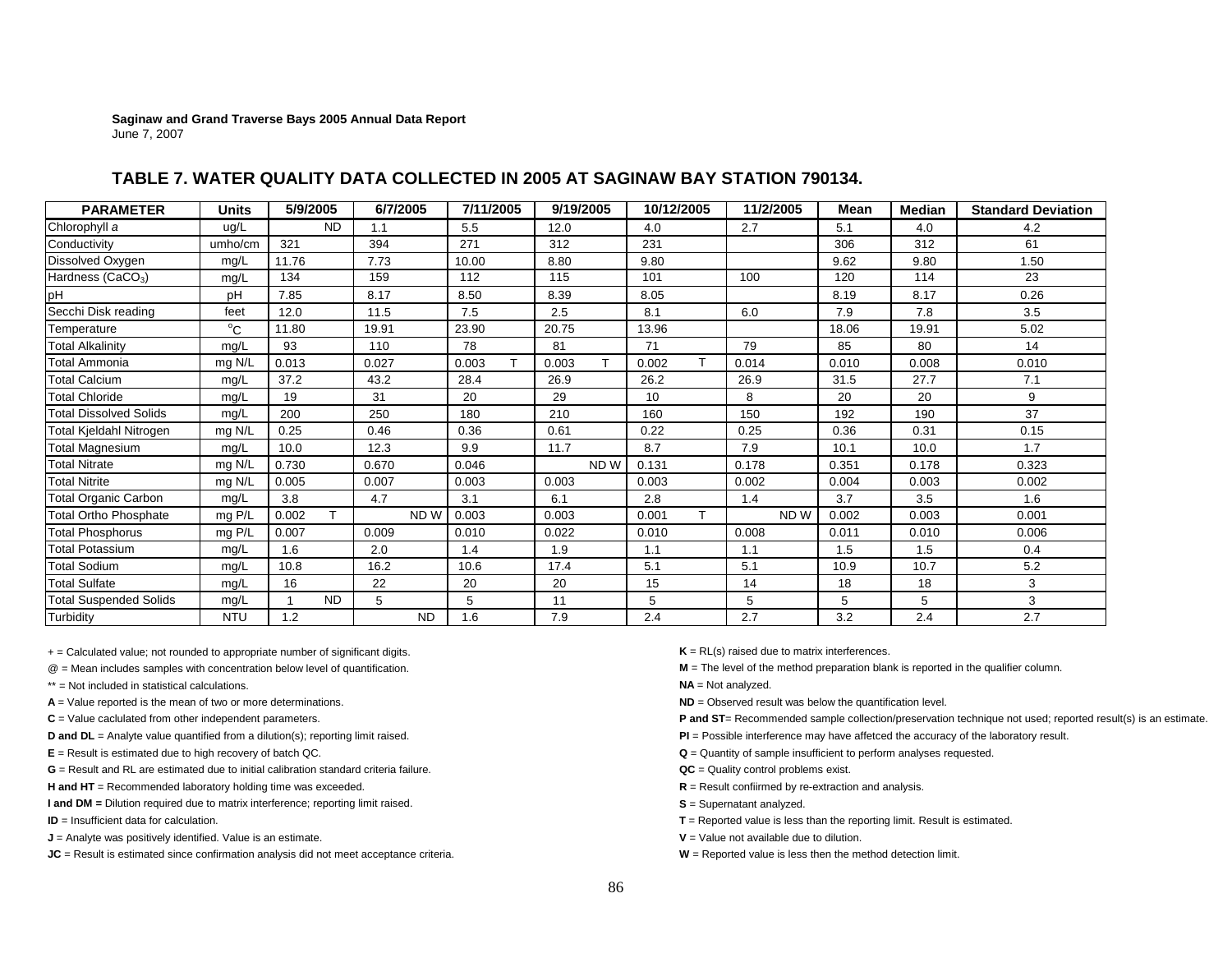## **TABLE 7. WATER QUALITY DATA COLLECTED IN 2005 AT SAGINAW BAY STATION 790134.**

| <b>PARAMETER</b>              | <b>Units</b> | 5/9/2005   | 6/7/2005 | 7/11/2005 | 9/19/2005       | 10/12/2005  | 11/2/2005 | Mean  | <b>Median</b> | <b>Standard Deviation</b> |
|-------------------------------|--------------|------------|----------|-----------|-----------------|-------------|-----------|-------|---------------|---------------------------|
| Chlorophyll a                 | ug/L         | <b>ND</b>  | 1.1      | 5.5       | 12.0            | 4.0         | 2.7       | 5.1   | 4.0           | 4.2                       |
| Conductivity                  | umho/cm      | 321        | 394      | 271       | 312             | 231         |           | 306   | 312           | 61                        |
| Dissolved Oxygen              | mq/L         | 11.76      | 7.73     | 10.00     | 8.80            | 9.80        |           | 9.62  | 9.80          | 1.50                      |
| Hardness (CaCO <sub>3</sub> ) | mq/L         | 134        | 159      | 112       | 115             | 101         | 100       | 120   | 114           | 23                        |
| <b>pH</b>                     | pH           | 7.85       | 8.17     | 8.50      | 8.39            | 8.05        |           | 8.19  | 8.17          | 0.26                      |
| Secchi Disk reading           | feet         | 12.0       | 11.5     | 7.5       | 2.5             | 8.1         | 6.0       | 7.9   | 7.8           | 3.5                       |
| Temperature                   | $^{\circ}C$  | 11.80      | 19.91    | 23.90     | 20.75           | 13.96       |           | 18.06 | 19.91         | 5.02                      |
| <b>Total Alkalinity</b>       | mg/L         | 93         | 110      | 78        | 81              | 71          | 79        | 85    | 80            | 14                        |
| <b>Total Ammonia</b>          | mg N/L       | 0.013      | 0.027    | 0.003     | 0.003<br>т      | T.<br>0.002 | 0.014     | 0.010 | 0.008         | 0.010                     |
| <b>Total Calcium</b>          | mg/L         | 37.2       | 43.2     | 28.4      | 26.9            | 26.2        | 26.9      | 31.5  | 27.7          | 7.1                       |
| <b>Total Chloride</b>         | mg/L         | 19         | 31       | 20        | 29              | 10          | 8         | 20    | 20            | 9                         |
| <b>Total Dissolved Solids</b> | mg/L         | 200        | 250      | 180       | 210             | 160         | 150       | 192   | 190           | 37                        |
| Total Kjeldahl Nitrogen       | mg N/L       | 0.25       | 0.46     | 0.36      | 0.61            | 0.22        | 0.25      | 0.36  | 0.31          | 0.15                      |
| <b>Total Magnesium</b>        | mg/L         | 10.0       | 12.3     | 9.9       | 11.7            | 8.7         | 7.9       | 10.1  | 10.0          | 1.7                       |
| <b>Total Nitrate</b>          | mg N/L       | 0.730      | 0.670    | 0.046     | ND <sub>W</sub> | 0.131       | 0.178     | 0.351 | 0.178         | 0.323                     |
| <b>Total Nitrite</b>          | mg N/L       | 0.005      | 0.007    | 0.003     | 0.003           | 0.003       | 0.002     | 0.004 | 0.003         | 0.002                     |
| <b>Total Organic Carbon</b>   | mg/L         | 3.8        | 4.7      | 3.1       | 6.1             | 2.8         | 1.4       | 3.7   | 3.5           | 1.6                       |
| <b>Total Ortho Phosphate</b>  | mg P/L       | т<br>0.002 | ND W     | 0.003     | 0.003           | T.<br>0.001 | ND W      | 0.002 | 0.003         | 0.001                     |
| <b>Total Phosphorus</b>       | mg P/L       | 0.007      | 0.009    | 0.010     | 0.022           | 0.010       | 0.008     | 0.011 | 0.010         | 0.006                     |
| <b>Total Potassium</b>        | mg/L         | 1.6        | 2.0      | 1.4       | 1.9             | 1.1         | 1.1       | 1.5   | 1.5           | 0.4                       |
| <b>Total Sodium</b>           | mg/L         | 10.8       | 16.2     | 10.6      | 17.4            | 5.1         | 5.1       | 10.9  | 10.7          | 5.2                       |
| <b>Total Sulfate</b>          | mg/L         | 16         | 22       | 20        | 20              | 15          | 14        | 18    | 18            | 3                         |
| <b>Total Suspended Solids</b> | mg/L         | ND.        | 5        | 5         | 11              | 5           | 5         | 5     | 5             | 3                         |
| Turbidity                     | <b>NTU</b>   | 1.2        | ND.      | 1.6       | 7.9             | 2.4         | 2.7       | 3.2   | 2.4           | 2.7                       |

+ = Calculated value; not rounded to appropriate number of significant digits. **K** = RL(s) raised due to matrix interferences.

- 
- \*\* = Not included in statistical calculations.
- **A** = Value reported is the mean of two or more determinations. **ND** = Observed result was below the quantification level.
- 
- 
- 
- **G** = Result and RL are estimated due to initial calibration standard criteria failure.
- H and HT = Recommended laboratory holding time was exceeded. **R** = Result confiirmed by re-extraction and analysis.
- **I and DM** = Dilution required due to matrix interference; reporting limit raised. **S** = Supernatant analyzed.
- **ID** = Insufficient data for calculation.
- **J** = Analyte was positively identified. Value is an estimate. **V** = Value not available due to dilution.
- **JC** = Result is estimated since confirmation analysis did not meet acceptance criteria. **W** = Reported value is less then the method detection limit.
- 
- @ = Mean includes samples with concentration below level of quantification. **M** = The level of the method preparation blank is reported in the qualifier column.
	- **NA** = Not analyzed.
	-
- **C** = Value caclulated from other independent parameters. **P** and **ST**= Recommended sample collection/preservation technique not used; reported result(s) is an estimate.
- **D and DL** = Analyte value quantified from a dilution(s); reporting limit raised. **PI PI POSSIBLE POSSIBLE** interference may have affetced the accuracy of the laboratory result.
- **E** = Result is estimated due to high recovery of batch QC. **Complementary of the controlled analyses** requested.
	- **QC** = Quality control problems exist.
	-
	-
	- **T** = Reported value is less than the reporting limit. Result is estimated.
	-
	-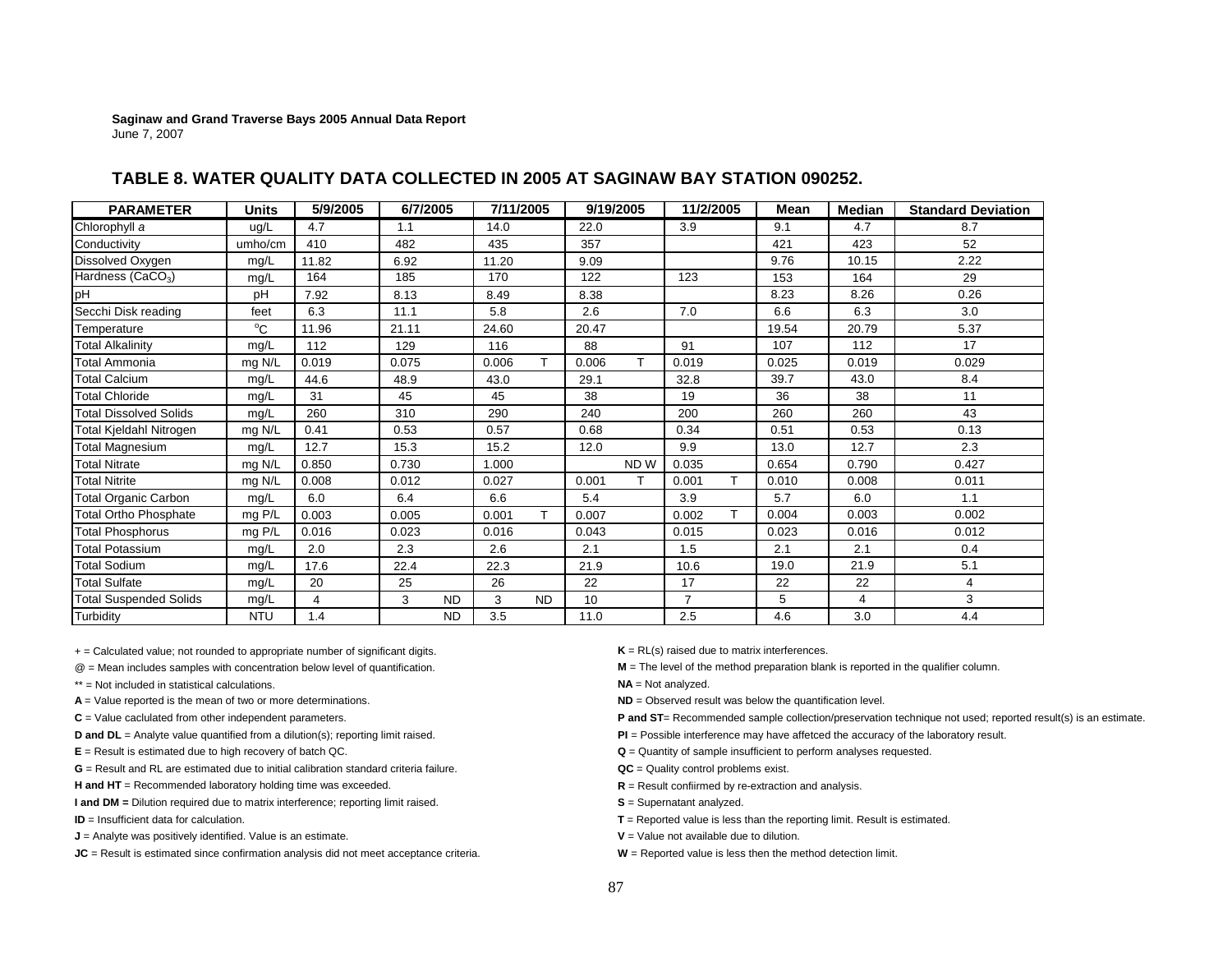| <b>PARAMETER</b>              | <b>Units</b> | 5/9/2005 | 6/7/2005 |           | 7/11/2005 |           |       | 9/19/2005 | 11/2/2005      |   | Mean  | Median         | <b>Standard Deviation</b> |
|-------------------------------|--------------|----------|----------|-----------|-----------|-----------|-------|-----------|----------------|---|-------|----------------|---------------------------|
| Chlorophyll a                 | ug/L         | 4.7      | 1.1      |           | 14.0      |           | 22.0  |           | 3.9            |   | 9.1   | 4.7            | 8.7                       |
| Conductivity                  | umho/cm      | 410      | 482      |           | 435       |           | 357   |           |                |   | 421   | 423            | 52                        |
| Dissolved Oxygen              | mg/L         | 11.82    | 6.92     |           | 11.20     |           | 9.09  |           |                |   | 9.76  | 10.15          | 2.22                      |
| Hardness (CaCO <sub>3</sub> ) | mg/L         | 164      | 185      |           | 170       |           | 122   |           | 123            |   | 153   | 164            | 29                        |
| pH                            | pH           | 7.92     | 8.13     |           | 8.49      |           | 8.38  |           |                |   | 8.23  | 8.26           | 0.26                      |
| Secchi Disk reading           | feet         | 6.3      | 11.1     |           | 5.8       |           | 2.6   |           | 7.0            |   | 6.6   | 6.3            | 3.0                       |
| Temperature                   | $^{\circ}$ C | 11.96    | 21.11    |           | 24.60     |           | 20.47 |           |                |   | 19.54 | 20.79          | 5.37                      |
| Total Alkalinity              | mg/L         | 112      | 129      |           | 116       |           | 88    |           | 91             |   | 107   | 112            | 17                        |
| Total Ammonia                 | mg N/L       | 0.019    | 0.075    |           | 0.006     | T         | 0.006 | T.        | 0.019          |   | 0.025 | 0.019          | 0.029                     |
| <b>Total Calcium</b>          | mg/L         | 44.6     | 48.9     |           | 43.0      |           | 29.1  |           | 32.8           |   | 39.7  | 43.0           | 8.4                       |
| <b>Total Chloride</b>         | mg/L         | 31       | 45       |           | 45        |           | 38    |           | 19             |   | 36    | 38             | 11                        |
| <b>Total Dissolved Solids</b> | mg/L         | 260      | 310      |           | 290       |           | 240   |           | 200            |   | 260   | 260            | 43                        |
| Total Kjeldahl Nitrogen       | mg N/L       | 0.41     | 0.53     |           | 0.57      |           | 0.68  |           | 0.34           |   | 0.51  | 0.53           | 0.13                      |
| Total Magnesium               | mg/L         | 12.7     | 15.3     |           | 15.2      |           | 12.0  |           | 9.9            |   | 13.0  | 12.7           | 2.3                       |
| <b>Total Nitrate</b>          | mg N/L       | 0.850    | 0.730    |           | 1.000     |           |       | ND W      | 0.035          |   | 0.654 | 0.790          | 0.427                     |
| <b>Total Nitrite</b>          | mg N/L       | 0.008    | 0.012    |           | 0.027     |           | 0.001 | T         | 0.001          |   | 0.010 | 0.008          | 0.011                     |
| <b>Total Organic Carbon</b>   | mg/L         | 6.0      | 6.4      |           | 6.6       |           | 5.4   |           | 3.9            |   | 5.7   | 6.0            | 1.1                       |
| <b>Total Ortho Phosphate</b>  | mg P/L       | 0.003    | 0.005    |           | 0.001     | т         | 0.007 |           | 0.002          | т | 0.004 | 0.003          | 0.002                     |
| <b>Total Phosphorus</b>       | $mg$ P/L     | 0.016    | 0.023    |           | 0.016     |           | 0.043 |           | 0.015          |   | 0.023 | 0.016          | 0.012                     |
| Total Potassium               | mg/L         | 2.0      | 2.3      |           | 2.6       |           | 2.1   |           | 1.5            |   | 2.1   | 2.1            | 0.4                       |
| <b>Total Sodium</b>           | mg/L         | 17.6     | 22.4     |           | 22.3      |           | 21.9  |           | 10.6           |   | 19.0  | 21.9           | 5.1                       |
| <b>Total Sulfate</b>          | mg/L         | 20       | 25       |           | 26        |           | 22    |           | 17             |   | 22    | 22             | 4                         |
| <b>Total Suspended Solids</b> | mg/L         | 4        | 3        | <b>ND</b> | 3         | <b>ND</b> | 10    |           | $\overline{7}$ |   | 5     | $\overline{4}$ | 3                         |
| Turbidity                     | <b>NTU</b>   | 1.4      |          | <b>ND</b> | 3.5       |           | 11.0  |           | 2.5            |   | 4.6   | 3.0            | 4.4                       |

## **TABLE 8. WATER QUALITY DATA COLLECTED IN 2005 AT SAGINAW BAY STATION 090252.**

+ = Calculated value; not rounded to appropriate number of significant digits. **K** = RL(s) raised due to matrix interferences.

- 
- \*\* = Not included in statistical calculations.
- **A** = Value reported is the mean of two or more determinations. **ND** = Observed result was below the quantification level.
- 
- 
- 
- **G** = Result and RL are estimated due to initial calibration standard criteria failure.
- H and HT = Recommended laboratory holding time was exceeded. **R** = Result confiirmed by re-extraction and analysis.

**I and DM** = Dilution required due to matrix interference; reporting limit raised. **S** = Supernatant analyzed.

**ID** = Insufficient data for calculation.

**J** = Analyte was positively identified. Value is an estimate. **V** = Value not available due to dilution.

**JC** = Result is estimated since confirmation analysis did not meet acceptance criteria. **W** = Reported value is less then the method detection limit.

@ = Mean includes samples with concentration below level of quantification. **M** = The level of the method preparation blank is reported in the qualifier column.

**NA** = Not analyzed.

- **D and DL** = Analyte value quantified from a dilution(s); reporting limit raised. **PI** = Possible interference may have affetced the accuracy of the laboratory result.
- **E** = Result is estimated due to high recovery of batch QC. **COM CONS Q** = Quantity of sample insufficient to perform analyses requested.
	- **QC** = Quality control problems exist.
	-
	-
	- **T** = Reported value is less than the reporting limit. Result is estimated.
	-
	-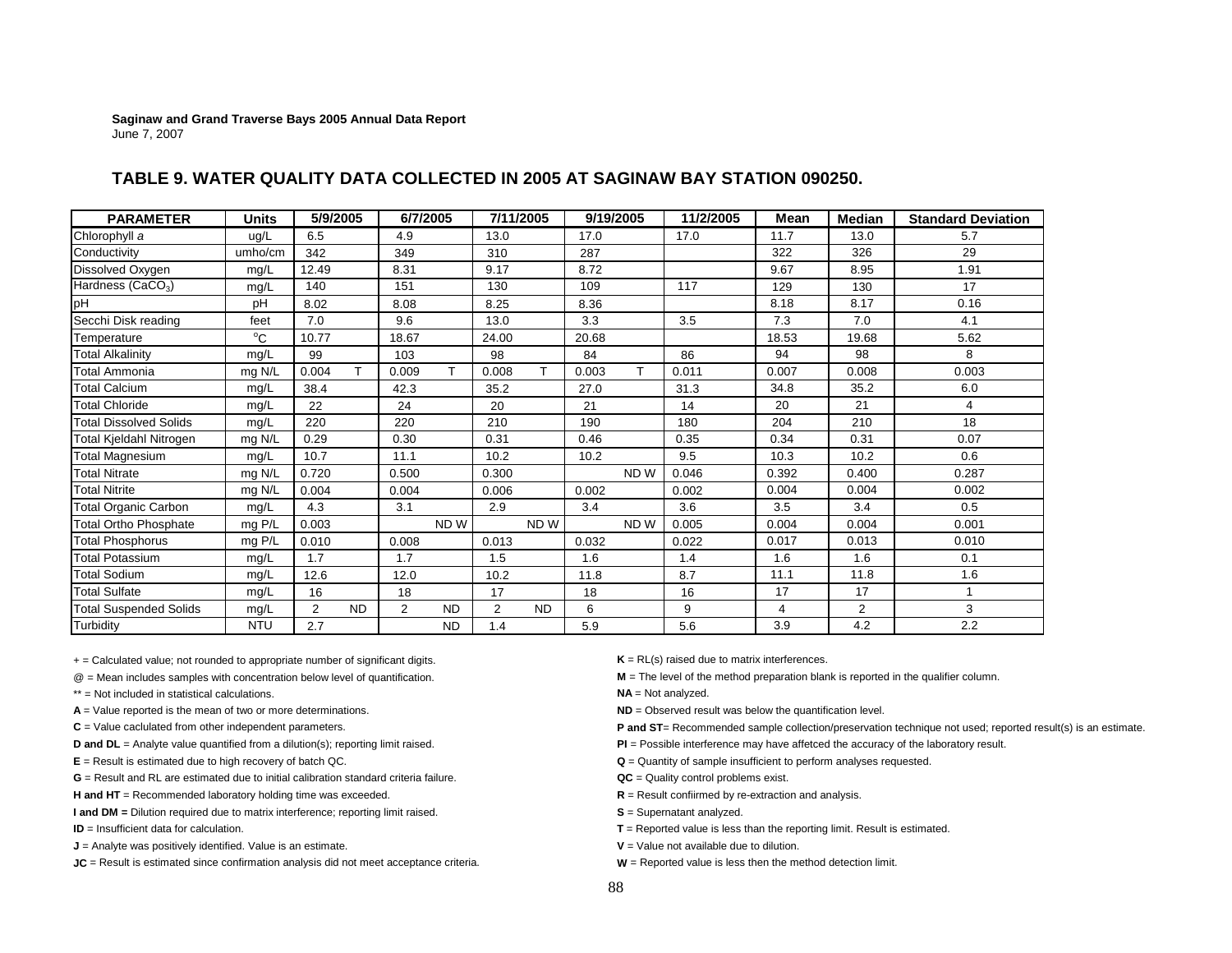| TABLE 9. WATER QUALITY DATA COLLECTED IN 2005 AT SAGINAW BAY STATION 090250. |
|------------------------------------------------------------------------------|
|------------------------------------------------------------------------------|

| <b>PARAMETER</b>              | <b>Units</b> | 5/9/2005 |           |                | 6/7/2005  |                | 7/11/2005 | 9/19/2005 |      | 11/2/2005 | Mean  | Median         | <b>Standard Deviation</b> |
|-------------------------------|--------------|----------|-----------|----------------|-----------|----------------|-----------|-----------|------|-----------|-------|----------------|---------------------------|
| Chlorophyll a                 | ug/L         | 6.5      |           | 4.9            |           | 13.0           |           | 17.0      |      | 17.0      | 11.7  | 13.0           | 5.7                       |
| Conductivity                  | umho/cm      | 342      |           | 349            |           | 310            |           | 287       |      |           | 322   | 326            | 29                        |
| Dissolved Oxygen              | mg/L         | 12.49    |           | 8.31           |           | 9.17           |           | 8.72      |      |           | 9.67  | 8.95           | 1.91                      |
| Hardness (CaCO <sub>3</sub> ) | mg/L         | 140      |           | 151            |           | 130            |           | 109       |      | 117       | 129   | 130            | 17                        |
| pH                            | pH           | 8.02     |           | 8.08           |           | 8.25           |           | 8.36      |      |           | 8.18  | 8.17           | 0.16                      |
| Secchi Disk reading           | feet         | 7.0      |           | 9.6            |           | 13.0           |           | 3.3       |      | 3.5       | 7.3   | 7.0            | 4.1                       |
| Temperature                   | $^{\circ}$ C | 10.77    |           | 18.67          |           | 24.00          |           | 20.68     |      |           | 18.53 | 19.68          | 5.62                      |
| <b>Total Alkalinity</b>       | mg/L         | 99       |           | 103            |           | 98             |           | 84        |      | 86        | 94    | 98             | 8                         |
| Total Ammonia                 | mg N/L       | 0.004    | T         | 0.009          | т         | 0.008          | T         | 0.003     | T.   | 0.011     | 0.007 | 0.008          | 0.003                     |
| <b>Total Calcium</b>          | mg/L         | 38.4     |           | 42.3           |           | 35.2           |           | 27.0      |      | 31.3      | 34.8  | 35.2           | 6.0                       |
| <b>Total Chloride</b>         | mg/L         | 22       |           | 24             |           | 20             |           | 21        |      | 14        | 20    | 21             | 4                         |
| <b>Total Dissolved Solids</b> | mg/L         | 220      |           | 220            |           | 210            |           | 190       |      | 180       | 204   | 210            | 18                        |
| Total Kjeldahl Nitrogen       | mg N/L       | 0.29     |           | 0.30           |           | 0.31           |           | 0.46      |      | 0.35      | 0.34  | 0.31           | 0.07                      |
| <b>Total Magnesium</b>        | mg/L         | 10.7     |           | 11.1           |           | 10.2           |           | 10.2      |      | 9.5       | 10.3  | 10.2           | 0.6                       |
| <b>Total Nitrate</b>          | mg N/L       | 0.720    |           | 0.500          |           | 0.300          |           |           | ND W | 0.046     | 0.392 | 0.400          | 0.287                     |
| <b>Total Nitrite</b>          | mg N/L       | 0.004    |           | 0.004          |           | 0.006          |           | 0.002     |      | 0.002     | 0.004 | 0.004          | 0.002                     |
| <b>Total Organic Carbon</b>   | mg/L         | 4.3      |           | 3.1            |           | 2.9            |           | 3.4       |      | 3.6       | 3.5   | 3.4            | 0.5                       |
| <b>Total Ortho Phosphate</b>  | mg P/L       | 0.003    |           |                | ND W      |                | ND W      |           | ND W | 0.005     | 0.004 | 0.004          | 0.001                     |
| <b>Total Phosphorus</b>       | mg P/L       | 0.010    |           | 0.008          |           | 0.013          |           | 0.032     |      | 0.022     | 0.017 | 0.013          | 0.010                     |
| <b>Total Potassium</b>        | mg/L         | 1.7      |           | 1.7            |           | 1.5            |           | 1.6       |      | 1.4       | 1.6   | 1.6            | 0.1                       |
| <b>Total Sodium</b>           | mg/L         | 12.6     |           | 12.0           |           | 10.2           |           | 11.8      |      | 8.7       | 11.1  | 11.8           | 1.6                       |
| <b>Total Sulfate</b>          | mg/L         | 16       |           | 18             |           | 17             |           | 18        |      | 16        | 17    | 17             |                           |
| <b>Total Suspended Solids</b> | mg/L         | 2        | <b>ND</b> | $\overline{2}$ | <b>ND</b> | $\overline{2}$ | <b>ND</b> | 6         |      | 9         | 4     | $\overline{2}$ | 3                         |
| Turbidity                     | <b>NTU</b>   | 2.7      |           |                | <b>ND</b> | 1.4            |           | 5.9       |      | 5.6       | 3.9   | 4.2            | 2.2                       |

+ = Calculated value; not rounded to appropriate number of significant digits. **K** = RL(s) raised due to matrix interferences.

\*\* = Not included in statistical calculations.

- 
- 

**G** = Result and RL are estimated due to initial calibration standard criteria failure.

H and HT = Recommended laboratory holding time was exceeded. **R** = Result confiirmed by re-extraction and analysis.

**I and DM** = Dilution required due to matrix interference; reporting limit raised. **S** = Supernatant analyzed.

**ID** = Insufficient data for calculation.

**J** = Analyte was positively identified. Value is an estimate. **V V** = Value not available due to dilution.

**JC** = Result is estimated since confirmation analysis did not meet acceptance criteria. **W** = Reported value is less then the method detection limit.

@ = Mean includes samples with concentration below level of quantification. **M** = The level of the method preparation blank is reported in the qualifier column.

**NA** = Not analyzed.

**A** = Value reported is the mean of two or more determinations. **ND** = Observed result was below the quantification level.

- **D and DL** = Analyte value quantified from a dilution(s); reporting limit raised. **PI** = Possible interference may have affetced the accuracy of the laboratory result.
- **E** = Result is estimated due to high recovery of batch QC. **COVER 1999 Q** = Quantity of sample insufficient to perform analyses requested.
	- **QC** = Quality control problems exist.
	-
	-
	- **T** = Reported value is less than the reporting limit. Result is estimated.
	-
	-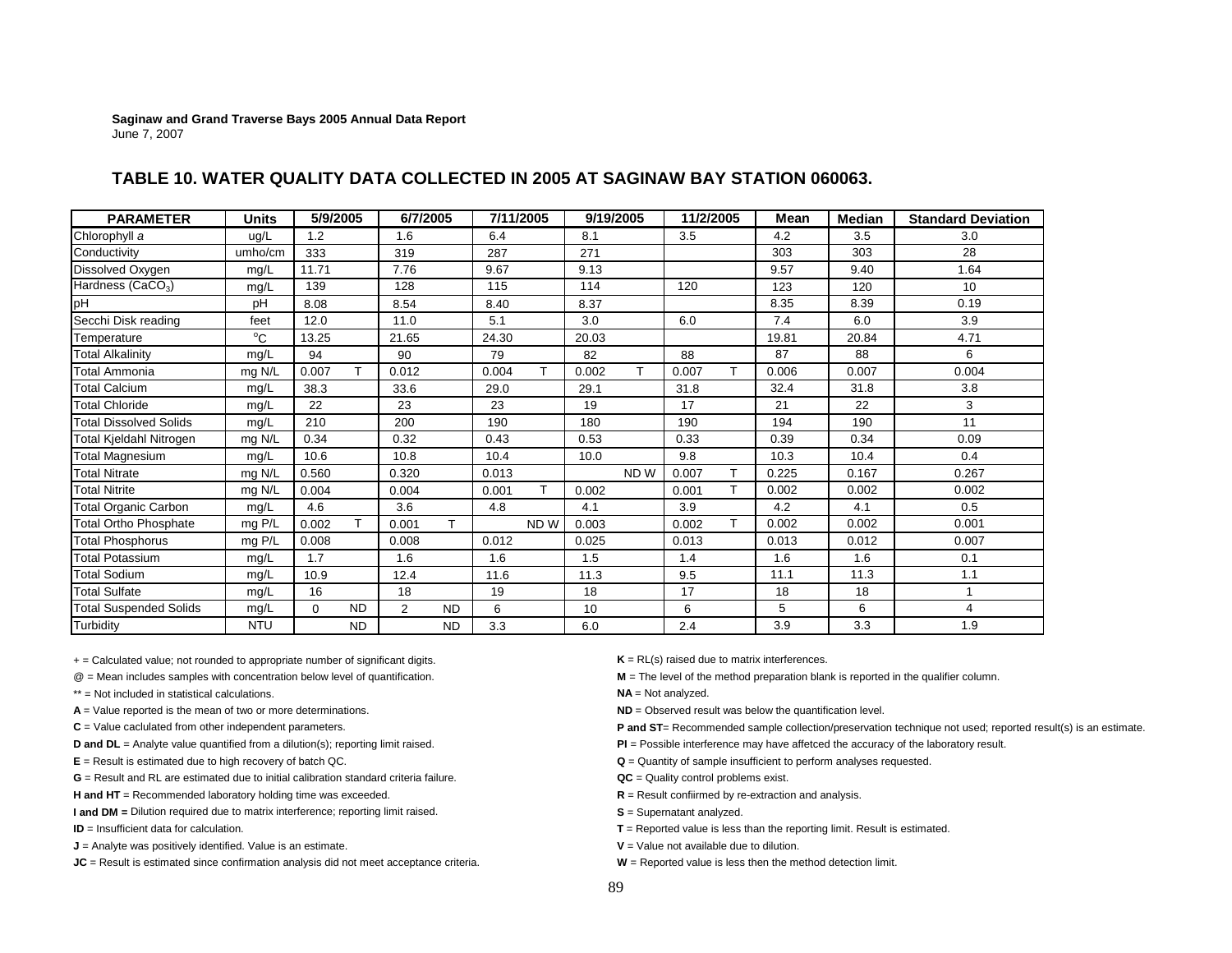| TABLE 10. WATER QUALITY DATA COLLECTED IN 2005 AT SAGINAW BAY STATION 060063. |
|-------------------------------------------------------------------------------|
|-------------------------------------------------------------------------------|

| <b>PARAMETER</b>              | <b>Units</b> |          | 5/9/2005  | 6/7/2005 |           |       | 7/11/2005 |       | 9/19/2005       | 11/2/2005 |    | Mean  | <b>Median</b> | <b>Standard Deviation</b> |
|-------------------------------|--------------|----------|-----------|----------|-----------|-------|-----------|-------|-----------------|-----------|----|-------|---------------|---------------------------|
| Chlorophyll a                 | ug/L         | 1.2      |           | 1.6      |           | 6.4   |           | 8.1   |                 | 3.5       |    | 4.2   | 3.5           | 3.0                       |
| Conductivity                  | umho/cm      | 333      |           | 319      |           | 287   |           | 271   |                 |           |    | 303   | 303           | 28                        |
| Dissolved Oxygen              | mg/L         | 11.71    |           | 7.76     |           | 9.67  |           | 9.13  |                 |           |    | 9.57  | 9.40          | 1.64                      |
| Hardness (CaCO <sub>3</sub> ) | mg/L         | 139      |           | 128      |           | 115   |           | 114   |                 | 120       |    | 123   | 120           | 10 <sup>°</sup>           |
| pH                            | pH           | 8.08     |           | 8.54     |           | 8.40  |           | 8.37  |                 |           |    | 8.35  | 8.39          | 0.19                      |
| Secchi Disk reading           | feet         | 12.0     |           | 11.0     |           | 5.1   |           | 3.0   |                 | 6.0       |    | 7.4   | 6.0           | 3.9                       |
| Temperature                   | $^{\circ}$ C | 13.25    |           | 21.65    |           | 24.30 |           | 20.03 |                 |           |    | 19.81 | 20.84         | 4.71                      |
| <b>Total Alkalinity</b>       | mg/L         | 94       |           | 90       |           | 79    |           | 82    |                 | 88        |    | 87    | 88            | 6                         |
| Total Ammonia                 | mg N/L       | 0.007    | T.        | 0.012    |           | 0.004 | T         | 0.002 | T.              | 0.007     | T. | 0.006 | 0.007         | 0.004                     |
| <b>Total Calcium</b>          | mg/L         | 38.3     |           | 33.6     |           | 29.0  |           | 29.1  |                 | 31.8      |    | 32.4  | 31.8          | 3.8                       |
| <b>Total Chloride</b>         | mg/L         | 22       |           | 23       |           | 23    |           | 19    |                 | 17        |    | 21    | 22            | 3                         |
| <b>Total Dissolved Solids</b> | mg/L         | 210      |           | 200      |           | 190   |           | 180   |                 | 190       |    | 194   | 190           | 11                        |
| Total Kjeldahl Nitrogen       | mg N/L       | 0.34     |           | 0.32     |           | 0.43  |           | 0.53  |                 | 0.33      |    | 0.39  | 0.34          | 0.09                      |
| <b>Total Magnesium</b>        | mg/L         | 10.6     |           | 10.8     |           | 10.4  |           | 10.0  |                 | 9.8       |    | 10.3  | 10.4          | 0.4                       |
| <b>Total Nitrate</b>          | mg N/L       | 0.560    |           | 0.320    |           | 0.013 |           |       | ND <sub>W</sub> | 0.007     | T. | 0.225 | 0.167         | 0.267                     |
| <b>Total Nitrite</b>          | mg N/L       | 0.004    |           | 0.004    |           | 0.001 | т         | 0.002 |                 | 0.001     | T  | 0.002 | 0.002         | 0.002                     |
| Total Organic Carbon          | mg/L         | 4.6      |           | 3.6      |           | 4.8   |           | 4.1   |                 | 3.9       |    | 4.2   | 4.1           | 0.5                       |
| <b>Total Ortho Phosphate</b>  | mg P/L       | 0.002    | T.        | 0.001    |           |       | ND W      | 0.003 |                 | 0.002     | T  | 0.002 | 0.002         | 0.001                     |
| <b>Total Phosphorus</b>       | mg P/L       | 0.008    |           | 0.008    |           | 0.012 |           | 0.025 |                 | 0.013     |    | 0.013 | 0.012         | 0.007                     |
| <b>Total Potassium</b>        | mg/L         | 1.7      |           | 1.6      |           | 1.6   |           | 1.5   |                 | 1.4       |    | 1.6   | 1.6           | 0.1                       |
| <b>Total Sodium</b>           | mg/L         | 10.9     |           | 12.4     |           | 11.6  |           | 11.3  |                 | 9.5       |    | 11.1  | 11.3          | 1.1                       |
| <b>Total Sulfate</b>          | mg/L         | 16       |           | 18       |           | 19    |           | 18    |                 | 17        |    | 18    | 18            |                           |
| <b>Total Suspended Solids</b> | mg/L         | $\Omega$ | <b>ND</b> | 2        | <b>ND</b> | 6     |           | 10    |                 | 6         |    | 5     | 6             | 4                         |
| Turbidity                     | <b>NTU</b>   |          | <b>ND</b> |          | <b>ND</b> | 3.3   |           | 6.0   |                 | 2.4       |    | 3.9   | 3.3           | 1.9                       |

+ = Calculated value; not rounded to appropriate number of significant digits. **K** = RL(s) raised due to matrix interferences.

\*\* = Not included in statistical calculations.

- **A** = Value reported is the mean of two or more determinations. **ND** = Observed result was below the quantification level.
- 

**G** = Result and RL are estimated due to initial calibration standard criteria failure.

H and HT = Recommended laboratory holding time was exceeded. **R** = Result confiirmed by re-extraction and analysis.

**I and DM** = Dilution required due to matrix interference; reporting limit raised. **S** = Supernatant analyzed.

**ID** = Insufficient data for calculation.

**J** = Analyte was positively identified. Value is an estimate. **V V** = Value not available due to dilution.

**JC** = Result is estimated since confirmation analysis did not meet acceptance criteria. **W** = Reported value is less then the method detection limit.

@ = Mean includes samples with concentration below level of quantification. **M** = The level of the method preparation blank is reported in the qualifier column.

**NA** = Not analyzed.

- **D and DL** = Analyte value quantified from a dilution(s); reporting limit raised. **PI** = Possible interference may have affetced the accuracy of the laboratory result.
- **E** = Result is estimated due to high recovery of batch QC. **COVER 2008 Q** = Quantity of sample insufficient to perform analyses requested.
	- **QC** = Quality control problems exist.
	-
	-
	- **T** = Reported value is less than the reporting limit. Result is estimated.
	-
	-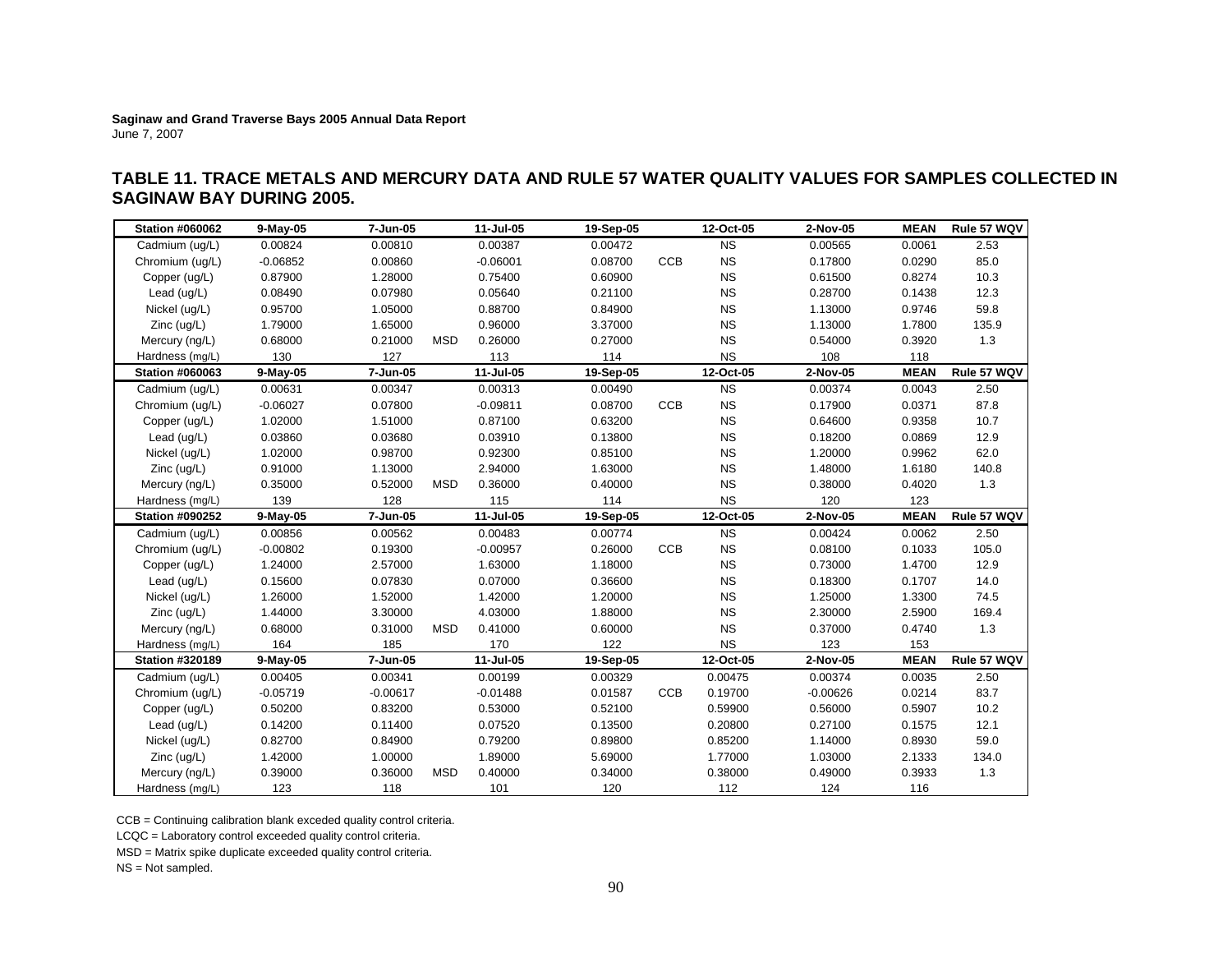# **TABLE 11. TRACE METALS AND MERCURY DATA AND RULE 57 WATER QUALITY VALUES FOR SAMPLES COLLECTED IN SAGINAW BAY DURING 2005.**

| <b>Station #060062</b> | 9-May-05   | 7-Jun-05   |            | 11-Jul-05  | 19-Sep-05 |            | 12-Oct-05 | 2-Nov-05   | <b>MEAN</b> | Rule 57 WQV |
|------------------------|------------|------------|------------|------------|-----------|------------|-----------|------------|-------------|-------------|
| Cadmium (ug/L)         | 0.00824    | 0.00810    |            | 0.00387    | 0.00472   |            | <b>NS</b> | 0.00565    | 0.0061      | 2.53        |
| Chromium (ug/L)        | $-0.06852$ | 0.00860    |            | $-0.06001$ | 0.08700   | <b>CCB</b> | <b>NS</b> | 0.17800    | 0.0290      | 85.0        |
| Copper (ug/L)          | 0.87900    | 1.28000    |            | 0.75400    | 0.60900   |            | <b>NS</b> | 0.61500    | 0.8274      | 10.3        |
| Lead (ug/L)            | 0.08490    | 0.07980    |            | 0.05640    | 0.21100   |            | <b>NS</b> | 0.28700    | 0.1438      | 12.3        |
| Nickel (ug/L)          | 0.95700    | 1.05000    |            | 0.88700    | 0.84900   |            | <b>NS</b> | 1.13000    | 0.9746      | 59.8        |
| Zinc (ug/L)            | 1.79000    | 1.65000    |            | 0.96000    | 3.37000   |            | <b>NS</b> | 1.13000    | 1.7800      | 135.9       |
| Mercury (ng/L)         | 0.68000    | 0.21000    | MSD        | 0.26000    | 0.27000   |            | <b>NS</b> | 0.54000    | 0.3920      | 1.3         |
| Hardness (mg/L)        | 130        | 127        |            | 113        | 114       |            | <b>NS</b> | 108        | 118         |             |
| <b>Station #060063</b> | 9-May-05   | 7-Jun-05   |            | 11-Jul-05  | 19-Sep-05 |            | 12-Oct-05 | 2-Nov-05   | <b>MEAN</b> | Rule 57 WQV |
| Cadmium (ug/L)         | 0.00631    | 0.00347    |            | 0.00313    | 0.00490   |            | <b>NS</b> | 0.00374    | 0.0043      | 2.50        |
| Chromium (ug/L)        | $-0.06027$ | 0.07800    |            | $-0.09811$ | 0.08700   | CCB        | <b>NS</b> | 0.17900    | 0.0371      | 87.8        |
| Copper (ug/L)          | 1.02000    | 1.51000    |            | 0.87100    | 0.63200   |            | <b>NS</b> | 0.64600    | 0.9358      | 10.7        |
| Lead (ug/L)            | 0.03860    | 0.03680    |            | 0.03910    | 0.13800   |            | <b>NS</b> | 0.18200    | 0.0869      | 12.9        |
| Nickel (ug/L)          | 1.02000    | 0.98700    |            | 0.92300    | 0.85100   |            | <b>NS</b> | 1.20000    | 0.9962      | 62.0        |
| $Zinc$ (ug/L)          | 0.91000    | 1.13000    |            | 2.94000    | 1.63000   |            | <b>NS</b> | 1.48000    | 1.6180      | 140.8       |
| Mercury (ng/L)         | 0.35000    | 0.52000    | <b>MSD</b> | 0.36000    | 0.40000   |            | <b>NS</b> | 0.38000    | 0.4020      | 1.3         |
| Hardness (mg/L)        | 139        | 128        |            | 115        | 114       |            | <b>NS</b> | 120        | 123         |             |
|                        |            |            |            |            |           |            |           |            |             |             |
| <b>Station #090252</b> | 9-May-05   | 7-Jun-05   |            | 11-Jul-05  | 19-Sep-05 |            | 12-Oct-05 | 2-Nov-05   | <b>MEAN</b> | Rule 57 WQV |
| Cadmium (uq/L)         | 0.00856    | 0.00562    |            | 0.00483    | 0.00774   |            | <b>NS</b> | 0.00424    | 0.0062      | 2.50        |
| Chromium (uq/L)        | $-0.00802$ | 0.19300    |            | $-0.00957$ | 0.26000   | CCB        | <b>NS</b> | 0.08100    | 0.1033      | 105.0       |
| Copper (ug/L)          | 1.24000    | 2.57000    |            | 1.63000    | 1.18000   |            | <b>NS</b> | 0.73000    | 1.4700      | 12.9        |
| Lead (ug/L)            | 0.15600    | 0.07830    |            | 0.07000    | 0.36600   |            | <b>NS</b> | 0.18300    | 0.1707      | 14.0        |
| Nickel (ug/L)          | 1.26000    | 1.52000    |            | 1.42000    | 1.20000   |            | <b>NS</b> | 1.25000    | 1.3300      | 74.5        |
| $Zinc$ (ug/L)          | 1.44000    | 3.30000    |            | 4.03000    | 1.88000   |            | <b>NS</b> | 2.30000    | 2.5900      | 169.4       |
| Mercury (ng/L)         | 0.68000    | 0.31000    | <b>MSD</b> | 0.41000    | 0.60000   |            | <b>NS</b> | 0.37000    | 0.4740      | 1.3         |
| Hardness (mg/L)        | 164        | 185        |            | 170        | 122       |            | <b>NS</b> | 123        | 153         |             |
| <b>Station #320189</b> | 9-May-05   | 7-Jun-05   |            | 11-Jul-05  | 19-Sep-05 |            | 12-Oct-05 | 2-Nov-05   | <b>MEAN</b> | Rule 57 WQV |
| Cadmium (ug/L)         | 0.00405    | 0.00341    |            | 0.00199    | 0.00329   |            | 0.00475   | 0.00374    | 0.0035      | 2.50        |
| Chromium (ug/L)        | $-0.05719$ | $-0.00617$ |            | $-0.01488$ | 0.01587   | <b>CCB</b> | 0.19700   | $-0.00626$ | 0.0214      | 83.7        |
| Copper (ug/L)          | 0.50200    | 0.83200    |            | 0.53000    | 0.52100   |            | 0.59900   | 0.56000    | 0.5907      | 10.2        |
| Lead (ug/L)            | 0.14200    | 0.11400    |            | 0.07520    | 0.13500   |            | 0.20800   | 0.27100    | 0.1575      | 12.1        |
| Nickel (ug/L)          | 0.82700    | 0.84900    |            | 0.79200    | 0.89800   |            | 0.85200   | 1.14000    | 0.8930      | 59.0        |
| Zinc (ug/L)            | 1.42000    | 1.00000    |            | 1.89000    | 5.69000   |            | 1.77000   | 1.03000    | 2.1333      | 134.0       |
| Mercury (ng/L)         | 0.39000    | 0.36000    | <b>MSD</b> | 0.40000    | 0.34000   |            | 0.38000   | 0.49000    | 0.3933      | 1.3         |

CCB = Continuing calibration blank exceded quality control criteria.

LCQC = Laboratory control exceeded quality control criteria.

MSD = Matrix spike duplicate exceeded quality control criteria.

NS = Not sampled.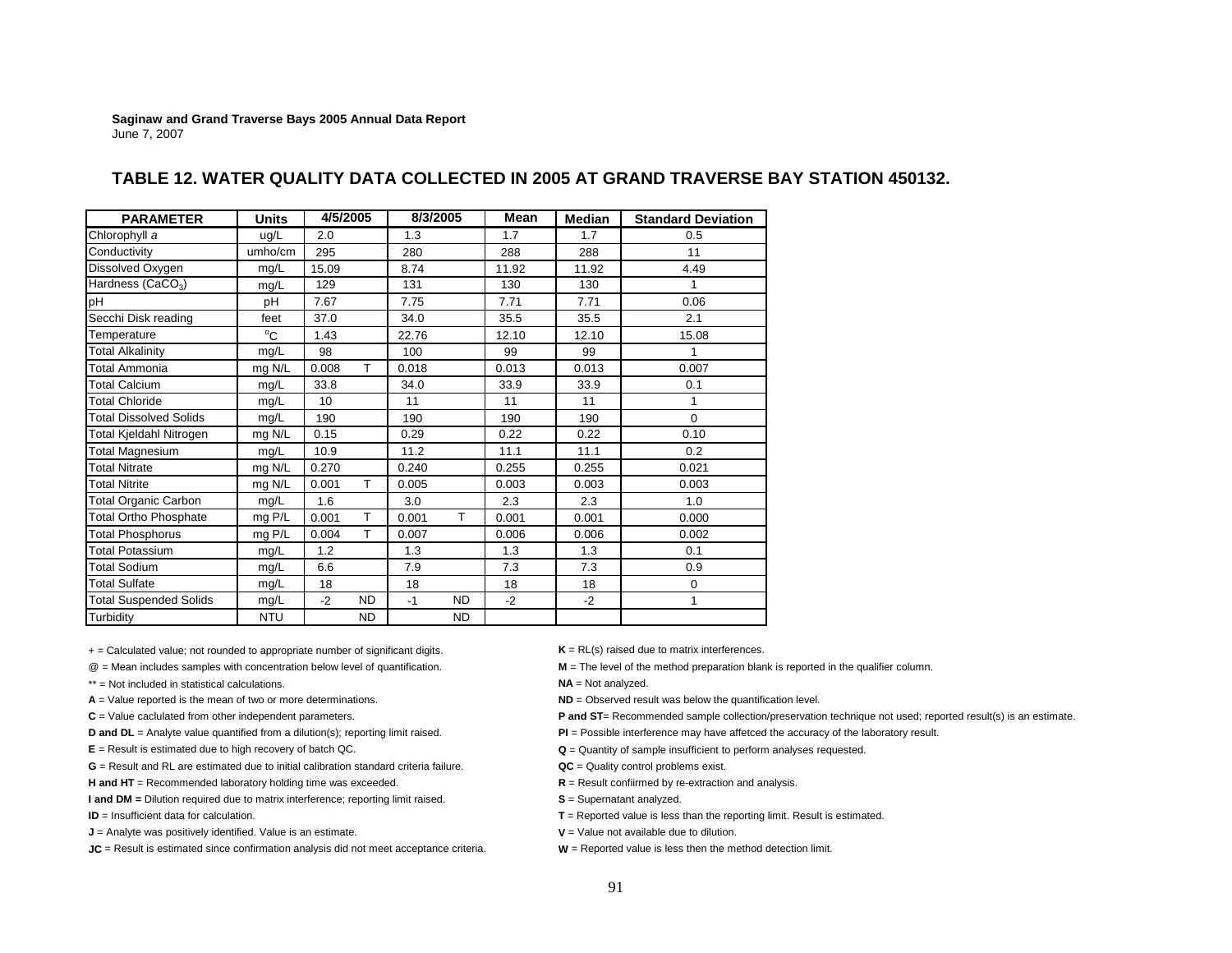| <b>PARAMETER</b>              | <b>Units</b> | 4/5/2005 |           | 8/3/2005 |           | Mean  | Median | <b>Standard Deviation</b> |
|-------------------------------|--------------|----------|-----------|----------|-----------|-------|--------|---------------------------|
| Chlorophyll a                 | ug/L         | 2.0      |           | 1.3      |           | 1.7   | 1.7    | 0.5                       |
| Conductivity                  | umho/cm      | 295      |           | 280      |           | 288   | 288    | 11                        |
| Dissolved Oxygen              | mq/L         | 15.09    |           | 8.74     |           | 11.92 | 11.92  | 4.49                      |
| Hardness (CaCO <sub>3</sub> ) | mq/L         | 129      |           | 131      |           | 130   | 130    | 1                         |
| рH                            | pH           | 7.67     |           | 7.75     |           | 7.71  | 7.71   | 0.06                      |
| Secchi Disk reading           | feet         | 37.0     |           | 34.0     |           | 35.5  | 35.5   | 2.1                       |
| Temperature                   | $^{\circ}$ C | 1.43     |           | 22.76    |           | 12.10 | 12.10  | 15.08                     |
| Total Alkalinity              | mg/L         | 98       |           | 100      |           | 99    | 99     | 1                         |
| Total Ammonia                 | mg N/L       | 0.008    | т         | 0.018    |           | 0.013 | 0.013  | 0.007                     |
| <b>Total Calcium</b>          | mg/L         | 33.8     |           | 34.0     |           | 33.9  | 33.9   | 0.1                       |
| <b>Total Chloride</b>         | mg/L         | 10       |           | 11       |           | 11    | 11     | 1                         |
| <b>Total Dissolved Solids</b> | mg/L         | 190      |           | 190      |           | 190   | 190    | $\Omega$                  |
| Total Kjeldahl Nitrogen       | mg N/L       | 0.15     |           | 0.29     |           | 0.22  | 0.22   | 0.10                      |
| Total Magnesium               | mg/L         | 10.9     |           | 11.2     |           | 11.1  | 11.1   | 0.2                       |
| <b>Total Nitrate</b>          | mg N/L       | 0.270    |           | 0.240    |           | 0.255 | 0.255  | 0.021                     |
| <b>Total Nitrite</b>          | mg N/L       | 0.001    | T.        | 0.005    |           | 0.003 | 0.003  | 0.003                     |
| <b>Total Organic Carbon</b>   | mg/L         | 1.6      |           | 3.0      |           | 2.3   | 2.3    | 1.0                       |
| <b>Total Ortho Phosphate</b>  | mg P/L       | 0.001    | T.        | 0.001    | T.        | 0.001 | 0.001  | 0.000                     |
| <b>Total Phosphorus</b>       | mg P/L       | 0.004    | T.        | 0.007    |           | 0.006 | 0.006  | 0.002                     |
| <b>Total Potassium</b>        | mg/L         | 1.2      |           | 1.3      |           | 1.3   | 1.3    | 0.1                       |
| <b>Total Sodium</b>           | mq/L         | 6.6      |           | 7.9      |           | 7.3   | 7.3    | 0.9                       |
| <b>Total Sulfate</b>          | mq/L         | 18       |           | 18       |           | 18    | 18     | 0                         |
| <b>Total Suspended Solids</b> | mg/L         | $-2$     | <b>ND</b> | $-1$     | <b>ND</b> | $-2$  | $-2$   | 1                         |
| Turbidity                     | <b>NTU</b>   |          | <b>ND</b> |          | <b>ND</b> |       |        |                           |

### **TABLE 12. WATER QUALITY DATA COLLECTED IN 2005 AT GRAND TRAVERSE BAY STATION 450132.**

+ = Calculated value; not rounded to appropriate number of significant digits. **K** = RL(s) raised due to matrix interferences.

\*\* = Not included in statistical calculations.

- 
- 

**G** = Result and RL are estimated due to initial calibration standard criteria failure.

**H and HT** = Recommended laboratory holding time was exceeded. **R** = Result confiirmed by re-extraction and analysis.

**I and DM** = Dilution required due to matrix interference; reporting limit raised. **S** = Supernatant analyzed.

**ID** = Insufficient data for calculation.

**J** = Analyte was positively identified. Value is an estimate. **V W** = Value not available due to dilution.

**JC** = Result is estimated since confirmation analysis did not meet acceptance criteria. **W** = Reported value is less then the method detection limit.

@ = Mean includes samples with concentration below level of quantification. **M** = The level of the method preparation blank is reported in the qualifier column.

**NA** = Not analyzed.

- **A** = Value reported is the mean of two or more determinations. **ND ND** = Observed result was below the quantification level.
- C = Value caclulated from other independent parameters. **P and ST**= Recommended sample collection/preservation technique not used; reported result(s) is an estimate.
- **D and DL** = Analyte value quantified from a dilution(s); reporting limit raised. **PI** = Possible interference may have affetced the accuracy of the laboratory result.
- **E** = Result is estimated due to high recovery of batch QC. **Cancel 2008 Q** = Quantity of sample insufficient to perform analyses requested.
	- **QC** = Quality control problems exist.
	-
	-
	- **T** = Reported value is less than the reporting limit. Result is estimated.
	-
	-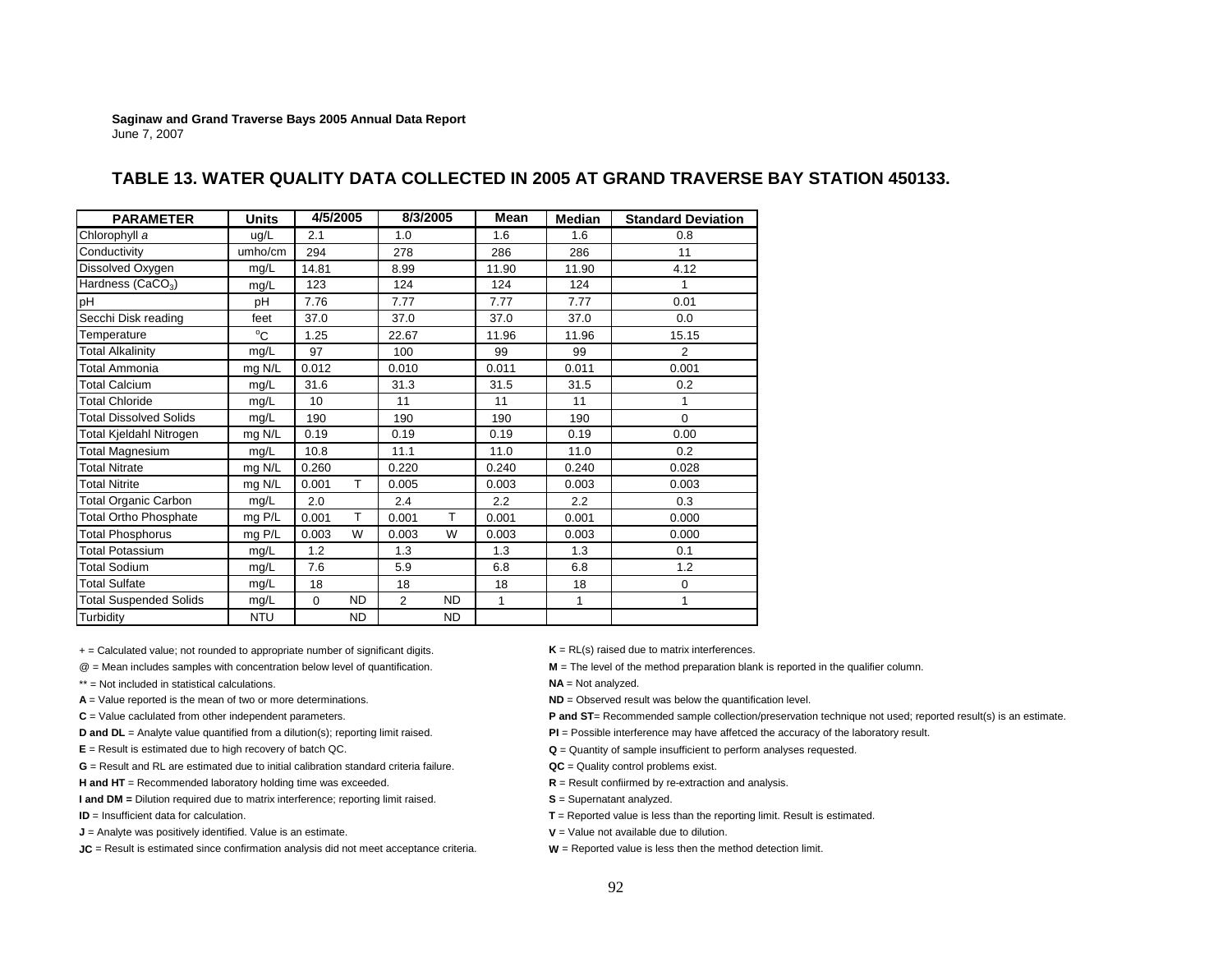| <b>PARAMETER</b>              | <b>Units</b> | 4/5/2005 |           | 8/3/2005       |           | Mean  | Median | <b>Standard Deviation</b> |
|-------------------------------|--------------|----------|-----------|----------------|-----------|-------|--------|---------------------------|
| Chlorophyll a                 | ug/L         | 2.1      |           | 1.0            |           | 1.6   | 1.6    | 0.8                       |
| Conductivity                  | umho/cm      | 294      |           | 278            |           | 286   | 286    | 11                        |
| Dissolved Oxygen              | mg/L         | 14.81    |           | 8.99           |           | 11.90 | 11.90  | 4.12                      |
| Hardness (CaCO <sub>3</sub> ) | mg/L         | 123      |           | 124            |           | 124   | 124    | 1                         |
| pН                            | рH           | 7.76     |           | 7.77           |           | 7.77  | 7.77   | 0.01                      |
| Secchi Disk reading           | feet         | 37.0     |           | 37.0           |           | 37.0  | 37.0   | 0.0                       |
| Temperature                   | $^{\circ}$ C | 1.25     |           | 22.67          |           | 11.96 | 11.96  | 15.15                     |
| <b>Total Alkalinity</b>       | mg/L         | 97       |           | 100            |           | 99    | 99     | 2                         |
| Total Ammonia                 | mg N/L       | 0.012    |           | 0.010          |           | 0.011 | 0.011  | 0.001                     |
| <b>Total Calcium</b>          | mg/L         | 31.6     |           | 31.3           |           | 31.5  | 31.5   | 0.2                       |
| <b>Total Chloride</b>         | mg/L         | 10       |           | 11             |           | 11    | 11     | 1                         |
| <b>Total Dissolved Solids</b> | mg/L         | 190      |           | 190            |           | 190   | 190    | $\mathbf 0$               |
| Total Kjeldahl Nitrogen       | mg N/L       | 0.19     |           | 0.19           |           | 0.19  | 0.19   | 0.00                      |
| <b>Total Magnesium</b>        | mg/L         | 10.8     |           | 11.1           |           | 11.0  | 11.0   | 0.2                       |
| <b>Total Nitrate</b>          | mg N/L       | 0.260    |           | 0.220          |           | 0.240 | 0.240  | 0.028                     |
| <b>Total Nitrite</b>          | mg N/L       | 0.001    | T.        | 0.005          |           | 0.003 | 0.003  | 0.003                     |
| <b>Total Organic Carbon</b>   | mg/L         | 2.0      |           | 2.4            |           | 2.2   | 2.2    | 0.3                       |
| <b>Total Ortho Phosphate</b>  | mg P/L       | 0.001    | T.        | 0.001          | T.        | 0.001 | 0.001  | 0.000                     |
| <b>Total Phosphorus</b>       | mg P/L       | 0.003    | W         | 0.003          | W         | 0.003 | 0.003  | 0.000                     |
| <b>Total Potassium</b>        | mg/L         | 1.2      |           | 1.3            |           | 1.3   | 1.3    | 0.1                       |
| <b>Total Sodium</b>           | mg/L         | 7.6      |           | 5.9            |           | 6.8   | 6.8    | 1.2                       |
| <b>Total Sulfate</b>          | mg/L         | 18       |           | 18             |           | 18    | 18     | $\mathbf 0$               |
| <b>Total Suspended Solids</b> | mg/L         | $\Omega$ | <b>ND</b> | $\overline{2}$ | <b>ND</b> | 1     | 1      | 1                         |
| Turbidity                     | <b>NTU</b>   |          | <b>ND</b> |                | <b>ND</b> |       |        |                           |

### **TABLE 13. WATER QUALITY DATA COLLECTED IN 2005 AT GRAND TRAVERSE BAY STATION 450133.**

+ = Calculated value; not rounded to appropriate number of significant digits. **K** = RL(s) raised due to matrix interferences.

\*\* = Not included in statistical calculations.

- 
- 

**G** = Result and RL are estimated due to initial calibration standard criteria failure.

**H and HT** = Recommended laboratory holding time was exceeded. **R** = Result confiirmed by re-extraction and analysis.

**I and DM** = Dilution required due to matrix interference; reporting limit raised. **S** = Supernatant analyzed.

**ID** = Insufficient data for calculation.

**J** = Analyte was positively identified. Value is an estimate. **V** = Value not available due to dilution.

**JC** = Result is estimated since confirmation analysis did not meet acceptance criteria. **W** = Reported value is less then the method detection limit.

@ = Mean includes samples with concentration below level of quantification. **M** = The level of the method preparation blank is reported in the qualifier column.

**NA** = Not analyzed.

**A** = Value reported is the mean of two or more determinations. **ND ND** = Observed result was below the quantification level.

C = Value caclulated from other independent parameters. **P and ST**= Recommended sample collection/preservation technique not used; reported result(s) is an estimate.

**D and DL** = Analyte value quantified from a dilution(s); reporting limit raised. **PI** = Possible interference may have affetced the accuracy of the laboratory result.

**E** = Result is estimated due to high recovery of batch QC. **Cancel 2008 Q** = Quantity of sample insufficient to perform analyses requested.

**QC** = Quality control problems exist.

**T** = Reported value is less than the reporting limit. Result is estimated.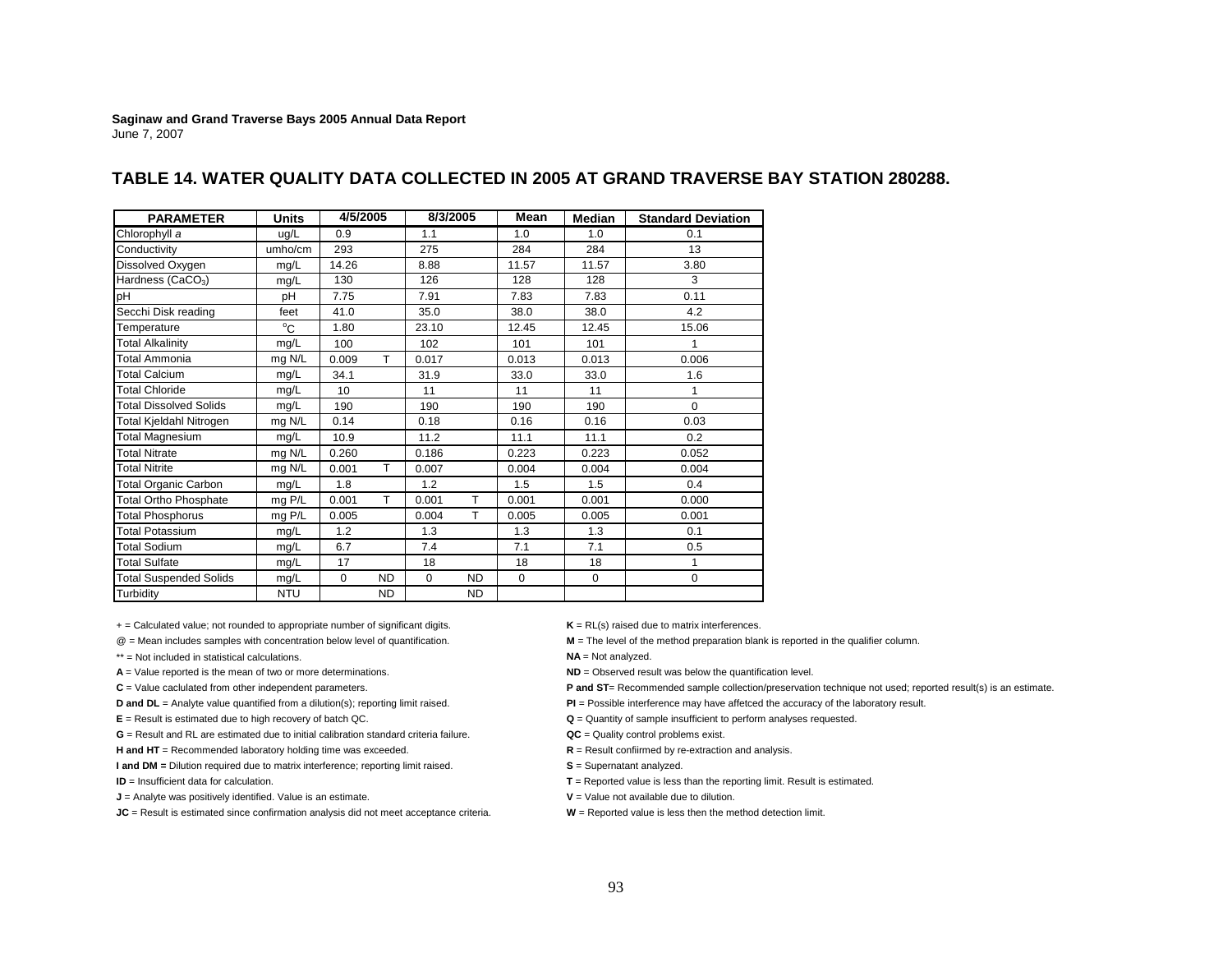| <b>PARAMETER</b>              | <b>Units</b> | 4/5/2005        |           | 8/3/2005 |           | Mean     | <b>Median</b> | <b>Standard Deviation</b> |
|-------------------------------|--------------|-----------------|-----------|----------|-----------|----------|---------------|---------------------------|
| Chlorophyll a                 | ug/L         | 0.9             |           | 1.1      |           | 1.0      | 1.0           | 0.1                       |
| Conductivity                  | umho/cm      | 293             |           | 275      |           | 284      | 284           | 13                        |
| Dissolved Oxygen              | mg/L         | 14.26           |           | 8.88     |           | 11.57    | 11.57         | 3.80                      |
| Hardness (CaCO <sub>3</sub> ) | mg/L         | 130             |           | 126      |           | 128      | 128           | 3                         |
| pH                            | pН           | 7.75            |           | 7.91     |           | 7.83     | 7.83          | 0.11                      |
| Secchi Disk reading           | feet         | 41.0            |           | 35.0     |           | 38.0     | 38.0          | 4.2                       |
| Temperature                   | $^{\circ}$ C | 1.80            |           | 23.10    |           | 12.45    | 12.45         | 15.06                     |
| <b>Total Alkalinity</b>       | mg/L         | 100             |           | 102      |           | 101      | 101           | 1                         |
| <b>Total Ammonia</b>          | mg N/L       | 0.009           | T.        | 0.017    |           | 0.013    | 0.013         | 0.006                     |
| <b>Total Calcium</b>          | mg/L         | 34.1            |           | 31.9     |           | 33.0     | 33.0          | 1.6                       |
| <b>Total Chloride</b>         | mg/L         | 10 <sup>1</sup> |           | 11       |           | 11       | 11            | 1                         |
| <b>Total Dissolved Solids</b> | mg/L         | 190             |           | 190      |           | 190      | 190           | $\Omega$                  |
| Total Kjeldahl Nitrogen       | mg N/L       | 0.14            |           | 0.18     |           | 0.16     | 0.16          | 0.03                      |
| <b>Total Magnesium</b>        | mg/L         | 10.9            |           | 11.2     |           | 11.1     | 11.1          | 0.2                       |
| <b>Total Nitrate</b>          | mg N/L       | 0.260           |           | 0.186    |           | 0.223    | 0.223         | 0.052                     |
| <b>Total Nitrite</b>          | mg N/L       | 0.001           | T.        | 0.007    |           | 0.004    | 0.004         | 0.004                     |
| <b>Total Organic Carbon</b>   | mg/L         | 1.8             |           | 1.2      |           | 1.5      | 1.5           | 0.4                       |
| <b>Total Ortho Phosphate</b>  | mg P/L       | 0.001           | T.        | 0.001    | T.        | 0.001    | 0.001         | 0.000                     |
| <b>Total Phosphorus</b>       | mg P/L       | 0.005           |           | 0.004    | T.        | 0.005    | 0.005         | 0.001                     |
| <b>Total Potassium</b>        | mg/L         | 1.2             |           | 1.3      |           | 1.3      | 1.3           | 0.1                       |
| <b>Total Sodium</b>           | mg/L         | 6.7             |           | 7.4      |           | 7.1      | 7.1           | 0.5                       |
| <b>Total Sulfate</b>          | mg/L         | 17              |           | 18       |           | 18       | 18            | 1                         |
| <b>Total Suspended Solids</b> | mg/L         | $\Omega$        | <b>ND</b> | $\Omega$ | <b>ND</b> | $\Omega$ | $\mathbf 0$   | $\mathbf 0$               |
| Turbidity                     | <b>NTU</b>   |                 | ND.       |          | <b>ND</b> |          |               |                           |

### **TABLE 14. WATER QUALITY DATA COLLECTED IN 2005 AT GRAND TRAVERSE BAY STATION 280288.**

+ = Calculated value; not rounded to appropriate number of significant digits. **K** = RL(s) raised due to matrix interferences.

\*\* = Not included in statistical calculations.

**G** = Result and RL are estimated due to initial calibration standard criteria failure.

**H and HT** = Recommended laboratory holding time was exceeded. **R** = Result confiirmed by re-extraction and analysis.

**I and DM** = Dilution required due to matrix interference; reporting limit raised. **S** = Supernatant analyzed.

**ID** = Insufficient data for calculation.

**J** = Analyte was positively identified. Value is an estimate. **V V** = Value not available due to dilution.

**JC** = Result is estimated since confirmation analysis did not meet acceptance criteria. **W** = Reported value is less then the method detection limit.

@ = Mean includes samples with concentration below level of quantification. **M** = The level of the method preparation blank is reported in the qualifier column.

**NA** = Not analyzed.

**A** = Value reported is the mean of two or more determinations. **ND ND** = Observed result was below the quantification level.

C = Value caclulated from other independent parameters. **P and ST**= Recommended sample collection/preservation technique not used; reported result(s) is an estimate.

**D and DL** = Analyte value quantified from a dilution(s); reporting limit raised. **PI** = Possible interference may have affetced the accuracy of the laboratory result.

**E** = Result is estimated due to high recovery of batch QC. **Cancel 2008 Q** = Quantity of sample insufficient to perform analyses requested.

**QC** = Quality control problems exist.

**T** = Reported value is less than the reporting limit. Result is estimated.